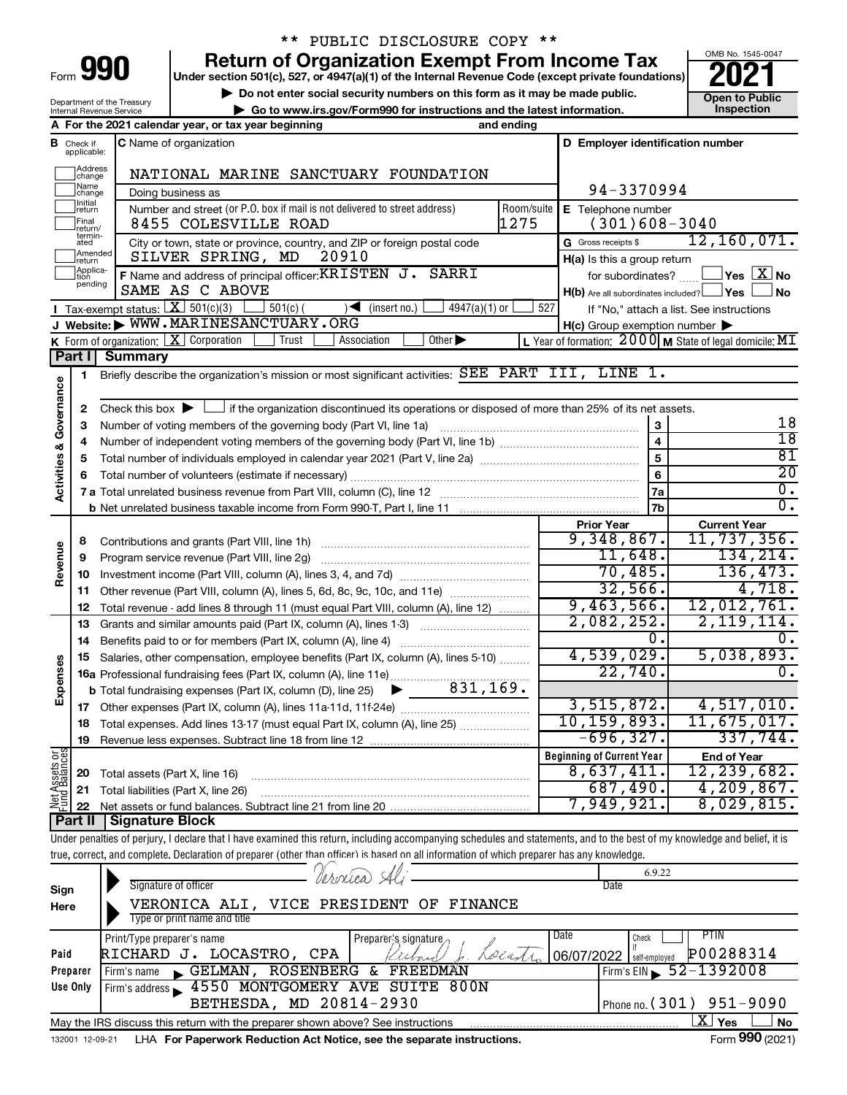| ⊢orm |  |  |
|------|--|--|

# \*\* PUBLIC DISCLOSURE COPY \*\*

**990** Return of Organization Exempt From Income Tax <br>
Under section 501(c), 527, or 4947(a)(1) of the Internal Revenue Code (except private foundations)<br> **PO21** 

**▶ Do not enter social security numbers on this form as it may be made public. Open to Public**<br>
inspection instructions and the latest information. Inspection **| Go to www.irs.gov/Form990 for instructions and the latest information. Inspection**



Department of the Treasury Internal Revenue Service

|                         |                                       | A For the 2021 calendar year, or tax year beginning                                                                                                                        | and ending         |                                                     |                                                                   |
|-------------------------|---------------------------------------|----------------------------------------------------------------------------------------------------------------------------------------------------------------------------|--------------------|-----------------------------------------------------|-------------------------------------------------------------------|
|                         | <b>B</b> Check if applicable:         | C Name of organization                                                                                                                                                     |                    | D Employer identification number                    |                                                                   |
|                         | Address<br>change                     | NATIONAL MARINE SANCTUARY FOUNDATION                                                                                                                                       |                    |                                                     |                                                                   |
|                         | Name<br> change                       | Doing business as                                                                                                                                                          |                    | 94-3370994                                          |                                                                   |
|                         | Initial<br>return<br>Final<br>return/ | Number and street (or P.O. box if mail is not delivered to street address)<br>8455 COLESVILLE ROAD                                                                         | Room/suite<br>1275 | E Telephone number<br>$(301)608-3040$               |                                                                   |
|                         | termin-<br>ated                       | City or town, state or province, country, and ZIP or foreign postal code                                                                                                   |                    | G Gross receipts \$                                 | 12, 160, 071.                                                     |
|                         | Amended<br>return                     | 20910<br>SILVER SPRING, MD                                                                                                                                                 |                    | H(a) Is this a group return                         |                                                                   |
|                         | Applica-<br>Ition                     | F Name and address of principal officer: KRISTEN J. SARRI                                                                                                                  |                    | for subordinates?                                   | $\Box$ Yes $\Box X$ No                                            |
|                         | pending                               | SAME AS C ABOVE                                                                                                                                                            |                    | $H(b)$ Are all subordinates included? $\Box$ Yes    | l No                                                              |
|                         |                                       | Tax-exempt status: $\boxed{\mathbf{X}}$ 501(c)(3)<br>$501(c)$ (<br>$4947(a)(1)$ or<br>$\sqrt{\phantom{a}}$ (insert no.)                                                    | 527                |                                                     | If "No," attach a list. See instructions                          |
|                         |                                       | J Website: WWW.MARINESANCTUARY.ORG                                                                                                                                         |                    | $H(c)$ Group exemption number $\blacktriangleright$ |                                                                   |
|                         |                                       | K Form of organization: X Corporation<br>Trust<br>Other $\blacktriangleright$<br>Association                                                                               |                    |                                                     | L Year of formation: $2000 \text{ M}$ State of legal domicile: MI |
|                         | Part I                                | <b>Summary</b>                                                                                                                                                             |                    |                                                     |                                                                   |
|                         | 1                                     | Briefly describe the organization's mission or most significant activities: SEE PART III, LINE 1.                                                                          |                    |                                                     |                                                                   |
| Activities & Governance |                                       |                                                                                                                                                                            |                    |                                                     |                                                                   |
|                         | 2                                     | Check this box $\blacktriangleright \Box$ if the organization discontinued its operations or disposed of more than 25% of its net assets.                                  |                    |                                                     |                                                                   |
|                         | з                                     |                                                                                                                                                                            |                    | 3                                                   | 18                                                                |
|                         | 4                                     |                                                                                                                                                                            |                    | $\overline{\mathbf{4}}$                             | $\overline{18}$                                                   |
|                         | 5                                     |                                                                                                                                                                            |                    | 5                                                   | 81                                                                |
|                         | 6                                     |                                                                                                                                                                            |                    | 6                                                   | $\overline{20}$                                                   |
|                         |                                       |                                                                                                                                                                            |                    | 7a                                                  | $\overline{0}$ .                                                  |
|                         |                                       |                                                                                                                                                                            |                    | 7 <sub>b</sub>                                      | $\overline{0}$ .                                                  |
|                         |                                       |                                                                                                                                                                            |                    | <b>Prior Year</b>                                   | <b>Current Year</b>                                               |
|                         | 8                                     |                                                                                                                                                                            |                    | 9,348,867.                                          | 11,737,356.                                                       |
| Revenue                 | 9                                     | Program service revenue (Part VIII, line 2g)                                                                                                                               |                    | 11,648.                                             | 134, 214.                                                         |
|                         | 10                                    |                                                                                                                                                                            |                    | 70,485.                                             | 136,473.                                                          |
|                         | 11                                    | Other revenue (Part VIII, column (A), lines 5, 6d, 8c, 9c, 10c, and 11e)                                                                                                   |                    | 32,566.                                             | 4,718.                                                            |
|                         | 12                                    | Total revenue - add lines 8 through 11 (must equal Part VIII, column (A), line 12)                                                                                         |                    | 9,463,566.                                          | 12,012,761.                                                       |
|                         | 13                                    | Grants and similar amounts paid (Part IX, column (A), lines 1-3)                                                                                                           |                    | 2,082,252.                                          | 2, 119, 114.                                                      |
|                         | 14                                    |                                                                                                                                                                            |                    | 0.<br>4,539,029.                                    | 0.<br>5,038,893.                                                  |
| Expenses                | 15                                    | Salaries, other compensation, employee benefits (Part IX, column (A), lines 5-10)                                                                                          |                    | 22,740.                                             | $\overline{0}$ .                                                  |
|                         |                                       | 16a Professional fundraising fees (Part IX, column (A), line 11e)                                                                                                          |                    |                                                     |                                                                   |
|                         |                                       | 831,169.<br><b>b</b> Total fundraising expenses (Part IX, column (D), line 25) $\blacktriangleright$                                                                       |                    | 3,515,872.                                          | 4,517,010.                                                        |
|                         | 17                                    |                                                                                                                                                                            |                    | 10, 159, 893.                                       | 11,675,017.                                                       |
|                         |                                       | 18 Total expenses. Add lines 13-17 (must equal Part IX, column (A), line 25)                                                                                               |                    | $-696, 327.$                                        | 337,744.                                                          |
|                         | 19                                    | Revenue less expenses. Subtract line 18 from line 12                                                                                                                       |                    |                                                     |                                                                   |
|                         |                                       |                                                                                                                                                                            |                    | <b>Beginning of Current Year</b><br>8,637,411.      | <b>End of Year</b><br>12,239,682.                                 |
|                         | 20                                    | Total assets (Part X, line 16)                                                                                                                                             |                    | 687,490.                                            | 4,209,867.                                                        |
| Net Assets or           | 21<br>22                              | Total liabilities (Part X, line 26)<br>Net assets or fund balances. Subtract line 21 from line 20                                                                          |                    | 7,949,921.                                          | 8,029,815.                                                        |
|                         | <b>Part II</b>                        | <b>Signature Block</b>                                                                                                                                                     |                    |                                                     |                                                                   |
|                         |                                       | Under penalties of perjury, I declare that I have examined this return, including accompanying schedules and statements, and to the best of my knowledge and belief, it is |                    |                                                     |                                                                   |
|                         |                                       | true, correct, and complete. Declaration of preparer (other than officer) is hased on all information of which preparer has any knowledge.                                 |                    |                                                     |                                                                   |
|                         |                                       |                                                                                                                                                                            |                    | 6.9.22                                              |                                                                   |
| Sign                    |                                       | Signature of officer                                                                                                                                                       |                    | Date                                                |                                                                   |
| Here                    |                                       | VERONICA ALI, VICE PRESIDENT OF<br><b>FINANCE</b>                                                                                                                          |                    |                                                     |                                                                   |
|                         |                                       | Type or print name and title                                                                                                                                               |                    |                                                     |                                                                   |
|                         |                                       | Print/Type preparer's name<br>Preparer's signature                                                                                                                         |                    | Date<br>Check                                       | <b>PTIN</b>                                                       |
| Paid                    |                                       | RICHARD J. LOCASTRO, CPA                                                                                                                                                   | Lolan              | if<br>06/07/2022<br>self-employed                   | P00288314                                                         |
|                         | Preparer                              | GELMAN, ROSENBERG & FREEDMAN<br>Firm's name                                                                                                                                |                    |                                                     | Firm's EIN 52-1392008                                             |
|                         | Use Only                              | 4550 MONTGOMERY AVE SUITE 800N<br>Firm's address                                                                                                                           |                    |                                                     |                                                                   |
|                         |                                       | BETHESDA, MD 20814-2930                                                                                                                                                    |                    | Phone no. (301)                                     | $951 - 9090$                                                      |
|                         |                                       | May the IRS discuss this return with the preparer shown above? See instructions                                                                                            |                    |                                                     | $\overline{\text{X}}$ Yes<br>No                                   |
|                         | 132001 12-09-21                       | LHA For Paperwork Reduction Act Notice, see the separate instructions.                                                                                                     |                    |                                                     | Form 990 (2021)                                                   |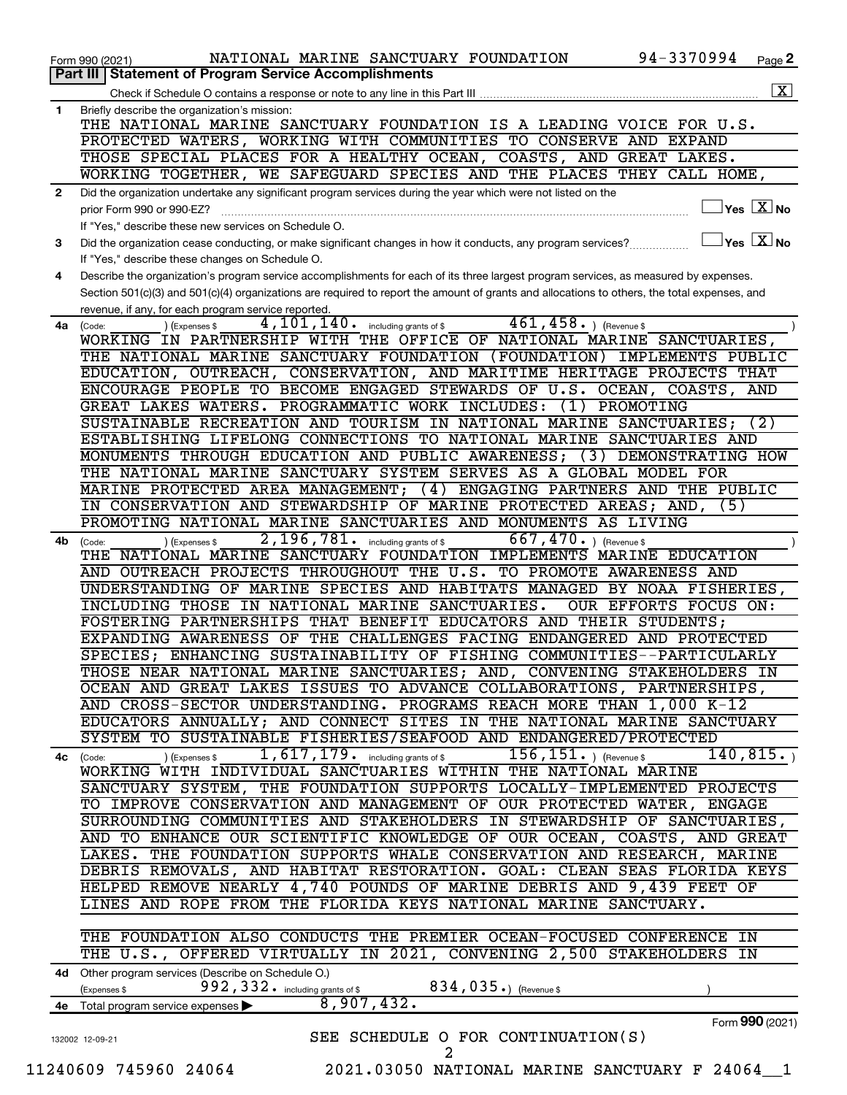|              | NATIONAL MARINE SANCTUARY FOUNDATION<br>Form 990 (2021)                                                                                      | 94-3370994                                     | Page 2                                            |
|--------------|----------------------------------------------------------------------------------------------------------------------------------------------|------------------------------------------------|---------------------------------------------------|
|              | <b>Part III   Statement of Program Service Accomplishments</b>                                                                               |                                                |                                                   |
|              | Check if Schedule O contains a response or note to any line in this Part III                                                                 |                                                | $\boxed{\text{X}}$                                |
| 1.           | Briefly describe the organization's mission:                                                                                                 |                                                |                                                   |
|              | THE NATIONAL MARINE SANCTUARY FOUNDATION IS A LEADING VOICE FOR U.S.                                                                         |                                                |                                                   |
|              | PROTECTED WATERS, WORKING WITH COMMUNITIES TO CONSERVE AND EXPAND                                                                            |                                                |                                                   |
|              | THOSE SPECIAL PLACES FOR A HEALTHY OCEAN, COASTS, AND GREAT LAKES.                                                                           |                                                |                                                   |
|              | WORKING TOGETHER, WE SAFEGUARD SPECIES AND THE PLACES THEY CALL HOME,                                                                        |                                                |                                                   |
| $\mathbf{2}$ | Did the organization undertake any significant program services during the year which were not listed on the                                 |                                                |                                                   |
|              | prior Form 990 or 990-EZ?                                                                                                                    |                                                | $ {\mathsf Y}\mathsf{es}\ \boxed{{\mathsf X}}$ No |
|              | If "Yes," describe these new services on Schedule O.                                                                                         |                                                |                                                   |
| 3            | Did the organization cease conducting, or make significant changes in how it conducts, any program services?                                 | $\overline{\ }$ Yes $\overline{\ \text{X}}$ No |                                                   |
|              | If "Yes," describe these changes on Schedule O.                                                                                              |                                                |                                                   |
| 4            | Describe the organization's program service accomplishments for each of its three largest program services, as measured by expenses.         |                                                |                                                   |
|              | Section 501(c)(3) and 501(c)(4) organizations are required to report the amount of grants and allocations to others, the total expenses, and |                                                |                                                   |
|              | revenue, if any, for each program service reported.                                                                                          |                                                |                                                   |
| 4a           | $461, 458.$ (Revenue \$<br>4,101,140.<br>including grants of \$<br>) (Expenses \$<br>(Code:                                                  |                                                |                                                   |
|              | WORKING IN PARTNERSHIP WITH THE OFFICE OF NATIONAL MARINE SANCTUARIES,                                                                       |                                                |                                                   |
|              | THE NATIONAL MARINE SANCTUARY FOUNDATION (FOUNDATION) IMPLEMENTS PUBLIC                                                                      |                                                |                                                   |
|              | EDUCATION, OUTREACH, CONSERVATION, AND MARITIME HERITAGE PROJECTS THAT                                                                       |                                                |                                                   |
|              | ENCOURAGE PEOPLE TO BECOME ENGAGED STEWARDS OF U.S. OCEAN, COASTS,                                                                           |                                                | AND                                               |
|              | GREAT LAKES WATERS. PROGRAMMATIC WORK INCLUDES:<br>(1)                                                                                       | PROMOTING                                      |                                                   |
|              | SUSTAINABLE RECREATION AND TOURISM IN NATIONAL MARINE SANCTUARIES;                                                                           |                                                | (2)                                               |
|              | ESTABLISHING LIFELONG CONNECTIONS TO NATIONAL MARINE SANCTUARIES AND                                                                         |                                                |                                                   |
|              |                                                                                                                                              |                                                |                                                   |
|              | MONUMENTS THROUGH EDUCATION AND PUBLIC AWARENESS;<br>(3)                                                                                     | DEMONSTRATING HOW                              |                                                   |
|              | THE NATIONAL MARINE SANCTUARY SYSTEM SERVES AS A GLOBAL MODEL FOR                                                                            |                                                |                                                   |
|              | MARINE PROTECTED AREA MANAGEMENT;<br>(4)<br>ENGAGING PARTNERS AND THE PUBLIC                                                                 |                                                |                                                   |
|              | IN CONSERVATION AND STEWARDSHIP OF MARINE PROTECTED AREAS; AND,                                                                              | (5)                                            |                                                   |
|              | PROMOTING NATIONAL MARINE SANCTUARIES AND MONUMENTS AS LIVING                                                                                |                                                |                                                   |
| 4b           | 667, 470. $ $ (Revenue \$<br>2,196,781.<br>including grants of \$<br>(Expenses \$<br>(Code:                                                  |                                                |                                                   |
|              | THE NATIONAL MARINE SANCTUARY FOUNDATION IMPLEMENTS MARINE EDUCATION                                                                         |                                                |                                                   |
|              | AND OUTREACH PROJECTS THROUGHOUT THE U.S. TO PROMOTE AWARENESS AND                                                                           |                                                |                                                   |
|              | UNDERSTANDING OF MARINE SPECIES AND HABITATS MANAGED BY NOAA FISHERIES,                                                                      |                                                |                                                   |
|              | INCLUDING THOSE IN NATIONAL MARINE SANCTUARIES.                                                                                              | OUR EFFORTS FOCUS ON:                          |                                                   |
|              | FOSTERING PARTNERSHIPS THAT BENEFIT EDUCATORS AND THEIR STUDENTS;                                                                            |                                                |                                                   |
|              | EXPANDING AWARENESS OF THE CHALLENGES FACING ENDANGERED AND PROTECTED                                                                        |                                                |                                                   |
|              | SPECIES; ENHANCING SUSTAINABILITY OF FISHING COMMUNITIES--PARTICULARLY                                                                       |                                                |                                                   |
|              | THOSE NEAR NATIONAL MARINE SANCTUARIES; AND, CONVENING STAKEHOLDERS IN                                                                       |                                                |                                                   |
|              | OCEAN AND GREAT LAKES ISSUES TO ADVANCE COLLABORATIONS, PARTNERSHIPS,                                                                        |                                                |                                                   |
|              | AND CROSS-SECTOR UNDERSTANDING. PROGRAMS REACH MORE THAN 1,000 K-12                                                                          |                                                |                                                   |
|              | EDUCATORS ANNUALLY; AND CONNECT SITES IN THE NATIONAL MARINE SANCTUARY                                                                       |                                                |                                                   |
|              | SYSTEM TO SUSTAINABLE FISHERIES/SEAFOOD AND ENDANGERED/PROTECTED                                                                             |                                                |                                                   |
|              | 1, 617, 179. including grants of \$156, 151. ) (Revenue \$<br>(Expenses \$<br>4c (Code:                                                      | 140, 815.                                      |                                                   |
|              | WORKING WITH INDIVIDUAL SANCTUARIES WITHIN THE NATIONAL MARINE                                                                               |                                                |                                                   |
|              | SANCTUARY SYSTEM, THE FOUNDATION SUPPORTS LOCALLY-IMPLEMENTED PROJECTS                                                                       |                                                |                                                   |
|              | TO IMPROVE CONSERVATION AND MANAGEMENT OF OUR PROTECTED WATER, ENGAGE                                                                        |                                                |                                                   |
|              | SURROUNDING COMMUNITIES AND STAKEHOLDERS IN STEWARDSHIP OF SANCTUARIES,                                                                      |                                                |                                                   |
|              | AND TO ENHANCE OUR SCIENTIFIC KNOWLEDGE OF OUR OCEAN, COASTS, AND GREAT                                                                      |                                                |                                                   |
|              | LAKES. THE FOUNDATION SUPPORTS WHALE CONSERVATION AND RESEARCH, MARINE                                                                       |                                                |                                                   |
|              | DEBRIS REMOVALS, AND HABITAT RESTORATION. GOAL: CLEAN SEAS FLORIDA KEYS                                                                      |                                                |                                                   |
|              | HELPED REMOVE NEARLY 4,740 POUNDS OF MARINE DEBRIS AND 9,439 FEET OF                                                                         |                                                |                                                   |
|              | LINES AND ROPE FROM THE FLORIDA KEYS NATIONAL MARINE SANCTUARY.                                                                              |                                                |                                                   |
|              |                                                                                                                                              |                                                |                                                   |
|              |                                                                                                                                              |                                                |                                                   |
|              | THE FOUNDATION ALSO CONDUCTS THE PREMIER OCEAN-FOCUSED CONFERENCE IN                                                                         |                                                |                                                   |
|              | THE U.S., OFFERED VIRTUALLY IN 2021, CONVENING 2,500 STAKEHOLDERS IN                                                                         |                                                |                                                   |
|              | 4d Other program services (Describe on Schedule O.)                                                                                          |                                                |                                                   |
|              | 992, 332. including grants of \$ 834, 035.) (Revenue \$<br>(Expenses \$                                                                      |                                                |                                                   |
|              | 8,907,432.<br>4e Total program service expenses >                                                                                            |                                                |                                                   |
|              |                                                                                                                                              | Form 990 (2021)                                |                                                   |
|              | SEE SCHEDULE O FOR CONTINUATION(S)<br>132002 12-09-21<br>2                                                                                   |                                                |                                                   |
|              |                                                                                                                                              |                                                |                                                   |
|              | 11240609 745960 24064<br>2021.03050 NATIONAL MARINE SANCTUARY F 24064 1                                                                      |                                                |                                                   |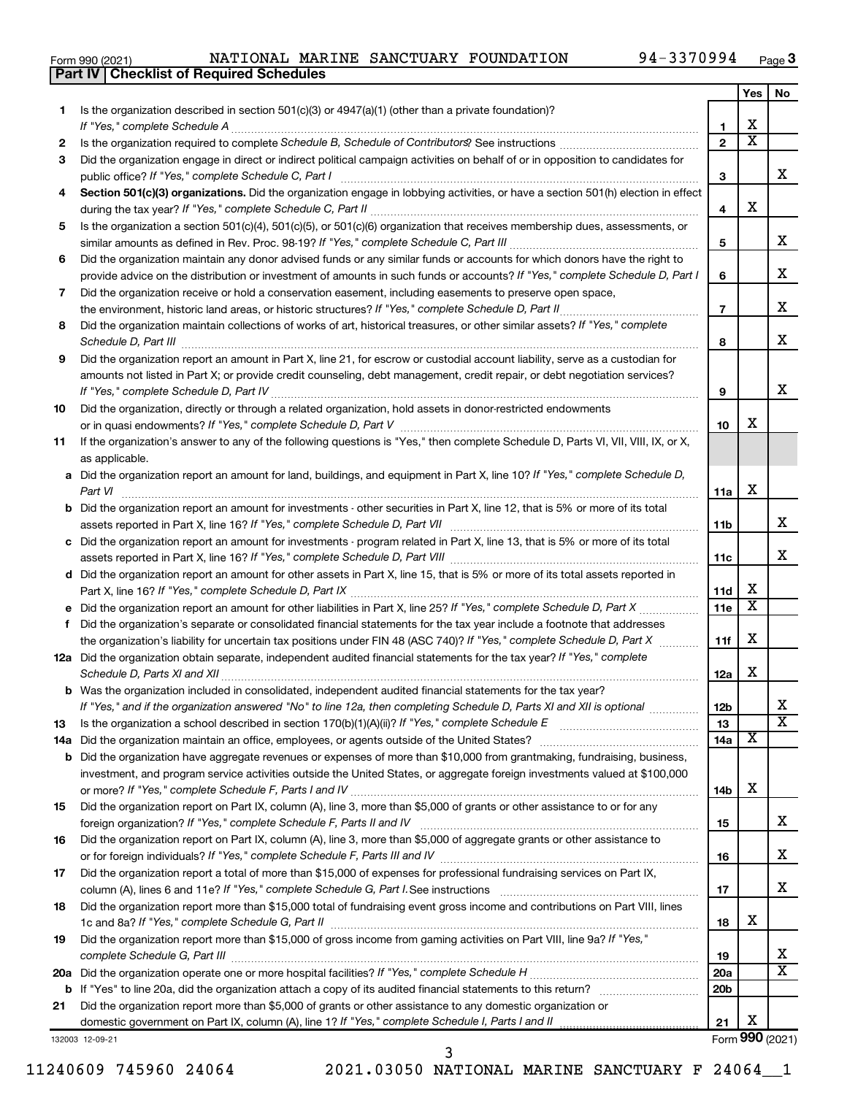|  | Form 990 (2021) |
|--|-----------------|
|  |                 |

**Part IV Checklist of Required Schedules**

|    |                                                                                                                                                  |                 | Yes                     | No                      |
|----|--------------------------------------------------------------------------------------------------------------------------------------------------|-----------------|-------------------------|-------------------------|
| 1. | Is the organization described in section 501(c)(3) or 4947(a)(1) (other than a private foundation)?                                              |                 |                         |                         |
|    | If "Yes," complete Schedule A                                                                                                                    | 1.              | х                       |                         |
| 2  |                                                                                                                                                  | $\overline{2}$  | $\overline{\textbf{x}}$ |                         |
| 3  | Did the organization engage in direct or indirect political campaign activities on behalf of or in opposition to candidates for                  |                 |                         |                         |
|    | public office? If "Yes," complete Schedule C, Part I                                                                                             | 3               |                         | x                       |
| 4  | Section 501(c)(3) organizations. Did the organization engage in lobbying activities, or have a section 501(h) election in effect                 |                 |                         |                         |
|    |                                                                                                                                                  | 4               | х                       |                         |
| 5  | Is the organization a section 501(c)(4), 501(c)(5), or 501(c)(6) organization that receives membership dues, assessments, or                     |                 |                         |                         |
|    |                                                                                                                                                  | 5               |                         | x                       |
| 6  | Did the organization maintain any donor advised funds or any similar funds or accounts for which donors have the right to                        |                 |                         |                         |
|    | provide advice on the distribution or investment of amounts in such funds or accounts? If "Yes," complete Schedule D, Part I                     | 6               |                         | X                       |
| 7  | Did the organization receive or hold a conservation easement, including easements to preserve open space,                                        |                 |                         |                         |
|    | the environment, historic land areas, or historic structures? If "Yes," complete Schedule D, Part II.                                            | $\overline{7}$  |                         | x                       |
| 8  | Did the organization maintain collections of works of art, historical treasures, or other similar assets? If "Yes," complete                     |                 |                         |                         |
|    |                                                                                                                                                  | 8               |                         | x                       |
| 9  | Did the organization report an amount in Part X, line 21, for escrow or custodial account liability, serve as a custodian for                    |                 |                         |                         |
|    | amounts not listed in Part X; or provide credit counseling, debt management, credit repair, or debt negotiation services?                        |                 |                         | x                       |
|    | If "Yes," complete Schedule D, Part IV                                                                                                           | 9               |                         |                         |
| 10 | Did the organization, directly or through a related organization, hold assets in donor-restricted endowments                                     |                 | х                       |                         |
|    |                                                                                                                                                  | 10              |                         |                         |
| 11 | If the organization's answer to any of the following questions is "Yes," then complete Schedule D, Parts VI, VII, VIII, IX, or X,                |                 |                         |                         |
|    | as applicable.                                                                                                                                   |                 |                         |                         |
|    | a Did the organization report an amount for land, buildings, and equipment in Part X, line 10? If "Yes," complete Schedule D,                    |                 | х                       |                         |
|    | Part VI<br><b>b</b> Did the organization report an amount for investments - other securities in Part X, line 12, that is 5% or more of its total | 11a             |                         |                         |
|    |                                                                                                                                                  | 11b             |                         | x                       |
|    | c Did the organization report an amount for investments - program related in Part X, line 13, that is 5% or more of its total                    |                 |                         |                         |
|    |                                                                                                                                                  | 11c             |                         | x                       |
|    | d Did the organization report an amount for other assets in Part X, line 15, that is 5% or more of its total assets reported in                  |                 |                         |                         |
|    |                                                                                                                                                  | 11d             | x                       |                         |
|    |                                                                                                                                                  | 11e             | $\overline{\textbf{x}}$ |                         |
| f  | Did the organization's separate or consolidated financial statements for the tax year include a footnote that addresses                          |                 |                         |                         |
|    | the organization's liability for uncertain tax positions under FIN 48 (ASC 740)? If "Yes," complete Schedule D, Part X                           | 11f             | х                       |                         |
|    | 12a Did the organization obtain separate, independent audited financial statements for the tax year? If "Yes," complete                          |                 |                         |                         |
|    | Schedule D, Parts XI and XII                                                                                                                     | 12a             | x                       |                         |
|    | <b>b</b> Was the organization included in consolidated, independent audited financial statements for the tax year?                               |                 |                         |                         |
|    | If "Yes," and if the organization answered "No" to line 12a, then completing Schedule D, Parts XI and XII is optional                            | 12b             |                         | ▵                       |
| 13 | Is the organization a school described in section $170(b)(1)(A)(ii)$ ? If "Yes," complete Schedule E                                             | 13              |                         | $\overline{\textbf{x}}$ |
|    | 14a Did the organization maintain an office, employees, or agents outside of the United States?                                                  | 14a             | X                       |                         |
|    | <b>b</b> Did the organization have aggregate revenues or expenses of more than \$10,000 from grantmaking, fundraising, business,                 |                 |                         |                         |
|    | investment, and program service activities outside the United States, or aggregate foreign investments valued at \$100,000                       |                 |                         |                         |
|    |                                                                                                                                                  | 14b             | х                       |                         |
| 15 | Did the organization report on Part IX, column (A), line 3, more than \$5,000 of grants or other assistance to or for any                        |                 |                         |                         |
|    | foreign organization? If "Yes," complete Schedule F, Parts II and IV                                                                             | 15              |                         | x                       |
| 16 | Did the organization report on Part IX, column (A), line 3, more than \$5,000 of aggregate grants or other assistance to                         |                 |                         |                         |
|    |                                                                                                                                                  | 16              |                         | x                       |
| 17 | Did the organization report a total of more than \$15,000 of expenses for professional fundraising services on Part IX,                          |                 |                         |                         |
|    |                                                                                                                                                  | 17              |                         | x                       |
| 18 | Did the organization report more than \$15,000 total of fundraising event gross income and contributions on Part VIII, lines                     |                 |                         |                         |
|    |                                                                                                                                                  | 18              | x                       |                         |
| 19 | Did the organization report more than \$15,000 of gross income from gaming activities on Part VIII, line 9a? If "Yes,"                           |                 |                         |                         |
|    | complete Schedule G, Part III                                                                                                                    | 19              |                         | x                       |
|    |                                                                                                                                                  | 20a             |                         | $\overline{\text{X}}$   |
|    |                                                                                                                                                  | 20 <sub>b</sub> |                         |                         |
| 21 | Did the organization report more than \$5,000 of grants or other assistance to any domestic organization or                                      |                 | х                       |                         |
|    |                                                                                                                                                  | 21              |                         |                         |
|    | 132003 12-09-21                                                                                                                                  |                 |                         | Form 990 (2021)         |

132003 12-09-21

11240609 745960 24064 2021.03050 NATIONAL MARINE SANCTUARY F 24064\_\_1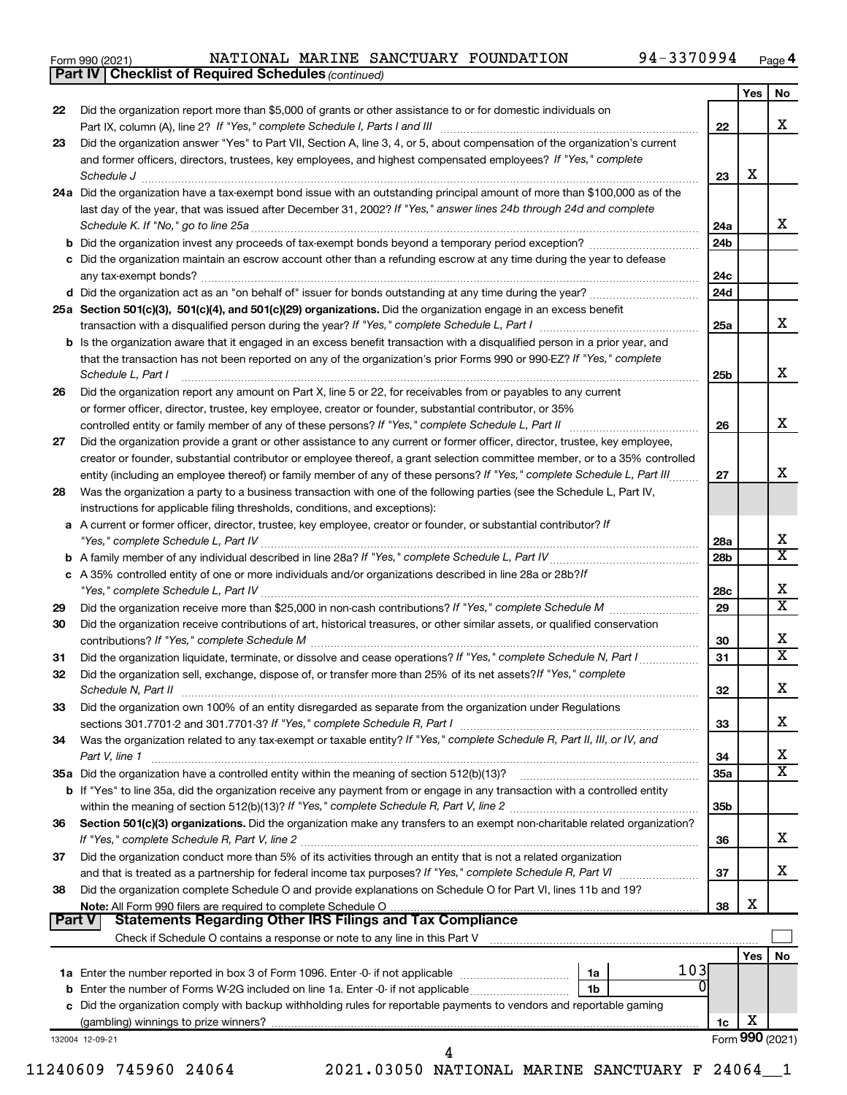|  | Form 990 (2021) |
|--|-----------------|
|  |                 |

*(continued)* **Part IV Checklist of Required Schedules**

|    |                                                                                                                                                                                                                                                                                                                                                                                                                                                                                                            |                 | Yes     | No                           |
|----|------------------------------------------------------------------------------------------------------------------------------------------------------------------------------------------------------------------------------------------------------------------------------------------------------------------------------------------------------------------------------------------------------------------------------------------------------------------------------------------------------------|-----------------|---------|------------------------------|
| 22 | Did the organization report more than \$5,000 of grants or other assistance to or for domestic individuals on<br>Part IX, column (A), line 2? If "Yes," complete Schedule I, Parts I and III [11]] [11]] [11] [11] [11] [11] [1                                                                                                                                                                                                                                                                            | 22              |         | x                            |
| 23 | Did the organization answer "Yes" to Part VII, Section A, line 3, 4, or 5, about compensation of the organization's current                                                                                                                                                                                                                                                                                                                                                                                |                 |         |                              |
|    | and former officers, directors, trustees, key employees, and highest compensated employees? If "Yes," complete<br>$\textit{Schedule J} \textit{ \textbf{} \textbf{} \textbf{} \textbf{} \textbf{} \textbf{} \textbf{} \textbf{} \textbf{} \textbf{} \textbf{} \textbf{} \textbf{} \textbf{} \textbf{} \textbf{} \textbf{} \textbf{} \textbf{} \textbf{} \textbf{} \textbf{} \textbf{} \textbf{} \textbf{} \textbf{} \textbf{} \textbf{} \textbf{} \textbf{} \textbf{} \textbf{} \textbf{} \textbf{} \text$ | 23              | х       |                              |
|    | 24a Did the organization have a tax-exempt bond issue with an outstanding principal amount of more than \$100,000 as of the                                                                                                                                                                                                                                                                                                                                                                                |                 |         |                              |
|    | last day of the year, that was issued after December 31, 2002? If "Yes," answer lines 24b through 24d and complete                                                                                                                                                                                                                                                                                                                                                                                         | 24a             |         | x                            |
|    |                                                                                                                                                                                                                                                                                                                                                                                                                                                                                                            | 24 <sub>b</sub> |         |                              |
|    | c Did the organization maintain an escrow account other than a refunding escrow at any time during the year to defease                                                                                                                                                                                                                                                                                                                                                                                     | 24c             |         |                              |
|    |                                                                                                                                                                                                                                                                                                                                                                                                                                                                                                            | 24d             |         |                              |
|    | 25a Section 501(c)(3), 501(c)(4), and 501(c)(29) organizations. Did the organization engage in an excess benefit                                                                                                                                                                                                                                                                                                                                                                                           |                 |         |                              |
|    | transaction with a disqualified person during the year? If "Yes," complete Schedule L, Part I manufaction with a disqualified person during the year? If "Yes," complete Schedule L, Part I                                                                                                                                                                                                                                                                                                                | 25a             |         | x                            |
|    | <b>b</b> Is the organization aware that it engaged in an excess benefit transaction with a disqualified person in a prior year, and<br>that the transaction has not been reported on any of the organization's prior Forms 990 or 990-EZ? If "Yes," complete<br>Schedule L, Part I                                                                                                                                                                                                                         | 25b             |         | x                            |
| 26 | Did the organization report any amount on Part X, line 5 or 22, for receivables from or payables to any current                                                                                                                                                                                                                                                                                                                                                                                            |                 |         |                              |
|    | or former officer, director, trustee, key employee, creator or founder, substantial contributor, or 35%                                                                                                                                                                                                                                                                                                                                                                                                    |                 |         |                              |
|    |                                                                                                                                                                                                                                                                                                                                                                                                                                                                                                            | 26              |         | X                            |
| 27 | Did the organization provide a grant or other assistance to any current or former officer, director, trustee, key employee,                                                                                                                                                                                                                                                                                                                                                                                |                 |         |                              |
|    | creator or founder, substantial contributor or employee thereof, a grant selection committee member, or to a 35% controlled                                                                                                                                                                                                                                                                                                                                                                                |                 |         | x                            |
|    | entity (including an employee thereof) or family member of any of these persons? If "Yes," complete Schedule L, Part III                                                                                                                                                                                                                                                                                                                                                                                   | 27              |         |                              |
| 28 | Was the organization a party to a business transaction with one of the following parties (see the Schedule L, Part IV,<br>instructions for applicable filing thresholds, conditions, and exceptions):                                                                                                                                                                                                                                                                                                      |                 |         |                              |
|    | a A current or former officer, director, trustee, key employee, creator or founder, or substantial contributor? If                                                                                                                                                                                                                                                                                                                                                                                         | 28a             |         | Х                            |
|    |                                                                                                                                                                                                                                                                                                                                                                                                                                                                                                            | 28 <sub>b</sub> |         | $\overline{\texttt{x}}$      |
|    | c A 35% controlled entity of one or more individuals and/or organizations described in line 28a or 28b?/f                                                                                                                                                                                                                                                                                                                                                                                                  | 28c             |         | Х                            |
| 29 |                                                                                                                                                                                                                                                                                                                                                                                                                                                                                                            | 29              |         | $\overline{\texttt{x}}$      |
| 30 | Did the organization receive contributions of art, historical treasures, or other similar assets, or qualified conservation                                                                                                                                                                                                                                                                                                                                                                                | 30              |         | Х                            |
| 31 | Did the organization liquidate, terminate, or dissolve and cease operations? If "Yes," complete Schedule N, Part I                                                                                                                                                                                                                                                                                                                                                                                         | 31              |         | $\overline{\texttt{x}}$      |
| 32 | Did the organization sell, exchange, dispose of, or transfer more than 25% of its net assets? If "Yes," complete                                                                                                                                                                                                                                                                                                                                                                                           | 32              |         | Х                            |
| 33 | Did the organization own 100% of an entity disregarded as separate from the organization under Regulations                                                                                                                                                                                                                                                                                                                                                                                                 |                 |         |                              |
|    |                                                                                                                                                                                                                                                                                                                                                                                                                                                                                                            | 33              |         | х                            |
| 34 | Was the organization related to any tax-exempt or taxable entity? If "Yes," complete Schedule R, Part II, III, or IV, and                                                                                                                                                                                                                                                                                                                                                                                  |                 |         |                              |
|    | Part V, line 1                                                                                                                                                                                                                                                                                                                                                                                                                                                                                             | 34              |         | х<br>$\overline{\mathbf{X}}$ |
|    |                                                                                                                                                                                                                                                                                                                                                                                                                                                                                                            | 35a             |         |                              |
|    | b If "Yes" to line 35a, did the organization receive any payment from or engage in any transaction with a controlled entity                                                                                                                                                                                                                                                                                                                                                                                |                 |         |                              |
| 36 | Section 501(c)(3) organizations. Did the organization make any transfers to an exempt non-charitable related organization?                                                                                                                                                                                                                                                                                                                                                                                 | 35b             |         |                              |
|    |                                                                                                                                                                                                                                                                                                                                                                                                                                                                                                            | 36              |         | x                            |
| 37 | Did the organization conduct more than 5% of its activities through an entity that is not a related organization                                                                                                                                                                                                                                                                                                                                                                                           |                 |         |                              |
|    |                                                                                                                                                                                                                                                                                                                                                                                                                                                                                                            | 37              |         | x                            |
| 38 | Did the organization complete Schedule O and provide explanations on Schedule O for Part VI, lines 11b and 19?                                                                                                                                                                                                                                                                                                                                                                                             |                 |         |                              |
|    |                                                                                                                                                                                                                                                                                                                                                                                                                                                                                                            | 38              | X       |                              |
|    | Part V<br>Statements Regarding Other IRS Filings and Tax Compliance                                                                                                                                                                                                                                                                                                                                                                                                                                        |                 |         |                              |
|    |                                                                                                                                                                                                                                                                                                                                                                                                                                                                                                            |                 |         |                              |
|    |                                                                                                                                                                                                                                                                                                                                                                                                                                                                                                            |                 | Yes $ $ | No                           |
|    |                                                                                                                                                                                                                                                                                                                                                                                                                                                                                                            |                 |         |                              |
|    | 103<br>1a                                                                                                                                                                                                                                                                                                                                                                                                                                                                                                  |                 |         |                              |
|    | 01<br>1 <sub>b</sub>                                                                                                                                                                                                                                                                                                                                                                                                                                                                                       |                 |         |                              |
|    | c Did the organization comply with backup withholding rules for reportable payments to vendors and reportable gaming                                                                                                                                                                                                                                                                                                                                                                                       | 1c              | Х       |                              |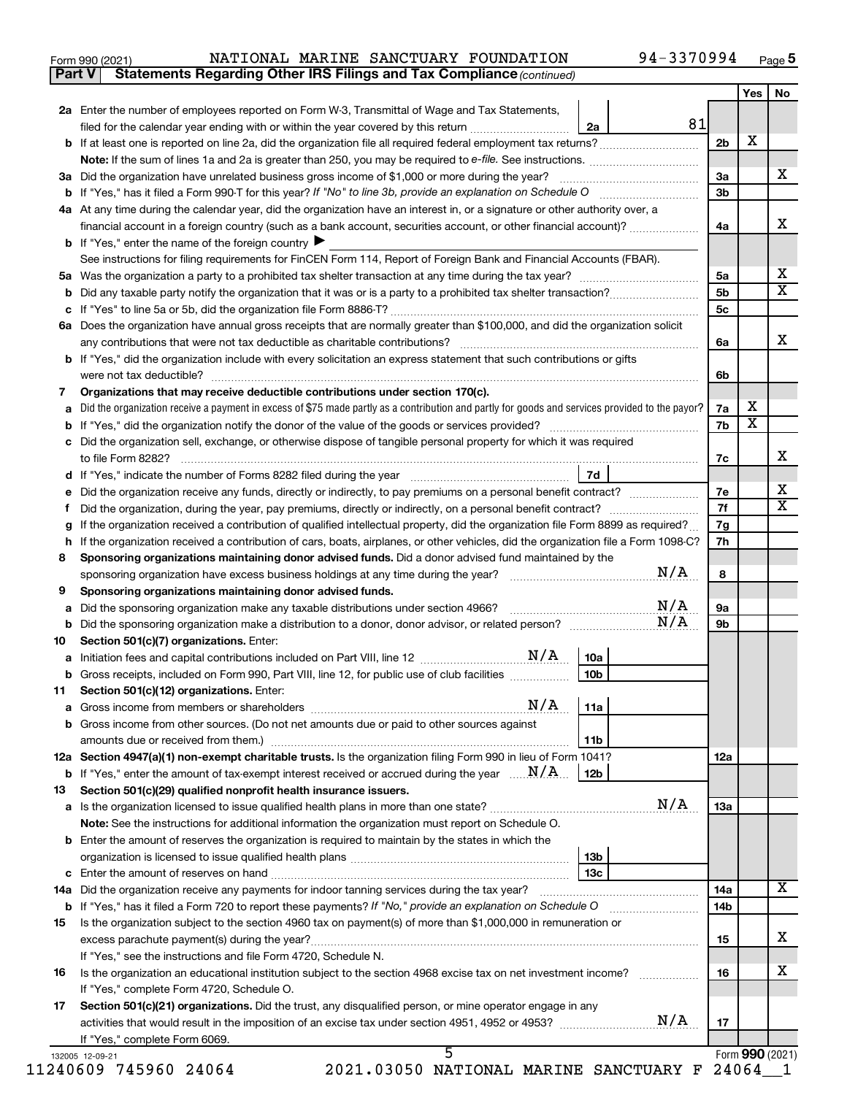| Form 990 (2021) |  |  | NATIONAL MARINE SANCTUARY FOUNDATION                                                | 94-3370994 | Page ${\bf 5}$ |
|-----------------|--|--|-------------------------------------------------------------------------------------|------------|----------------|
|                 |  |  | <b>Part V</b> Statements Regarding Other IRS Filings and Tax Compliance (continued) |            |                |

|         |                                                                                                                                                                                                                                  |                 |     |            | Yes             | No                      |
|---------|----------------------------------------------------------------------------------------------------------------------------------------------------------------------------------------------------------------------------------|-----------------|-----|------------|-----------------|-------------------------|
|         | 2a Enter the number of employees reported on Form W-3, Transmittal of Wage and Tax Statements,                                                                                                                                   |                 |     |            |                 |                         |
|         | filed for the calendar year ending with or within the year covered by this return                                                                                                                                                | 2a              | 81  |            | х               |                         |
|         |                                                                                                                                                                                                                                  |                 |     | 2b         |                 |                         |
|         | 3a Did the organization have unrelated business gross income of \$1,000 or more during the year?                                                                                                                                 |                 |     | За         |                 | x                       |
|         |                                                                                                                                                                                                                                  |                 |     | 3b         |                 |                         |
|         | 4a At any time during the calendar year, did the organization have an interest in, or a signature or other authority over, a                                                                                                     |                 |     |            |                 |                         |
|         | financial account in a foreign country (such as a bank account, securities account, or other financial account)?                                                                                                                 |                 |     | 4a         |                 | х                       |
|         | <b>b</b> If "Yes," enter the name of the foreign country $\blacktriangleright$                                                                                                                                                   |                 |     |            |                 |                         |
|         | See instructions for filing requirements for FinCEN Form 114, Report of Foreign Bank and Financial Accounts (FBAR).                                                                                                              |                 |     |            |                 |                         |
|         |                                                                                                                                                                                                                                  |                 |     | 5a         |                 | x                       |
| b       |                                                                                                                                                                                                                                  |                 |     | 5b         |                 | $\overline{\texttt{x}}$ |
|         |                                                                                                                                                                                                                                  |                 |     | 5c         |                 |                         |
|         | 6a Does the organization have annual gross receipts that are normally greater than \$100,000, and did the organization solicit                                                                                                   |                 |     |            |                 |                         |
|         |                                                                                                                                                                                                                                  |                 |     | 6a         |                 | x                       |
|         | <b>b</b> If "Yes," did the organization include with every solicitation an express statement that such contributions or gifts                                                                                                    |                 |     |            |                 |                         |
|         |                                                                                                                                                                                                                                  |                 |     | 6b         |                 |                         |
| 7<br>a  | Organizations that may receive deductible contributions under section 170(c).<br>Did the organization receive a payment in excess of \$75 made partly as a contribution and partly for goods and services provided to the payor? |                 |     | 7a         | x               |                         |
|         |                                                                                                                                                                                                                                  |                 |     | 7b         | X               |                         |
| с       | Did the organization sell, exchange, or otherwise dispose of tangible personal property for which it was required                                                                                                                |                 |     |            |                 |                         |
|         |                                                                                                                                                                                                                                  |                 |     | 7c         |                 | x                       |
|         |                                                                                                                                                                                                                                  | 7d              |     |            |                 |                         |
| е       | Did the organization receive any funds, directly or indirectly, to pay premiums on a personal benefit contract?                                                                                                                  |                 |     | 7е         |                 | x                       |
| f       |                                                                                                                                                                                                                                  |                 |     | 7f         |                 | $\overline{\texttt{x}}$ |
| g       | If the organization received a contribution of qualified intellectual property, did the organization file Form 8899 as required?                                                                                                 |                 |     | 7g         |                 |                         |
|         | h If the organization received a contribution of cars, boats, airplanes, or other vehicles, did the organization file a Form 1098-C?                                                                                             |                 |     | 7h         |                 |                         |
| 8       | Sponsoring organizations maintaining donor advised funds. Did a donor advised fund maintained by the                                                                                                                             |                 |     |            |                 |                         |
|         | sponsoring organization have excess business holdings at any time during the year?                                                                                                                                               |                 | N/A | 8          |                 |                         |
| 9       | Sponsoring organizations maintaining donor advised funds.                                                                                                                                                                        |                 |     |            |                 |                         |
| a       | Did the sponsoring organization make any taxable distributions under section 4966?                                                                                                                                               |                 | N/A | <b>9a</b>  |                 |                         |
| b<br>10 |                                                                                                                                                                                                                                  |                 |     | 9b         |                 |                         |
| a       | Section 501(c)(7) organizations. Enter:                                                                                                                                                                                          | 10a             |     |            |                 |                         |
| b       | Gross receipts, included on Form 990, Part VIII, line 12, for public use of club facilities                                                                                                                                      | 10 <sub>b</sub> |     |            |                 |                         |
| 11      | Section 501(c)(12) organizations. Enter:                                                                                                                                                                                         |                 |     |            |                 |                         |
|         |                                                                                                                                                                                                                                  | 11a             |     |            |                 |                         |
|         | <b>b</b> Gross income from other sources. (Do not net amounts due or paid to other sources against                                                                                                                               |                 |     |            |                 |                         |
|         |                                                                                                                                                                                                                                  | 11b             |     |            |                 |                         |
|         | 12a Section 4947(a)(1) non-exempt charitable trusts. Is the organization filing Form 990 in lieu of Form 1041?                                                                                                                   |                 |     | 12a        |                 |                         |
|         | <b>b</b> If "Yes," enter the amount of tax-exempt interest received or accrued during the year $\ldots$ $\mathbf{N}/\mathbf{A}$ .                                                                                                | 12b             |     |            |                 |                         |
| 13      | Section 501(c)(29) qualified nonprofit health insurance issuers.                                                                                                                                                                 |                 |     |            |                 |                         |
|         |                                                                                                                                                                                                                                  |                 |     | 1За        |                 |                         |
|         | Note: See the instructions for additional information the organization must report on Schedule O.                                                                                                                                |                 |     |            |                 |                         |
|         | <b>b</b> Enter the amount of reserves the organization is required to maintain by the states in which the                                                                                                                        |                 |     |            |                 |                         |
|         |                                                                                                                                                                                                                                  | 13b             |     |            |                 |                         |
|         | 14a Did the organization receive any payments for indoor tanning services during the tax year?                                                                                                                                   | 13с             |     |            |                 | x                       |
|         | <b>b</b> If "Yes," has it filed a Form 720 to report these payments? If "No," provide an explanation on Schedule O                                                                                                               |                 |     | 14a<br>14b |                 |                         |
| 15      | Is the organization subject to the section 4960 tax on payment(s) of more than \$1,000,000 in remuneration or                                                                                                                    |                 |     |            |                 |                         |
|         | excess parachute payment(s) during the year?                                                                                                                                                                                     |                 |     | 15         |                 | х                       |
|         | If "Yes," see the instructions and file Form 4720, Schedule N.                                                                                                                                                                   |                 |     |            |                 |                         |
| 16      |                                                                                                                                                                                                                                  |                 |     | 16         |                 | x                       |
|         | If "Yes," complete Form 4720, Schedule O.                                                                                                                                                                                        |                 |     |            |                 |                         |
| 17      | Section 501(c)(21) organizations. Did the trust, any disqualified person, or mine operator engage in any                                                                                                                         |                 |     |            |                 |                         |
|         |                                                                                                                                                                                                                                  |                 |     | 17         |                 |                         |
|         |                                                                                                                                                                                                                                  |                 |     |            |                 |                         |
|         | If "Yes," complete Form 6069.<br>5                                                                                                                                                                                               |                 |     |            | Form 990 (2021) |                         |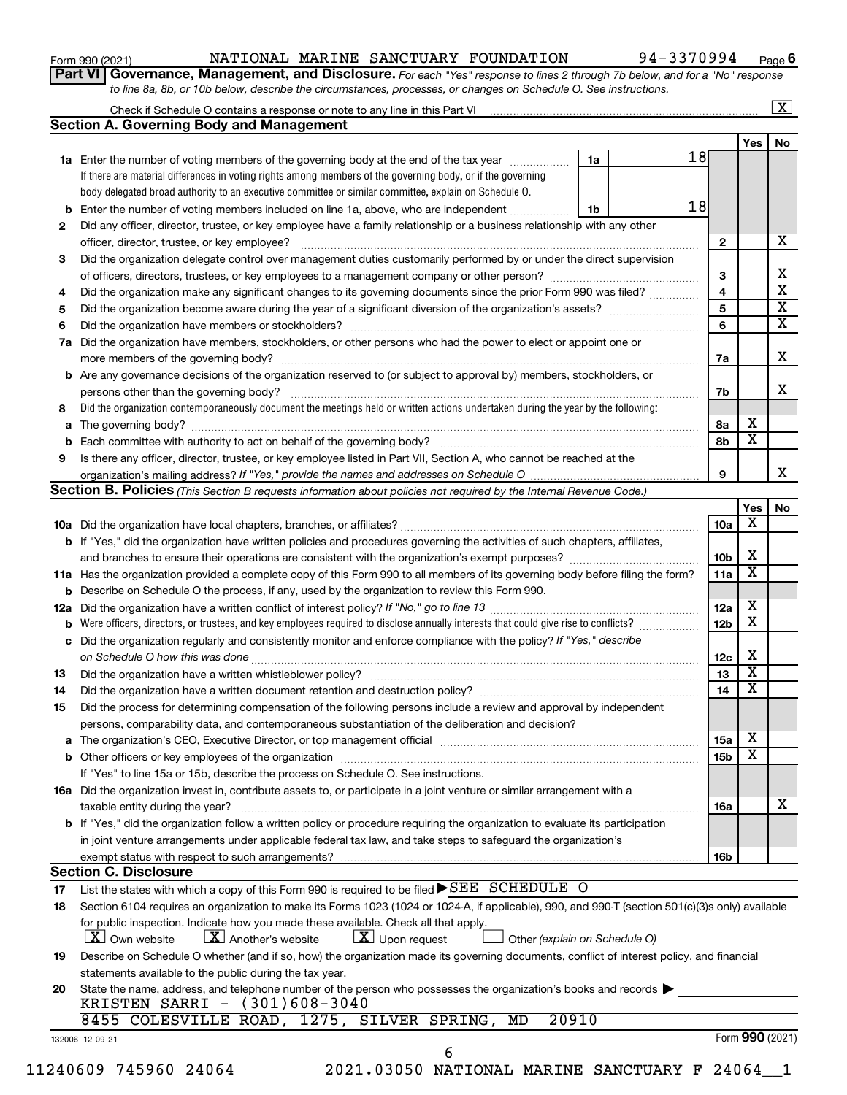| Form 990 (2021) |  |
|-----------------|--|
|-----------------|--|

## Form 990 (2021) Page NATIONAL MARINE SANCTUARY FOUNDATION 94-3370994

**Part VI** Governance, Management, and Disclosure. For each "Yes" response to lines 2 through 7b below, and for a "No" response *to line 8a, 8b, or 10b below, describe the circumstances, processes, or changes on Schedule O. See instructions.*

|     | Check if Schedule O contains a response or note to any line in this Part VI [1] [1] [1] [1] [1] [1] [1] [1] [1                                                                                                                 |       |    |    |                 |                         | $\mathbf{X}$ |
|-----|--------------------------------------------------------------------------------------------------------------------------------------------------------------------------------------------------------------------------------|-------|----|----|-----------------|-------------------------|--------------|
|     | <b>Section A. Governing Body and Management</b>                                                                                                                                                                                |       |    |    |                 |                         |              |
|     |                                                                                                                                                                                                                                |       |    |    |                 | Yes                     | No           |
|     | 1a Enter the number of voting members of the governing body at the end of the tax year                                                                                                                                         |       | 1a | 18 |                 |                         |              |
|     | If there are material differences in voting rights among members of the governing body, or if the governing                                                                                                                    |       |    |    |                 |                         |              |
|     | body delegated broad authority to an executive committee or similar committee, explain on Schedule O.                                                                                                                          |       |    |    |                 |                         |              |
| b   | Enter the number of voting members included on line 1a, above, who are independent                                                                                                                                             |       | 1b | 18 |                 |                         |              |
| 2   | Did any officer, director, trustee, or key employee have a family relationship or a business relationship with any other                                                                                                       |       |    |    |                 |                         |              |
|     | officer, director, trustee, or key employee?                                                                                                                                                                                   |       |    |    | $\mathbf{2}$    |                         |              |
| 3   | Did the organization delegate control over management duties customarily performed by or under the direct supervision                                                                                                          |       |    |    |                 |                         |              |
|     |                                                                                                                                                                                                                                |       |    |    | 3               |                         |              |
| 4   | Did the organization make any significant changes to its governing documents since the prior Form 990 was filed?                                                                                                               |       |    |    | 4               |                         |              |
| 5   |                                                                                                                                                                                                                                |       |    |    | 5               |                         |              |
| 6   |                                                                                                                                                                                                                                |       |    |    | 6               |                         |              |
| 7a  | Did the organization have members, stockholders, or other persons who had the power to elect or appoint one or                                                                                                                 |       |    |    |                 |                         |              |
|     |                                                                                                                                                                                                                                |       |    |    | 7a              |                         |              |
| b   | Are any governance decisions of the organization reserved to (or subject to approval by) members, stockholders, or                                                                                                             |       |    |    |                 |                         |              |
|     |                                                                                                                                                                                                                                |       |    |    | 7b              |                         |              |
| 8   | Did the organization contemporaneously document the meetings held or written actions undertaken during the year by the following:                                                                                              |       |    |    |                 |                         |              |
|     |                                                                                                                                                                                                                                |       |    |    |                 | х                       |              |
| а   |                                                                                                                                                                                                                                |       |    |    | 8а              | $\overline{\mathbf{x}}$ |              |
| b   |                                                                                                                                                                                                                                |       |    |    | 8b              |                         |              |
| 9   | Is there any officer, director, trustee, or key employee listed in Part VII, Section A, who cannot be reached at the                                                                                                           |       |    |    |                 |                         |              |
|     |                                                                                                                                                                                                                                |       |    |    | 9               |                         |              |
|     | <b>Section B. Policies</b> (This Section B requests information about policies not required by the Internal Revenue Code.)                                                                                                     |       |    |    |                 |                         |              |
|     |                                                                                                                                                                                                                                |       |    |    |                 | Yes                     |              |
|     |                                                                                                                                                                                                                                |       |    |    | 10a             | $\overline{\textbf{x}}$ |              |
|     | <b>b</b> If "Yes," did the organization have written policies and procedures governing the activities of such chapters, affiliates,                                                                                            |       |    |    |                 |                         |              |
|     |                                                                                                                                                                                                                                |       |    |    | 10 <sub>b</sub> | Х                       |              |
|     | 11a Has the organization provided a complete copy of this Form 990 to all members of its governing body before filing the form?                                                                                                |       |    |    | 11a             | $\overline{\mathbf{X}}$ |              |
|     | <b>b</b> Describe on Schedule O the process, if any, used by the organization to review this Form 990.                                                                                                                         |       |    |    |                 |                         |              |
| 12a |                                                                                                                                                                                                                                |       |    |    | 12a             | х                       |              |
| b   | Were officers, directors, or trustees, and key employees required to disclose annually interests that could give rise to conflicts?                                                                                            |       |    |    | 12 <sub>b</sub> | $\overline{\mathbf{X}}$ |              |
| с   | Did the organization regularly and consistently monitor and enforce compliance with the policy? If "Yes," describe                                                                                                             |       |    |    |                 |                         |              |
|     |                                                                                                                                                                                                                                |       |    |    | 12c             | Х                       |              |
| 13  |                                                                                                                                                                                                                                |       |    |    | 13              | $\overline{\mathbf{X}}$ |              |
| 14  | Did the organization have a written document retention and destruction policy? [11] manufaction model of the organization have a written document retention and destruction policy?                                            |       |    |    | 14              | $\overline{\mathbf{X}}$ |              |
| 15  | Did the process for determining compensation of the following persons include a review and approval by independent                                                                                                             |       |    |    |                 |                         |              |
|     | persons, comparability data, and contemporaneous substantiation of the deliberation and decision?                                                                                                                              |       |    |    |                 |                         |              |
|     |                                                                                                                                                                                                                                |       |    |    |                 | х                       |              |
| а   | The organization's CEO, Executive Director, or top management official [111] [11] manument material manument of ficial [11] manument material material material material material material material material material material |       |    |    | 15a             | $\overline{\textbf{x}}$ |              |
|     |                                                                                                                                                                                                                                |       |    |    | 15 <sub>b</sub> |                         |              |
|     | If "Yes" to line 15a or 15b, describe the process on Schedule O. See instructions.                                                                                                                                             |       |    |    |                 |                         |              |
|     | 16a Did the organization invest in, contribute assets to, or participate in a joint venture or similar arrangement with a                                                                                                      |       |    |    |                 |                         |              |
|     | taxable entity during the year?                                                                                                                                                                                                |       |    |    | 16a             |                         |              |
|     | b If "Yes," did the organization follow a written policy or procedure requiring the organization to evaluate its participation                                                                                                 |       |    |    |                 |                         |              |
|     | in joint venture arrangements under applicable federal tax law, and take steps to safequard the organization's                                                                                                                 |       |    |    |                 |                         |              |
|     | exempt status with respect to such arrangements?                                                                                                                                                                               |       |    |    | 16b             |                         |              |
|     | <b>Section C. Disclosure</b>                                                                                                                                                                                                   |       |    |    |                 |                         |              |
| 17  | List the states with which a copy of this Form 990 is required to be filed $\blacktriangleright$ SEE SCHEDULE O                                                                                                                |       |    |    |                 |                         |              |
| 18  | Section 6104 requires an organization to make its Forms 1023 (1024 or 1024-A, if applicable), 990, and 990-T (section 501(c)(3)s only) available                                                                               |       |    |    |                 |                         |              |
|     | for public inspection. Indicate how you made these available. Check all that apply.<br>$\lfloor x \rfloor$ Another's website<br>$\lfloor x \rfloor$ Upon request<br><b>X</b> Own website<br>Other (explain on Schedule O)      |       |    |    |                 |                         |              |
| 19  | Describe on Schedule O whether (and if so, how) the organization made its governing documents, conflict of interest policy, and financial                                                                                      |       |    |    |                 |                         |              |
|     |                                                                                                                                                                                                                                |       |    |    |                 |                         |              |
|     | statements available to the public during the tax year.                                                                                                                                                                        |       |    |    |                 |                         |              |
| 20  | State the name, address, and telephone number of the person who possesses the organization's books and records                                                                                                                 |       |    |    |                 |                         |              |
|     | KRISTEN SARRI - (301)608-3040                                                                                                                                                                                                  |       |    |    |                 |                         |              |
|     | 8455 COLESVILLE ROAD, 1275, SILVER SPRING,<br>MD                                                                                                                                                                               | 20910 |    |    |                 |                         |              |
|     | 132006 12-09-21                                                                                                                                                                                                                |       |    |    |                 | Form 990 (2021)         |              |
|     | 6                                                                                                                                                                                                                              |       |    |    |                 |                         |              |
|     | 11240609 745960 24064<br>2021.03050 NATIONAL MARINE SANCTUARY F 24064_1                                                                                                                                                        |       |    |    |                 |                         |              |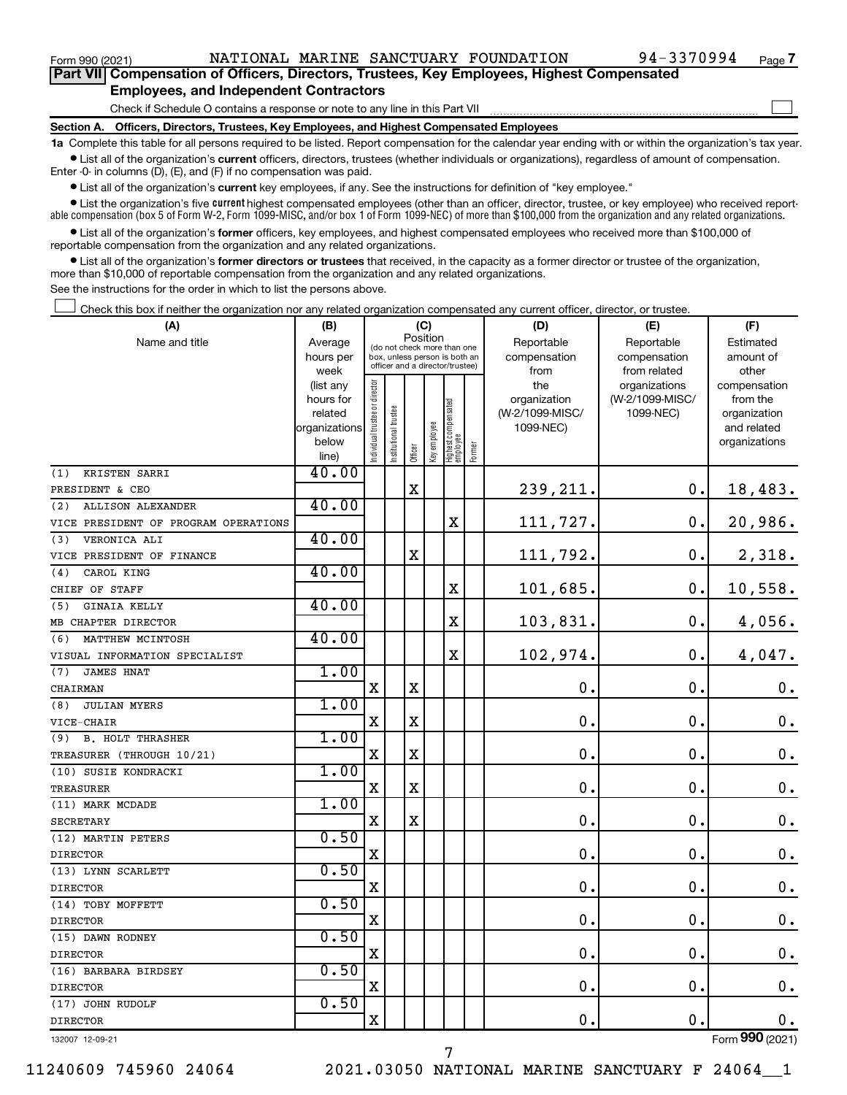$\Box$ 

| Part VII Compensation of Officers, Directors, Trustees, Key Employees, Highest Compensated |
|--------------------------------------------------------------------------------------------|
| <b>Employees, and Independent Contractors</b>                                              |

Check if Schedule O contains a response or note to any line in this Part VII

**Section A. Officers, Directors, Trustees, Key Employees, and Highest Compensated Employees**

**1a**  Complete this table for all persons required to be listed. Report compensation for the calendar year ending with or within the organization's tax year.  $\bullet$  List all of the organization's current officers, directors, trustees (whether individuals or organizations), regardless of amount of compensation.

Enter -0- in columns (D), (E), and (F) if no compensation was paid.

**•** List all of the organization's **current** key employees, if any. See the instructions for definition of "key employee."

**•** List the organization's five *current* highest compensated employees (other than an officer, director, trustee, or key employee) who received reportable compensation (box 5 of Form W-2, Form 1099-MISC, and/or box 1 of Form 1099-NEC) of more than \$100,000 from the organization and any related organizations.

 $\bullet$  List all of the organization's former officers, key employees, and highest compensated employees who received more than \$100,000 of reportable compensation from the organization and any related organizations.

**•** List all of the organization's former directors or trustees that received, in the capacity as a former director or trustee of the organization, more than \$10,000 of reportable compensation from the organization and any related organizations.

See the instructions for the order in which to list the persons above.

Check this box if neither the organization nor any related organization compensated any current officer, director, or trustee.  $\Box$ 

| (A)                                  | (B)               |                                |                                                                  | (C)         |              |                                 |        | (D)                  | (E)                          | (F)                |
|--------------------------------------|-------------------|--------------------------------|------------------------------------------------------------------|-------------|--------------|---------------------------------|--------|----------------------|------------------------------|--------------------|
| Name and title                       | Average           |                                | (do not check more than one                                      | Position    |              |                                 |        | Reportable           | Reportable                   | Estimated          |
|                                      | hours per<br>week |                                | box, unless person is both an<br>officer and a director/trustee) |             |              |                                 |        | compensation<br>from | compensation<br>from related | amount of<br>other |
|                                      | (list any         |                                |                                                                  |             |              |                                 |        | the                  | organizations                | compensation       |
|                                      | hours for         |                                |                                                                  |             |              |                                 |        | organization         | (W-2/1099-MISC/              | from the           |
|                                      | related           |                                |                                                                  |             |              |                                 |        | (W-2/1099-MISC/      | 1099-NEC)                    | organization       |
|                                      | organizations     |                                |                                                                  |             |              |                                 |        | 1099-NEC)            |                              | and related        |
|                                      | below             | Individual trustee or director | Institutional trustee                                            |             | Key employee | Highest compensated<br>employee |        |                      |                              | organizations      |
|                                      | line)             |                                |                                                                  | Officer     |              |                                 | Former |                      |                              |                    |
| KRISTEN SARRI<br>(1)                 | 40.00             |                                |                                                                  |             |              |                                 |        |                      |                              |                    |
| PRESIDENT & CEO                      |                   |                                |                                                                  | $\mathbf X$ |              |                                 |        | 239,211.             | 0.                           | 18,483.            |
| <b>ALLISON ALEXANDER</b><br>(2)      | 40.00             |                                |                                                                  |             |              |                                 |        |                      |                              |                    |
| VICE PRESIDENT OF PROGRAM OPERATIONS |                   |                                |                                                                  |             |              | X                               |        | 111,727.             | 0.                           | 20,986.            |
| VERONICA ALI<br>(3)                  | 40.00             |                                |                                                                  |             |              |                                 |        |                      |                              |                    |
| VICE PRESIDENT OF FINANCE            |                   |                                |                                                                  | X           |              |                                 |        | 111,792.             | $\mathbf 0$ .                | 2,318.             |
| CAROL KING<br>(4)                    | 40.00             |                                |                                                                  |             |              |                                 |        |                      |                              |                    |
| CHIEF OF STAFF                       |                   |                                |                                                                  |             |              | X                               |        | 101,685.             | 0.                           | 10,558.            |
| <b>GINAIA KELLY</b><br>(5)           | 40.00             |                                |                                                                  |             |              |                                 |        |                      |                              |                    |
| MB CHAPTER DIRECTOR                  |                   |                                |                                                                  |             |              | X                               |        | 103,831.             | $\mathbf 0$ .                | 4,056.             |
| (6)<br>MATTHEW MCINTOSH              | 40.00             |                                |                                                                  |             |              |                                 |        |                      |                              |                    |
| VISUAL INFORMATION SPECIALIST        |                   |                                |                                                                  |             |              | $\mathbf X$                     |        | 102,974.             | 0.                           | 4,047.             |
| (7)<br><b>JAMES HNAT</b>             | 1.00              |                                |                                                                  |             |              |                                 |        |                      |                              |                    |
| CHAIRMAN                             |                   | X                              |                                                                  | X           |              |                                 |        | $\mathbf 0$ .        | $\mathbf 0$ .                | $\mathbf 0$ .      |
| <b>JULIAN MYERS</b><br>(8)           | 1.00              |                                |                                                                  |             |              |                                 |        |                      |                              |                    |
| VICE-CHAIR                           |                   | X                              |                                                                  | X           |              |                                 |        | $\mathbf 0$ .        | $\mathbf 0$ .                | 0.                 |
| <b>B. HOLT THRASHER</b><br>(9)       | 1.00              |                                |                                                                  |             |              |                                 |        |                      |                              |                    |
| TREASURER (THROUGH 10/21)            |                   | X                              |                                                                  | $\mathbf X$ |              |                                 |        | $\mathbf 0$ .        | $\mathbf 0$ .                | $\mathbf 0$ .      |
| (10) SUSIE KONDRACKI                 | 1.00              |                                |                                                                  |             |              |                                 |        |                      |                              |                    |
| <b>TREASURER</b>                     |                   | X                              |                                                                  | X           |              |                                 |        | $\mathbf 0$ .        | $\mathbf 0$ .                | $\mathbf 0$ .      |
| (11) MARK MCDADE                     | 1.00              |                                |                                                                  |             |              |                                 |        |                      |                              |                    |
| <b>SECRETARY</b>                     |                   | $\mathbf X$                    |                                                                  | $\mathbf X$ |              |                                 |        | $\mathbf 0$ .        | $\mathbf 0$ .                | $\boldsymbol{0}$ . |
| (12) MARTIN PETERS                   | 0.50              |                                |                                                                  |             |              |                                 |        |                      |                              |                    |
| <b>DIRECTOR</b>                      |                   | X                              |                                                                  |             |              |                                 |        | $\mathbf 0$ .        | $\mathbf 0$ .                | $\mathbf 0$ .      |
| (13) LYNN SCARLETT                   | 0.50              |                                |                                                                  |             |              |                                 |        |                      |                              |                    |
| <b>DIRECTOR</b>                      |                   | $\mathbf X$                    |                                                                  |             |              |                                 |        | $\mathbf 0$ .        | $\mathbf 0$ .                | $\mathbf 0$ .      |
| (14) TOBY MOFFETT                    | 0.50              |                                |                                                                  |             |              |                                 |        |                      |                              |                    |
| <b>DIRECTOR</b>                      |                   | $\mathbf X$                    |                                                                  |             |              |                                 |        | 0.                   | $\mathbf 0$ .                | $\mathbf 0$ .      |
| (15) DAWN RODNEY                     | 0.50              |                                |                                                                  |             |              |                                 |        |                      |                              |                    |
| <b>DIRECTOR</b>                      |                   | X                              |                                                                  |             |              |                                 |        | $\mathbf 0$ .        | $\mathbf 0$ .                | 0.                 |
| (16) BARBARA BIRDSEY                 | 0.50              |                                |                                                                  |             |              |                                 |        |                      |                              |                    |
| <b>DIRECTOR</b>                      |                   | X                              |                                                                  |             |              |                                 |        | 0.                   | $\mathbf 0$ .                | 0.                 |
| (17) JOHN RUDOLF                     | 0.50              |                                |                                                                  |             |              |                                 |        |                      |                              |                    |
| <b>DIRECTOR</b>                      |                   | X                              |                                                                  |             |              |                                 |        | 0.                   | $\mathbf 0$ .                | 0.                 |
| 132007 12-09-21                      |                   |                                |                                                                  |             |              |                                 |        |                      |                              | Form 990 (2021)    |

7

132007 12-09-21

11240609 745960 24064 2021.03050 NATIONAL MARINE SANCTUARY F 24064\_\_1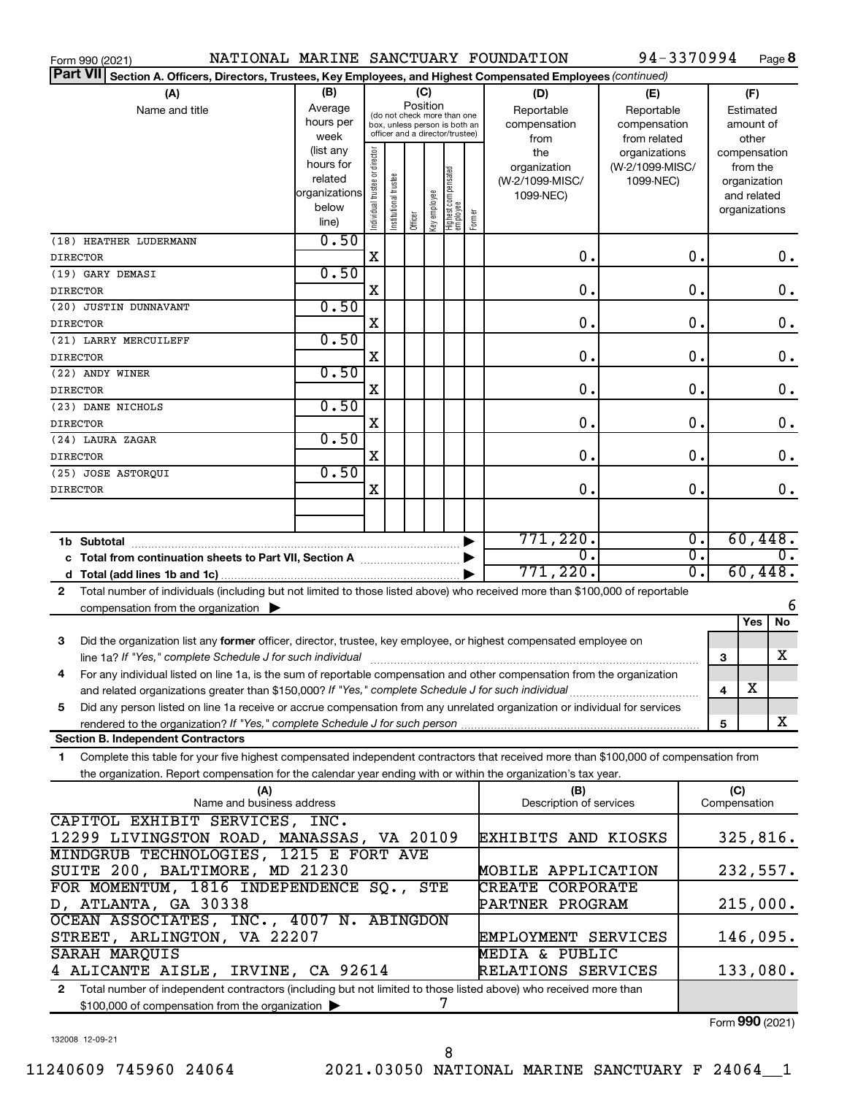| Form 990 (2021)                                                                                                                              |                   |                                |                       |         |             |                                                                  |                                   | NATIONAL MARINE SANCTUARY FOUNDATION | 94-3370994                   |               |                     | Page 8                   |
|----------------------------------------------------------------------------------------------------------------------------------------------|-------------------|--------------------------------|-----------------------|---------|-------------|------------------------------------------------------------------|-----------------------------------|--------------------------------------|------------------------------|---------------|---------------------|--------------------------|
| <b>Part VII</b><br>Section A. Officers, Directors, Trustees, Key Employees, and Highest Compensated Employees (continued)                    |                   |                                |                       |         |             |                                                                  |                                   |                                      |                              |               |                     |                          |
| (A)                                                                                                                                          | (B)               |                                |                       |         | (C)         |                                                                  |                                   | (D)                                  | (E)                          |               |                     | (F)                      |
| Name and title                                                                                                                               | Average           |                                |                       |         | Position    | (do not check more than one                                      |                                   | Reportable                           | Reportable                   |               |                     | Estimated                |
|                                                                                                                                              | hours per         |                                |                       |         |             | box, unless person is both an<br>officer and a director/trustee) |                                   | compensation                         | compensation                 |               |                     | amount of                |
|                                                                                                                                              | week<br>(list any |                                |                       |         |             |                                                                  |                                   | from                                 | from related                 |               |                     | other                    |
|                                                                                                                                              | hours for         |                                |                       |         |             |                                                                  |                                   | the                                  | organizations                |               |                     | compensation             |
|                                                                                                                                              | related           |                                |                       |         |             |                                                                  |                                   | organization<br>(W-2/1099-MISC/      | (W-2/1099-MISC/<br>1099-NEC) |               |                     | from the<br>organization |
|                                                                                                                                              | organizations     |                                |                       |         |             |                                                                  |                                   | 1099-NEC)                            |                              |               |                     | and related              |
|                                                                                                                                              | below             | Individual trustee or director | Institutional trustee |         |             |                                                                  |                                   |                                      |                              |               |                     | organizations            |
|                                                                                                                                              | line)             |                                |                       | Officer | Keyemployee | Highest compensated<br>  employee                                | Former                            |                                      |                              |               |                     |                          |
| (18) HEATHER LUDERMANN                                                                                                                       | 0.50              |                                |                       |         |             |                                                                  |                                   |                                      |                              |               |                     |                          |
| <b>DIRECTOR</b>                                                                                                                              |                   | X                              |                       |         |             |                                                                  |                                   | 0.                                   |                              | 0.            |                     | $0$ .                    |
| (19) GARY DEMASI                                                                                                                             | 0.50              |                                |                       |         |             |                                                                  |                                   |                                      |                              |               |                     |                          |
| <b>DIRECTOR</b>                                                                                                                              |                   | X                              |                       |         |             |                                                                  |                                   | 0.                                   |                              | 0.            |                     | 0.                       |
| (20) JUSTIN DUNNAVANT                                                                                                                        | 0.50              |                                |                       |         |             |                                                                  |                                   |                                      |                              |               |                     |                          |
| <b>DIRECTOR</b>                                                                                                                              | 0.50              | X                              |                       |         |             |                                                                  |                                   | 0.                                   |                              | $\mathbf 0$ . |                     | 0.                       |
| (21) LARRY MERCUILEFF                                                                                                                        |                   | X                              |                       |         |             |                                                                  |                                   | 0.                                   |                              | $\mathbf 0$ . |                     | 0.                       |
| <b>DIRECTOR</b>                                                                                                                              | 0.50              |                                |                       |         |             |                                                                  |                                   |                                      |                              |               |                     |                          |
| (22) ANDY WINER<br><b>DIRECTOR</b>                                                                                                           |                   | X                              |                       |         |             |                                                                  |                                   | 0.                                   |                              | $\mathbf 0$ . |                     | 0.                       |
| (23) DANE NICHOLS                                                                                                                            | 0.50              |                                |                       |         |             |                                                                  |                                   |                                      |                              |               |                     |                          |
| <b>DIRECTOR</b>                                                                                                                              |                   | X                              |                       |         |             |                                                                  |                                   | 0.                                   |                              | $\mathbf 0$ . |                     | 0.                       |
| (24) LAURA ZAGAR                                                                                                                             | 0.50              |                                |                       |         |             |                                                                  |                                   |                                      |                              |               |                     |                          |
| <b>DIRECTOR</b>                                                                                                                              |                   | X                              |                       |         |             |                                                                  |                                   | 0.                                   |                              | $\mathbf 0$ . |                     | 0.                       |
| (25) JOSE ASTORQUI                                                                                                                           | 0.50              |                                |                       |         |             |                                                                  |                                   |                                      |                              |               |                     |                          |
| <b>DIRECTOR</b>                                                                                                                              |                   | X                              |                       |         |             |                                                                  |                                   | 0.                                   |                              | О.            |                     | 0.                       |
|                                                                                                                                              |                   |                                |                       |         |             |                                                                  |                                   |                                      |                              |               |                     |                          |
|                                                                                                                                              |                   |                                |                       |         |             |                                                                  |                                   |                                      |                              |               |                     |                          |
| 771,220.<br>▶<br>σ.                                                                                                                          |                   |                                |                       |         |             |                                                                  | σ.<br>$\overline{\mathfrak{0}}$ . |                                      | 60,448.<br>$\overline{0}$ .  |               |                     |                          |
| c Total from continuation sheets to Part VII, Section A                                                                                      |                   |                                |                       |         |             |                                                                  | ▶                                 | 771,220.                             |                              | σ.            |                     | 60,448.                  |
| Total number of individuals (including but not limited to those listed above) who received more than \$100,000 of reportable<br>$\mathbf{2}$ |                   |                                |                       |         |             |                                                                  |                                   |                                      |                              |               |                     |                          |
| compensation from the organization $\blacktriangleright$                                                                                     |                   |                                |                       |         |             |                                                                  |                                   |                                      |                              |               |                     | 6                        |
|                                                                                                                                              |                   |                                |                       |         |             |                                                                  |                                   |                                      |                              |               |                     | No<br>Yes                |
| 3<br>Did the organization list any former officer, director, trustee, key employee, or highest compensated employee on                       |                   |                                |                       |         |             |                                                                  |                                   |                                      |                              |               |                     |                          |
|                                                                                                                                              |                   |                                |                       |         |             |                                                                  |                                   |                                      |                              |               | 3                   | X                        |
| For any individual listed on line 1a, is the sum of reportable compensation and other compensation from the organization                     |                   |                                |                       |         |             |                                                                  |                                   |                                      |                              |               |                     |                          |
| and related organizations greater than \$150,000? If "Yes," complete Schedule J for such individual                                          |                   |                                |                       |         |             |                                                                  |                                   |                                      |                              |               | 4                   | х                        |
| Did any person listed on line 1a receive or accrue compensation from any unrelated organization or individual for services<br>5              |                   |                                |                       |         |             |                                                                  |                                   |                                      |                              |               |                     |                          |
|                                                                                                                                              |                   |                                |                       |         |             |                                                                  |                                   |                                      |                              |               | 5                   | X                        |
| <b>Section B. Independent Contractors</b>                                                                                                    |                   |                                |                       |         |             |                                                                  |                                   |                                      |                              |               |                     |                          |
| Complete this table for your five highest compensated independent contractors that received more than \$100,000 of compensation from<br>1.   |                   |                                |                       |         |             |                                                                  |                                   |                                      |                              |               |                     |                          |
| the organization. Report compensation for the calendar year ending with or within the organization's tax year.                               |                   |                                |                       |         |             |                                                                  |                                   |                                      |                              |               |                     |                          |
| (A)<br>Name and business address                                                                                                             |                   |                                |                       |         |             |                                                                  |                                   | (B)<br>Description of services       |                              |               | (C)<br>Compensation |                          |
| CAPITOL EXHIBIT SERVICES, INC.                                                                                                               |                   |                                |                       |         |             |                                                                  |                                   |                                      |                              |               |                     |                          |
| 12299 LIVINGSTON ROAD, MANASSAS, VA 20109                                                                                                    |                   |                                |                       |         |             |                                                                  |                                   | EXHIBITS AND KIOSKS                  |                              |               |                     | 325,816.                 |
| MINDGRUB TECHNOLOGIES, 1215 E FORT AVE                                                                                                       |                   |                                |                       |         |             |                                                                  |                                   |                                      |                              |               |                     |                          |
| SUITE 200, BALTIMORE, MD 21230                                                                                                               |                   |                                |                       |         |             |                                                                  |                                   | MOBILE APPLICATION                   |                              |               |                     | 232,557.                 |
| FOR MOMENTUM, 1816 INDEPENDENCE SQ.,<br>STE                                                                                                  |                   |                                |                       |         |             |                                                                  |                                   | CREATE CORPORATE                     |                              |               |                     |                          |
| D, ATLANTA, GA 30338                                                                                                                         |                   |                                |                       |         |             |                                                                  | PARTNER PROGRAM                   |                                      |                              |               | 215,000.            |                          |
| OCEAN ASSOCIATES, INC., 4007 N. ABINGDON                                                                                                     |                   |                                |                       |         |             |                                                                  |                                   |                                      |                              |               |                     |                          |
| STREET, ARLINGTON, VA 22207<br>EMPLOYMENT SERVICES                                                                                           |                   |                                |                       |         |             |                                                                  |                                   |                                      | 146,095.                     |               |                     |                          |
| SARAH MARQUIS<br>MEDIA & PUBLIC                                                                                                              |                   |                                |                       |         |             |                                                                  |                                   |                                      |                              |               |                     |                          |
| 4 ALICANTE AISLE, IRVINE, CA 92614                                                                                                           |                   |                                |                       |         |             |                                                                  |                                   | RELATIONS SERVICES                   |                              |               |                     | 133,080.                 |
| Total number of independent contractors (including but not limited to those listed above) who received more than<br>2                        |                   |                                |                       |         |             |                                                                  |                                   |                                      |                              |               |                     |                          |
| \$100,000 of compensation from the organization                                                                                              |                   |                                |                       |         |             | 7                                                                |                                   |                                      |                              |               |                     |                          |

Form (2021) **990**

132008 12-09-21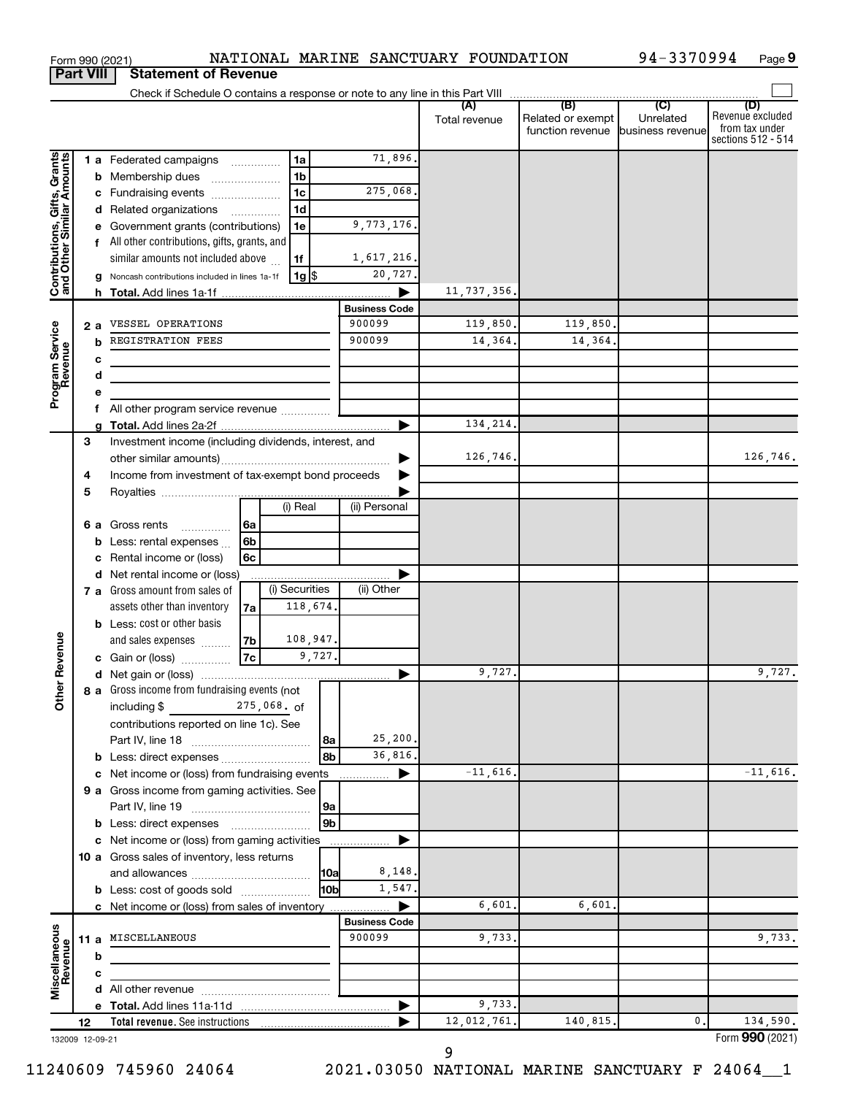|                                                           | Part VIII |     | Statement of Revenue                                  |                 |                |                 |                      |                      |                                                               |                  |                                                                 |
|-----------------------------------------------------------|-----------|-----|-------------------------------------------------------|-----------------|----------------|-----------------|----------------------|----------------------|---------------------------------------------------------------|------------------|-----------------------------------------------------------------|
|                                                           |           |     |                                                       |                 |                |                 |                      | (A)<br>Total revenue | (B)<br>Related or exempt<br>function revenue business revenue | (C)<br>Unrelated | (D)<br>Revenue excluded<br>from tax under<br>sections 512 - 514 |
|                                                           |           |     | 1 a Federated campaigns                               |                 | 1a             |                 | 71,896.              |                      |                                                               |                  |                                                                 |
| Contributions, Gifts, Grants<br>and Other Similar Amounts |           |     | <b>b</b> Membership dues                              |                 | 1 <sub>b</sub> |                 |                      |                      |                                                               |                  |                                                                 |
|                                                           |           |     | c Fundraising events                                  |                 | 1 <sub>c</sub> |                 | 275,068.             |                      |                                                               |                  |                                                                 |
|                                                           |           |     | d Related organizations                               |                 | 1 <sub>d</sub> |                 |                      |                      |                                                               |                  |                                                                 |
|                                                           |           |     | e Government grants (contributions)                   |                 | 1e             |                 | 9,773,176.           |                      |                                                               |                  |                                                                 |
|                                                           |           |     | f All other contributions, gifts, grants, and         |                 |                |                 |                      |                      |                                                               |                  |                                                                 |
|                                                           |           |     | similar amounts not included above                    |                 | 1f             |                 | 1,617,216.           |                      |                                                               |                  |                                                                 |
|                                                           |           |     | Noncash contributions included in lines 1a-1f         |                 | 1g   \$        |                 | 20,727.              |                      |                                                               |                  |                                                                 |
|                                                           |           |     |                                                       |                 |                |                 |                      | 11,737,356.          |                                                               |                  |                                                                 |
|                                                           |           |     |                                                       |                 |                |                 | <b>Business Code</b> |                      |                                                               |                  |                                                                 |
|                                                           |           | 2 a | VESSEL OPERATIONS                                     |                 |                |                 | 900099               | 119,850.             | 119,850.                                                      |                  |                                                                 |
| Program Service<br>Revenue                                |           | b   | REGISTRATION FEES                                     |                 |                |                 | 900099               | 14,364.              | 14,364.                                                       |                  |                                                                 |
|                                                           |           | c   |                                                       |                 |                |                 |                      |                      |                                                               |                  |                                                                 |
|                                                           |           | d   |                                                       |                 |                |                 |                      |                      |                                                               |                  |                                                                 |
|                                                           |           |     |                                                       |                 |                |                 |                      |                      |                                                               |                  |                                                                 |
|                                                           |           |     | All other program service revenue                     |                 |                |                 |                      |                      |                                                               |                  |                                                                 |
|                                                           |           | a   |                                                       |                 |                |                 | ▶                    | 134,214.             |                                                               |                  |                                                                 |
|                                                           | 3         |     | Investment income (including dividends, interest, and |                 |                |                 |                      |                      |                                                               |                  |                                                                 |
|                                                           |           |     |                                                       |                 |                |                 |                      | 126,746.             |                                                               |                  | 126,746.                                                        |
|                                                           | 4         |     | Income from investment of tax-exempt bond proceeds    |                 |                |                 |                      |                      |                                                               |                  |                                                                 |
|                                                           | 5         |     |                                                       |                 |                |                 |                      |                      |                                                               |                  |                                                                 |
|                                                           |           |     |                                                       |                 | (i) Real       |                 | (ii) Personal        |                      |                                                               |                  |                                                                 |
|                                                           |           |     | <b>6 a</b> Gross rents                                | 6a              |                |                 |                      |                      |                                                               |                  |                                                                 |
|                                                           |           |     | <b>b</b> Less: rental expenses $\ldots$               | 6b              |                |                 |                      |                      |                                                               |                  |                                                                 |
|                                                           |           | c   | Rental income or (loss)                               | 6 <sub>c</sub>  |                |                 |                      |                      |                                                               |                  |                                                                 |
|                                                           |           | d   | Net rental income or (loss)                           |                 |                |                 |                      |                      |                                                               |                  |                                                                 |
|                                                           |           |     | 7 a Gross amount from sales of                        |                 | (i) Securities |                 | (ii) Other           |                      |                                                               |                  |                                                                 |
|                                                           |           |     | assets other than inventory                           | 7а              |                | 118,674.        |                      |                      |                                                               |                  |                                                                 |
|                                                           |           |     | <b>b</b> Less: cost or other basis                    |                 |                |                 |                      |                      |                                                               |                  |                                                                 |
|                                                           |           |     | and sales expenses                                    | 7b              |                | 108,947.        |                      |                      |                                                               |                  |                                                                 |
| Revenue                                                   |           |     | c Gain or (loss)                                      | $\overline{7c}$ |                | 9,727.          |                      |                      |                                                               |                  |                                                                 |
|                                                           |           |     |                                                       |                 |                |                 |                      | 9,727.               |                                                               |                  | 9,727.                                                          |
| ৯                                                         |           |     | <b>8 a</b> Gross income from fundraising events (not  |                 |                |                 |                      |                      |                                                               |                  |                                                                 |
| 흉                                                         |           |     | including \$275,068. of                               |                 |                |                 |                      |                      |                                                               |                  |                                                                 |
|                                                           |           |     | contributions reported on line 1c). See               |                 |                |                 |                      |                      |                                                               |                  |                                                                 |
|                                                           |           |     |                                                       |                 |                | 8a              | 25,200.              |                      |                                                               |                  |                                                                 |
|                                                           |           |     | b Less: direct expenses                               |                 |                | 8b              | 36,816.              |                      |                                                               |                  |                                                                 |
|                                                           |           |     | c Net income or (loss) from fundraising events        |                 |                |                 | ▶<br>.               | $-11,616.$           |                                                               |                  | $-11,616.$                                                      |
|                                                           |           |     | 9 a Gross income from gaming activities. See          |                 |                |                 |                      |                      |                                                               |                  |                                                                 |
|                                                           |           |     |                                                       |                 |                | 9a              |                      |                      |                                                               |                  |                                                                 |
|                                                           |           |     |                                                       |                 |                | 9 <sub>b</sub>  |                      |                      |                                                               |                  |                                                                 |
|                                                           |           |     | c Net income or (loss) from gaming activities         |                 |                |                 | .                    |                      |                                                               |                  |                                                                 |
|                                                           |           |     | 10 a Gross sales of inventory, less returns           |                 |                |                 |                      |                      |                                                               |                  |                                                                 |
|                                                           |           |     |                                                       |                 |                | 10a             | 8,148.               |                      |                                                               |                  |                                                                 |
|                                                           |           |     | <b>b</b> Less: cost of goods sold                     |                 |                | 10 <sub>b</sub> | 1,547.               |                      |                                                               |                  |                                                                 |
|                                                           |           |     | c Net income or (loss) from sales of inventory        |                 |                |                 |                      | 6,601.               | 6,601.                                                        |                  |                                                                 |
|                                                           |           |     |                                                       |                 |                |                 | <b>Business Code</b> |                      |                                                               |                  |                                                                 |
|                                                           |           |     | 11 a MISCELLANEOUS                                    |                 |                |                 | 900099               | 9,733.               |                                                               |                  | 9,733.                                                          |
|                                                           |           | b   |                                                       |                 |                |                 |                      |                      |                                                               |                  |                                                                 |
|                                                           |           | c   |                                                       |                 |                |                 |                      |                      |                                                               |                  |                                                                 |
| Miscellaneous<br>Revenue                                  |           |     |                                                       |                 |                |                 |                      |                      |                                                               |                  |                                                                 |
|                                                           |           |     |                                                       |                 |                |                 |                      | 9,733.               |                                                               |                  |                                                                 |
|                                                           | 12        |     |                                                       |                 |                |                 |                      | 12,012,761.          | 140,815.                                                      | 0.               | 134,590.                                                        |
| 132009 12-09-21                                           |           |     |                                                       |                 |                |                 |                      |                      |                                                               |                  | Form 990 (2021)                                                 |

Form 990 (2021) Page NATIONAL MARINE SANCTUARY FOUNDATION 94-3370994

94-3370994 Page 9

**Part 1990 (2021)**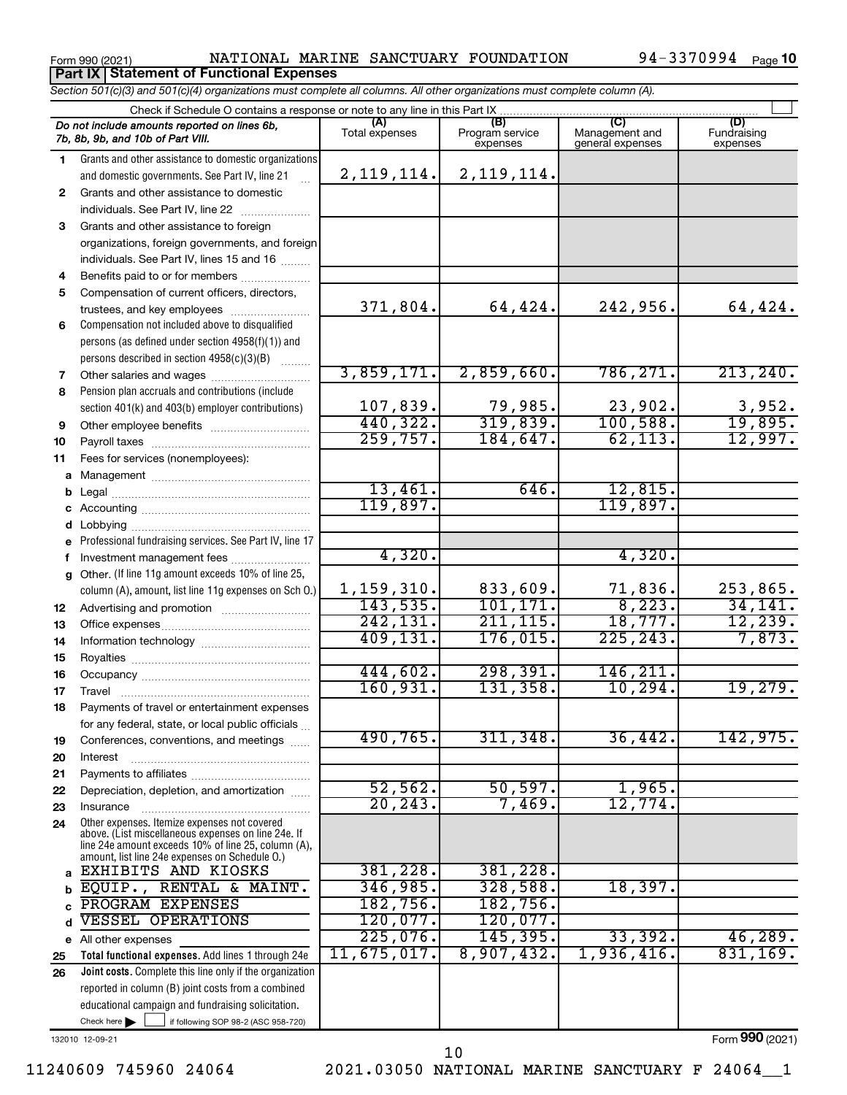Form 990 (2021) Page NATIONAL MARINE SANCTUARY FOUNDATION 94-3370994 **Part IX Statement of Functional Expenses**

94-3370994 Page 10

*Section 501(c)(3) and 501(c)(4) organizations must complete all columns. All other organizations must complete column (A).*

|              | Check if Schedule O contains a response or note to any line in this Part IX                                |                       |                                    |                                           |                                |  |  |  |  |  |  |  |
|--------------|------------------------------------------------------------------------------------------------------------|-----------------------|------------------------------------|-------------------------------------------|--------------------------------|--|--|--|--|--|--|--|
|              | Do not include amounts reported on lines 6b,<br>7b, 8b, 9b, and 10b of Part VIII.                          | (A)<br>Total expenses | (B)<br>Program service<br>expenses | (C)<br>Management and<br>general expenses | (D)<br>Fundraising<br>expenses |  |  |  |  |  |  |  |
| 1.           | Grants and other assistance to domestic organizations                                                      |                       |                                    |                                           |                                |  |  |  |  |  |  |  |
|              | and domestic governments. See Part IV, line 21                                                             | 2, 119, 114.          | 2, 119, 114.                       |                                           |                                |  |  |  |  |  |  |  |
| $\mathbf{2}$ | Grants and other assistance to domestic                                                                    |                       |                                    |                                           |                                |  |  |  |  |  |  |  |
|              | individuals. See Part IV, line 22                                                                          |                       |                                    |                                           |                                |  |  |  |  |  |  |  |
| 3            | Grants and other assistance to foreign                                                                     |                       |                                    |                                           |                                |  |  |  |  |  |  |  |
|              | organizations, foreign governments, and foreign                                                            |                       |                                    |                                           |                                |  |  |  |  |  |  |  |
|              | individuals. See Part IV, lines 15 and 16                                                                  |                       |                                    |                                           |                                |  |  |  |  |  |  |  |
| 4            | Benefits paid to or for members                                                                            |                       |                                    |                                           |                                |  |  |  |  |  |  |  |
| 5            | Compensation of current officers, directors,                                                               |                       |                                    |                                           |                                |  |  |  |  |  |  |  |
|              | trustees, and key employees                                                                                | 371,804.              | 64,424.                            | 242,956.                                  | 64,424.                        |  |  |  |  |  |  |  |
| 6            | Compensation not included above to disqualified                                                            |                       |                                    |                                           |                                |  |  |  |  |  |  |  |
|              | persons (as defined under section 4958(f)(1)) and                                                          |                       |                                    |                                           |                                |  |  |  |  |  |  |  |
|              | persons described in section 4958(c)(3)(B)                                                                 |                       |                                    |                                           |                                |  |  |  |  |  |  |  |
| 7            | Other salaries and wages                                                                                   | 3,859,171.            | 2,859,660.                         | 786, 271.                                 | 213, 240.                      |  |  |  |  |  |  |  |
| 8            | Pension plan accruals and contributions (include                                                           |                       |                                    |                                           |                                |  |  |  |  |  |  |  |
|              | section 401(k) and 403(b) employer contributions)                                                          | 107,839.              | 79,985.                            | 23,902.                                   | $\frac{3,952}{19,895}$         |  |  |  |  |  |  |  |
| 9            | Other employee benefits                                                                                    | 440,322.              | 319,839.                           | 100,588.                                  |                                |  |  |  |  |  |  |  |
| 10           |                                                                                                            | 259,757.              | 184,647.                           | 62, 113.                                  | 12,997.                        |  |  |  |  |  |  |  |
| 11           | Fees for services (nonemployees):                                                                          |                       |                                    |                                           |                                |  |  |  |  |  |  |  |
| a            |                                                                                                            |                       |                                    |                                           |                                |  |  |  |  |  |  |  |
| b            |                                                                                                            | 13,461.               | 646.                               | 12,815                                    |                                |  |  |  |  |  |  |  |
| c            |                                                                                                            | 119,897.              |                                    | 119,897.                                  |                                |  |  |  |  |  |  |  |
| d            |                                                                                                            |                       |                                    |                                           |                                |  |  |  |  |  |  |  |
| e            | Professional fundraising services. See Part IV, line 17                                                    |                       |                                    |                                           |                                |  |  |  |  |  |  |  |
| f            | Investment management fees                                                                                 | 4,320.                |                                    | 4,320.                                    |                                |  |  |  |  |  |  |  |
| a            | Other. (If line 11g amount exceeds 10% of line 25,                                                         |                       |                                    |                                           |                                |  |  |  |  |  |  |  |
|              | column (A), amount, list line 11g expenses on Sch O.)                                                      | 1,159,310.            | 833,609.                           | 71,836.                                   | 253,865.                       |  |  |  |  |  |  |  |
| 12           |                                                                                                            | 143,535.              | 101, 171.                          | 8, 223.                                   | 34,141.                        |  |  |  |  |  |  |  |
| 13           |                                                                                                            | 242, 131.             | 211, 115.                          | 18,777.                                   | 12, 239.                       |  |  |  |  |  |  |  |
| 14           |                                                                                                            | 409, 131.             | 176,015.                           | 225, 243.                                 | 7,873.                         |  |  |  |  |  |  |  |
| 15           |                                                                                                            |                       |                                    |                                           |                                |  |  |  |  |  |  |  |
| 16           |                                                                                                            | 444,602.              | 298, 391.                          | 146, 211<br>10, 294.                      |                                |  |  |  |  |  |  |  |
| 17           | Travel                                                                                                     | 160, 931.             | 131, 358.                          |                                           | 19,279.                        |  |  |  |  |  |  |  |
| 18           | Payments of travel or entertainment expenses                                                               |                       |                                    |                                           |                                |  |  |  |  |  |  |  |
|              | for any federal, state, or local public officials                                                          |                       |                                    |                                           |                                |  |  |  |  |  |  |  |
| 19           | Conferences, conventions, and meetings                                                                     | 490,765.              | 311, 348.                          | 36,442.                                   | 142,975.                       |  |  |  |  |  |  |  |
| 20           | Interest                                                                                                   |                       |                                    |                                           |                                |  |  |  |  |  |  |  |
| 21           |                                                                                                            | 52, 562.              | 50, 597.                           | 1,965.                                    |                                |  |  |  |  |  |  |  |
| 22           | Depreciation, depletion, and amortization                                                                  | 20, 243.              | 7,469.                             | 12,774.                                   |                                |  |  |  |  |  |  |  |
| 23           | Insurance<br>Other expenses. Itemize expenses not covered                                                  |                       |                                    |                                           |                                |  |  |  |  |  |  |  |
| 24           | above. (List miscellaneous expenses on line 24e. If<br>line 24e amount exceeds 10% of line 25, column (A), |                       |                                    |                                           |                                |  |  |  |  |  |  |  |
| a            | amount, list line 24e expenses on Schedule O.)<br>EXHIBITS AND KIOSKS                                      | 381,228.              | 381,228.                           |                                           |                                |  |  |  |  |  |  |  |
| b            | EQUIP., RENTAL & MAINT.                                                                                    | 346,985.              | 328,588.                           | 18,397.                                   |                                |  |  |  |  |  |  |  |
| C            | PROGRAM EXPENSES                                                                                           | 182, 756.             | 182,756.                           |                                           |                                |  |  |  |  |  |  |  |
| d            | <b>VESSEL OPERATIONS</b>                                                                                   | 120,077.              | 120,077.                           |                                           |                                |  |  |  |  |  |  |  |
|              | e All other expenses                                                                                       | 225,076.              | 145, 395.                          | 33,392.                                   | 46,289.                        |  |  |  |  |  |  |  |
| 25           | Total functional expenses. Add lines 1 through 24e                                                         | 11,675,017.           | 8,907,432.                         | 1,936,416.                                | 831, 169.                      |  |  |  |  |  |  |  |
| 26           | <b>Joint costs.</b> Complete this line only if the organization                                            |                       |                                    |                                           |                                |  |  |  |  |  |  |  |
|              | reported in column (B) joint costs from a combined                                                         |                       |                                    |                                           |                                |  |  |  |  |  |  |  |
|              | educational campaign and fundraising solicitation.                                                         |                       |                                    |                                           |                                |  |  |  |  |  |  |  |
|              | Check here $\blacktriangleright$<br>if following SOP 98-2 (ASC 958-720)                                    |                       |                                    |                                           |                                |  |  |  |  |  |  |  |

132010 12-09-21

Form (2021) **990**

11240609 745960 24064 2021.03050 NATIONAL MARINE SANCTUARY F 24064\_\_1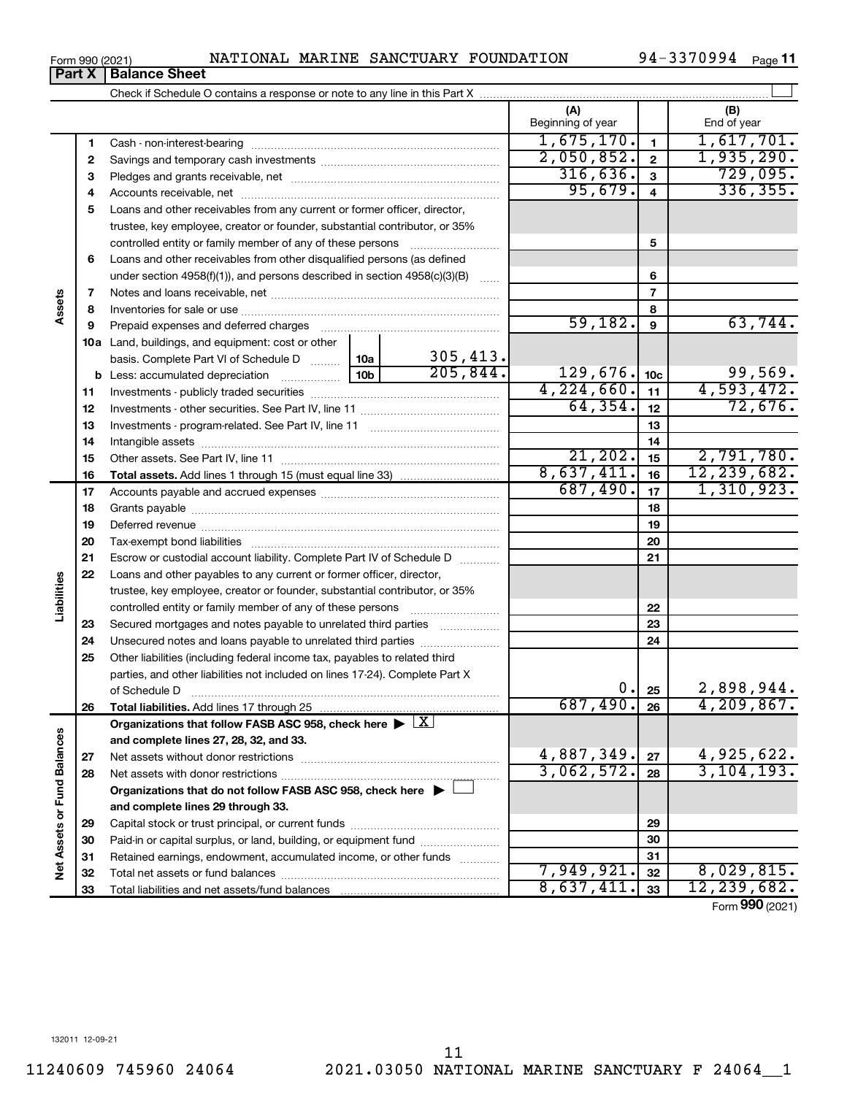## Form 990 (2021) Page NATIONAL MARINE SANCTUARY FOUNDATION 94-3370994 **Part X** | Balance Sheet

Check if Schedule O contains a response or note to any line in this Part X

94-3370994 Page 11

|                             |    |                                                                                 |     |          | (A)<br>Beginning of year |                         | (B)<br>End of year |
|-----------------------------|----|---------------------------------------------------------------------------------|-----|----------|--------------------------|-------------------------|--------------------|
|                             | 1  |                                                                                 |     |          | 1,675,170.               | $\mathbf{1}$            | 1,617,701.         |
|                             | 2  |                                                                                 |     |          | 2,050,852.               | $\overline{\mathbf{2}}$ | 1,935,290.         |
|                             | 3  |                                                                                 |     |          | 316,636.                 | $\mathbf{3}$            | 729,095.           |
|                             | 4  |                                                                                 |     |          | 95,679.                  | $\overline{\mathbf{4}}$ | 336, 355.          |
|                             | 5  | Loans and other receivables from any current or former officer, director,       |     |          |                          |                         |                    |
|                             |    | trustee, key employee, creator or founder, substantial contributor, or 35%      |     |          |                          |                         |                    |
|                             |    | controlled entity or family member of any of these persons                      |     |          |                          | 5                       |                    |
|                             | 6  | Loans and other receivables from other disqualified persons (as defined         |     |          |                          |                         |                    |
|                             |    | under section $4958(f)(1)$ , and persons described in section $4958(c)(3)(B)$   |     | 1.1.1.1  |                          | 6                       |                    |
|                             | 7  |                                                                                 |     |          |                          | $\overline{7}$          |                    |
| Assets                      | 8  |                                                                                 |     |          |                          | 8                       |                    |
|                             | 9  |                                                                                 |     |          | 59,182.                  | 9                       | 63,744.            |
|                             |    | <b>10a</b> Land, buildings, and equipment: cost or other                        |     |          |                          |                         |                    |
|                             |    | basis. Complete Part VI of Schedule D                                           | 10a | 305,413. |                          |                         |                    |
|                             |    | <b>b</b> Less: accumulated depreciation<br>$\ldots \ldots \ldots \ldots$        | 10b | 205,844. | 129,676.                 | 10 <sub>c</sub>         | 99,569.            |
|                             | 11 |                                                                                 |     |          | 4,224,660.               | 11                      | 4,593,472.         |
|                             | 12 |                                                                                 |     |          | 64, 354.                 | 12                      | 72,676.            |
|                             | 13 |                                                                                 |     |          |                          | 13                      |                    |
|                             | 14 |                                                                                 |     |          |                          | 14                      |                    |
|                             | 15 |                                                                                 |     |          | 21,202.                  | 15                      | 2,791,780.         |
|                             | 16 |                                                                                 |     |          | 8,637,411.               | 16                      | 12, 239, 682.      |
|                             | 17 |                                                                                 |     |          | 687,490.                 | 17                      | 1,310,923.         |
|                             | 18 |                                                                                 |     | 18       |                          |                         |                    |
|                             | 19 |                                                                                 |     | 19       |                          |                         |                    |
|                             | 20 |                                                                                 |     | 20       |                          |                         |                    |
|                             | 21 | Escrow or custodial account liability. Complete Part IV of Schedule D           |     | 21       |                          |                         |                    |
| Liabilities                 | 22 | Loans and other payables to any current or former officer, director,            |     |          |                          |                         |                    |
|                             |    | trustee, key employee, creator or founder, substantial contributor, or 35%      |     |          |                          |                         |                    |
|                             |    | controlled entity or family member of any of these persons                      |     |          |                          | 22                      |                    |
|                             | 23 | Secured mortgages and notes payable to unrelated third parties                  |     |          |                          | 23                      |                    |
|                             | 24 | Unsecured notes and loans payable to unrelated third parties                    |     |          |                          | 24                      |                    |
|                             | 25 | Other liabilities (including federal income tax, payables to related third      |     |          |                          |                         |                    |
|                             |    | parties, and other liabilities not included on lines 17-24). Complete Part X    |     |          | 0.                       | 25                      | 2,898,944.         |
|                             | 26 | of Schedule D                                                                   |     |          | 687,490.                 | 26                      | 4, 209, 867.       |
|                             |    | Organizations that follow FASB ASC 958, check here >                            |     | X        |                          |                         |                    |
|                             |    | and complete lines 27, 28, 32, and 33.                                          |     |          |                          |                         |                    |
|                             | 27 |                                                                                 |     |          | 4,887,349.               | 27                      | 4,925,622.         |
|                             | 28 |                                                                                 |     |          | 3,062,572.               | 28                      | 3, 104, 193.       |
|                             |    | Organizations that do not follow FASB ASC 958, check here $\blacktriangleright$ |     |          |                          |                         |                    |
|                             |    | and complete lines 29 through 33.                                               |     |          |                          |                         |                    |
|                             | 29 |                                                                                 |     |          |                          | 29                      |                    |
|                             | 30 | Paid-in or capital surplus, or land, building, or equipment fund                |     |          |                          | 30                      |                    |
|                             | 31 | Retained earnings, endowment, accumulated income, or other funds                |     |          |                          | 31                      |                    |
| Net Assets or Fund Balances | 32 |                                                                                 |     |          | 7,949,921.               | 32                      | 8,029,815.         |
|                             | 33 |                                                                                 |     |          | 8,637,411.               | 33                      | 12,239,682.        |

Form (2021) **990**

 $\perp$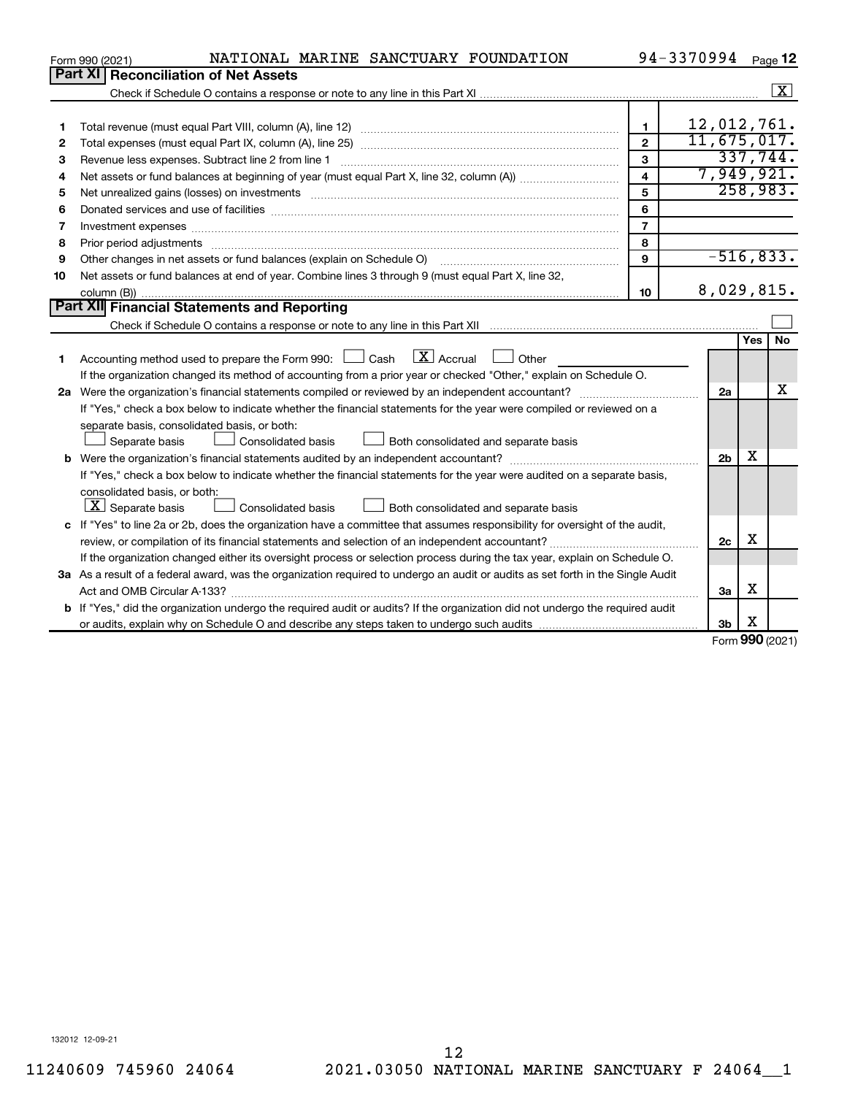|    | NATIONAL MARINE SANCTUARY FOUNDATION<br>Form 990 (2021)                                                                                                                                                                        |                         | 94-3370994     |            | Page 12            |  |  |  |  |  |  |  |
|----|--------------------------------------------------------------------------------------------------------------------------------------------------------------------------------------------------------------------------------|-------------------------|----------------|------------|--------------------|--|--|--|--|--|--|--|
|    | Part XI<br><b>Reconciliation of Net Assets</b>                                                                                                                                                                                 |                         |                |            |                    |  |  |  |  |  |  |  |
|    |                                                                                                                                                                                                                                |                         |                |            | $\boxed{\text{X}}$ |  |  |  |  |  |  |  |
|    |                                                                                                                                                                                                                                |                         |                |            |                    |  |  |  |  |  |  |  |
| 1  |                                                                                                                                                                                                                                | $\mathbf{1}$            | 12,012,761.    |            |                    |  |  |  |  |  |  |  |
| 2  |                                                                                                                                                                                                                                | $\mathbf{2}$            | 11,675,017.    |            |                    |  |  |  |  |  |  |  |
| з  | Revenue less expenses. Subtract line 2 from line 1                                                                                                                                                                             | 3                       |                |            | 337,744.           |  |  |  |  |  |  |  |
| 4  |                                                                                                                                                                                                                                | $\overline{\mathbf{4}}$ | 7,949,921.     |            |                    |  |  |  |  |  |  |  |
| 5  | Net unrealized gains (losses) on investments [11] matter contracts and the state of the state of the state of the state of the state of the state of the state of the state of the state of the state of the state of the stat | 5                       |                |            | 258,983.           |  |  |  |  |  |  |  |
| 6  |                                                                                                                                                                                                                                | 6                       |                |            |                    |  |  |  |  |  |  |  |
| 7  | Investment expenses www.communication.com/www.communication.com/www.communication.com/www.com                                                                                                                                  | $\overline{7}$          |                |            |                    |  |  |  |  |  |  |  |
| 8  | Prior period adjustments www.communication.communication.communication.com/                                                                                                                                                    | 8                       |                |            |                    |  |  |  |  |  |  |  |
| 9  | Other changes in net assets or fund balances (explain on Schedule O) manufactured control of the changes in net assets or fund balances (explain on Schedule O)                                                                | 9                       | $-516, 833.$   |            |                    |  |  |  |  |  |  |  |
| 10 | Net assets or fund balances at end of year. Combine lines 3 through 9 (must equal Part X, line 32,                                                                                                                             |                         |                |            |                    |  |  |  |  |  |  |  |
|    |                                                                                                                                                                                                                                | 10                      | 8,029,815.     |            |                    |  |  |  |  |  |  |  |
|    | Part XII Financial Statements and Reporting                                                                                                                                                                                    |                         |                |            |                    |  |  |  |  |  |  |  |
|    |                                                                                                                                                                                                                                |                         |                |            |                    |  |  |  |  |  |  |  |
|    |                                                                                                                                                                                                                                |                         |                | Yes        | <b>No</b>          |  |  |  |  |  |  |  |
| 1. | $\mathbf{X}$ Accrual<br>Accounting method used to prepare the Form 990: [130] Cash<br>$\Box$ Other                                                                                                                             |                         |                |            |                    |  |  |  |  |  |  |  |
|    | If the organization changed its method of accounting from a prior year or checked "Other," explain on Schedule O.                                                                                                              |                         |                |            |                    |  |  |  |  |  |  |  |
|    |                                                                                                                                                                                                                                |                         | 2a             |            | X                  |  |  |  |  |  |  |  |
|    | If "Yes," check a box below to indicate whether the financial statements for the year were compiled or reviewed on a                                                                                                           |                         |                |            |                    |  |  |  |  |  |  |  |
|    | separate basis, consolidated basis, or both:                                                                                                                                                                                   |                         |                |            |                    |  |  |  |  |  |  |  |
|    | Consolidated basis<br>Both consolidated and separate basis<br>Separate basis                                                                                                                                                   |                         |                |            |                    |  |  |  |  |  |  |  |
|    |                                                                                                                                                                                                                                |                         | 2 <sub>b</sub> | x          |                    |  |  |  |  |  |  |  |
|    | If "Yes," check a box below to indicate whether the financial statements for the year were audited on a separate basis,                                                                                                        |                         |                |            |                    |  |  |  |  |  |  |  |
|    | consolidated basis, or both:                                                                                                                                                                                                   |                         |                |            |                    |  |  |  |  |  |  |  |
|    | $ \mathbf{X} $ Separate basis<br>Consolidated basis<br>Both consolidated and separate basis                                                                                                                                    |                         |                |            |                    |  |  |  |  |  |  |  |
|    | c If "Yes" to line 2a or 2b, does the organization have a committee that assumes responsibility for oversight of the audit,                                                                                                    |                         |                |            |                    |  |  |  |  |  |  |  |
|    |                                                                                                                                                                                                                                |                         | 2c             | X          |                    |  |  |  |  |  |  |  |
|    | If the organization changed either its oversight process or selection process during the tax year, explain on Schedule O.                                                                                                      |                         |                |            |                    |  |  |  |  |  |  |  |
|    | 3a As a result of a federal award, was the organization required to undergo an audit or audits as set forth in the Single Audit                                                                                                |                         |                |            |                    |  |  |  |  |  |  |  |
|    |                                                                                                                                                                                                                                |                         | 3a             | x          |                    |  |  |  |  |  |  |  |
|    | <b>b</b> If "Yes," did the organization undergo the required audit or audits? If the organization did not undergo the required audit                                                                                           |                         |                |            |                    |  |  |  |  |  |  |  |
|    |                                                                                                                                                                                                                                |                         | 3b             | X          |                    |  |  |  |  |  |  |  |
|    |                                                                                                                                                                                                                                |                         |                | <u>nnn</u> |                    |  |  |  |  |  |  |  |

Form (2021) **990**

132012 12-09-21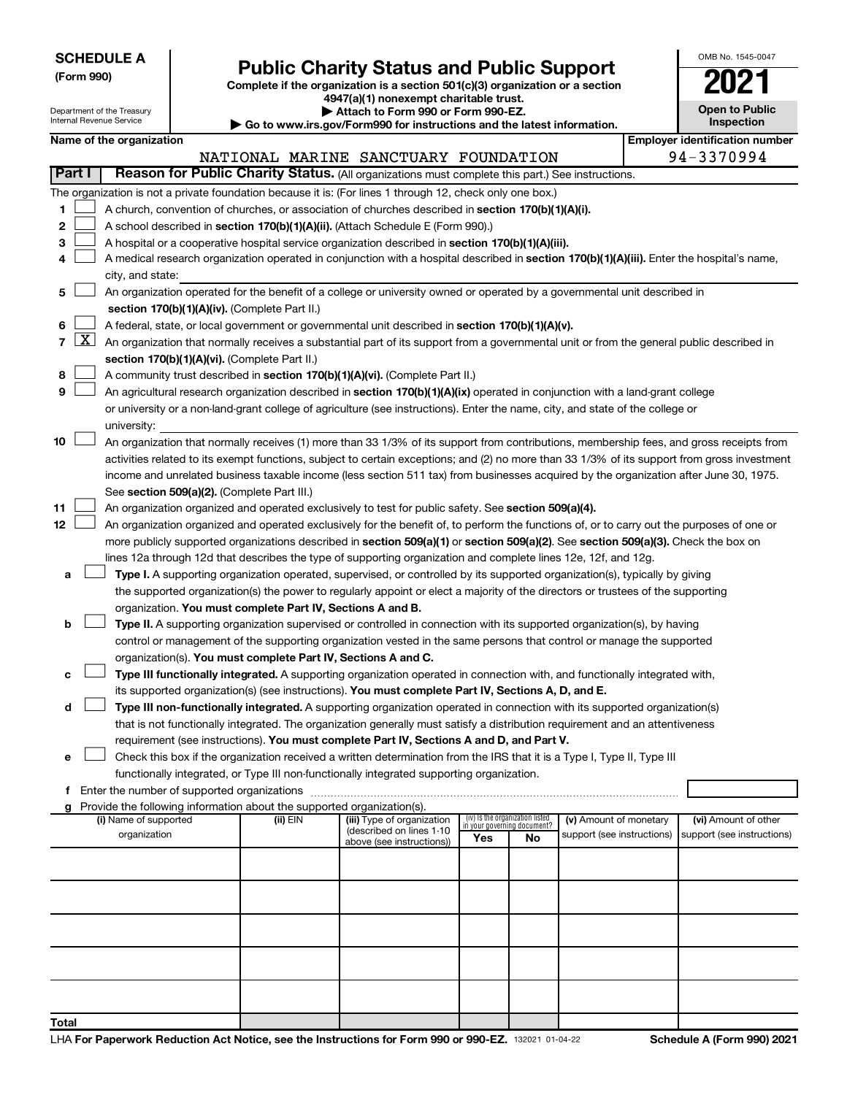Department of the Treasury Internal Revenue Service

# Form 990)<br> **Complete if the organization is a section 501(c)(3) organization or a section**<br> **Public Charity Status and Public Support**

**4947(a)(1) nonexempt charitable trust.**

**| Attach to Form 990 or Form 990-EZ. | Go to www.irs.gov/Form990 for instructions and the latest information.**

| <b>Open to Public</b><br>Inspection |
|-------------------------------------|
| ıor idantification numbor           |

OMB No. 1545-0047

|                          | י שט נט אי אינו האפה היוס אויין און אי אינו וויט וויסט אינו וויס וויס איז אין וויס וויס א |                                    |
|--------------------------|-------------------------------------------------------------------------------------------|------------------------------------|
| Name of the organization |                                                                                           | <b>Emplover identification nun</b> |

|                |                     |                                                                                                                                              |          | NATIONAL MARINE SANCTUARY FOUNDATION                   |                                 |    |                                                      |  | 94-3370994                                         |  |  |  |  |  |
|----------------|---------------------|----------------------------------------------------------------------------------------------------------------------------------------------|----------|--------------------------------------------------------|---------------------------------|----|------------------------------------------------------|--|----------------------------------------------------|--|--|--|--|--|
|                | Part I              | Reason for Public Charity Status. (All organizations must complete this part.) See instructions.                                             |          |                                                        |                                 |    |                                                      |  |                                                    |  |  |  |  |  |
|                |                     | The organization is not a private foundation because it is: (For lines 1 through 12, check only one box.)                                    |          |                                                        |                                 |    |                                                      |  |                                                    |  |  |  |  |  |
| 1              |                     | A church, convention of churches, or association of churches described in <b>section 170(b)(1)(A)(i).</b>                                    |          |                                                        |                                 |    |                                                      |  |                                                    |  |  |  |  |  |
| 2              |                     | A school described in section 170(b)(1)(A)(ii). (Attach Schedule E (Form 990).)                                                              |          |                                                        |                                 |    |                                                      |  |                                                    |  |  |  |  |  |
| 3              |                     | A hospital or a cooperative hospital service organization described in section 170(b)(1)(A)(iii).                                            |          |                                                        |                                 |    |                                                      |  |                                                    |  |  |  |  |  |
| 4              |                     | A medical research organization operated in conjunction with a hospital described in section 170(b)(1)(A)(iii). Enter the hospital's name,   |          |                                                        |                                 |    |                                                      |  |                                                    |  |  |  |  |  |
|                |                     | city, and state:                                                                                                                             |          |                                                        |                                 |    |                                                      |  |                                                    |  |  |  |  |  |
| 5              |                     | An organization operated for the benefit of a college or university owned or operated by a governmental unit described in                    |          |                                                        |                                 |    |                                                      |  |                                                    |  |  |  |  |  |
|                |                     | section 170(b)(1)(A)(iv). (Complete Part II.)                                                                                                |          |                                                        |                                 |    |                                                      |  |                                                    |  |  |  |  |  |
| 6              |                     | A federal, state, or local government or governmental unit described in section 170(b)(1)(A)(v).                                             |          |                                                        |                                 |    |                                                      |  |                                                    |  |  |  |  |  |
| $\overline{7}$ | $\lfloor x \rfloor$ | An organization that normally receives a substantial part of its support from a governmental unit or from the general public described in    |          |                                                        |                                 |    |                                                      |  |                                                    |  |  |  |  |  |
|                |                     | section 170(b)(1)(A)(vi). (Complete Part II.)                                                                                                |          |                                                        |                                 |    |                                                      |  |                                                    |  |  |  |  |  |
| 8              |                     | A community trust described in section 170(b)(1)(A)(vi). (Complete Part II.)                                                                 |          |                                                        |                                 |    |                                                      |  |                                                    |  |  |  |  |  |
| 9              |                     | An agricultural research organization described in section 170(b)(1)(A)(ix) operated in conjunction with a land-grant college                |          |                                                        |                                 |    |                                                      |  |                                                    |  |  |  |  |  |
|                |                     | or university or a non-land-grant college of agriculture (see instructions). Enter the name, city, and state of the college or               |          |                                                        |                                 |    |                                                      |  |                                                    |  |  |  |  |  |
|                |                     | university:                                                                                                                                  |          |                                                        |                                 |    |                                                      |  |                                                    |  |  |  |  |  |
| 10             |                     | An organization that normally receives (1) more than 33 1/3% of its support from contributions, membership fees, and gross receipts from     |          |                                                        |                                 |    |                                                      |  |                                                    |  |  |  |  |  |
|                |                     | activities related to its exempt functions, subject to certain exceptions; and (2) no more than 33 1/3% of its support from gross investment |          |                                                        |                                 |    |                                                      |  |                                                    |  |  |  |  |  |
|                |                     | income and unrelated business taxable income (less section 511 tax) from businesses acquired by the organization after June 30, 1975.        |          |                                                        |                                 |    |                                                      |  |                                                    |  |  |  |  |  |
|                |                     | See section 509(a)(2). (Complete Part III.)                                                                                                  |          |                                                        |                                 |    |                                                      |  |                                                    |  |  |  |  |  |
| 11             |                     | An organization organized and operated exclusively to test for public safety. See section 509(a)(4).                                         |          |                                                        |                                 |    |                                                      |  |                                                    |  |  |  |  |  |
| 12             |                     | An organization organized and operated exclusively for the benefit of, to perform the functions of, or to carry out the purposes of one or   |          |                                                        |                                 |    |                                                      |  |                                                    |  |  |  |  |  |
|                |                     | more publicly supported organizations described in section 509(a)(1) or section 509(a)(2). See section 509(a)(3). Check the box on           |          |                                                        |                                 |    |                                                      |  |                                                    |  |  |  |  |  |
|                |                     | lines 12a through 12d that describes the type of supporting organization and complete lines 12e, 12f, and 12g.                               |          |                                                        |                                 |    |                                                      |  |                                                    |  |  |  |  |  |
| а              |                     | Type I. A supporting organization operated, supervised, or controlled by its supported organization(s), typically by giving                  |          |                                                        |                                 |    |                                                      |  |                                                    |  |  |  |  |  |
|                |                     | the supported organization(s) the power to regularly appoint or elect a majority of the directors or trustees of the supporting              |          |                                                        |                                 |    |                                                      |  |                                                    |  |  |  |  |  |
|                |                     | organization. You must complete Part IV, Sections A and B.                                                                                   |          |                                                        |                                 |    |                                                      |  |                                                    |  |  |  |  |  |
| b              |                     | Type II. A supporting organization supervised or controlled in connection with its supported organization(s), by having                      |          |                                                        |                                 |    |                                                      |  |                                                    |  |  |  |  |  |
|                |                     | control or management of the supporting organization vested in the same persons that control or manage the supported                         |          |                                                        |                                 |    |                                                      |  |                                                    |  |  |  |  |  |
|                |                     | organization(s). You must complete Part IV, Sections A and C.                                                                                |          |                                                        |                                 |    |                                                      |  |                                                    |  |  |  |  |  |
| с              |                     | Type III functionally integrated. A supporting organization operated in connection with, and functionally integrated with,                   |          |                                                        |                                 |    |                                                      |  |                                                    |  |  |  |  |  |
|                |                     | its supported organization(s) (see instructions). You must complete Part IV, Sections A, D, and E.                                           |          |                                                        |                                 |    |                                                      |  |                                                    |  |  |  |  |  |
| d              |                     | Type III non-functionally integrated. A supporting organization operated in connection with its supported organization(s)                    |          |                                                        |                                 |    |                                                      |  |                                                    |  |  |  |  |  |
|                |                     | that is not functionally integrated. The organization generally must satisfy a distribution requirement and an attentiveness                 |          |                                                        |                                 |    |                                                      |  |                                                    |  |  |  |  |  |
|                |                     | requirement (see instructions). You must complete Part IV, Sections A and D, and Part V.                                                     |          |                                                        |                                 |    |                                                      |  |                                                    |  |  |  |  |  |
| е              |                     | Check this box if the organization received a written determination from the IRS that it is a Type I, Type II, Type III                      |          |                                                        |                                 |    |                                                      |  |                                                    |  |  |  |  |  |
|                |                     | functionally integrated, or Type III non-functionally integrated supporting organization.                                                    |          |                                                        |                                 |    |                                                      |  |                                                    |  |  |  |  |  |
| f.             |                     | Enter the number of supported organizations                                                                                                  |          |                                                        |                                 |    |                                                      |  |                                                    |  |  |  |  |  |
| g              |                     | Provide the following information about the supported organization(s).<br>(i) Name of supported                                              |          |                                                        | (iv) Is the organization listed |    |                                                      |  |                                                    |  |  |  |  |  |
|                |                     | organization                                                                                                                                 | (ii) EIN | (iii) Type of organization<br>(described on lines 1-10 | in your governing document?     |    | (v) Amount of monetary<br>support (see instructions) |  | (vi) Amount of other<br>support (see instructions) |  |  |  |  |  |
|                |                     |                                                                                                                                              |          | above (see instructions))                              | Yes                             | No |                                                      |  |                                                    |  |  |  |  |  |
|                |                     |                                                                                                                                              |          |                                                        |                                 |    |                                                      |  |                                                    |  |  |  |  |  |
|                |                     |                                                                                                                                              |          |                                                        |                                 |    |                                                      |  |                                                    |  |  |  |  |  |
|                |                     |                                                                                                                                              |          |                                                        |                                 |    |                                                      |  |                                                    |  |  |  |  |  |
|                |                     |                                                                                                                                              |          |                                                        |                                 |    |                                                      |  |                                                    |  |  |  |  |  |
|                |                     |                                                                                                                                              |          |                                                        |                                 |    |                                                      |  |                                                    |  |  |  |  |  |
|                |                     |                                                                                                                                              |          |                                                        |                                 |    |                                                      |  |                                                    |  |  |  |  |  |
|                |                     |                                                                                                                                              |          |                                                        |                                 |    |                                                      |  |                                                    |  |  |  |  |  |
|                |                     |                                                                                                                                              |          |                                                        |                                 |    |                                                      |  |                                                    |  |  |  |  |  |
|                |                     |                                                                                                                                              |          |                                                        |                                 |    |                                                      |  |                                                    |  |  |  |  |  |
| Total          |                     |                                                                                                                                              |          |                                                        |                                 |    |                                                      |  |                                                    |  |  |  |  |  |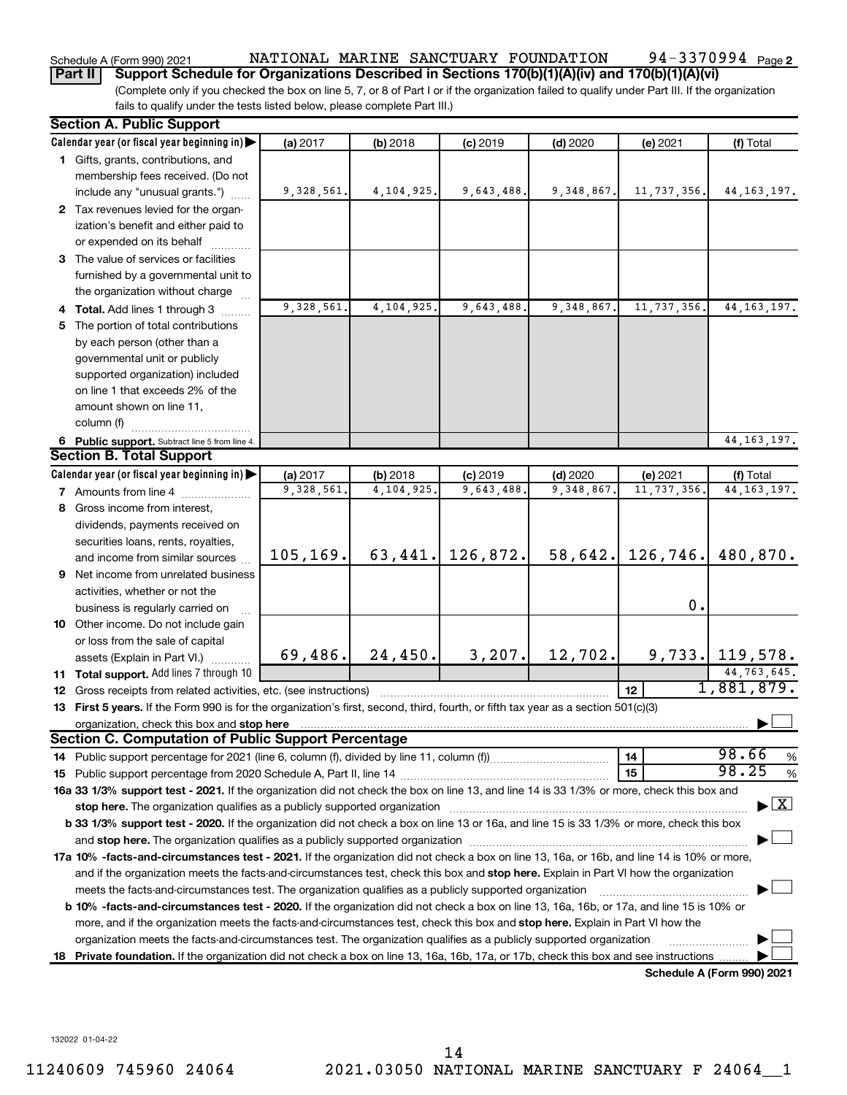#### 94-3370994 Page 2 Schedule A (Form 990) 2021 NATIONAL MARINE SANCTUARY FOUNDATION 94-3370994 Page

(Complete only if you checked the box on line 5, 7, or 8 of Part I or if the organization failed to qualify under Part III. If the organization fails to qualify under the tests listed below, please complete Part III.) **Part II** | Support Schedule for Organizations Described in Sections 170(b)(1)(A)(iv) and 170(b)(1)(A)(vi)

|    | <b>Section A. Public Support</b>                                                                                                           |            |            |            |              |               |                                    |
|----|--------------------------------------------------------------------------------------------------------------------------------------------|------------|------------|------------|--------------|---------------|------------------------------------|
|    | Calendar year (or fiscal year beginning in)                                                                                                | (a) 2017   | (b) 2018   | $(c)$ 2019 | $(d)$ 2020   | (e) 2021      | (f) Total                          |
|    | 1 Gifts, grants, contributions, and                                                                                                        |            |            |            |              |               |                                    |
|    | membership fees received. (Do not                                                                                                          |            |            |            |              |               |                                    |
|    | include any "unusual grants.")                                                                                                             | 9,328,561. | 4,104,925. | 9,643,488. | 9,348,867.   | 11,737,356.   | 44, 163, 197.                      |
|    | 2 Tax revenues levied for the organ-                                                                                                       |            |            |            |              |               |                                    |
|    | ization's benefit and either paid to                                                                                                       |            |            |            |              |               |                                    |
|    | or expended on its behalf                                                                                                                  |            |            |            |              |               |                                    |
|    | 3 The value of services or facilities                                                                                                      |            |            |            |              |               |                                    |
|    | furnished by a governmental unit to                                                                                                        |            |            |            |              |               |                                    |
|    | the organization without charge                                                                                                            |            |            |            |              |               |                                    |
|    | 4 Total. Add lines 1 through 3                                                                                                             | 9,328,561. | 4,104,925. | 9,643,488. | 9, 348, 867. | 11,737,356.   | 44, 163, 197.                      |
|    | 5 The portion of total contributions                                                                                                       |            |            |            |              |               |                                    |
|    | by each person (other than a                                                                                                               |            |            |            |              |               |                                    |
|    | governmental unit or publicly                                                                                                              |            |            |            |              |               |                                    |
|    | supported organization) included                                                                                                           |            |            |            |              |               |                                    |
|    | on line 1 that exceeds 2% of the                                                                                                           |            |            |            |              |               |                                    |
|    | amount shown on line 11,                                                                                                                   |            |            |            |              |               |                                    |
|    | column (f)                                                                                                                                 |            |            |            |              |               |                                    |
|    | 6 Public support. Subtract line 5 from line 4.                                                                                             |            |            |            |              |               | 44, 163, 197.                      |
|    | <b>Section B. Total Support</b>                                                                                                            |            |            |            |              |               |                                    |
|    | Calendar year (or fiscal year beginning in)                                                                                                | (a) 2017   | (b) 2018   | $(c)$ 2019 | $(d)$ 2020   | (e) 2021      | (f) Total                          |
|    | 7 Amounts from line 4                                                                                                                      | 9,328,561  | 4,104,925. | 9,643,488. | 9,348,867    | 11, 737, 356. | 44, 163, 197.                      |
|    | 8 Gross income from interest,                                                                                                              |            |            |            |              |               |                                    |
|    | dividends, payments received on                                                                                                            |            |            |            |              |               |                                    |
|    | securities loans, rents, royalties,                                                                                                        |            |            |            |              |               |                                    |
|    | and income from similar sources                                                                                                            | 105, 169.  | 63, 441.   | 126,872.   | 58,642.      | 126,746.      | 480,870.                           |
|    | 9 Net income from unrelated business                                                                                                       |            |            |            |              |               |                                    |
|    | activities, whether or not the                                                                                                             |            |            |            |              |               |                                    |
|    | business is regularly carried on                                                                                                           |            |            |            |              | $\mathbf 0$ . |                                    |
|    | 10 Other income. Do not include gain                                                                                                       |            |            |            |              |               |                                    |
|    | or loss from the sale of capital                                                                                                           |            |            |            |              |               |                                    |
|    | assets (Explain in Part VI.)                                                                                                               | 69,486.    | 24,450.    | 3, 207.    | 12,702.      |               | $9,733.$ 119,578.                  |
|    | 11 Total support. Add lines 7 through 10                                                                                                   |            |            |            |              |               | 44,763,645.                        |
|    | <b>12</b> Gross receipts from related activities, etc. (see instructions)                                                                  |            |            |            |              | 12            | 1,881,879.                         |
|    | 13 First 5 years. If the Form 990 is for the organization's first, second, third, fourth, or fifth tax year as a section 501(c)(3)         |            |            |            |              |               |                                    |
|    | organization, check this box and stop here                                                                                                 |            |            |            |              |               |                                    |
|    | Section C. Computation of Public Support Percentage                                                                                        |            |            |            |              |               |                                    |
|    |                                                                                                                                            |            |            |            |              | 14            | 98.66<br>%                         |
|    |                                                                                                                                            |            |            |            |              | 15            | 98.25<br>%                         |
|    | 16a 33 1/3% support test - 2021. If the organization did not check the box on line 13, and line 14 is 33 1/3% or more, check this box and  |            |            |            |              |               |                                    |
|    | stop here. The organization qualifies as a publicly supported organization                                                                 |            |            |            |              |               | $\blacktriangleright$ $\mathbf{X}$ |
|    | b 33 1/3% support test - 2020. If the organization did not check a box on line 13 or 16a, and line 15 is 33 1/3% or more, check this box   |            |            |            |              |               |                                    |
|    |                                                                                                                                            |            |            |            |              |               |                                    |
|    | 17a 10% -facts-and-circumstances test - 2021. If the organization did not check a box on line 13, 16a, or 16b, and line 14 is 10% or more, |            |            |            |              |               |                                    |
|    | and if the organization meets the facts-and-circumstances test, check this box and stop here. Explain in Part VI how the organization      |            |            |            |              |               |                                    |
|    | meets the facts-and-circumstances test. The organization qualifies as a publicly supported organization                                    |            |            |            |              |               |                                    |
|    | b 10% -facts-and-circumstances test - 2020. If the organization did not check a box on line 13, 16a, 16b, or 17a, and line 15 is 10% or    |            |            |            |              |               |                                    |
|    | more, and if the organization meets the facts-and-circumstances test, check this box and stop here. Explain in Part VI how the             |            |            |            |              |               |                                    |
|    | organization meets the facts-and-circumstances test. The organization qualifies as a publicly supported organization                       |            |            |            |              |               |                                    |
| 18 | Private foundation. If the organization did not check a box on line 13, 16a, 16b, 17a, or 17b, check this box and see instructions         |            |            |            |              |               |                                    |
|    |                                                                                                                                            |            |            |            |              |               | Schedule A (Form 990) 2021         |

132022 01-04-22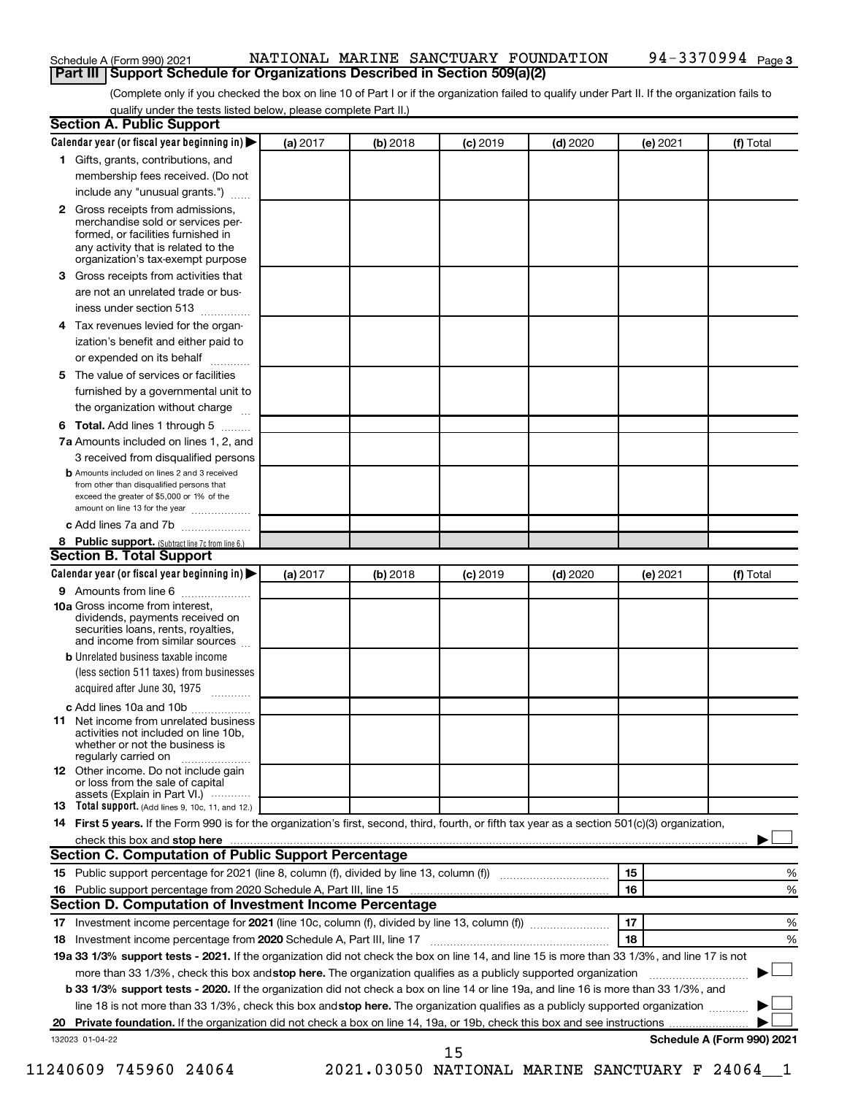| Schedule A (Form 990) 2021 |                                                                                     |  |  | NATIONAL MARINE SANCTUARY FOUNDATION | 94-3370994 <sub>Page 3</sub> |  |  |  |
|----------------------------|-------------------------------------------------------------------------------------|--|--|--------------------------------------|------------------------------|--|--|--|
|                            | <b>Part III   Support Schedule for Organizations Described in Section 509(a)(2)</b> |  |  |                                      |                              |  |  |  |

(Complete only if you checked the box on line 10 of Part I or if the organization failed to qualify under Part II. If the organization fails to qualify under the tests listed below, please complete Part II.)

| <b>Section A. Public Support</b>                                                                                                                                                                                               |          |          |            |            |          |                            |
|--------------------------------------------------------------------------------------------------------------------------------------------------------------------------------------------------------------------------------|----------|----------|------------|------------|----------|----------------------------|
| Calendar year (or fiscal year beginning in)                                                                                                                                                                                    | (a) 2017 | (b) 2018 | $(c)$ 2019 | $(d)$ 2020 | (e) 2021 | (f) Total                  |
| 1 Gifts, grants, contributions, and                                                                                                                                                                                            |          |          |            |            |          |                            |
| membership fees received. (Do not                                                                                                                                                                                              |          |          |            |            |          |                            |
| include any "unusual grants.")                                                                                                                                                                                                 |          |          |            |            |          |                            |
| 2 Gross receipts from admissions,<br>merchandise sold or services per-<br>formed, or facilities furnished in<br>any activity that is related to the<br>organization's tax-exempt purpose                                       |          |          |            |            |          |                            |
| 3 Gross receipts from activities that                                                                                                                                                                                          |          |          |            |            |          |                            |
| are not an unrelated trade or bus-                                                                                                                                                                                             |          |          |            |            |          |                            |
| iness under section 513                                                                                                                                                                                                        |          |          |            |            |          |                            |
| 4 Tax revenues levied for the organ-                                                                                                                                                                                           |          |          |            |            |          |                            |
| ization's benefit and either paid to<br>or expended on its behalf                                                                                                                                                              |          |          |            |            |          |                            |
| 5 The value of services or facilities                                                                                                                                                                                          |          |          |            |            |          |                            |
| furnished by a governmental unit to                                                                                                                                                                                            |          |          |            |            |          |                            |
| the organization without charge                                                                                                                                                                                                |          |          |            |            |          |                            |
| 6 Total. Add lines 1 through 5                                                                                                                                                                                                 |          |          |            |            |          |                            |
| 7a Amounts included on lines 1, 2, and                                                                                                                                                                                         |          |          |            |            |          |                            |
| 3 received from disqualified persons                                                                                                                                                                                           |          |          |            |            |          |                            |
| <b>b</b> Amounts included on lines 2 and 3 received<br>from other than disqualified persons that<br>exceed the greater of \$5,000 or 1% of the<br>amount on line 13 for the year                                               |          |          |            |            |          |                            |
| c Add lines 7a and 7b                                                                                                                                                                                                          |          |          |            |            |          |                            |
| 8 Public support. (Subtract line 7c from line 6.)                                                                                                                                                                              |          |          |            |            |          |                            |
| <b>Section B. Total Support</b>                                                                                                                                                                                                |          |          |            |            |          |                            |
| Calendar year (or fiscal year beginning in)                                                                                                                                                                                    | (a) 2017 | (b) 2018 | $(c)$ 2019 | $(d)$ 2020 | (e) 2021 | (f) Total                  |
| <b>9</b> Amounts from line 6                                                                                                                                                                                                   |          |          |            |            |          |                            |
| <b>10a</b> Gross income from interest,<br>dividends, payments received on<br>securities loans, rents, royalties,<br>and income from similar sources                                                                            |          |          |            |            |          |                            |
| <b>b</b> Unrelated business taxable income<br>(less section 511 taxes) from businesses                                                                                                                                         |          |          |            |            |          |                            |
| acquired after June 30, 1975                                                                                                                                                                                                   |          |          |            |            |          |                            |
| c Add lines 10a and 10b                                                                                                                                                                                                        |          |          |            |            |          |                            |
| 11 Net income from unrelated business<br>activities not included on line 10b,<br>whether or not the business is<br>regularly carried on                                                                                        |          |          |            |            |          |                            |
| <b>12</b> Other income. Do not include gain<br>or loss from the sale of capital<br>assets (Explain in Part VI.) $\cdots$                                                                                                       |          |          |            |            |          |                            |
| <b>13</b> Total support. (Add lines 9, 10c, 11, and 12.)                                                                                                                                                                       |          |          |            |            |          |                            |
| 14 First 5 years. If the Form 990 is for the organization's first, second, third, fourth, or fifth tax year as a section 501(c)(3) organization,                                                                               |          |          |            |            |          |                            |
| check this box and stop here manufactured and stop here and stop here are manufactured and stop here and stop here and stop here and stop here and stop here and stop here and stop here are all the stop of the stop of the s |          |          |            |            |          |                            |
| <b>Section C. Computation of Public Support Percentage</b>                                                                                                                                                                     |          |          |            |            |          |                            |
|                                                                                                                                                                                                                                |          |          |            |            | 15       | ℅                          |
| 16 Public support percentage from 2020 Schedule A, Part III, line 15                                                                                                                                                           |          |          |            |            | 16       | %                          |
| Section D. Computation of Investment Income Percentage                                                                                                                                                                         |          |          |            |            |          |                            |
|                                                                                                                                                                                                                                |          |          |            |            | 17       | %                          |
| 18 Investment income percentage from 2020 Schedule A, Part III, line 17                                                                                                                                                        |          |          |            |            | 18       | %                          |
| 19a 33 1/3% support tests - 2021. If the organization did not check the box on line 14, and line 15 is more than 33 1/3%, and line 17 is not                                                                                   |          |          |            |            |          |                            |
| more than 33 1/3%, check this box and stop here. The organization qualifies as a publicly supported organization                                                                                                               |          |          |            |            |          |                            |
| b 33 1/3% support tests - 2020. If the organization did not check a box on line 14 or line 19a, and line 16 is more than 33 1/3%, and                                                                                          |          |          |            |            |          |                            |
| line 18 is not more than 33 1/3%, check this box and stop here. The organization qualifies as a publicly supported organization                                                                                                |          |          |            |            |          |                            |
|                                                                                                                                                                                                                                |          |          |            |            |          |                            |
| 132023 01-04-22                                                                                                                                                                                                                |          |          | 15         |            |          | Schedule A (Form 990) 2021 |

11240609 745960 24064 2021.03050 NATIONAL MARINE SANCTUARY F 24064\_\_1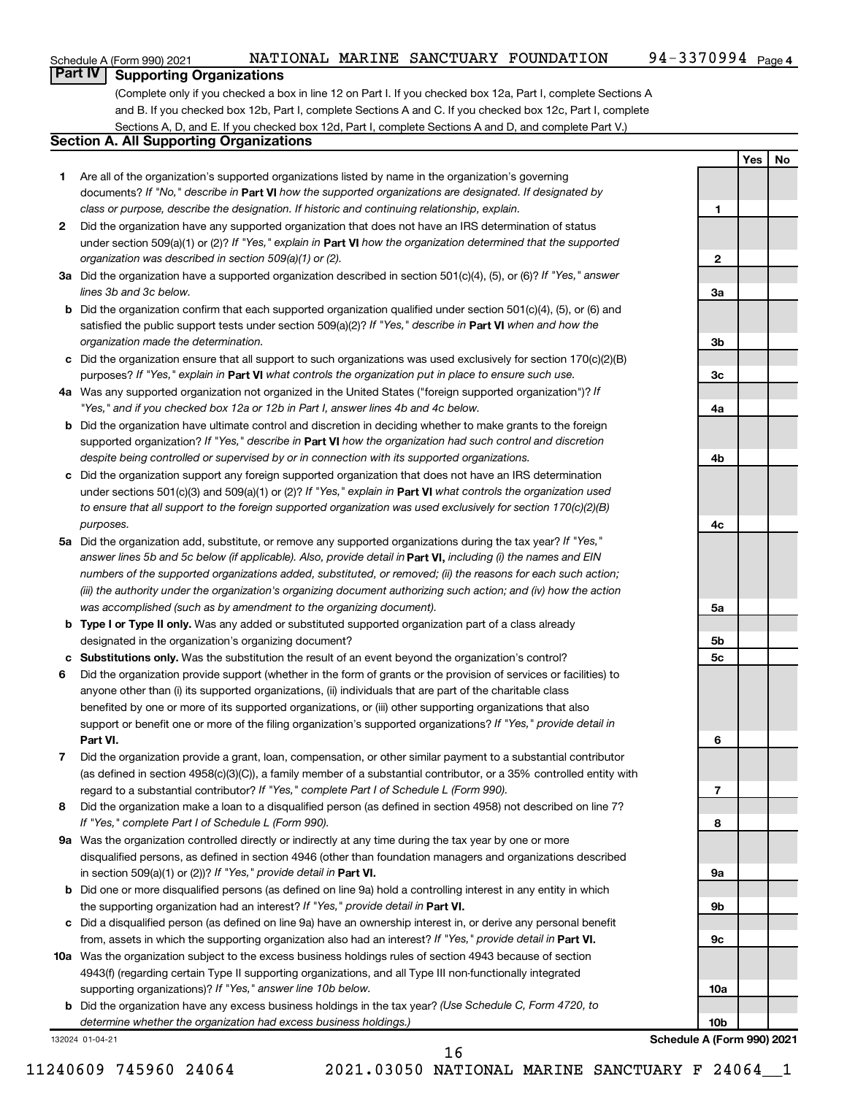**1**

**2**

**3a**

**3b**

**3c**

**4a**

**4b**

**4c**

**5a**

**5b 5c**

**6**

**7**

**8**

**9a**

**9b**

**9c**

**10a**

**Yes No**

# **Part IV Supporting Organizations**

(Complete only if you checked a box in line 12 on Part I. If you checked box 12a, Part I, complete Sections A and B. If you checked box 12b, Part I, complete Sections A and C. If you checked box 12c, Part I, complete Sections A, D, and E. If you checked box 12d, Part I, complete Sections A and D, and complete Part V.)

# **Section A. All Supporting Organizations**

- **1** Are all of the organization's supported organizations listed by name in the organization's governing documents? If "No," describe in Part VI how the supported organizations are designated. If designated by *class or purpose, describe the designation. If historic and continuing relationship, explain.*
- **2** Did the organization have any supported organization that does not have an IRS determination of status under section 509(a)(1) or (2)? If "Yes," explain in Part **VI** how the organization determined that the supported *organization was described in section 509(a)(1) or (2).*
- **3a** Did the organization have a supported organization described in section 501(c)(4), (5), or (6)? If "Yes," answer *lines 3b and 3c below.*
- **b** Did the organization confirm that each supported organization qualified under section 501(c)(4), (5), or (6) and satisfied the public support tests under section 509(a)(2)? If "Yes," describe in Part VI when and how the *organization made the determination.*
- **c** Did the organization ensure that all support to such organizations was used exclusively for section 170(c)(2)(B) purposes? If "Yes," explain in Part VI what controls the organization put in place to ensure such use.
- **4 a** *If* Was any supported organization not organized in the United States ("foreign supported organization")? *"Yes," and if you checked box 12a or 12b in Part I, answer lines 4b and 4c below.*
- **b** Did the organization have ultimate control and discretion in deciding whether to make grants to the foreign supported organization? If "Yes," describe in Part VI how the organization had such control and discretion *despite being controlled or supervised by or in connection with its supported organizations.*
- **c** Did the organization support any foreign supported organization that does not have an IRS determination under sections 501(c)(3) and 509(a)(1) or (2)? If "Yes," explain in Part VI what controls the organization used *to ensure that all support to the foreign supported organization was used exclusively for section 170(c)(2)(B) purposes.*
- **5a** Did the organization add, substitute, or remove any supported organizations during the tax year? If "Yes," answer lines 5b and 5c below (if applicable). Also, provide detail in **Part VI,** including (i) the names and EIN *numbers of the supported organizations added, substituted, or removed; (ii) the reasons for each such action; (iii) the authority under the organization's organizing document authorizing such action; and (iv) how the action was accomplished (such as by amendment to the organizing document).*
- **b Type I or Type II only.** Was any added or substituted supported organization part of a class already designated in the organization's organizing document?
- **c Substitutions only.**  Was the substitution the result of an event beyond the organization's control?
- **6** Did the organization provide support (whether in the form of grants or the provision of services or facilities) to **Part VI.** support or benefit one or more of the filing organization's supported organizations? If "Yes," provide detail in anyone other than (i) its supported organizations, (ii) individuals that are part of the charitable class benefited by one or more of its supported organizations, or (iii) other supporting organizations that also
- **7** Did the organization provide a grant, loan, compensation, or other similar payment to a substantial contributor regard to a substantial contributor? If "Yes," complete Part I of Schedule L (Form 990). (as defined in section 4958(c)(3)(C)), a family member of a substantial contributor, or a 35% controlled entity with
- **8** Did the organization make a loan to a disqualified person (as defined in section 4958) not described on line 7? *If "Yes," complete Part I of Schedule L (Form 990).*
- **9 a** Was the organization controlled directly or indirectly at any time during the tax year by one or more in section 509(a)(1) or (2))? If "Yes," provide detail in **Part VI.** disqualified persons, as defined in section 4946 (other than foundation managers and organizations described
- **b** Did one or more disqualified persons (as defined on line 9a) hold a controlling interest in any entity in which the supporting organization had an interest? If "Yes," provide detail in Part VI.
- **c** Did a disqualified person (as defined on line 9a) have an ownership interest in, or derive any personal benefit from, assets in which the supporting organization also had an interest? If "Yes," provide detail in Part VI.
- **10 a** Was the organization subject to the excess business holdings rules of section 4943 because of section supporting organizations)? If "Yes," answer line 10b below. 4943(f) (regarding certain Type II supporting organizations, and all Type III non-functionally integrated
	- **b** Did the organization have any excess business holdings in the tax year? (Use Schedule C, Form 4720, to *determine whether the organization had excess business holdings.)*

132024 01-04-21

11240609 745960 24064 2021.03050 NATIONAL MARINE SANCTUARY F 24064\_\_1 16

**10b Schedule A (Form 990) 2021**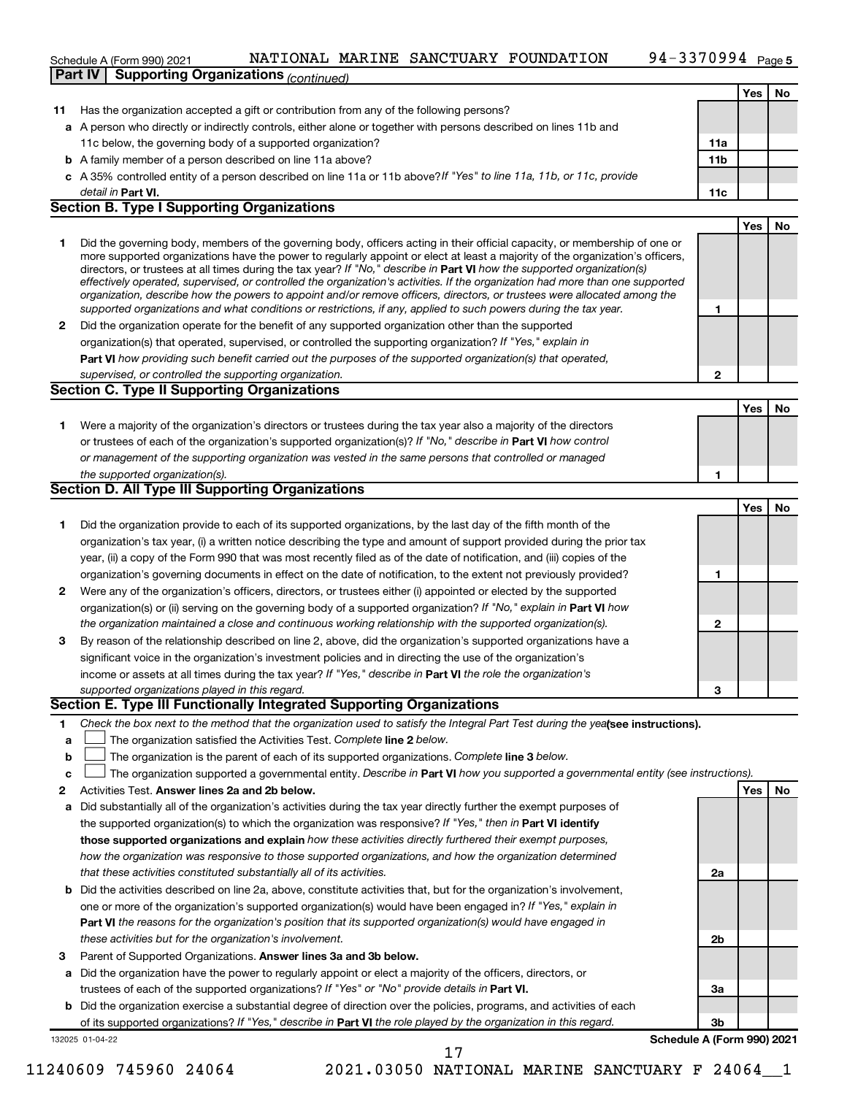#### 94-3370994 <sub>Page 5</sub> **Yes No 11** Has the organization accepted a gift or contribution from any of the following persons? **a** A person who directly or indirectly controls, either alone or together with persons described on lines 11b and **b** A family member of a person described on line 11a above? **c** *If "Yes" to line 11a, 11b, or 11c, provide* A 35% controlled entity of a person described on line 11a or 11b above? **11a 11b** detail in Part VI. Schedule A (Form 990) 2021 NATIONAL MARINE SANCTUARY FOUNDATION 94-3370994 Page 11c below, the governing body of a supported organization? **Part IV Supporting Organizations** *(continued)*

#### **Part VI. 11c Section B. Type I Supporting Organizations**

| Did the governing body, members of the governing body, officers acting in their official capacity, or membership of one or<br>more supported organizations have the power to regularly appoint or elect at least a majority of the organization's officers,<br>directors, or trustees at all times during the tax year? If "No," describe in <b>Part VI</b> how the supported organization(s)<br>effectively operated, supervised, or controlled the organization's activities. If the organization had more than one supported<br>organization, describe how the powers to appoint and/or remove officers, directors, or trustees were allocated among the |  |
|-------------------------------------------------------------------------------------------------------------------------------------------------------------------------------------------------------------------------------------------------------------------------------------------------------------------------------------------------------------------------------------------------------------------------------------------------------------------------------------------------------------------------------------------------------------------------------------------------------------------------------------------------------------|--|
| supported organizations and what conditions or restrictions, if any, applied to such powers during the tax year.                                                                                                                                                                                                                                                                                                                                                                                                                                                                                                                                            |  |
| Point and consideration and complete the contract of convenience and consideration with contract the complete of                                                                                                                                                                                                                                                                                                                                                                                                                                                                                                                                            |  |

**2** Did the organization operate for the benefit of any supported organization other than the supported **Part VI**  *how providing such benefit carried out the purposes of the supported organization(s) that operated,* organization(s) that operated, supervised, or controlled the supporting organization? If "Yes," explain in *supervised, or controlled the supporting organization.*

## **Section C. Type II Supporting Organizations**

| Were a majority of the organization's directors or trustees during the tax year also a majority of the directors     |  |
|----------------------------------------------------------------------------------------------------------------------|--|
| or trustees of each of the organization's supported organization(s)? If "No," describe in <b>Part VI</b> how control |  |
| or management of the supporting organization was vested in the same persons that controlled or managed               |  |
| the supported organization(s).                                                                                       |  |

#### **Section D. All Type III Supporting Organizations**

|              |                                                                                                                        |   | Yes | No |
|--------------|------------------------------------------------------------------------------------------------------------------------|---|-----|----|
|              | Did the organization provide to each of its supported organizations, by the last day of the fifth month of the         |   |     |    |
|              | organization's tax year, (i) a written notice describing the type and amount of support provided during the prior tax  |   |     |    |
|              | year, (ii) a copy of the Form 990 that was most recently filed as of the date of notification, and (iii) copies of the |   |     |    |
|              | organization's governing documents in effect on the date of notification, to the extent not previously provided?       |   |     |    |
| $\mathbf{2}$ | Were any of the organization's officers, directors, or trustees either (i) appointed or elected by the supported       |   |     |    |
|              | organization(s) or (ii) serving on the governing body of a supported organization? If "No," explain in Part VI how     |   |     |    |
|              | the organization maintained a close and continuous working relationship with the supported organization(s).            | 2 |     |    |
| 3            | By reason of the relationship described on line 2, above, did the organization's supported organizations have a        |   |     |    |
|              | significant voice in the organization's investment policies and in directing the use of the organization's             |   |     |    |
|              | income or assets at all times during the tax year? If "Yes," describe in <b>Part VI</b> the role the organization's    |   |     |    |
|              | supported organizations played in this regard.                                                                         | 3 |     |    |

#### **Section E. Type III Functionally Integrated Supporting Organizations**

- **1** Check the box next to the method that the organization used to satisfy the Integral Part Test during the yealsee instructions).
- **a line organization satisfied the Activities Test. Complete line 2 below.**
- **b** The organization is the parent of each of its supported organizations. Complete line 3 below.  $\sim$
- **c** The organization supported a governmental entity. Describe in Part VI how you supported a governmental entity (see instructions).  $\sim$
- **2 Answer lines 2a and 2b below. Yes No** Activities Test.
- **a** Did substantially all of the organization's activities during the tax year directly further the exempt purposes of the supported organization(s) to which the organization was responsive? If "Yes," then in Part VI identify **those supported organizations and explain**  *how these activities directly furthered their exempt purposes, how the organization was responsive to those supported organizations, and how the organization determined that these activities constituted substantially all of its activities.*
- **b** Did the activities described on line 2a, above, constitute activities that, but for the organization's involvement, **Part VI**  *the reasons for the organization's position that its supported organization(s) would have engaged in* one or more of the organization's supported organization(s) would have been engaged in? If "Yes," explain in *these activities but for the organization's involvement.*
- 3 Parent of Supported Organizations. Answer lines 3a and 3b below.
- **a** Did the organization have the power to regularly appoint or elect a majority of the officers, directors, or trustees of each of the supported organizations? If "Yes" or "No" provide details in Part VI.
- **b** Did the organization exercise a substantial degree of direction over the policies, programs, and activities of each of its supported organizations? If "Yes," describe in Part VI the role played by the organization in this regard.

132025 01-04-22

**3b Schedule A (Form 990) 2021**

**2a**

**2b**

**3a**

**Yes No**

**Yes No**

**2**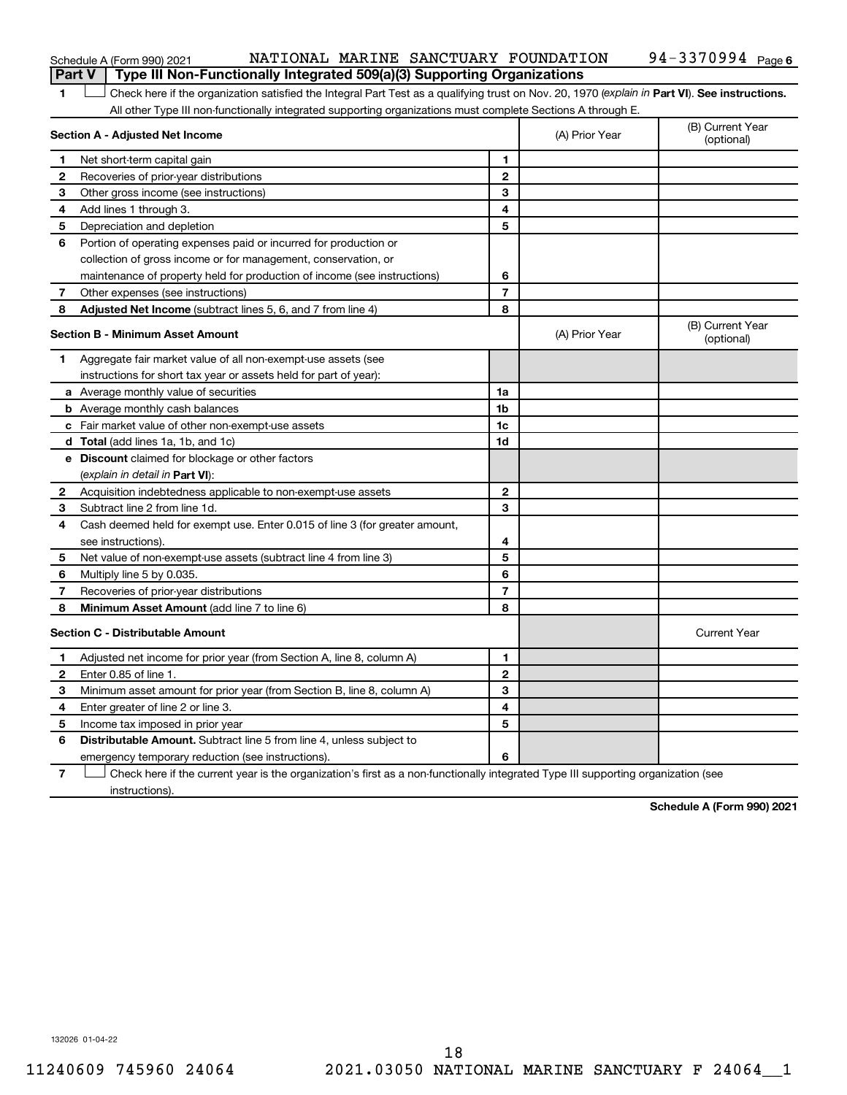| Schedule A (Form 990) 2021 |
|----------------------------|
|----------------------------|

#### Schedule A (Form 990) 2021 NATIONAL MARINE SANCTUARY FOUNDATION 94-3370994 Page **Part V | Type III Non-Functionally Integrated 509(a)(3) Supporting Organizations**

| 1            | Check here if the organization satisfied the Integral Part Test as a qualifying trust on Nov. 20, 1970 (explain in Part VI). See instructions. |                |                |                                |
|--------------|------------------------------------------------------------------------------------------------------------------------------------------------|----------------|----------------|--------------------------------|
|              | All other Type III non-functionally integrated supporting organizations must complete Sections A through E.                                    |                |                |                                |
|              | Section A - Adjusted Net Income                                                                                                                |                | (A) Prior Year | (B) Current Year<br>(optional) |
| -1           | Net short-term capital gain                                                                                                                    | 1              |                |                                |
| 2            | Recoveries of prior-year distributions                                                                                                         | $\overline{2}$ |                |                                |
| 3            | Other gross income (see instructions)                                                                                                          | 3              |                |                                |
| 4            | Add lines 1 through 3.                                                                                                                         | 4              |                |                                |
| 5            | Depreciation and depletion                                                                                                                     | 5              |                |                                |
| 6            | Portion of operating expenses paid or incurred for production or                                                                               |                |                |                                |
|              | collection of gross income or for management, conservation, or                                                                                 |                |                |                                |
|              | maintenance of property held for production of income (see instructions)                                                                       | 6              |                |                                |
| 7            | Other expenses (see instructions)                                                                                                              | 7              |                |                                |
| 8            | Adjusted Net Income (subtract lines 5, 6, and 7 from line 4)                                                                                   | 8              |                |                                |
|              | Section B - Minimum Asset Amount                                                                                                               |                | (A) Prior Year | (B) Current Year<br>(optional) |
| 1            | Aggregate fair market value of all non-exempt-use assets (see                                                                                  |                |                |                                |
|              | instructions for short tax year or assets held for part of year):                                                                              |                |                |                                |
|              | <b>a</b> Average monthly value of securities                                                                                                   | 1a             |                |                                |
|              | <b>b</b> Average monthly cash balances                                                                                                         | 1b             |                |                                |
|              | c Fair market value of other non-exempt-use assets                                                                                             | 1c             |                |                                |
|              | d Total (add lines 1a, 1b, and 1c)                                                                                                             | 1d             |                |                                |
|              | e Discount claimed for blockage or other factors                                                                                               |                |                |                                |
|              | (explain in detail in <b>Part VI</b> ):                                                                                                        |                |                |                                |
| 2            | Acquisition indebtedness applicable to non-exempt-use assets                                                                                   | $\mathbf{2}$   |                |                                |
| З            | Subtract line 2 from line 1d.                                                                                                                  | 3              |                |                                |
| 4            | Cash deemed held for exempt use. Enter 0.015 of line 3 (for greater amount,                                                                    |                |                |                                |
|              | see instructions)                                                                                                                              | 4              |                |                                |
| 5            | Net value of non-exempt-use assets (subtract line 4 from line 3)                                                                               | 5              |                |                                |
| 6            | Multiply line 5 by 0.035.                                                                                                                      | 6              |                |                                |
| 7            | Recoveries of prior-year distributions                                                                                                         | 7              |                |                                |
| 8            | Minimum Asset Amount (add line 7 to line 6)                                                                                                    | 8              |                |                                |
|              | Section C - Distributable Amount                                                                                                               |                |                | <b>Current Year</b>            |
| 1            | Adjusted net income for prior year (from Section A, line 8, column A)                                                                          | 1              |                |                                |
| $\mathbf{2}$ | Enter 0.85 of line 1.                                                                                                                          | $\mathbf{2}$   |                |                                |
| 3            | Minimum asset amount for prior year (from Section B, line 8, column A)                                                                         | 3              |                |                                |
| 4            | Enter greater of line 2 or line 3.                                                                                                             | 4              |                |                                |
| 5            | Income tax imposed in prior year                                                                                                               | 5              |                |                                |
| 6            | <b>Distributable Amount.</b> Subtract line 5 from line 4, unless subject to                                                                    |                |                |                                |
|              | emergency temporary reduction (see instructions).                                                                                              | 6              |                |                                |
|              |                                                                                                                                                |                |                |                                |

**7** Check here if the current year is the organization's first as a non-functionally integrated Type III supporting organization (see instructions).

**Schedule A (Form 990) 2021**

132026 01-04-22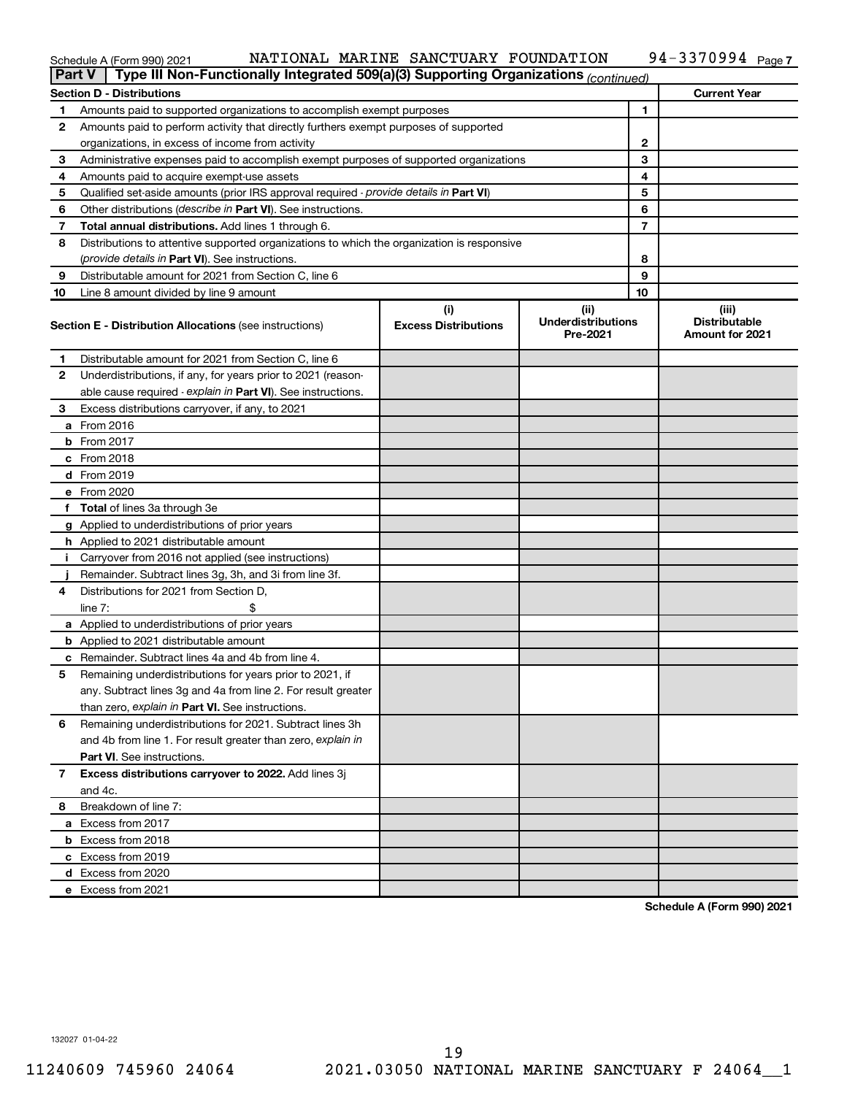#### Schedule A (Form 990) 2021 Page NATIONAL MARINE SANCTUARY FOUNDATION 94-3370994

| <b>Part V</b> | Type III Non-Functionally Integrated 509(a)(3) Supporting Organizations (continued)        |                             |                                       |    |                                                |
|---------------|--------------------------------------------------------------------------------------------|-----------------------------|---------------------------------------|----|------------------------------------------------|
|               | <b>Section D - Distributions</b>                                                           |                             |                                       |    | <b>Current Year</b>                            |
| 1             | Amounts paid to supported organizations to accomplish exempt purposes                      |                             |                                       | 1  |                                                |
| 2             | Amounts paid to perform activity that directly furthers exempt purposes of supported       |                             |                                       |    |                                                |
|               | organizations, in excess of income from activity                                           |                             |                                       | 2  |                                                |
| 3             | Administrative expenses paid to accomplish exempt purposes of supported organizations      |                             |                                       | 3  |                                                |
| 4             | Amounts paid to acquire exempt-use assets                                                  |                             |                                       | 4  |                                                |
| 5             | Qualified set-aside amounts (prior IRS approval required - provide details in Part VI)     |                             |                                       | 5  |                                                |
| 6             | Other distributions ( <i>describe in Part VI</i> ). See instructions.                      |                             |                                       | 6  |                                                |
| 7             | Total annual distributions. Add lines 1 through 6.                                         |                             |                                       | 7  |                                                |
| 8             | Distributions to attentive supported organizations to which the organization is responsive |                             |                                       |    |                                                |
|               | ( <i>provide details in Part VI</i> ). See instructions.                                   |                             |                                       | 8  |                                                |
| 9             | Distributable amount for 2021 from Section C, line 6                                       |                             |                                       | 9  |                                                |
| 10            | Line 8 amount divided by line 9 amount                                                     |                             |                                       | 10 |                                                |
|               |                                                                                            | (i)                         | (iii)                                 |    | (iii)                                          |
|               | <b>Section E - Distribution Allocations (see instructions)</b>                             | <b>Excess Distributions</b> | <b>Underdistributions</b><br>Pre-2021 |    | <b>Distributable</b><br><b>Amount for 2021</b> |
| 1             | Distributable amount for 2021 from Section C, line 6                                       |                             |                                       |    |                                                |
| 2             | Underdistributions, if any, for years prior to 2021 (reason-                               |                             |                                       |    |                                                |
|               | able cause required - explain in Part VI). See instructions.                               |                             |                                       |    |                                                |
| 3             | Excess distributions carryover, if any, to 2021                                            |                             |                                       |    |                                                |
|               | a From 2016                                                                                |                             |                                       |    |                                                |
|               | <b>b</b> From 2017                                                                         |                             |                                       |    |                                                |
|               | c From 2018                                                                                |                             |                                       |    |                                                |
|               | <b>d</b> From 2019                                                                         |                             |                                       |    |                                                |
|               | e From 2020                                                                                |                             |                                       |    |                                                |
|               | f Total of lines 3a through 3e                                                             |                             |                                       |    |                                                |
|               | g Applied to underdistributions of prior years                                             |                             |                                       |    |                                                |
|               | <b>h</b> Applied to 2021 distributable amount                                              |                             |                                       |    |                                                |
| Ť.            | Carryover from 2016 not applied (see instructions)                                         |                             |                                       |    |                                                |
|               | Remainder. Subtract lines 3g, 3h, and 3i from line 3f.                                     |                             |                                       |    |                                                |
| 4             | Distributions for 2021 from Section D,                                                     |                             |                                       |    |                                                |
|               | line $7:$                                                                                  |                             |                                       |    |                                                |
|               | a Applied to underdistributions of prior years                                             |                             |                                       |    |                                                |
|               | <b>b</b> Applied to 2021 distributable amount                                              |                             |                                       |    |                                                |
|               | c Remainder. Subtract lines 4a and 4b from line 4.                                         |                             |                                       |    |                                                |
| 5             | Remaining underdistributions for years prior to 2021, if                                   |                             |                                       |    |                                                |
|               | any. Subtract lines 3g and 4a from line 2. For result greater                              |                             |                                       |    |                                                |
|               | than zero, explain in Part VI. See instructions.                                           |                             |                                       |    |                                                |
| 6             | Remaining underdistributions for 2021. Subtract lines 3h                                   |                             |                                       |    |                                                |
|               | and 4b from line 1. For result greater than zero, explain in                               |                             |                                       |    |                                                |
|               | <b>Part VI.</b> See instructions.                                                          |                             |                                       |    |                                                |
| 7             | Excess distributions carryover to 2022. Add lines 3j                                       |                             |                                       |    |                                                |
|               | and 4c.                                                                                    |                             |                                       |    |                                                |
| 8             | Breakdown of line 7:                                                                       |                             |                                       |    |                                                |
|               | a Excess from 2017                                                                         |                             |                                       |    |                                                |
|               | <b>b</b> Excess from 2018                                                                  |                             |                                       |    |                                                |
|               | c Excess from 2019                                                                         |                             |                                       |    |                                                |
|               | d Excess from 2020                                                                         |                             |                                       |    |                                                |
|               | e Excess from 2021                                                                         |                             |                                       |    |                                                |

**Schedule A (Form 990) 2021**

132027 01-04-22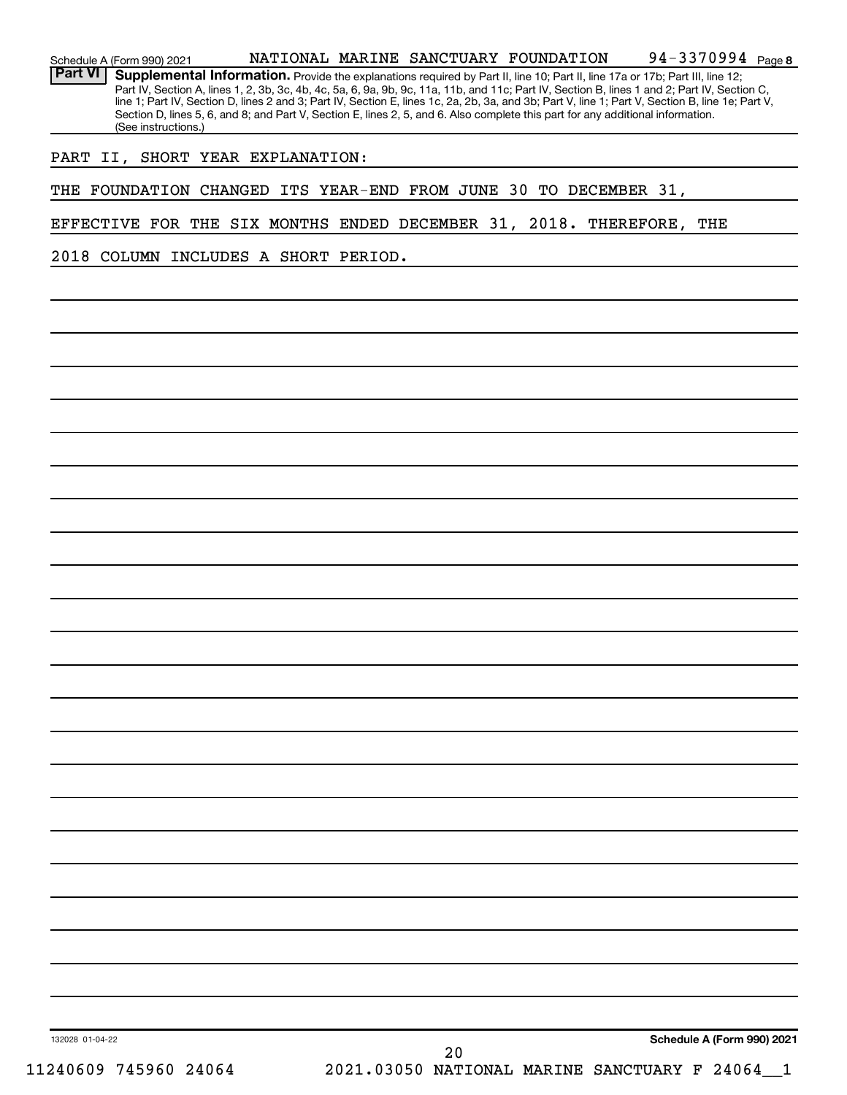| Schedule A (Form 990) 2021           | 94-3370994 Page 8<br>NATIONAL MARINE SANCTUARY FOUNDATION                                                                                                                                                                                                                                                                                                                                                                                                                                                                                                            |
|--------------------------------------|----------------------------------------------------------------------------------------------------------------------------------------------------------------------------------------------------------------------------------------------------------------------------------------------------------------------------------------------------------------------------------------------------------------------------------------------------------------------------------------------------------------------------------------------------------------------|
| <b>Part VI</b>                       | Supplemental Information. Provide the explanations required by Part II, line 10; Part II, line 17a or 17b; Part III, line 12;<br>Part IV, Section A, lines 1, 2, 3b, 3c, 4b, 4c, 5a, 6, 9a, 9b, 9c, 11a, 11b, and 11c; Part IV, Section B, lines 1 and 2; Part IV, Section C,<br>line 1; Part IV, Section D, lines 2 and 3; Part IV, Section E, lines 1c, 2a, 2b, 3a, and 3b; Part V, line 1; Part V, Section B, line 1e; Part V,<br>Section D, lines 5, 6, and 8; and Part V, Section E, lines 2, 5, and 6. Also complete this part for any additional information. |
| (See instructions.)                  |                                                                                                                                                                                                                                                                                                                                                                                                                                                                                                                                                                      |
| PART II, SHORT YEAR EXPLANATION:     |                                                                                                                                                                                                                                                                                                                                                                                                                                                                                                                                                                      |
|                                      | THE FOUNDATION CHANGED ITS YEAR-END FROM JUNE 30 TO DECEMBER 31,                                                                                                                                                                                                                                                                                                                                                                                                                                                                                                     |
|                                      | EFFECTIVE FOR THE SIX MONTHS ENDED DECEMBER 31, 2018. THEREFORE, THE                                                                                                                                                                                                                                                                                                                                                                                                                                                                                                 |
| 2018 COLUMN INCLUDES A SHORT PERIOD. |                                                                                                                                                                                                                                                                                                                                                                                                                                                                                                                                                                      |
|                                      |                                                                                                                                                                                                                                                                                                                                                                                                                                                                                                                                                                      |
|                                      |                                                                                                                                                                                                                                                                                                                                                                                                                                                                                                                                                                      |
|                                      |                                                                                                                                                                                                                                                                                                                                                                                                                                                                                                                                                                      |
|                                      |                                                                                                                                                                                                                                                                                                                                                                                                                                                                                                                                                                      |
|                                      |                                                                                                                                                                                                                                                                                                                                                                                                                                                                                                                                                                      |
|                                      |                                                                                                                                                                                                                                                                                                                                                                                                                                                                                                                                                                      |
|                                      |                                                                                                                                                                                                                                                                                                                                                                                                                                                                                                                                                                      |
|                                      |                                                                                                                                                                                                                                                                                                                                                                                                                                                                                                                                                                      |
|                                      |                                                                                                                                                                                                                                                                                                                                                                                                                                                                                                                                                                      |
|                                      |                                                                                                                                                                                                                                                                                                                                                                                                                                                                                                                                                                      |
|                                      |                                                                                                                                                                                                                                                                                                                                                                                                                                                                                                                                                                      |
|                                      |                                                                                                                                                                                                                                                                                                                                                                                                                                                                                                                                                                      |
|                                      |                                                                                                                                                                                                                                                                                                                                                                                                                                                                                                                                                                      |
|                                      |                                                                                                                                                                                                                                                                                                                                                                                                                                                                                                                                                                      |
|                                      |                                                                                                                                                                                                                                                                                                                                                                                                                                                                                                                                                                      |
|                                      |                                                                                                                                                                                                                                                                                                                                                                                                                                                                                                                                                                      |
|                                      |                                                                                                                                                                                                                                                                                                                                                                                                                                                                                                                                                                      |
|                                      |                                                                                                                                                                                                                                                                                                                                                                                                                                                                                                                                                                      |
|                                      |                                                                                                                                                                                                                                                                                                                                                                                                                                                                                                                                                                      |
|                                      |                                                                                                                                                                                                                                                                                                                                                                                                                                                                                                                                                                      |
|                                      |                                                                                                                                                                                                                                                                                                                                                                                                                                                                                                                                                                      |
|                                      |                                                                                                                                                                                                                                                                                                                                                                                                                                                                                                                                                                      |
|                                      |                                                                                                                                                                                                                                                                                                                                                                                                                                                                                                                                                                      |
|                                      |                                                                                                                                                                                                                                                                                                                                                                                                                                                                                                                                                                      |
|                                      |                                                                                                                                                                                                                                                                                                                                                                                                                                                                                                                                                                      |
|                                      |                                                                                                                                                                                                                                                                                                                                                                                                                                                                                                                                                                      |
|                                      |                                                                                                                                                                                                                                                                                                                                                                                                                                                                                                                                                                      |
|                                      |                                                                                                                                                                                                                                                                                                                                                                                                                                                                                                                                                                      |
| 132028 01-04-22                      | Schedule A (Form 990) 2021<br>20                                                                                                                                                                                                                                                                                                                                                                                                                                                                                                                                     |
| 11240609 745960 24064                | 2021.03050 NATIONAL MARINE SANCTUARY F 24064_1                                                                                                                                                                                                                                                                                                                                                                                                                                                                                                                       |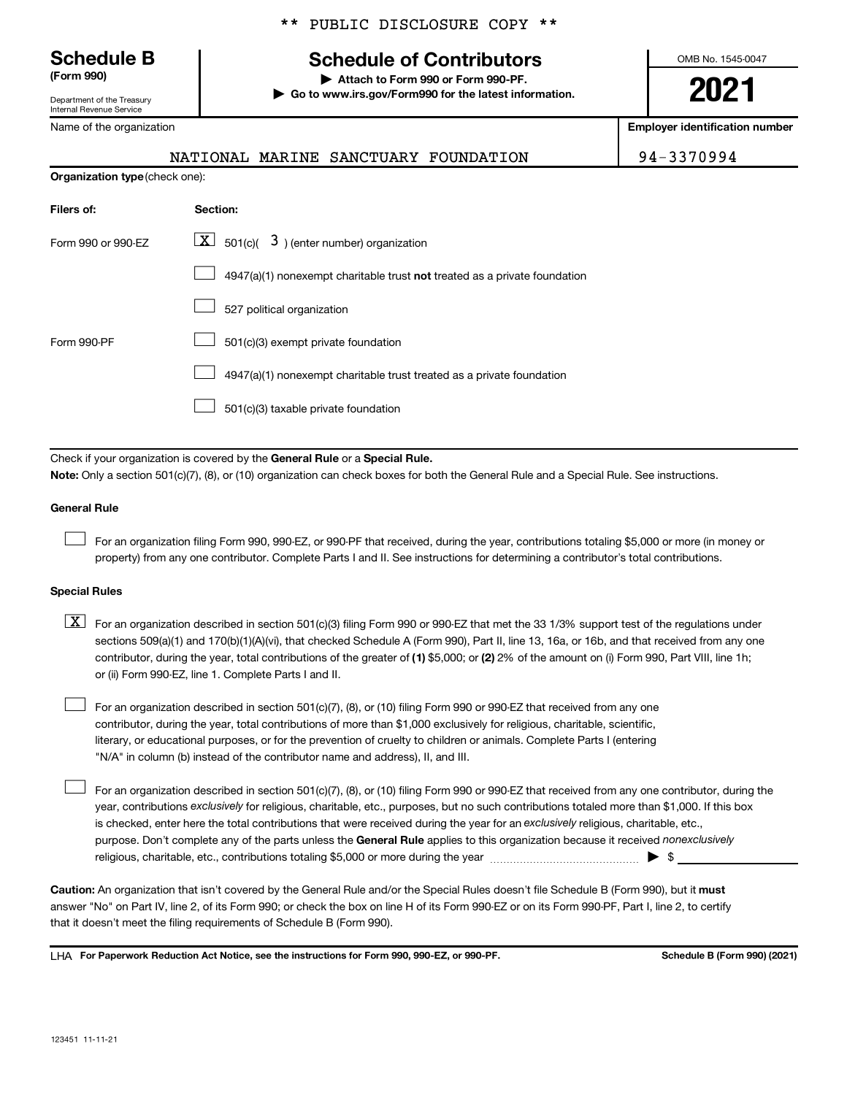Department of the Treasury Internal Revenue Service

\*\* PUBLIC DISCLOSURE COPY \*\*

# **Schedule B Schedule of Contributors**

**(Form 990) | Attach to Form 990 or Form 990-PF. | Go to www.irs.gov/Form990 for the latest information.** OMB No. 1545-0047

**2021**

**Employer identification number**

NATIONAL MARINE SANCTUARY FOUNDATION 94-3370994

| Name of the organization |  |
|--------------------------|--|
|                          |  |
|                          |  |

| <b>Organization type (check one):</b> |                                                                           |  |  |
|---------------------------------------|---------------------------------------------------------------------------|--|--|
| Filers of:                            | Section:                                                                  |  |  |
| Form 990 or 990-EZ                    | $ \mathbf{X} $ 501(c)( 3) (enter number) organization                     |  |  |
|                                       | 4947(a)(1) nonexempt charitable trust not treated as a private foundation |  |  |
|                                       | 527 political organization                                                |  |  |
| Form 990-PF                           | 501(c)(3) exempt private foundation                                       |  |  |
|                                       | 4947(a)(1) nonexempt charitable trust treated as a private foundation     |  |  |
|                                       | 501(c)(3) taxable private foundation                                      |  |  |

Check if your organization is covered by the General Rule or a Special Rule.

**Note:**  Only a section 501(c)(7), (8), or (10) organization can check boxes for both the General Rule and a Special Rule. See instructions.

#### **General Rule**

 $\mathcal{L}^{\text{eff}}$ 

For an organization filing Form 990, 990-EZ, or 990-PF that received, during the year, contributions totaling \$5,000 or more (in money or property) from any one contributor. Complete Parts I and II. See instructions for determining a contributor's total contributions.

## **Special Rules**

- contributor, during the year, total contributions of the greater of (1) \$5,000; or (2) 2% of the amount on (i) Form 990, Part VIII, line 1h;  $\boxed{\text{X}}$  For an organization described in section 501(c)(3) filing Form 990 or 990-EZ that met the 33 1/3% support test of the regulations under sections 509(a)(1) and 170(b)(1)(A)(vi), that checked Schedule A (Form 990), Part II, line 13, 16a, or 16b, and that received from any one or (ii) Form 990-EZ, line 1. Complete Parts I and II.
- For an organization described in section 501(c)(7), (8), or (10) filing Form 990 or 990-EZ that received from any one contributor, during the year, total contributions of more than \$1,000 exclusively for religious, charitable, scientific, literary, or educational purposes, or for the prevention of cruelty to children or animals. Complete Parts I (entering "N/A" in column (b) instead of the contributor name and address), II, and III.  $\mathcal{L}^{\text{eff}}$

purpose. Don't complete any of the parts unless the General Rule applies to this organization because it received nonexclusively year, contributions exclusively for religious, charitable, etc., purposes, but no such contributions totaled more than \$1,000. If this box is checked, enter here the total contributions that were received during the year for an exclusively religious, charitable, etc., For an organization described in section 501(c)(7), (8), or (10) filing Form 990 or 990-EZ that received from any one contributor, during the religious, charitable, etc., contributions totaling \$5,000 or more during the year  $\ldots$  $\ldots$  $\ldots$  $\ldots$  $\ldots$  $\ldots$  $\mathcal{L}^{\text{eff}}$ 

Caution: An organization that isn't covered by the General Rule and/or the Special Rules doesn't file Schedule B (Form 990), but it must answer "No" on Part IV, line 2, of its Form 990; or check the box on line H of its Form 990-EZ or on its Form 990-PF, Part I, line 2, to certify that it doesn't meet the filing requirements of Schedule B (Form 990).

LHA For Paperwork Reduction Act Notice, see the instructions for Form 990, 990-EZ, or 990-PF. **Schell B (Form 990)** (2021)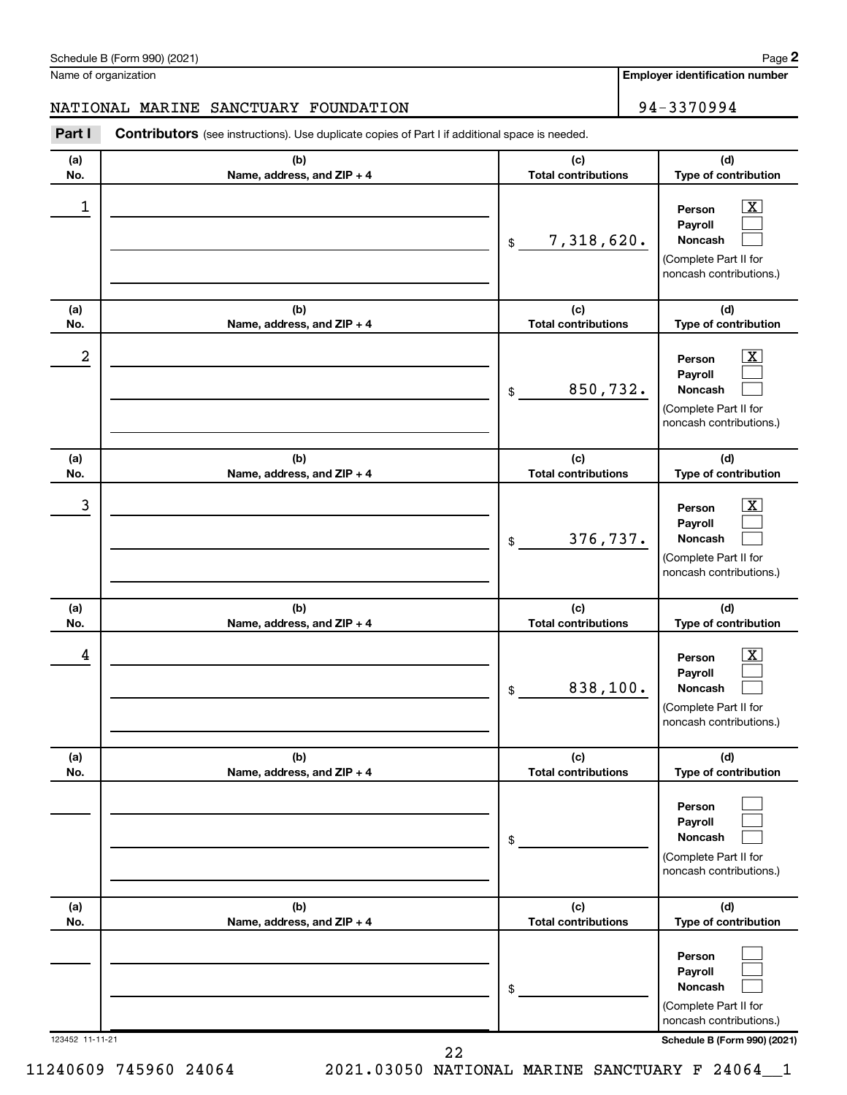NATIONAL MARINE SANCTUARY FOUNDATION 194-3370994

**(a) (b) (c)** Part I Contributors (see instructions). Use duplicate copies of Part I if additional space is needed.

| <b>Total contributions</b><br>Type of contribution<br>No.<br>Name, address, and ZIP + 4<br>1<br>$\overline{\mathbf{X}}$<br>Person<br>Payroll<br>7,318,620.<br>Noncash<br>$\frac{1}{2}$<br>(Complete Part II for<br>noncash contributions.)<br>(c)<br>(d)<br>(b)<br>(a)<br><b>Total contributions</b><br>Type of contribution<br>No.<br>Name, address, and ZIP + 4<br>2<br>$\overline{\mathbf{X}}$<br>Person<br>Payroll<br>850,732.<br>Noncash<br>\$<br>(Complete Part II for<br>noncash contributions.)<br>(c)<br>(d)<br>(b)<br>(a)<br><b>Total contributions</b><br>Type of contribution<br>No.<br>Name, address, and ZIP + 4<br>3<br>$\overline{\mathbf{X}}$<br>Person<br>Payroll<br>376,737.<br>Noncash<br>\$<br>(Complete Part II for<br>noncash contributions.)<br>(b)<br>(c)<br>(d)<br>(a)<br><b>Total contributions</b><br>No.<br>Name, address, and ZIP + 4<br>Type of contribution<br>$\overline{\text{X}}$<br>4<br>Person<br>Payroll<br>838,100.<br>Noncash<br>\$<br>(Complete Part II for<br>noncash contributions.)<br>(d)<br>(b)<br>(c)<br>(a)<br>No.<br><b>Total contributions</b><br>Type of contribution<br>Name, address, and ZIP + 4<br>Person<br>Payroll<br>Noncash<br>\$<br>(Complete Part II for<br>noncash contributions.)<br>(c)<br>(d)<br>(a)<br>(b)<br><b>Total contributions</b><br>Type of contribution<br>No.<br>Name, address, and ZIP + 4<br>Person<br>Payroll<br>Noncash<br>\$<br>(Complete Part II for<br>noncash contributions.)<br>123452 11-11-21 | (a) | (b) | (c) | (d)                          |
|--------------------------------------------------------------------------------------------------------------------------------------------------------------------------------------------------------------------------------------------------------------------------------------------------------------------------------------------------------------------------------------------------------------------------------------------------------------------------------------------------------------------------------------------------------------------------------------------------------------------------------------------------------------------------------------------------------------------------------------------------------------------------------------------------------------------------------------------------------------------------------------------------------------------------------------------------------------------------------------------------------------------------------------------------------------------------------------------------------------------------------------------------------------------------------------------------------------------------------------------------------------------------------------------------------------------------------------------------------------------------------------------------------------------------------------------------------------------------------------|-----|-----|-----|------------------------------|
|                                                                                                                                                                                                                                                                                                                                                                                                                                                                                                                                                                                                                                                                                                                                                                                                                                                                                                                                                                                                                                                                                                                                                                                                                                                                                                                                                                                                                                                                                      |     |     |     |                              |
|                                                                                                                                                                                                                                                                                                                                                                                                                                                                                                                                                                                                                                                                                                                                                                                                                                                                                                                                                                                                                                                                                                                                                                                                                                                                                                                                                                                                                                                                                      |     |     |     |                              |
|                                                                                                                                                                                                                                                                                                                                                                                                                                                                                                                                                                                                                                                                                                                                                                                                                                                                                                                                                                                                                                                                                                                                                                                                                                                                                                                                                                                                                                                                                      |     |     |     |                              |
|                                                                                                                                                                                                                                                                                                                                                                                                                                                                                                                                                                                                                                                                                                                                                                                                                                                                                                                                                                                                                                                                                                                                                                                                                                                                                                                                                                                                                                                                                      |     |     |     |                              |
|                                                                                                                                                                                                                                                                                                                                                                                                                                                                                                                                                                                                                                                                                                                                                                                                                                                                                                                                                                                                                                                                                                                                                                                                                                                                                                                                                                                                                                                                                      |     |     |     |                              |
|                                                                                                                                                                                                                                                                                                                                                                                                                                                                                                                                                                                                                                                                                                                                                                                                                                                                                                                                                                                                                                                                                                                                                                                                                                                                                                                                                                                                                                                                                      |     |     |     |                              |
|                                                                                                                                                                                                                                                                                                                                                                                                                                                                                                                                                                                                                                                                                                                                                                                                                                                                                                                                                                                                                                                                                                                                                                                                                                                                                                                                                                                                                                                                                      |     |     |     |                              |
|                                                                                                                                                                                                                                                                                                                                                                                                                                                                                                                                                                                                                                                                                                                                                                                                                                                                                                                                                                                                                                                                                                                                                                                                                                                                                                                                                                                                                                                                                      |     |     |     |                              |
|                                                                                                                                                                                                                                                                                                                                                                                                                                                                                                                                                                                                                                                                                                                                                                                                                                                                                                                                                                                                                                                                                                                                                                                                                                                                                                                                                                                                                                                                                      |     |     |     |                              |
|                                                                                                                                                                                                                                                                                                                                                                                                                                                                                                                                                                                                                                                                                                                                                                                                                                                                                                                                                                                                                                                                                                                                                                                                                                                                                                                                                                                                                                                                                      |     |     |     |                              |
| 22                                                                                                                                                                                                                                                                                                                                                                                                                                                                                                                                                                                                                                                                                                                                                                                                                                                                                                                                                                                                                                                                                                                                                                                                                                                                                                                                                                                                                                                                                   |     |     |     | Schedule B (Form 990) (2021) |

**Employer identification number**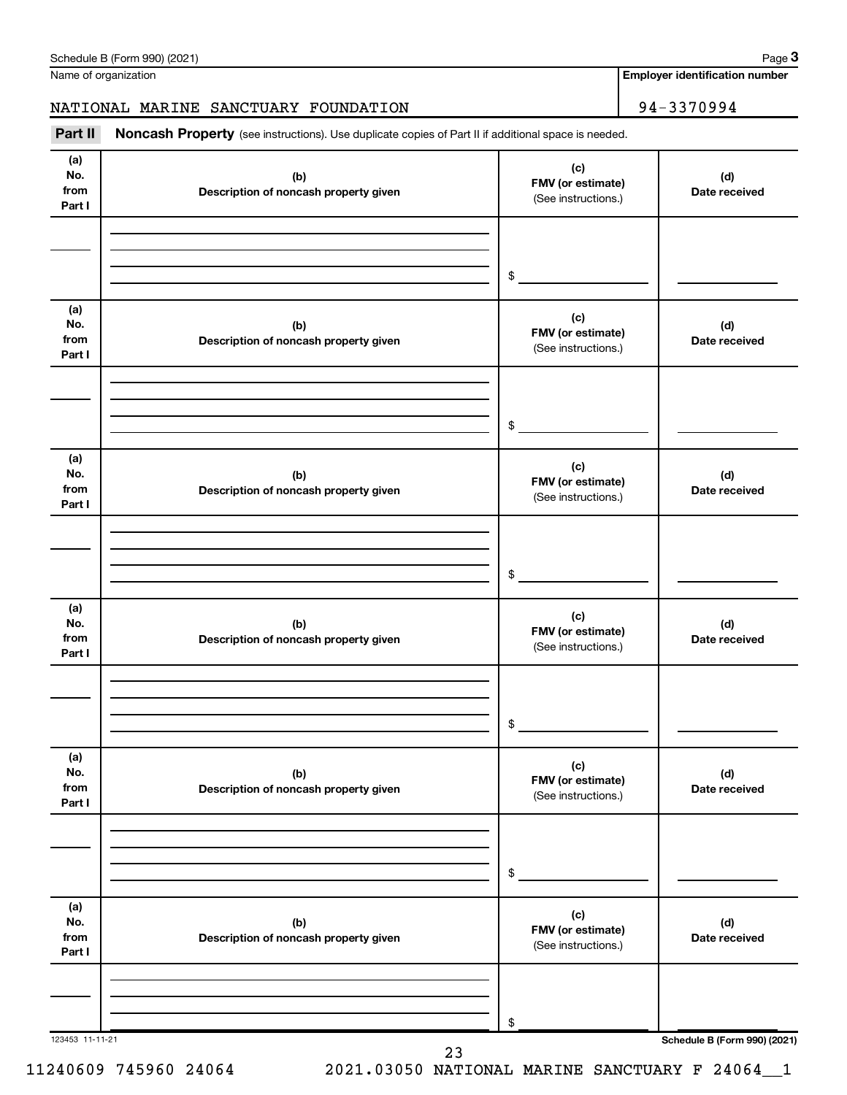| (d)<br>No.<br>from<br>Part I | (b)<br>Description of noncash property given | (c)<br>FMV (or estimate)<br>(See instructions.) | (d)<br>Date received         |
|------------------------------|----------------------------------------------|-------------------------------------------------|------------------------------|
| (a)                          |                                              | \$                                              |                              |
| No.<br>from<br>Part I        | (b)<br>Description of noncash property given | (c)<br>FMV (or estimate)<br>(See instructions.) | (d)<br>Date received         |
|                              |                                              | \$                                              |                              |
| (a)<br>No.<br>from<br>Part I | (b)<br>Description of noncash property given | (c)<br>FMV (or estimate)<br>(See instructions.) | (d)<br>Date received         |
|                              |                                              | \$                                              |                              |
| (a)<br>No.<br>from<br>Part I | (b)<br>Description of noncash property given | (c)<br>FMV (or estimate)<br>(See instructions.) | (d)<br>Date received         |
|                              |                                              | \$                                              |                              |
| (a)<br>No.<br>from<br>Part I | (b)<br>Description of noncash property given | (c)<br>FMV (or estimate)<br>(See instructions.) | (d)<br>Date received         |
|                              |                                              | \$                                              |                              |
| (a)<br>No.<br>from<br>Part I | (b)<br>Description of noncash property given | (c)<br>FMV (or estimate)<br>(See instructions.) | (d)<br>Date received         |
| 123453 11-11-21              |                                              | \$                                              | Schedule B (Form 990) (2021) |

Part II Noncash Property (see instructions). Use duplicate copies of Part II if additional space is needed.

Name of organization

**Employer identification number**

NATIONAL MARINE SANCTUARY FOUNDATION 94-3370994

**3**

# Schedule B (Form 990) (2021)

**(a)**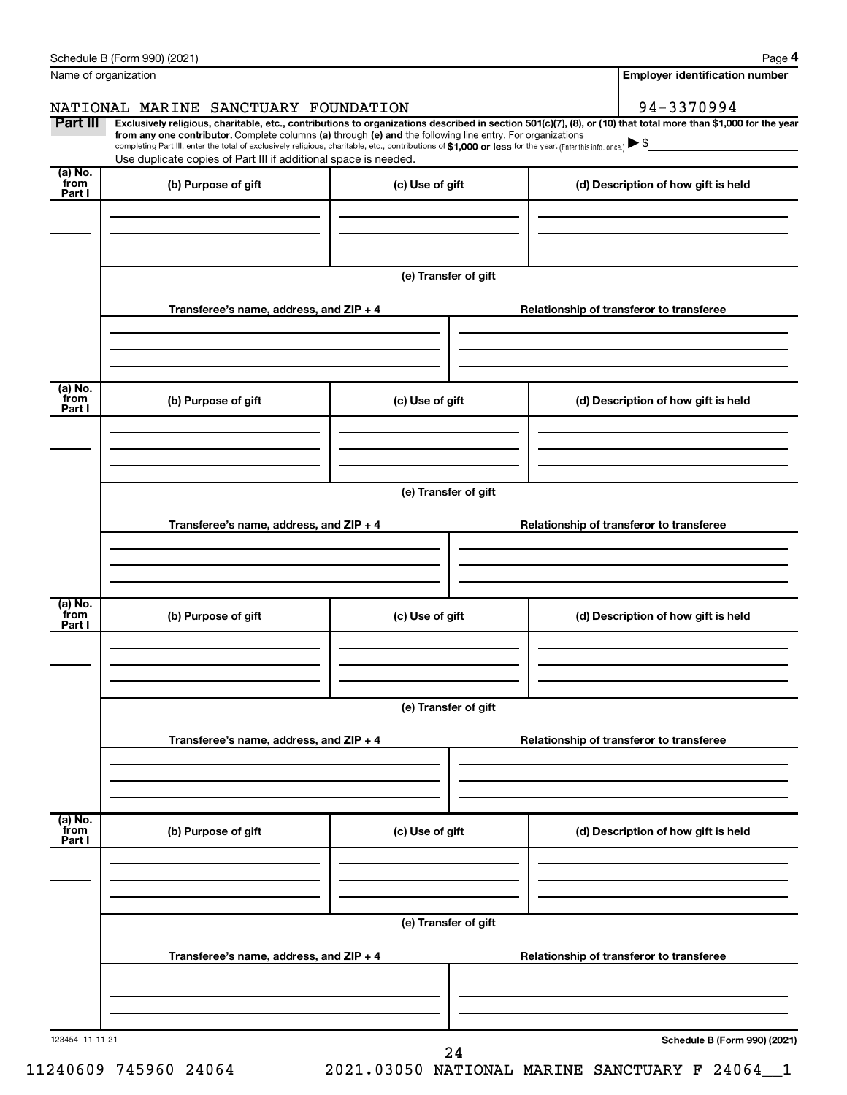|                           | Schedule B (Form 990) (2021)                                                                                                                                                                                                                                           |                      | Page 4                                   |
|---------------------------|------------------------------------------------------------------------------------------------------------------------------------------------------------------------------------------------------------------------------------------------------------------------|----------------------|------------------------------------------|
|                           | Name of organization                                                                                                                                                                                                                                                   |                      | <b>Employer identification number</b>    |
|                           | NATIONAL MARINE SANCTUARY FOUNDATION                                                                                                                                                                                                                                   |                      | 94-3370994                               |
| Part III                  | Exclusively religious, charitable, etc., contributions to organizations described in section 501(c)(7), (8), or (10) that total more than \$1,000 for the year                                                                                                         |                      |                                          |
|                           | from any one contributor. Complete columns (a) through (e) and the following line entry. For organizations<br>completing Part III, enter the total of exclusively religious, charitable, etc., contributions of \$1,000 or less for the year. (Enter this info. once.) |                      |                                          |
| (a) No.                   | Use duplicate copies of Part III if additional space is needed.                                                                                                                                                                                                        |                      |                                          |
| from<br>Part I            | (b) Purpose of gift                                                                                                                                                                                                                                                    | (c) Use of gift      | (d) Description of how gift is held      |
|                           |                                                                                                                                                                                                                                                                        |                      |                                          |
|                           |                                                                                                                                                                                                                                                                        |                      |                                          |
|                           |                                                                                                                                                                                                                                                                        |                      |                                          |
|                           |                                                                                                                                                                                                                                                                        | (e) Transfer of gift |                                          |
|                           |                                                                                                                                                                                                                                                                        |                      |                                          |
|                           | Transferee's name, address, and ZIP + 4                                                                                                                                                                                                                                |                      | Relationship of transferor to transferee |
|                           |                                                                                                                                                                                                                                                                        |                      |                                          |
|                           |                                                                                                                                                                                                                                                                        |                      |                                          |
| (a) No.                   |                                                                                                                                                                                                                                                                        |                      |                                          |
| from<br>Part I            | (b) Purpose of gift                                                                                                                                                                                                                                                    | (c) Use of gift      | (d) Description of how gift is held      |
|                           |                                                                                                                                                                                                                                                                        |                      |                                          |
|                           |                                                                                                                                                                                                                                                                        |                      |                                          |
|                           |                                                                                                                                                                                                                                                                        |                      |                                          |
|                           |                                                                                                                                                                                                                                                                        | (e) Transfer of gift |                                          |
|                           | Transferee's name, address, and ZIP + 4                                                                                                                                                                                                                                |                      | Relationship of transferor to transferee |
|                           |                                                                                                                                                                                                                                                                        |                      |                                          |
|                           |                                                                                                                                                                                                                                                                        |                      |                                          |
|                           |                                                                                                                                                                                                                                                                        |                      |                                          |
| (a) No.<br>from           | (b) Purpose of gift                                                                                                                                                                                                                                                    | (c) Use of gift      | (d) Description of how gift is held      |
| Part I                    |                                                                                                                                                                                                                                                                        |                      |                                          |
|                           |                                                                                                                                                                                                                                                                        |                      |                                          |
|                           |                                                                                                                                                                                                                                                                        |                      |                                          |
|                           |                                                                                                                                                                                                                                                                        | (e) Transfer of gift |                                          |
|                           |                                                                                                                                                                                                                                                                        |                      |                                          |
|                           | Transferee's name, address, and ZIP + 4                                                                                                                                                                                                                                |                      | Relationship of transferor to transferee |
|                           |                                                                                                                                                                                                                                                                        |                      |                                          |
|                           |                                                                                                                                                                                                                                                                        |                      |                                          |
|                           |                                                                                                                                                                                                                                                                        |                      |                                          |
| (a) No.<br>from<br>Part I | (b) Purpose of gift                                                                                                                                                                                                                                                    | (c) Use of gift      | (d) Description of how gift is held      |
|                           |                                                                                                                                                                                                                                                                        |                      |                                          |
|                           |                                                                                                                                                                                                                                                                        |                      |                                          |
|                           |                                                                                                                                                                                                                                                                        |                      |                                          |
|                           |                                                                                                                                                                                                                                                                        | (e) Transfer of gift |                                          |
|                           |                                                                                                                                                                                                                                                                        |                      |                                          |
|                           | Transferee's name, address, and ZIP + 4                                                                                                                                                                                                                                |                      | Relationship of transferor to transferee |
|                           |                                                                                                                                                                                                                                                                        |                      |                                          |
|                           |                                                                                                                                                                                                                                                                        |                      |                                          |
|                           |                                                                                                                                                                                                                                                                        |                      |                                          |
| 123454 11-11-21           |                                                                                                                                                                                                                                                                        | 24                   | Schedule B (Form 990) (2021)             |

11240609 745960 24064 2021.03050 NATIONAL MARINE SANCTUARY F 24064\_\_1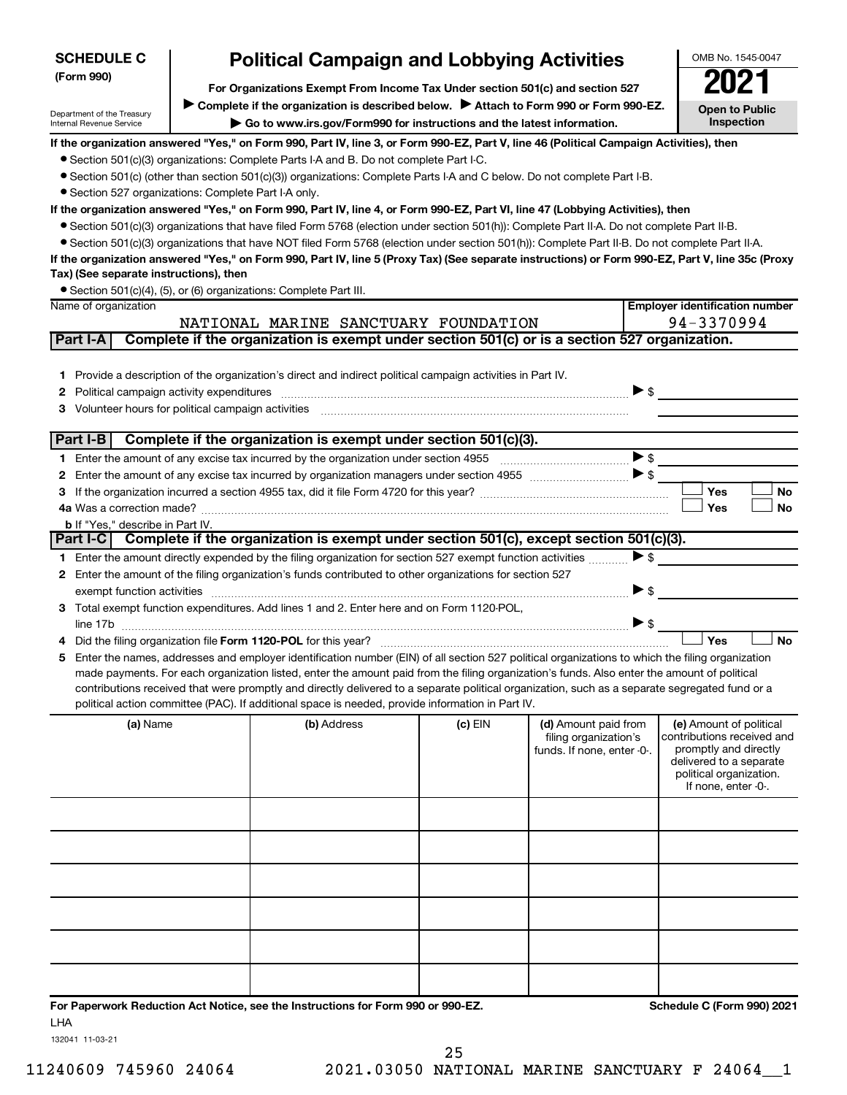| <b>SCHEDULE C</b>                                      | <b>Political Campaign and Lobbying Activities</b>                                                                                                                                                                                                                                              |         |                            |                          | OMB No. 1545-0047                                |
|--------------------------------------------------------|------------------------------------------------------------------------------------------------------------------------------------------------------------------------------------------------------------------------------------------------------------------------------------------------|---------|----------------------------|--------------------------|--------------------------------------------------|
| (Form 990)                                             | For Organizations Exempt From Income Tax Under section 501(c) and section 527                                                                                                                                                                                                                  |         |                            |                          |                                                  |
| Department of the Treasury                             | Complete if the organization is described below. Attach to Form 990 or Form 990-EZ.                                                                                                                                                                                                            |         |                            |                          | <b>Open to Public</b>                            |
| Internal Revenue Service                               | Go to www.irs.gov/Form990 for instructions and the latest information.                                                                                                                                                                                                                         |         |                            |                          | Inspection                                       |
|                                                        | If the organization answered "Yes," on Form 990, Part IV, line 3, or Form 990-EZ, Part V, line 46 (Political Campaign Activities), then                                                                                                                                                        |         |                            |                          |                                                  |
|                                                        | • Section 501(c)(3) organizations: Complete Parts I-A and B. Do not complete Part I-C.<br>● Section 501(c) (other than section 501(c)(3)) organizations: Complete Parts I-A and C below. Do not complete Part I-B.                                                                             |         |                            |                          |                                                  |
| · Section 527 organizations: Complete Part I-A only.   |                                                                                                                                                                                                                                                                                                |         |                            |                          |                                                  |
|                                                        | If the organization answered "Yes," on Form 990, Part IV, line 4, or Form 990-EZ, Part VI, line 47 (Lobbying Activities), then                                                                                                                                                                 |         |                            |                          |                                                  |
|                                                        | • Section 501(c)(3) organizations that have filed Form 5768 (election under section 501(h)): Complete Part II-A. Do not complete Part II-B.                                                                                                                                                    |         |                            |                          |                                                  |
|                                                        | • Section 501(c)(3) organizations that have NOT filed Form 5768 (election under section 501(h)): Complete Part II-B. Do not complete Part II-A.                                                                                                                                                |         |                            |                          |                                                  |
|                                                        | If the organization answered "Yes," on Form 990, Part IV, line 5 (Proxy Tax) (See separate instructions) or Form 990-EZ, Part V, line 35c (Proxy                                                                                                                                               |         |                            |                          |                                                  |
| Tax) (See separate instructions), then                 |                                                                                                                                                                                                                                                                                                |         |                            |                          |                                                  |
|                                                        | • Section 501(c)(4), (5), or (6) organizations: Complete Part III.                                                                                                                                                                                                                             |         |                            |                          |                                                  |
| Name of organization                                   |                                                                                                                                                                                                                                                                                                |         |                            |                          | <b>Employer identification number</b>            |
|                                                        | NATIONAL MARINE SANCTUARY FOUNDATION                                                                                                                                                                                                                                                           |         |                            |                          | 94-3370994                                       |
| Part I-A                                               | Complete if the organization is exempt under section 501(c) or is a section 527 organization.                                                                                                                                                                                                  |         |                            |                          |                                                  |
|                                                        |                                                                                                                                                                                                                                                                                                |         |                            |                          |                                                  |
|                                                        | 1 Provide a description of the organization's direct and indirect political campaign activities in Part IV.                                                                                                                                                                                    |         |                            |                          |                                                  |
| Political campaign activity expenditures<br>2          |                                                                                                                                                                                                                                                                                                |         |                            | $\triangleright$ \$      |                                                  |
| Volunteer hours for political campaign activities<br>3 |                                                                                                                                                                                                                                                                                                |         |                            |                          |                                                  |
|                                                        | Part I-B Complete if the organization is exempt under section 501(c)(3).                                                                                                                                                                                                                       |         |                            |                          |                                                  |
|                                                        |                                                                                                                                                                                                                                                                                                |         |                            | $\blacktriangleright$ \$ |                                                  |
| 2                                                      |                                                                                                                                                                                                                                                                                                |         |                            | $\blacktriangleright$ \$ |                                                  |
| З                                                      |                                                                                                                                                                                                                                                                                                |         |                            |                          | Yes<br>No                                        |
|                                                        |                                                                                                                                                                                                                                                                                                |         |                            |                          | Yes<br><b>No</b>                                 |
| b If "Yes," describe in Part IV.                       |                                                                                                                                                                                                                                                                                                |         |                            |                          |                                                  |
|                                                        | Part I-C Complete if the organization is exempt under section 501(c), except section 501(c)(3).                                                                                                                                                                                                |         |                            |                          |                                                  |
|                                                        | 1 Enter the amount directly expended by the filing organization for section 527 exempt function activities                                                                                                                                                                                     |         |                            | $\blacktriangleright$ \$ |                                                  |
| 2                                                      | Enter the amount of the filing organization's funds contributed to other organizations for section 527                                                                                                                                                                                         |         |                            |                          |                                                  |
| exempt function activities                             |                                                                                                                                                                                                                                                                                                |         |                            | ▶ \$                     |                                                  |
|                                                        | 3 Total exempt function expenditures. Add lines 1 and 2. Enter here and on Form 1120-POL,                                                                                                                                                                                                      |         |                            |                          |                                                  |
|                                                        |                                                                                                                                                                                                                                                                                                |         |                            | $\triangleright$ \$      | Yes<br><b>No</b>                                 |
|                                                        |                                                                                                                                                                                                                                                                                                |         |                            |                          |                                                  |
| 5                                                      | Enter the names, addresses and employer identification number (EIN) of all section 527 political organizations to which the filing organization<br>made payments. For each organization listed, enter the amount paid from the filing organization's funds. Also enter the amount of political |         |                            |                          |                                                  |
|                                                        | contributions received that were promptly and directly delivered to a separate political organization, such as a separate segregated fund or a                                                                                                                                                 |         |                            |                          |                                                  |
|                                                        | political action committee (PAC). If additional space is needed, provide information in Part IV.                                                                                                                                                                                               |         |                            |                          |                                                  |
| (a) Name                                               | (b) Address                                                                                                                                                                                                                                                                                    | (c) EIN | (d) Amount paid from       |                          | (e) Amount of political                          |
|                                                        |                                                                                                                                                                                                                                                                                                |         | filing organization's      |                          | contributions received and                       |
|                                                        |                                                                                                                                                                                                                                                                                                |         | funds. If none, enter -0-. |                          | promptly and directly<br>delivered to a separate |
|                                                        |                                                                                                                                                                                                                                                                                                |         |                            |                          | political organization.                          |
|                                                        |                                                                                                                                                                                                                                                                                                |         |                            |                          | If none, enter -0-.                              |
|                                                        |                                                                                                                                                                                                                                                                                                |         |                            |                          |                                                  |
|                                                        |                                                                                                                                                                                                                                                                                                |         |                            |                          |                                                  |
|                                                        |                                                                                                                                                                                                                                                                                                |         |                            |                          |                                                  |
|                                                        |                                                                                                                                                                                                                                                                                                |         |                            |                          |                                                  |
|                                                        |                                                                                                                                                                                                                                                                                                |         |                            |                          |                                                  |
|                                                        |                                                                                                                                                                                                                                                                                                |         |                            |                          |                                                  |
|                                                        |                                                                                                                                                                                                                                                                                                |         |                            |                          |                                                  |
|                                                        |                                                                                                                                                                                                                                                                                                |         |                            |                          |                                                  |
|                                                        |                                                                                                                                                                                                                                                                                                |         |                            |                          |                                                  |
|                                                        |                                                                                                                                                                                                                                                                                                |         |                            |                          |                                                  |
|                                                        |                                                                                                                                                                                                                                                                                                |         |                            |                          |                                                  |
|                                                        | For Paperwork Reduction Act Notice, see the Instructions for Form 990 or 990-EZ.                                                                                                                                                                                                               |         |                            |                          | Schedule C (Form 990) 2021                       |
| LHA                                                    |                                                                                                                                                                                                                                                                                                |         |                            |                          |                                                  |

132041 11-03-21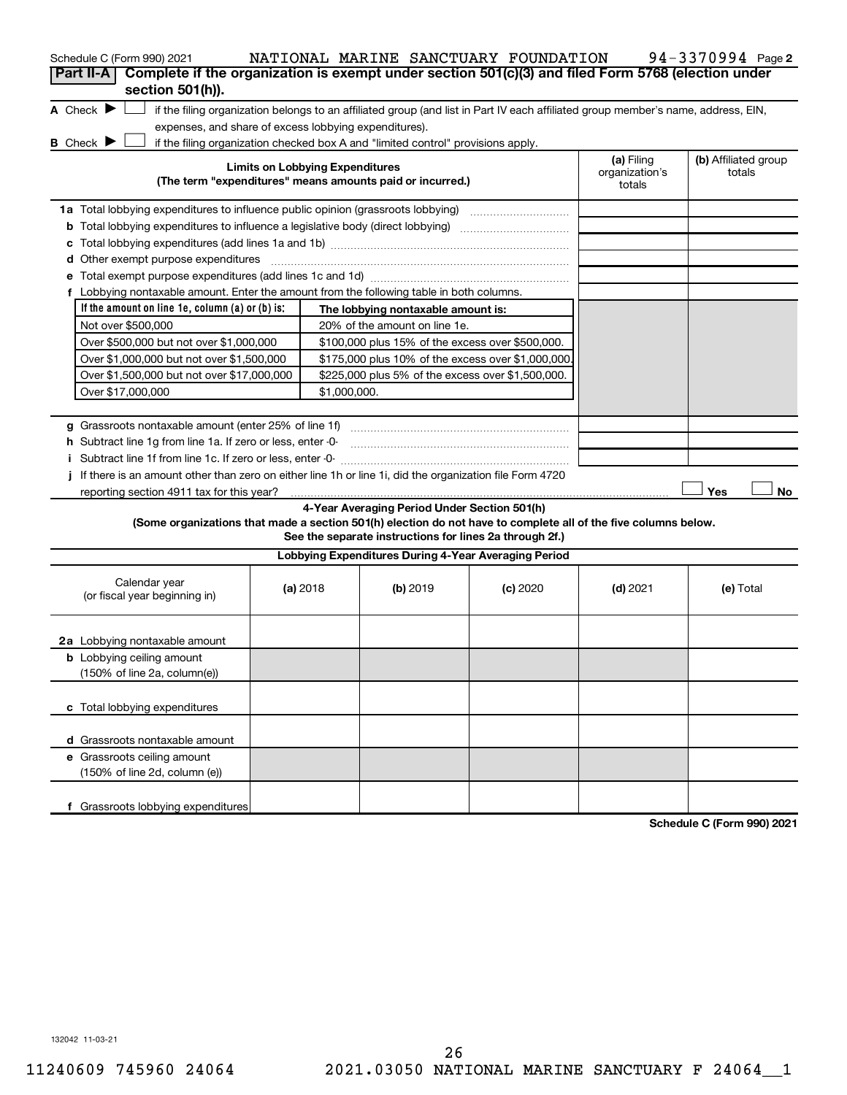| Schedule C (Form 990) 2021<br>Complete if the organization is exempt under section 501(c)(3) and filed Form 5768 (election under<br>Part II-A                                          |                                        |                                                         | NATIONAL MARINE SANCTUARY FOUNDATION |                                        | 94-3370994 Page 2              |
|----------------------------------------------------------------------------------------------------------------------------------------------------------------------------------------|----------------------------------------|---------------------------------------------------------|--------------------------------------|----------------------------------------|--------------------------------|
| section 501(h)).<br>A Check $\blacktriangleright$<br>if the filing organization belongs to an affiliated group (and list in Part IV each affiliated group member's name, address, EIN, |                                        |                                                         |                                      |                                        |                                |
| expenses, and share of excess lobbying expenditures).                                                                                                                                  |                                        |                                                         |                                      |                                        |                                |
| B Check D<br>if the filing organization checked box A and "limited control" provisions apply.                                                                                          |                                        |                                                         |                                      |                                        |                                |
| (The term "expenditures" means amounts paid or incurred.)                                                                                                                              | <b>Limits on Lobbying Expenditures</b> |                                                         |                                      | (a) Filing<br>organization's<br>totals | (b) Affiliated group<br>totals |
| <b>1a</b> Total lobbying expenditures to influence public opinion (grassroots lobbying)                                                                                                |                                        |                                                         |                                      |                                        |                                |
| <b>b</b> Total lobbying expenditures to influence a legislative body (direct lobbying) [11] [12] Total lobbying expenditures to influence a legislative body (direct lobbying)         |                                        |                                                         |                                      |                                        |                                |
| c                                                                                                                                                                                      |                                        |                                                         |                                      |                                        |                                |
| Other exempt purpose expenditures<br>d                                                                                                                                                 |                                        |                                                         |                                      |                                        |                                |
| е                                                                                                                                                                                      |                                        |                                                         |                                      |                                        |                                |
| f Lobbying nontaxable amount. Enter the amount from the following table in both columns.                                                                                               |                                        |                                                         |                                      |                                        |                                |
| If the amount on line $1e$ , column (a) or (b) is:                                                                                                                                     |                                        | The lobbying nontaxable amount is:                      |                                      |                                        |                                |
| Not over \$500,000                                                                                                                                                                     |                                        | 20% of the amount on line 1e.                           |                                      |                                        |                                |
| Over \$500,000 but not over \$1,000,000                                                                                                                                                |                                        | \$100,000 plus 15% of the excess over \$500,000.        |                                      |                                        |                                |
| Over \$1,000,000 but not over \$1,500,000                                                                                                                                              |                                        | \$175,000 plus 10% of the excess over \$1,000,000       |                                      |                                        |                                |
| Over \$1,500,000 but not over \$17,000,000                                                                                                                                             |                                        | \$225,000 plus 5% of the excess over \$1,500,000.       |                                      |                                        |                                |
| Over \$17,000,000                                                                                                                                                                      | \$1,000,000.                           |                                                         |                                      |                                        |                                |
|                                                                                                                                                                                        |                                        |                                                         |                                      |                                        |                                |
| <b>g</b> Grassroots nontaxable amount (enter 25% of line 1f)<br>h Subtract line 1g from line 1a. If zero or less, enter -0-                                                            |                                        |                                                         |                                      |                                        |                                |
|                                                                                                                                                                                        |                                        |                                                         |                                      |                                        |                                |
| If there is an amount other than zero on either line 1h or line 1i, did the organization file Form 4720                                                                                |                                        |                                                         |                                      |                                        |                                |
| reporting section 4911 tax for this year?                                                                                                                                              |                                        |                                                         |                                      |                                        | Yes<br>No                      |
|                                                                                                                                                                                        |                                        | 4-Year Averaging Period Under Section 501(h)            |                                      |                                        |                                |
| (Some organizations that made a section 501(h) election do not have to complete all of the five columns below.                                                                         |                                        | See the separate instructions for lines 2a through 2f.) |                                      |                                        |                                |
|                                                                                                                                                                                        |                                        | Lobbying Expenditures During 4-Year Averaging Period    |                                      |                                        |                                |
| Calendar year<br>(or fiscal year beginning in)                                                                                                                                         | (a) 2018                               | (b) 2019                                                | $(c)$ 2020                           | $(d)$ 2021                             | (e) Total                      |
| 2a Lobbying nontaxable amount                                                                                                                                                          |                                        |                                                         |                                      |                                        |                                |
| <b>b</b> Lobbying ceiling amount<br>(150% of line 2a, column(e))                                                                                                                       |                                        |                                                         |                                      |                                        |                                |
| c Total lobbying expenditures                                                                                                                                                          |                                        |                                                         |                                      |                                        |                                |
| d Grassroots nontaxable amount                                                                                                                                                         |                                        |                                                         |                                      |                                        |                                |
| e Grassroots ceiling amount<br>(150% of line 2d, column (e))                                                                                                                           |                                        |                                                         |                                      |                                        |                                |
| f Grassroots lobbying expenditures                                                                                                                                                     |                                        |                                                         |                                      |                                        | Schodule C (Form 000) 2021     |

**Schedule C (Form 990) 2021**

132042 11-03-21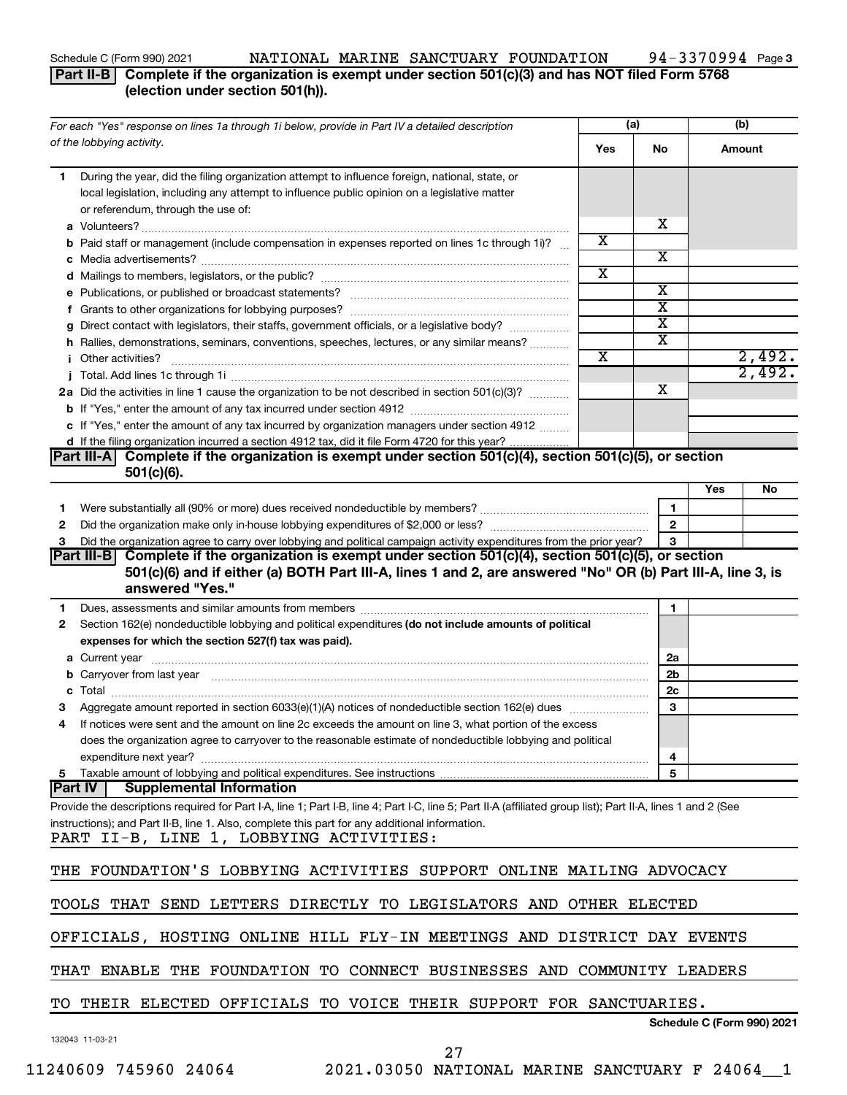## Schedule C (Form 990) 2021 Page NATIONAL MARINE SANCTUARY FOUNDATION 94-3370994

# **Part II-B** Complete if the organization is exempt under section 501(c)(3) and has NOT filed Form 5768 **(election under section 501(h)).**

|    | For each "Yes" response on lines 1a through 1i below, provide in Part IV a detailed description                                                                                                                                      |                         | (a)                     |     | (b)                        |
|----|--------------------------------------------------------------------------------------------------------------------------------------------------------------------------------------------------------------------------------------|-------------------------|-------------------------|-----|----------------------------|
|    | of the lobbying activity.                                                                                                                                                                                                            | Yes                     | No                      |     | Amount                     |
| 1. | During the year, did the filing organization attempt to influence foreign, national, state, or<br>local legislation, including any attempt to influence public opinion on a legislative matter<br>or referendum, through the use of: |                         |                         |     |                            |
|    |                                                                                                                                                                                                                                      |                         | х                       |     |                            |
|    | <b>b</b> Paid staff or management (include compensation in expenses reported on lines 1c through 1i)?                                                                                                                                | X                       |                         |     |                            |
|    |                                                                                                                                                                                                                                      |                         | х                       |     |                            |
|    |                                                                                                                                                                                                                                      | $\overline{\textbf{X}}$ |                         |     |                            |
|    |                                                                                                                                                                                                                                      |                         | х                       |     |                            |
|    |                                                                                                                                                                                                                                      |                         | $\overline{\textbf{x}}$ |     |                            |
|    | g Direct contact with legislators, their staffs, government officials, or a legislative body?                                                                                                                                        |                         | $\overline{\text{x}}$   |     |                            |
|    | h Rallies, demonstrations, seminars, conventions, speeches, lectures, or any similar means?                                                                                                                                          |                         | $\overline{\textbf{x}}$ |     |                            |
|    | <i>i</i> Other activities?                                                                                                                                                                                                           | $\overline{\textbf{x}}$ |                         |     | 2,492.                     |
|    |                                                                                                                                                                                                                                      |                         |                         |     | 2,492.                     |
|    | 2a Did the activities in line 1 cause the organization to be not described in section 501(c)(3)?                                                                                                                                     |                         | х                       |     |                            |
|    |                                                                                                                                                                                                                                      |                         |                         |     |                            |
|    |                                                                                                                                                                                                                                      |                         |                         |     |                            |
|    | c If "Yes," enter the amount of any tax incurred by organization managers under section 4912                                                                                                                                         |                         |                         |     |                            |
|    | d If the filing organization incurred a section 4912 tax, did it file Form 4720 for this year?<br>Complete if the organization is exempt under section 501(c)(4), section 501(c)(5), or section<br>Part III-AT                       |                         |                         |     |                            |
|    | $501(c)(6)$ .                                                                                                                                                                                                                        |                         |                         |     |                            |
|    |                                                                                                                                                                                                                                      |                         |                         | Yes | No                         |
| 1. |                                                                                                                                                                                                                                      |                         | 1                       |     |                            |
| 2  |                                                                                                                                                                                                                                      |                         | $\mathbf{2}$            |     |                            |
| з  | Did the organization agree to carry over lobbying and political campaign activity expenditures from the prior year?                                                                                                                  |                         | 3                       |     |                            |
|    | Complete if the organization is exempt under section 501(c)(4), section 501(c)(5), or section<br> Part III-B                                                                                                                         |                         |                         |     |                            |
|    | 501(c)(6) and if either (a) BOTH Part III-A, lines 1 and 2, are answered "No" OR (b) Part III-A, line 3, is                                                                                                                          |                         |                         |     |                            |
|    | answered "Yes."                                                                                                                                                                                                                      |                         |                         |     |                            |
| 1. | Dues, assessments and similar amounts from members [111] Dues, assessments and similar and similar amounts from members [11] Dues, assessments and similar amounts from members [11] Dues and the state and state and state an       |                         | 1                       |     |                            |
| 2  | Section 162(e) nondeductible lobbying and political expenditures (do not include amounts of political                                                                                                                                |                         |                         |     |                            |
|    | expenses for which the section 527(f) tax was paid).                                                                                                                                                                                 |                         |                         |     |                            |
|    |                                                                                                                                                                                                                                      |                         | 2a                      |     |                            |
|    | <b>b</b> Carryover from last year manufactured and content to content the content of the content of the content of the content of the content of the content of the content of the content of the content of the content of the con  |                         | 2b                      |     |                            |
| c  |                                                                                                                                                                                                                                      |                         | 2c                      |     |                            |
|    | Aggregate amount reported in section 6033(e)(1)(A) notices of nondeductible section 162(e) dues manufactured                                                                                                                         |                         | 3                       |     |                            |
| 4  | If notices were sent and the amount on line 2c exceeds the amount on line 3, what portion of the excess                                                                                                                              |                         |                         |     |                            |
|    | does the organization agree to carryover to the reasonable estimate of nondeductible lobbying and political                                                                                                                          |                         |                         |     |                            |
|    |                                                                                                                                                                                                                                      |                         | $\overline{\mathbf{r}}$ |     |                            |
|    |                                                                                                                                                                                                                                      |                         | 5                       |     |                            |
|    | Part IV  <br><b>Supplemental Information</b>                                                                                                                                                                                         |                         |                         |     |                            |
|    | Provide the descriptions required for Part I-A, line 1; Part I-B, line 4; Part I-C, line 5; Part II-A (affiliated group list); Part II-A, lines 1 and 2 (See                                                                         |                         |                         |     |                            |
|    | instructions); and Part II-B, line 1. Also, complete this part for any additional information.                                                                                                                                       |                         |                         |     |                            |
|    | PART II-B, LINE 1, LOBBYING ACTIVITIES:                                                                                                                                                                                              |                         |                         |     |                            |
|    | THE FOUNDATION'S LOBBYING ACTIVITIES SUPPORT ONLINE MAILING ADVOCACY                                                                                                                                                                 |                         |                         |     |                            |
|    |                                                                                                                                                                                                                                      |                         |                         |     |                            |
|    | TOOLS THAT SEND LETTERS DIRECTLY TO LEGISLATORS AND OTHER ELECTED                                                                                                                                                                    |                         |                         |     |                            |
|    | OFFICIALS, HOSTING ONLINE HILL FLY-IN MEETINGS AND DISTRICT DAY EVENTS                                                                                                                                                               |                         |                         |     |                            |
|    | THAT ENABLE THE FOUNDATION TO CONNECT BUSINESSES AND COMMUNITY LEADERS                                                                                                                                                               |                         |                         |     |                            |
|    |                                                                                                                                                                                                                                      |                         |                         |     |                            |
|    | TO THEIR ELECTED OFFICIALS TO VOICE THEIR SUPPORT FOR SANCTUARIES.                                                                                                                                                                   |                         |                         |     | Schedule C (Form 990) 2021 |
|    | 132043 11-03-21                                                                                                                                                                                                                      |                         |                         |     |                            |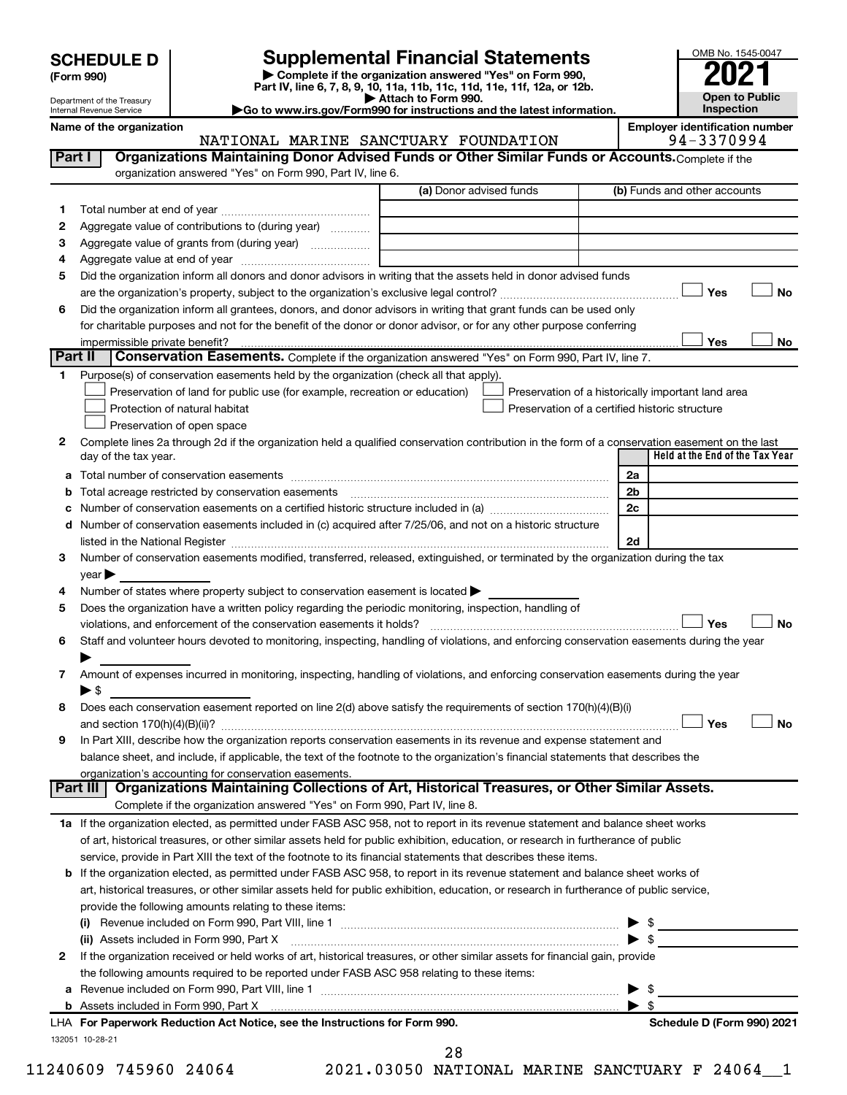| <b>SCHEDULE D</b> |  |
|-------------------|--|
|-------------------|--|

**| Complete if the organization answered "Yes" on Form 990, Part IV, line 6, 7, 8, 9, 10, 11a, 11b, 11c, 11d, 11e, 11f, 12a, or 12b. SCHEDULE D Supplemental Financial Statements**<br> **Form 990 Example 5 2021**<br>
Part IV. line 6, 7, 8, 9, 10, 11a, 11b, 11c, 11d, 11e, 11f, 12a, or 12b.

**| Attach to Form 990. |Go to www.irs.gov/Form990 for instructions and the latest information.**



Department of the Treasury Internal Revenue Service

Name of the organization<br>**NATIONAL MARINE SANCTUARY FOUNDATION** 94-3370994 NATIONAL MARINE SANCTUARY FOUNDATION

| Part I  | Organizations Maintaining Donor Advised Funds or Other Similar Funds or Accounts. Complete if the                                                                                                                             |                         |                                                    |
|---------|-------------------------------------------------------------------------------------------------------------------------------------------------------------------------------------------------------------------------------|-------------------------|----------------------------------------------------|
|         | organization answered "Yes" on Form 990, Part IV, line 6.                                                                                                                                                                     | (a) Donor advised funds | (b) Funds and other accounts                       |
|         |                                                                                                                                                                                                                               |                         |                                                    |
| 1.      |                                                                                                                                                                                                                               |                         |                                                    |
| 2       | Aggregate value of contributions to (during year)                                                                                                                                                                             |                         |                                                    |
| 3       | Aggregate value of grants from (during year)                                                                                                                                                                                  |                         |                                                    |
| 4       | Did the organization inform all donors and donor advisors in writing that the assets held in donor advised funds                                                                                                              |                         |                                                    |
| 5       |                                                                                                                                                                                                                               |                         | Yes<br>No                                          |
|         | Did the organization inform all grantees, donors, and donor advisors in writing that grant funds can be used only                                                                                                             |                         |                                                    |
| 6       | for charitable purposes and not for the benefit of the donor or donor advisor, or for any other purpose conferring                                                                                                            |                         |                                                    |
|         | impermissible private benefit?                                                                                                                                                                                                |                         | Yes<br>No                                          |
| Part II | <b>Conservation Easements.</b> Complete if the organization answered "Yes" on Form 990, Part IV, line 7.                                                                                                                      |                         |                                                    |
| 1.      | Purpose(s) of conservation easements held by the organization (check all that apply).                                                                                                                                         |                         |                                                    |
|         | Preservation of land for public use (for example, recreation or education)                                                                                                                                                    |                         | Preservation of a historically important land area |
|         | Protection of natural habitat                                                                                                                                                                                                 |                         | Preservation of a certified historic structure     |
|         | Preservation of open space                                                                                                                                                                                                    |                         |                                                    |
| 2       | Complete lines 2a through 2d if the organization held a qualified conservation contribution in the form of a conservation easement on the last                                                                                |                         |                                                    |
|         | day of the tax year.                                                                                                                                                                                                          |                         | Held at the End of the Tax Year                    |
|         |                                                                                                                                                                                                                               |                         | 2a                                                 |
|         | <b>b</b> Total acreage restricted by conservation easements                                                                                                                                                                   |                         | 2b                                                 |
| С       |                                                                                                                                                                                                                               |                         | 2c                                                 |
| d       | Number of conservation easements included in (c) acquired after 7/25/06, and not on a historic structure                                                                                                                      |                         |                                                    |
|         | listed in the National Register [111] Marshall Register [11] Marshall Register [11] Marshall Register [11] Marshall Register [11] Marshall Register [11] Marshall Register [11] Marshall Register [11] Marshall Register [11] |                         | 2d                                                 |
| 3       | Number of conservation easements modified, transferred, released, extinguished, or terminated by the organization during the tax                                                                                              |                         |                                                    |
|         | year                                                                                                                                                                                                                          |                         |                                                    |
| 4       | Number of states where property subject to conservation easement is located >                                                                                                                                                 |                         |                                                    |
| 5       | Does the organization have a written policy regarding the periodic monitoring, inspection, handling of                                                                                                                        |                         |                                                    |
|         | violations, and enforcement of the conservation easements it holds?                                                                                                                                                           |                         | Yes<br>No                                          |
| 6       | Staff and volunteer hours devoted to monitoring, inspecting, handling of violations, and enforcing conservation easements during the year                                                                                     |                         |                                                    |
|         |                                                                                                                                                                                                                               |                         |                                                    |
| 7       | Amount of expenses incurred in monitoring, inspecting, handling of violations, and enforcing conservation easements during the year                                                                                           |                         |                                                    |
|         | ▶ \$                                                                                                                                                                                                                          |                         |                                                    |
| 8       | Does each conservation easement reported on line 2(d) above satisfy the requirements of section 170(h)(4)(B)(i)                                                                                                               |                         |                                                    |
|         |                                                                                                                                                                                                                               |                         | Yes<br>No                                          |
| 9       | In Part XIII, describe how the organization reports conservation easements in its revenue and expense statement and                                                                                                           |                         |                                                    |
|         | balance sheet, and include, if applicable, the text of the footnote to the organization's financial statements that describes the                                                                                             |                         |                                                    |
|         | organization's accounting for conservation easements.                                                                                                                                                                         |                         |                                                    |
|         | Part III   Organizations Maintaining Collections of Art, Historical Treasures, or Other Similar Assets.                                                                                                                       |                         |                                                    |
|         | Complete if the organization answered "Yes" on Form 990, Part IV, line 8.                                                                                                                                                     |                         |                                                    |
|         | 1a If the organization elected, as permitted under FASB ASC 958, not to report in its revenue statement and balance sheet works                                                                                               |                         |                                                    |
|         | of art, historical treasures, or other similar assets held for public exhibition, education, or research in furtherance of public                                                                                             |                         |                                                    |
|         | service, provide in Part XIII the text of the footnote to its financial statements that describes these items.                                                                                                                |                         |                                                    |
|         | <b>b</b> If the organization elected, as permitted under FASB ASC 958, to report in its revenue statement and balance sheet works of                                                                                          |                         |                                                    |
|         | art, historical treasures, or other similar assets held for public exhibition, education, or research in furtherance of public service,                                                                                       |                         |                                                    |
|         | provide the following amounts relating to these items:                                                                                                                                                                        |                         |                                                    |
|         | (i)                                                                                                                                                                                                                           |                         |                                                    |
|         | (ii) Assets included in Form 990, Part X [1] [1] [1] [1] [1] [1] [1] Assets included in Form 990, Part X                                                                                                                      |                         | $\blacktriangleright$ \$                           |
| 2       | If the organization received or held works of art, historical treasures, or other similar assets for financial gain, provide                                                                                                  |                         |                                                    |
|         | the following amounts required to be reported under FASB ASC 958 relating to these items:                                                                                                                                     |                         |                                                    |
| а       |                                                                                                                                                                                                                               |                         | $\blacktriangleright$ \$                           |
|         |                                                                                                                                                                                                                               |                         | $\blacktriangleright$ \$                           |
|         | LHA For Paperwork Reduction Act Notice, see the Instructions for Form 990.                                                                                                                                                    |                         | Schedule D (Form 990) 2021                         |
|         | 132051 10-28-21                                                                                                                                                                                                               |                         |                                                    |

11240609 745960 24064 2021.03050 NATIONAL MARINE SANCTUARY F 24064\_\_1 28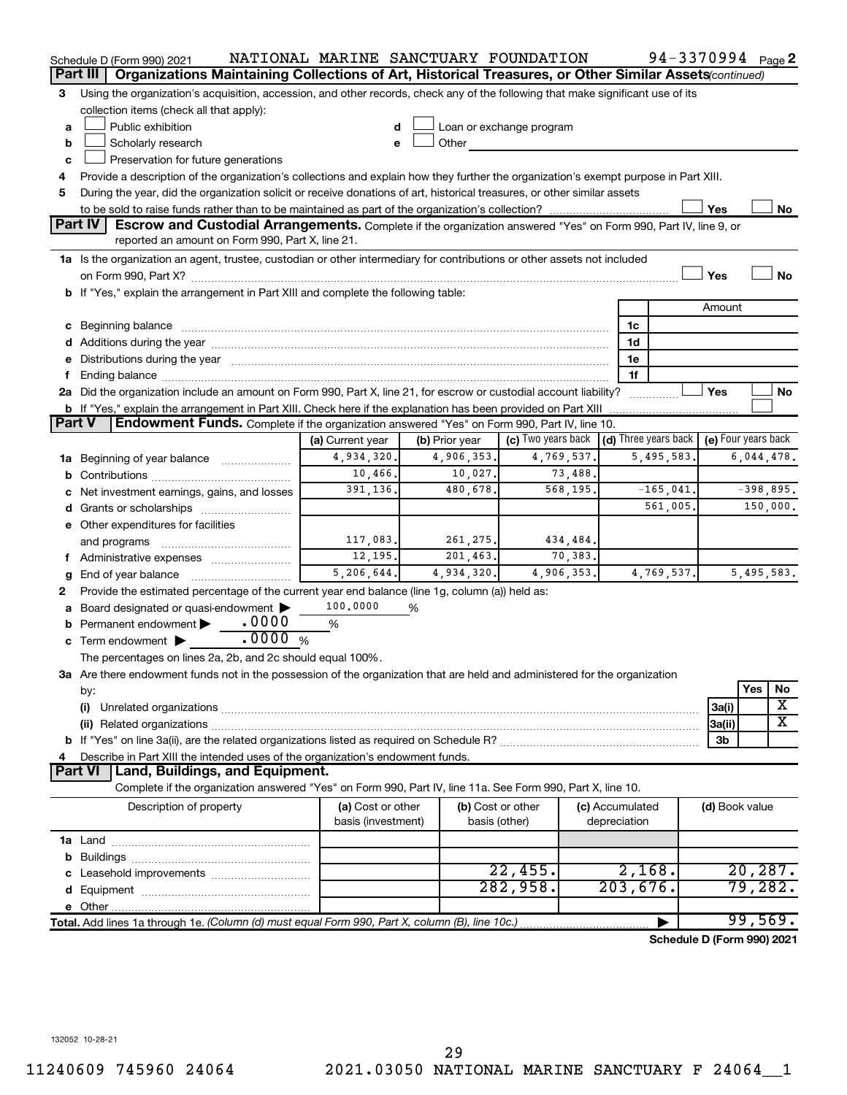|               | Schedule D (Form 990) 2021                                                                                                                                                                                                     | NATIONAL MARINE SANCTUARY FOUNDATION |                |               |                                                                             |          |                 | 94-3370994 Page 2          |                |             |          |
|---------------|--------------------------------------------------------------------------------------------------------------------------------------------------------------------------------------------------------------------------------|--------------------------------------|----------------|---------------|-----------------------------------------------------------------------------|----------|-----------------|----------------------------|----------------|-------------|----------|
|               | Organizations Maintaining Collections of Art, Historical Treasures, or Other Similar Assets(continued)<br>Part III                                                                                                             |                                      |                |               |                                                                             |          |                 |                            |                |             |          |
| 3             | Using the organization's acquisition, accession, and other records, check any of the following that make significant use of its                                                                                                |                                      |                |               |                                                                             |          |                 |                            |                |             |          |
|               | collection items (check all that apply):                                                                                                                                                                                       |                                      |                |               |                                                                             |          |                 |                            |                |             |          |
| a             | Public exhibition                                                                                                                                                                                                              | d                                    |                |               | Loan or exchange program                                                    |          |                 |                            |                |             |          |
| b             | Scholarly research                                                                                                                                                                                                             | e                                    | Other          |               |                                                                             |          |                 |                            |                |             |          |
| c             | Preservation for future generations                                                                                                                                                                                            |                                      |                |               |                                                                             |          |                 |                            |                |             |          |
| 4             | Provide a description of the organization's collections and explain how they further the organization's exempt purpose in Part XIII.                                                                                           |                                      |                |               |                                                                             |          |                 |                            |                |             |          |
| 5             | During the year, did the organization solicit or receive donations of art, historical treasures, or other similar assets                                                                                                       |                                      |                |               |                                                                             |          |                 |                            |                |             |          |
|               |                                                                                                                                                                                                                                |                                      |                |               |                                                                             |          |                 |                            | Yes            |             | No       |
|               | Part IV<br>Escrow and Custodial Arrangements. Complete if the organization answered "Yes" on Form 990, Part IV, line 9, or                                                                                                     |                                      |                |               |                                                                             |          |                 |                            |                |             |          |
|               | reported an amount on Form 990, Part X, line 21.                                                                                                                                                                               |                                      |                |               |                                                                             |          |                 |                            |                |             |          |
|               | 1a Is the organization an agent, trustee, custodian or other intermediary for contributions or other assets not included                                                                                                       |                                      |                |               |                                                                             |          |                 |                            |                |             |          |
|               |                                                                                                                                                                                                                                |                                      |                |               |                                                                             |          |                 |                            | Yes            |             | No       |
|               | b If "Yes," explain the arrangement in Part XIII and complete the following table:                                                                                                                                             |                                      |                |               |                                                                             |          |                 |                            |                |             |          |
|               |                                                                                                                                                                                                                                |                                      |                |               |                                                                             |          |                 |                            | Amount         |             |          |
|               | c Beginning balance measurements and the contract of the contract of the contract of the contract of the contract of the contract of the contract of the contract of the contract of the contract of the contract of the contr |                                      |                |               |                                                                             |          | 1c              |                            |                |             |          |
|               |                                                                                                                                                                                                                                |                                      |                |               |                                                                             |          | 1d              |                            |                |             |          |
|               | e Distributions during the year manufactured and continuum and contact the year manufactured and contact the year manufactured and contact the year manufactured and contact the year manufactured and contact the year manufa |                                      |                |               |                                                                             |          | 1e              |                            |                |             |          |
|               |                                                                                                                                                                                                                                |                                      |                |               |                                                                             |          | 1f              |                            |                |             |          |
|               | 2a Did the organization include an amount on Form 990, Part X, line 21, for escrow or custodial account liability?                                                                                                             |                                      |                |               |                                                                             |          |                 |                            | Yes            |             | No       |
|               | <b>b</b> If "Yes," explain the arrangement in Part XIII. Check here if the explanation has been provided on Part XIII                                                                                                          |                                      |                |               |                                                                             |          |                 |                            |                |             |          |
| <b>Part V</b> | <b>Endowment Funds.</b> Complete if the organization answered "Yes" on Form 990, Part IV, line 10.                                                                                                                             |                                      |                |               |                                                                             |          |                 |                            |                |             |          |
|               |                                                                                                                                                                                                                                | (a) Current year                     | (b) Prior year |               | (c) Two years back $\vert$ (d) Three years back $\vert$ (e) Four years back |          |                 |                            |                |             |          |
|               | <b>1a</b> Beginning of year balance <i>manument</i>                                                                                                                                                                            | 4,934,320.                           | 4,906,353.     |               | 4,769,537.                                                                  |          |                 | 5,495,583.                 |                | 6,044,478.  |          |
| b             |                                                                                                                                                                                                                                | 10,466.                              |                | 10,027.       |                                                                             | 73,488.  |                 |                            |                |             |          |
|               | c Net investment earnings, gains, and losses                                                                                                                                                                                   | 391,136.                             |                | 480,678.      |                                                                             | 568,195. |                 | $-165,041.$                |                | $-398,895.$ |          |
|               |                                                                                                                                                                                                                                |                                      |                |               |                                                                             |          |                 | 561,005.                   |                |             | 150,000. |
|               | e Other expenditures for facilities                                                                                                                                                                                            |                                      |                |               |                                                                             |          |                 |                            |                |             |          |
|               | and programs                                                                                                                                                                                                                   | 117,083.                             |                | 261, 275.     |                                                                             | 434,484. |                 |                            |                |             |          |
|               | f Administrative expenses <i></i>                                                                                                                                                                                              | 12,195.                              |                | 201, 463.     |                                                                             | 70,383.  |                 |                            |                |             |          |
|               | End of year balance                                                                                                                                                                                                            | 5,206,644.                           | 4,934,320.     |               | 4,906,353.                                                                  |          |                 | 4,769,537.                 |                | 5,495,583.  |          |
| g<br>2        | Provide the estimated percentage of the current year end balance (line 1g, column (a)) held as:                                                                                                                                |                                      |                |               |                                                                             |          |                 |                            |                |             |          |
|               | Board designated or quasi-endowment                                                                                                                                                                                            | 100,0000                             | %              |               |                                                                             |          |                 |                            |                |             |          |
|               | .0000<br>Permanent endowment                                                                                                                                                                                                   | %                                    |                |               |                                                                             |          |                 |                            |                |             |          |
|               | .0000%<br>c Term endowment $\blacktriangleright$                                                                                                                                                                               |                                      |                |               |                                                                             |          |                 |                            |                |             |          |
|               | The percentages on lines 2a, 2b, and 2c should equal 100%.                                                                                                                                                                     |                                      |                |               |                                                                             |          |                 |                            |                |             |          |
|               | 3a Are there endowment funds not in the possession of the organization that are held and administered for the organization                                                                                                     |                                      |                |               |                                                                             |          |                 |                            |                |             |          |
|               |                                                                                                                                                                                                                                |                                      |                |               |                                                                             |          |                 |                            |                | Yes         | No       |
|               | by:<br>(i)                                                                                                                                                                                                                     |                                      |                |               |                                                                             |          |                 |                            | 3a(i)          |             | х        |
|               |                                                                                                                                                                                                                                |                                      |                |               |                                                                             |          |                 |                            | 3a(ii)         |             | x        |
|               |                                                                                                                                                                                                                                |                                      |                |               |                                                                             |          |                 |                            | 3b             |             |          |
| 4             | Describe in Part XIII the intended uses of the organization's endowment funds.                                                                                                                                                 |                                      |                |               |                                                                             |          |                 |                            |                |             |          |
|               | Land, Buildings, and Equipment.<br>Part VI                                                                                                                                                                                     |                                      |                |               |                                                                             |          |                 |                            |                |             |          |
|               | Complete if the organization answered "Yes" on Form 990, Part IV, line 11a. See Form 990, Part X, line 10.                                                                                                                     |                                      |                |               |                                                                             |          |                 |                            |                |             |          |
|               | Description of property                                                                                                                                                                                                        | (a) Cost or other                    |                |               | (b) Cost or other                                                           |          | (c) Accumulated |                            | (d) Book value |             |          |
|               |                                                                                                                                                                                                                                | basis (investment)                   |                | basis (other) |                                                                             |          | depreciation    |                            |                |             |          |
|               |                                                                                                                                                                                                                                |                                      |                |               |                                                                             |          |                 |                            |                |             |          |
|               |                                                                                                                                                                                                                                |                                      |                |               |                                                                             |          |                 |                            |                |             |          |
|               |                                                                                                                                                                                                                                |                                      |                |               | 22,455.                                                                     |          | 2,168.          |                            |                | 20, 287.    |          |
|               |                                                                                                                                                                                                                                |                                      |                |               | 282,958.                                                                    |          | 203,676.        |                            |                | 79,282.     |          |
|               |                                                                                                                                                                                                                                |                                      |                |               |                                                                             |          |                 |                            |                |             |          |
|               |                                                                                                                                                                                                                                |                                      |                |               |                                                                             |          |                 |                            |                | 99,569.     |          |
|               | Total. Add lines 1a through 1e. (Column (d) must equal Form 990, Part X, column (B), line 10c.)                                                                                                                                |                                      |                |               |                                                                             |          |                 |                            |                |             |          |
|               |                                                                                                                                                                                                                                |                                      |                |               |                                                                             |          |                 | Schedule D (Form 990) 2021 |                |             |          |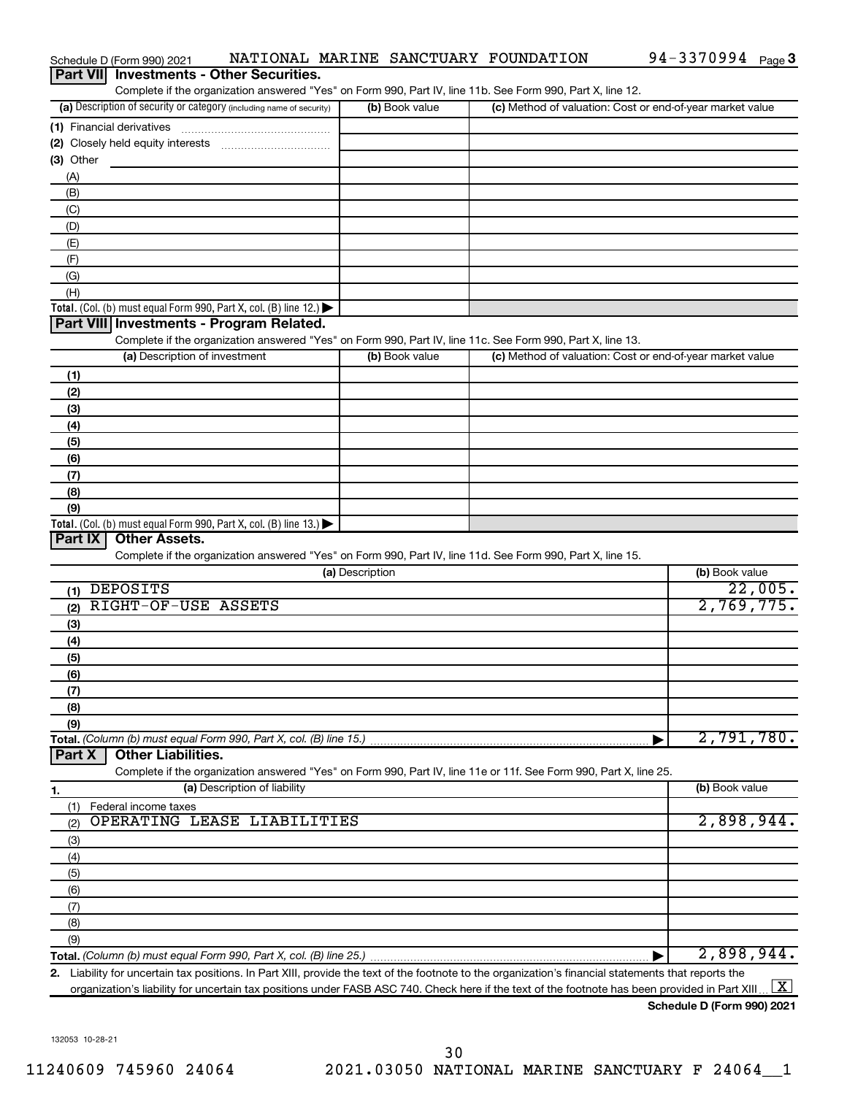| Part VII Investments - Other Securities.<br>Complete if the organization answered "Yes" on Form 990, Part IV, line 11b. See Form 990, Part X, line 12. |                 |                                                           |                     |
|--------------------------------------------------------------------------------------------------------------------------------------------------------|-----------------|-----------------------------------------------------------|---------------------|
| (a) Description of security or category (including name of security)                                                                                   | (b) Book value  | (c) Method of valuation: Cost or end-of-year market value |                     |
|                                                                                                                                                        |                 |                                                           |                     |
|                                                                                                                                                        |                 |                                                           |                     |
| (3) Other                                                                                                                                              |                 |                                                           |                     |
| (A)                                                                                                                                                    |                 |                                                           |                     |
| (B)                                                                                                                                                    |                 |                                                           |                     |
| (C)                                                                                                                                                    |                 |                                                           |                     |
| (D)                                                                                                                                                    |                 |                                                           |                     |
| (E)                                                                                                                                                    |                 |                                                           |                     |
| (F)                                                                                                                                                    |                 |                                                           |                     |
| (G)                                                                                                                                                    |                 |                                                           |                     |
| (H)                                                                                                                                                    |                 |                                                           |                     |
| Total. (Col. (b) must equal Form 990, Part X, col. (B) line 12.)                                                                                       |                 |                                                           |                     |
| Part VIII Investments - Program Related.                                                                                                               |                 |                                                           |                     |
| Complete if the organization answered "Yes" on Form 990, Part IV, line 11c. See Form 990, Part X, line 13.                                             |                 |                                                           |                     |
| (a) Description of investment                                                                                                                          | (b) Book value  | (c) Method of valuation: Cost or end-of-year market value |                     |
| (1)                                                                                                                                                    |                 |                                                           |                     |
| (2)                                                                                                                                                    |                 |                                                           |                     |
| (3)                                                                                                                                                    |                 |                                                           |                     |
| (4)                                                                                                                                                    |                 |                                                           |                     |
| (5)                                                                                                                                                    |                 |                                                           |                     |
| (6)                                                                                                                                                    |                 |                                                           |                     |
| (7)                                                                                                                                                    |                 |                                                           |                     |
| (8)                                                                                                                                                    |                 |                                                           |                     |
| (9)                                                                                                                                                    |                 |                                                           |                     |
| Total. (Col. (b) must equal Form 990, Part X, col. (B) line 13.)                                                                                       |                 |                                                           |                     |
| Part IX<br><b>Other Assets.</b>                                                                                                                        |                 |                                                           |                     |
| Complete if the organization answered "Yes" on Form 990, Part IV, line 11d. See Form 990, Part X, line 15.                                             | (a) Description |                                                           | (b) Book value      |
| $(1)$ DEPOSITS                                                                                                                                         |                 |                                                           | 22,005.             |
| RIGHT-OF-USE ASSETS                                                                                                                                    |                 |                                                           | 2,769,775.          |
| (2)                                                                                                                                                    |                 |                                                           |                     |
| (3)                                                                                                                                                    |                 |                                                           |                     |
| (4)                                                                                                                                                    |                 |                                                           |                     |
| (5)<br>(6)                                                                                                                                             |                 |                                                           |                     |
| (7)                                                                                                                                                    |                 |                                                           |                     |
| (8)                                                                                                                                                    |                 |                                                           |                     |
| (9)                                                                                                                                                    |                 |                                                           |                     |
| Total. (Column (b) must equal Form 990, Part X, col. (B) line 15.)                                                                                     |                 |                                                           | 2,791,780.          |
| <b>Other Liabilities.</b><br>Part X                                                                                                                    |                 |                                                           |                     |
| Complete if the organization answered "Yes" on Form 990, Part IV, line 11e or 11f. See Form 990, Part X, line 25.                                      |                 |                                                           |                     |
| (a) Description of liability<br>1.                                                                                                                     |                 |                                                           | (b) Book value      |
| Federal income taxes<br>(1)                                                                                                                            |                 |                                                           |                     |
| OPERATING LEASE LIABILITIES<br>(2)                                                                                                                     |                 |                                                           | 2,898,944.          |
| (3)                                                                                                                                                    |                 |                                                           |                     |
| (4)                                                                                                                                                    |                 |                                                           |                     |
| (5)                                                                                                                                                    |                 |                                                           |                     |
| (6)                                                                                                                                                    |                 |                                                           |                     |
| (7)                                                                                                                                                    |                 |                                                           |                     |
| (8)                                                                                                                                                    |                 |                                                           |                     |
| (9)                                                                                                                                                    |                 |                                                           |                     |
|                                                                                                                                                        |                 |                                                           | 2,898,944.          |
| 2. Liability for uncertain tax positions. In Part XIII, provide the text of the footnote to the organization's financial statements that reports the   |                 |                                                           |                     |
| organization's liability for uncertain tax positions under FASB ASC 740. Check here if the text of the footnote has been provided in Part XIII.        |                 |                                                           | $\lfloor x \rfloor$ |

Schedule D (Form 990) 2021 MATIONAL MARINE SANCTUARY FOUNDATION 94-3370994 Page

**Part VII** Investments - Other Securities.

**Schedule D (Form 990) 2021**

94-3370994 <sub>Page</sub>3

132053 10-28-21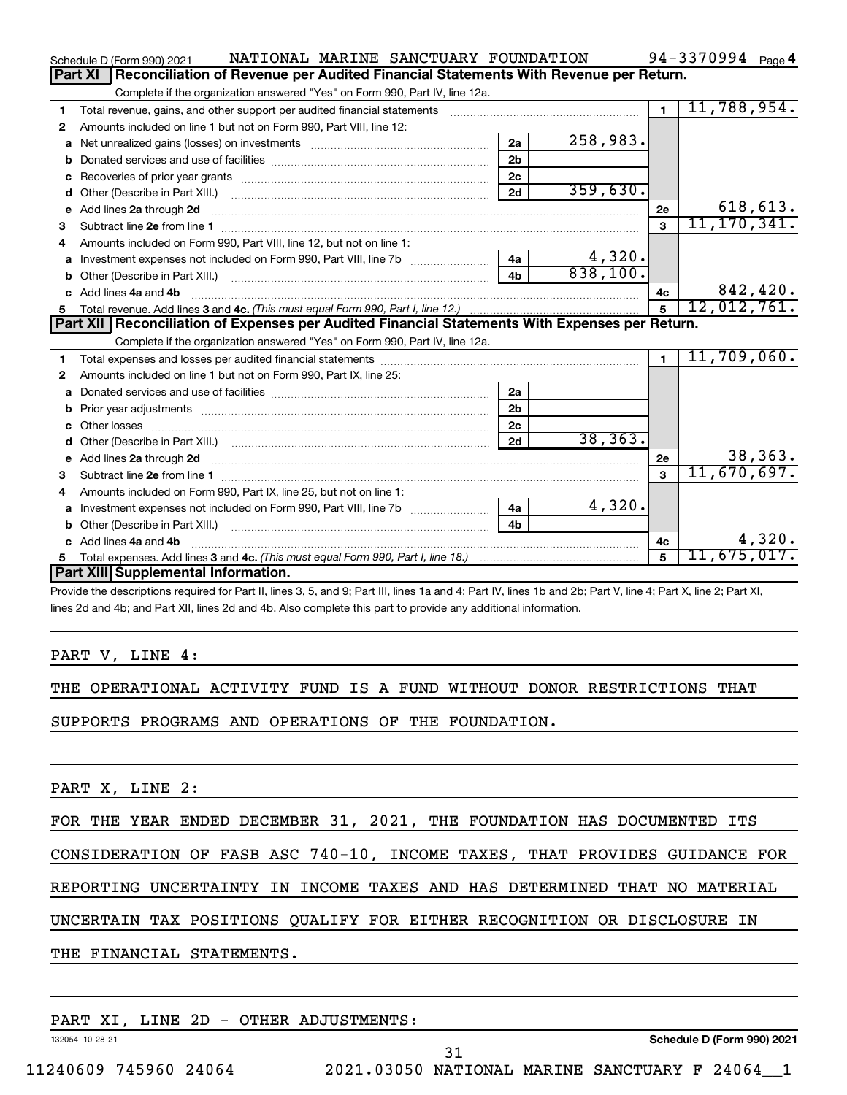|    | NATIONAL MARINE SANCTUARY FOUNDATION<br>Schedule D (Form 990) 2021                                                                                                                                                                  |                |                         |                 | 94-3370994 $_{Page 4}$ |
|----|-------------------------------------------------------------------------------------------------------------------------------------------------------------------------------------------------------------------------------------|----------------|-------------------------|-----------------|------------------------|
|    | Part XI<br>Reconciliation of Revenue per Audited Financial Statements With Revenue per Return.                                                                                                                                      |                |                         |                 |                        |
|    | Complete if the organization answered "Yes" on Form 990, Part IV, line 12a.                                                                                                                                                         |                |                         |                 |                        |
| 1  | Total revenue, gains, and other support per audited financial statements                                                                                                                                                            |                |                         | $\overline{1}$  | 11,788,954.            |
| 2  | Amounts included on line 1 but not on Form 990, Part VIII, line 12:                                                                                                                                                                 |                |                         |                 |                        |
| a  |                                                                                                                                                                                                                                     | 2a             | 258,983.                |                 |                        |
| b  |                                                                                                                                                                                                                                     | 2 <sub>b</sub> |                         |                 |                        |
| c  |                                                                                                                                                                                                                                     | 2 <sub>c</sub> |                         |                 |                        |
| d  | Other (Describe in Part XIII.) <b>Construction Construction</b> Chern Construction Chern Chern Chern Chern Chern Chern                                                                                                              | 2d             | 359,630.                |                 |                        |
| е  | Add lines 2a through 2d                                                                                                                                                                                                             |                |                         | 2e              | 618, 613.              |
| з  |                                                                                                                                                                                                                                     |                |                         | 3               | 11, 170, 341.          |
| 4  | Amounts included on Form 990, Part VIII, line 12, but not on line 1:                                                                                                                                                                |                |                         |                 |                        |
|    |                                                                                                                                                                                                                                     |                | $\frac{4,320}{838,100}$ |                 |                        |
| b  |                                                                                                                                                                                                                                     | 4 <sub>h</sub> |                         |                 |                        |
| c. | Add lines 4a and 4b                                                                                                                                                                                                                 |                |                         | 4с              | 842,420.               |
|    |                                                                                                                                                                                                                                     |                |                         | $5\overline{5}$ | 12,012,761.            |
|    |                                                                                                                                                                                                                                     |                |                         |                 |                        |
|    | Part XII   Reconciliation of Expenses per Audited Financial Statements With Expenses per Return.                                                                                                                                    |                |                         |                 |                        |
|    | Complete if the organization answered "Yes" on Form 990, Part IV, line 12a.                                                                                                                                                         |                |                         |                 |                        |
| 1  |                                                                                                                                                                                                                                     |                |                         | $\blacksquare$  | 11,709,060.            |
| 2  | Amounts included on line 1 but not on Form 990, Part IX, line 25:                                                                                                                                                                   |                |                         |                 |                        |
| a  |                                                                                                                                                                                                                                     | 2a             |                         |                 |                        |
| b  |                                                                                                                                                                                                                                     | 2 <sub>b</sub> |                         |                 |                        |
|    |                                                                                                                                                                                                                                     | 2 <sub>c</sub> |                         |                 |                        |
| d  |                                                                                                                                                                                                                                     | 2d             | 38, 363.                |                 |                        |
| е  | Add lines 2a through 2d <b>[10]</b> University material contracts and the set of the set of the set of the set of the set of the set of the set of the set of the set of the set of the set of the set of the set of the set of the |                |                         | 2e              | 38,363.                |
| 3  |                                                                                                                                                                                                                                     |                |                         | $\mathbf{3}$    | 11,670,697.            |
| 4  | Amounts included on Form 990, Part IX, line 25, but not on line 1:                                                                                                                                                                  |                |                         |                 |                        |
| a  |                                                                                                                                                                                                                                     | 4a             | 4,320.                  |                 |                        |
| b  |                                                                                                                                                                                                                                     | 4 <sub>b</sub> |                         |                 |                        |
|    | c Add lines 4a and 4b                                                                                                                                                                                                               |                |                         | 4c              | 4,320.                 |
| 5  | Part XIII Supplemental Information.                                                                                                                                                                                                 |                |                         | 5               | 11,675,017 <b>.</b>    |

Provide the descriptions required for Part II, lines 3, 5, and 9; Part III, lines 1a and 4; Part IV, lines 1b and 2b; Part V, line 4; Part X, line 2; Part XI, lines 2d and 4b; and Part XII, lines 2d and 4b. Also complete this part to provide any additional information.

#### PART V, LINE 4:

THE OPERATIONAL ACTIVITY FUND IS A FUND WITHOUT DONOR RESTRICTIONS THAT

SUPPORTS PROGRAMS AND OPERATIONS OF THE FOUNDATION.

PART X, LINE 2:

FOR THE YEAR ENDED DECEMBER 31, 2021, THE FOUNDATION HAS DOCUMENTED ITS

CONSIDERATION OF FASB ASC 740-10, INCOME TAXES, THAT PROVIDES GUIDANCE FOR

REPORTING UNCERTAINTY IN INCOME TAXES AND HAS DETERMINED THAT NO MATERIAL

UNCERTAIN TAX POSITIONS QUALIFY FOR EITHER RECOGNITION OR DISCLOSURE IN

THE FINANCIAL STATEMENTS.

PART XI, LINE 2D - OTHER ADJUSTMENTS:

132054 10-28-21

**Schedule D (Form 990) 2021**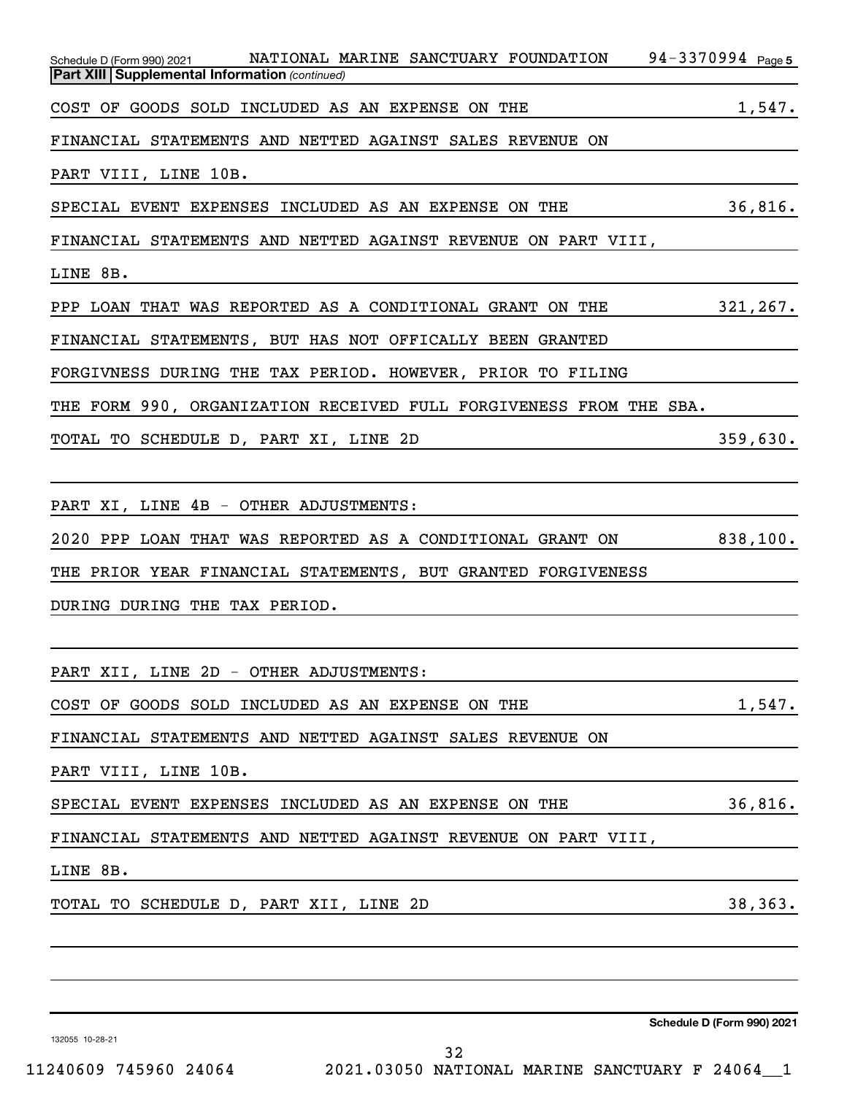| Schedule D (Form 990) 2021 NATIONAL MARINE SANCTUARY FOUNDATION 94-3370994 Page 5<br><b>Part XIII Supplemental Information (continued)</b>                      |
|-----------------------------------------------------------------------------------------------------------------------------------------------------------------|
| <u> 1989 - Johann Stoff, deutscher Stoffen und der Stoffen und der Stoffen und der Stoffen und der Stoffen und der</u>                                          |
| COST OF GOODS SOLD INCLUDED AS AN EXPENSE ON THE 1,547.                                                                                                         |
| FINANCIAL STATEMENTS AND NETTED AGAINST SALES REVENUE ON <b>STATEMENTS</b>                                                                                      |
| PART VIII, LINE 10B.                                                                                                                                            |
| SPECIAL EVENT EXPENSES INCLUDED AS AN EXPENSE ON THE 36,816.                                                                                                    |
| FINANCIAL STATEMENTS AND NETTED AGAINST REVENUE ON PART VIII,                                                                                                   |
| LINE 8B.<br><u> 1989 - Andrea Santana, amerikana amerikana amerikana amerikana amerikana amerikana amerikana amerikana amerika</u>                              |
| PPP LOAN THAT WAS REPORTED AS A CONDITIONAL GRANT ON THE 321,267.                                                                                               |
| FINANCIAL STATEMENTS, BUT HAS NOT OFFICALLY BEEN GRANTED                                                                                                        |
| FORGIVNESS DURING THE TAX PERIOD. HOWEVER, PRIOR TO FILING <b>ALL CONSERVANCE</b>                                                                               |
| THE FORM 990, ORGANIZATION RECEIVED FULL FORGIVENESS FROM THE SBA.                                                                                              |
| TOTAL TO SCHEDULE D, PART XI, LINE 2D<br>259,630.                                                                                                               |
| <u> 1989 - Johann Stoff, deutscher Stoff, der Stoff, der Stoff, der Stoff, der Stoff, der Stoff, der Stoff, der S</u>                                           |
| PART XI, LINE 4B - OTHER ADJUSTMENTS:<br><u> 1989 - Johann Stoff, deutscher Stoffen und der Stoffen und der Stoffen und der Stoffen und der Stoffen und der</u> |
| 2020 PPP LOAN THAT WAS REPORTED AS A CONDITIONAL GRANT ON 838,100.                                                                                              |
| THE PRIOR YEAR FINANCIAL STATEMENTS, BUT GRANTED FORGIVENESS                                                                                                    |
| DURING DURING THE TAX PERIOD.                                                                                                                                   |
|                                                                                                                                                                 |
| PART XII, LINE 2D - OTHER ADJUSTMENTS:                                                                                                                          |
| COST OF GOODS SOLD INCLUDED AS AN EXPENSE ON THE<br>1,547.                                                                                                      |
| FINANCIAL STATEMENTS AND NETTED AGAINST SALES REVENUE ON                                                                                                        |
| PART VIII, LINE 10B.                                                                                                                                            |
| 36,816.<br>SPECIAL EVENT EXPENSES INCLUDED AS AN EXPENSE ON THE                                                                                                 |
| FINANCIAL STATEMENTS AND NETTED AGAINST REVENUE ON PART VIII,                                                                                                   |
| LINE 8B.                                                                                                                                                        |
| 38, 363.<br>TOTAL TO SCHEDULE D, PART XII, LINE 2D                                                                                                              |
|                                                                                                                                                                 |
|                                                                                                                                                                 |
|                                                                                                                                                                 |
|                                                                                                                                                                 |

132055 10-28-21

**Schedule D (Form 990) 2021**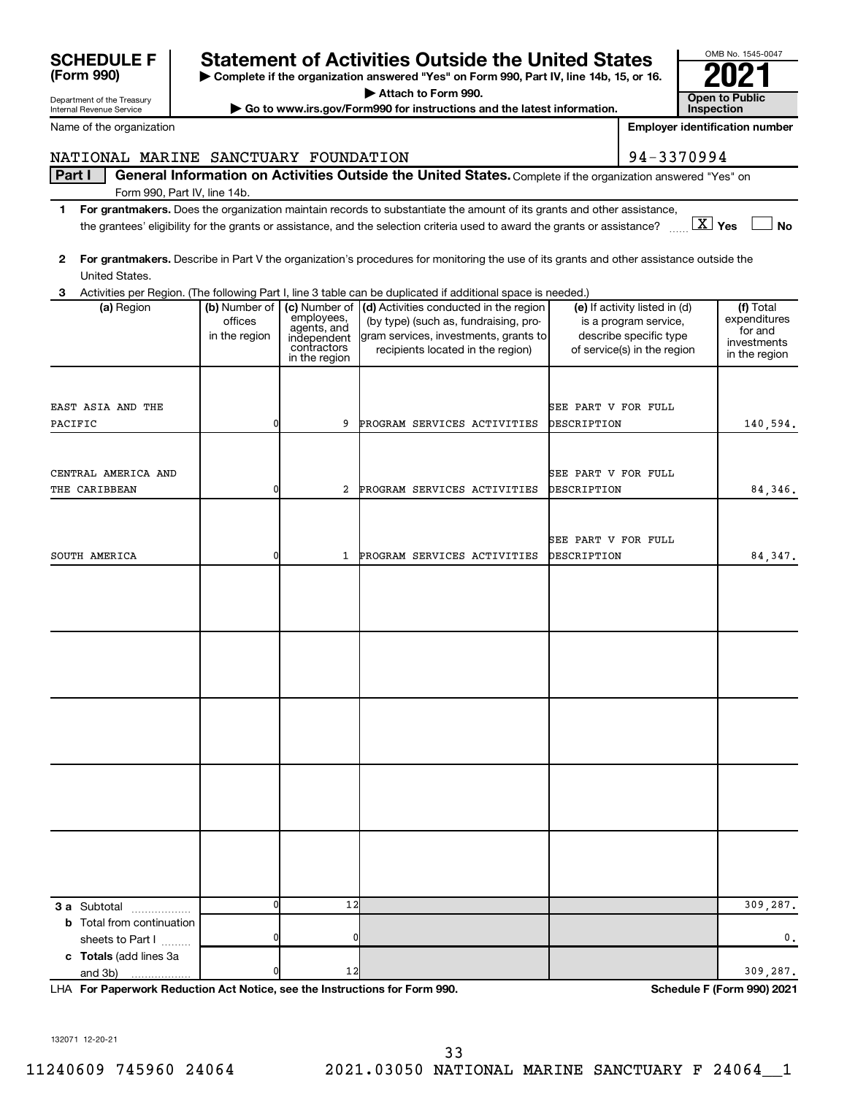| <b>SCHEDULE F</b> | <b>Statement of Activities Outside the United States</b>                                 | OMB No. 1545-0 |
|-------------------|------------------------------------------------------------------------------------------|----------------|
|                   |                                                                                          |                |
| (Form 990)        | ► Complete if the organization answered "Yes" on Form 990, Part IV. line 14b. 15. or 16. | 2021           |
|                   |                                                                                          |                |

**| Attach to Form 990.**

**| Go to www.irs.gov/Form990 for instructions and the latest information. Open to Public** 

**3 (a)** Region **a (b)** Number of **| (c)** Number of **| (d)** Activities conducted in the region **|** (e) If activity listed in (d) **| (f) 3 a** Subtotal .................. **b** Total from continuation **c Totals**  (add lines 3a Activities per Region. (The following Part I, line 3 table can be duplicated if additional space is needed.) (a) Region (b) Number of offices in the region employees, agents, and independent contractors in the region (by type) (such as, fundraising, program services, investments, grants to recipients located in the region) (e) If activity listed in (d) is a program service, describe specific type of service(s) in the region (f) Total expenditures for and investments in the region sheets to Part  $1$   $\ldots$ ... and 3b) EAST ASIA AND THE SEE PART V FOR FULL SEE PART V FOR FULL PACIFIC 140,594. 0 9 PROGRAM SERVICES ACTIVITIES DESCRIPTION 140,594. CENTRAL AMERICA AND SEE PART V FOR FULL THE CARIBBEAN **1** 2 PROGRAM SERVICES ACTIVITIES DESCRIPTION 84,346. SEE PART V FOR FULL SOUTH AMERICA 64,347. 0  $12$  309,287. 0 0 0. 0  $12$  309,287.

**For Paperwork Reduction Act Notice, see the Instructions for Form 990. Schedule F (Form 990) 2021** LHA

132071 12-20-21

#### Department of the Treasury Internal Revenue Service

Name of the organization

## NATIONAL MARINE SANCTUARY FOUNDATION **194-3370994**

Part I | General Information on Activities Outside the United States. Complete if the organization answered "Yes" on Form 990, Part IV, line 14b.

- **1 For grantmakers.**  Does the organization maintain records to substantiate the amount of its grants and other assistance, **Yes No** the grantees' eligibility for the grants or assistance, and the selection criteria used to award the grants or assistance? ~~ † † X
- **2 For grantmakers.**  Describe in Part V the organization's procedures for monitoring the use of its grants and other assistance outside the United States.
- 



**Employer identification number**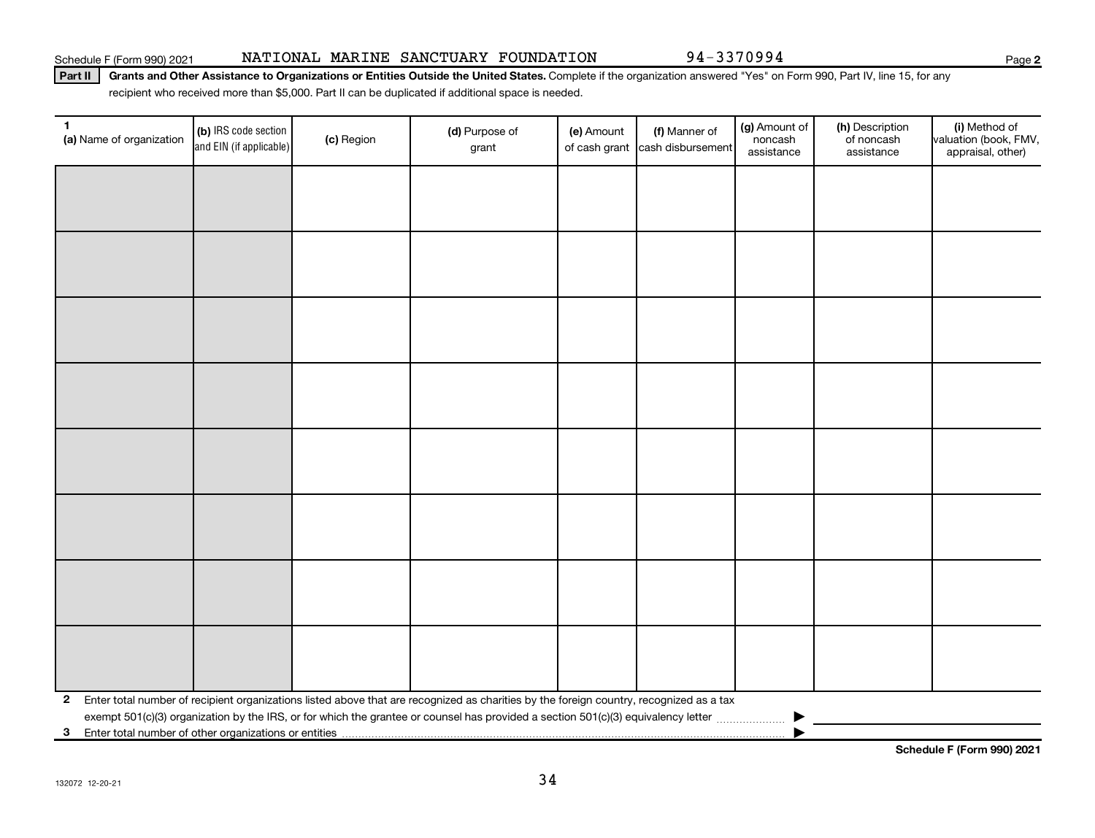Part II | Grants and Other Assistance to Organizations or Entities Outside the United States. Complete if the organization answered "Yes" on Form 990, Part IV, line 15, for any recipient who received more than \$5,000. Part II can be duplicated if additional space is needed.

| $\mathbf{1}$<br>(a) Name of organization                | (b) IRS code section<br>and EIN (if applicable) | (c) Region | (d) Purpose of<br>grant                                                                                                                 | (e) Amount | (f) Manner of<br>of cash grant cash disbursement | (g) Amount of<br>noncash<br>assistance | (h) Description<br>of noncash<br>assistance | (i) Method of<br>valuation (book, FMV,<br>appraisal, other) |
|---------------------------------------------------------|-------------------------------------------------|------------|-----------------------------------------------------------------------------------------------------------------------------------------|------------|--------------------------------------------------|----------------------------------------|---------------------------------------------|-------------------------------------------------------------|
|                                                         |                                                 |            |                                                                                                                                         |            |                                                  |                                        |                                             |                                                             |
|                                                         |                                                 |            |                                                                                                                                         |            |                                                  |                                        |                                             |                                                             |
|                                                         |                                                 |            |                                                                                                                                         |            |                                                  |                                        |                                             |                                                             |
|                                                         |                                                 |            |                                                                                                                                         |            |                                                  |                                        |                                             |                                                             |
|                                                         |                                                 |            |                                                                                                                                         |            |                                                  |                                        |                                             |                                                             |
|                                                         |                                                 |            |                                                                                                                                         |            |                                                  |                                        |                                             |                                                             |
|                                                         |                                                 |            |                                                                                                                                         |            |                                                  |                                        |                                             |                                                             |
|                                                         |                                                 |            |                                                                                                                                         |            |                                                  |                                        |                                             |                                                             |
|                                                         |                                                 |            |                                                                                                                                         |            |                                                  |                                        |                                             |                                                             |
|                                                         |                                                 |            |                                                                                                                                         |            |                                                  |                                        |                                             |                                                             |
|                                                         |                                                 |            |                                                                                                                                         |            |                                                  |                                        |                                             |                                                             |
|                                                         |                                                 |            |                                                                                                                                         |            |                                                  |                                        |                                             |                                                             |
|                                                         |                                                 |            |                                                                                                                                         |            |                                                  |                                        |                                             |                                                             |
|                                                         |                                                 |            |                                                                                                                                         |            |                                                  |                                        |                                             |                                                             |
|                                                         |                                                 |            |                                                                                                                                         |            |                                                  |                                        |                                             |                                                             |
|                                                         |                                                 |            |                                                                                                                                         |            |                                                  |                                        |                                             |                                                             |
| $\mathbf{2}$                                            |                                                 |            | Enter total number of recipient organizations listed above that are recognized as charities by the foreign country, recognized as a tax |            |                                                  |                                        |                                             |                                                             |
| 3 Enter total number of other organizations or entities |                                                 |            |                                                                                                                                         |            |                                                  |                                        |                                             |                                                             |

**Schedule F (Form 990) 2021**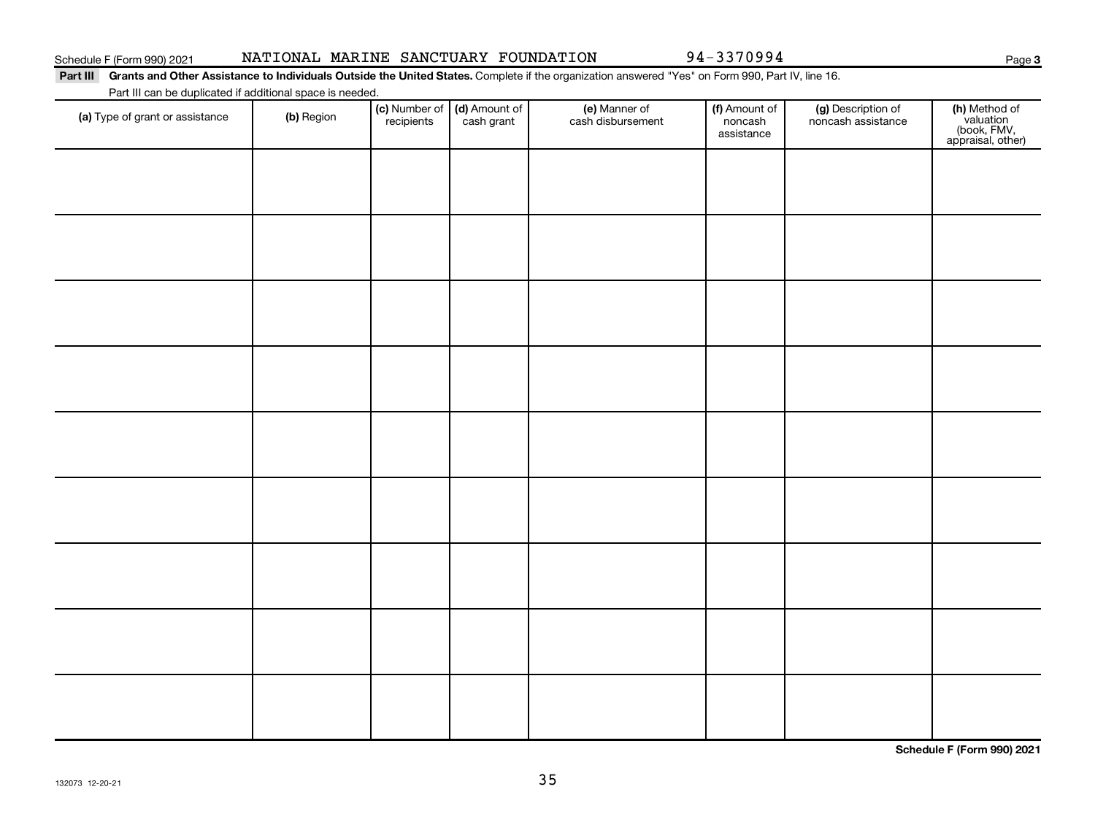94-3370994

**3**

#### Part III Grants and Other Assistance to Individuals Outside the United States. Complete if the organization answered "Yes" on Form 990, Part IV, line 16. Part III can be duplicated if additional space is needed.

| (a) Type of grant or assistance | (b) Region | (c) Number of (d) Amount of<br>recipients cash grant | (e) Manner of<br>cash disbursement | (f) Amount of<br>noncash<br>assistance | (g) Description of<br>noncash assistance | (h) Method of<br>valuation<br>(book, FMV,<br>appraisal, other) |
|---------------------------------|------------|------------------------------------------------------|------------------------------------|----------------------------------------|------------------------------------------|----------------------------------------------------------------|
|                                 |            |                                                      |                                    |                                        |                                          |                                                                |
|                                 |            |                                                      |                                    |                                        |                                          |                                                                |
|                                 |            |                                                      |                                    |                                        |                                          |                                                                |
|                                 |            |                                                      |                                    |                                        |                                          |                                                                |
|                                 |            |                                                      |                                    |                                        |                                          |                                                                |
|                                 |            |                                                      |                                    |                                        |                                          |                                                                |
|                                 |            |                                                      |                                    |                                        |                                          |                                                                |
|                                 |            |                                                      |                                    |                                        |                                          |                                                                |
|                                 |            |                                                      |                                    |                                        |                                          |                                                                |
|                                 |            |                                                      |                                    |                                        |                                          |                                                                |
|                                 |            |                                                      |                                    |                                        |                                          |                                                                |

**Schedule F (Form 990) 2021**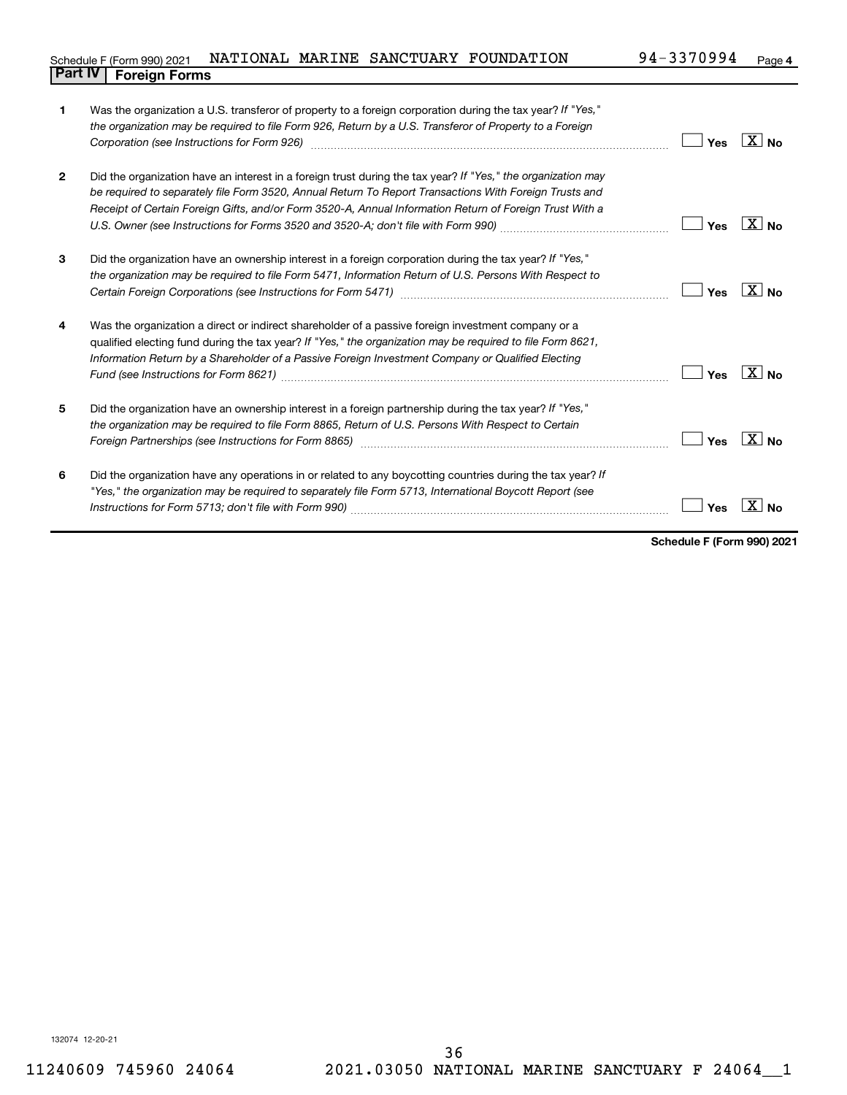#### **4** Schedule F (Form 990) 2021 NATIONAL MARINE SANCTUARY FOUNDATION 94-3370994 Page **Part IV F** (Form 990) 2021 1

| 1              | Was the organization a U.S. transferor of property to a foreign corporation during the tax year? If "Yes,"<br>the organization may be required to file Form 926, Return by a U.S. Transferor of Property to a Foreign                                                                                                                                                                                                                           | Yes | ∴X I No           |
|----------------|-------------------------------------------------------------------------------------------------------------------------------------------------------------------------------------------------------------------------------------------------------------------------------------------------------------------------------------------------------------------------------------------------------------------------------------------------|-----|-------------------|
| $\overline{2}$ | Did the organization have an interest in a foreign trust during the tax year? If "Yes," the organization may<br>be required to separately file Form 3520, Annual Return To Report Transactions With Foreign Trusts and<br>Receipt of Certain Foreign Gifts, and/or Form 3520-A, Annual Information Return of Foreign Trust With a                                                                                                               | Yes | $X _{\text{No}}$  |
| 3              | Did the organization have an ownership interest in a foreign corporation during the tax year? If "Yes,"<br>the organization may be required to file Form 5471, Information Return of U.S. Persons With Respect to                                                                                                                                                                                                                               | Yes | $X _{N_{\Omega}}$ |
| 4              | Was the organization a direct or indirect shareholder of a passive foreign investment company or a<br>qualified electing fund during the tax year? If "Yes," the organization may be required to file Form 8621,<br>Information Return by a Shareholder of a Passive Foreign Investment Company or Qualified Electing                                                                                                                           | Yes | $ X $ No          |
| 5              | Did the organization have an ownership interest in a foreign partnership during the tax year? If "Yes,"<br>the organization may be required to file Form 8865, Return of U.S. Persons With Respect to Certain<br>Foreign Partnerships (see Instructions for Form 8865) manufactured content content and the content of the state of the state of the state of the state of the state of the state of the state of the state of the state of the | Yes | $X _{\text{No}}$  |
| 6              | Did the organization have any operations in or related to any boycotting countries during the tax year? If<br>"Yes," the organization may be required to separately file Form 5713, International Boycott Report (see                                                                                                                                                                                                                           | Yes |                   |

**Schedule F (Form 990) 2021**

132074 12-20-21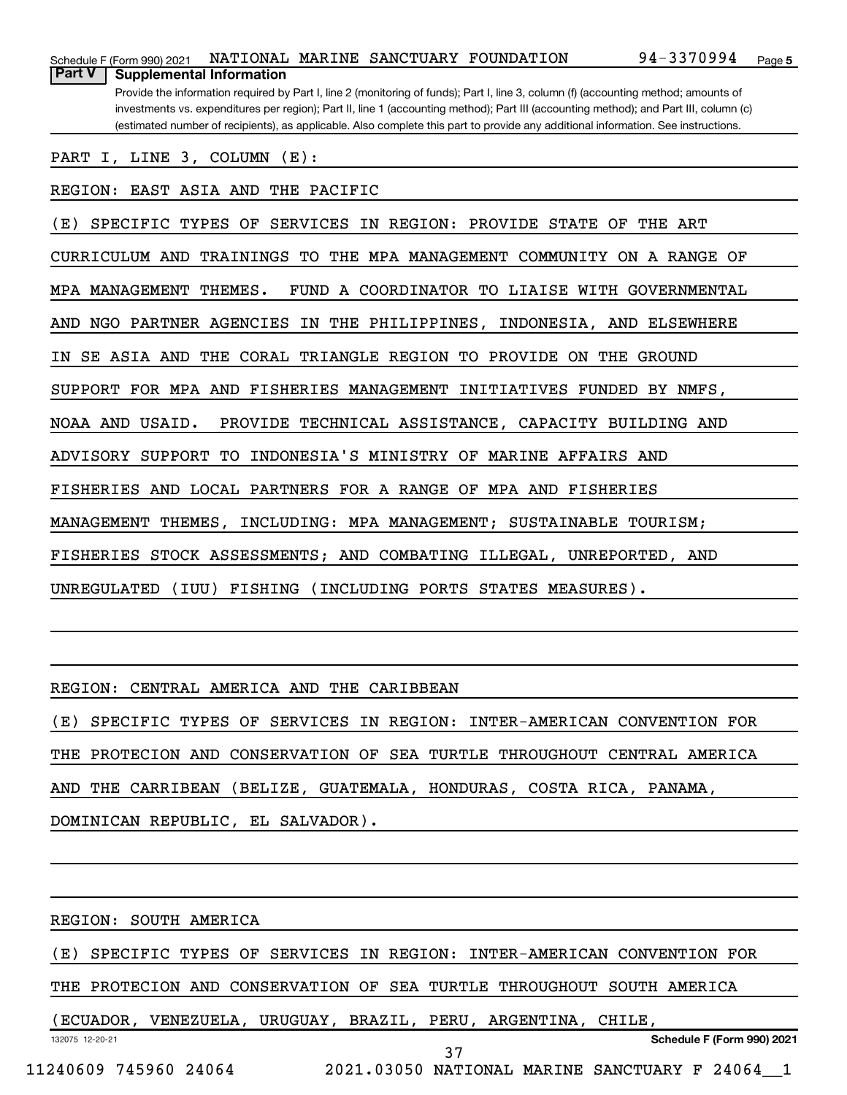| NATIONAL MARINE SANCTUARY FOUNDATION<br>Schedule F (Form 990) 2021                                                                    | 94-3370994 | Page 5 |
|---------------------------------------------------------------------------------------------------------------------------------------|------------|--------|
| <b>Part V</b><br><b>Supplemental Information</b>                                                                                      |            |        |
| Provide the information required by Part I, line 2 (monitoring of funds); Part I, line 3, column (f) (accounting method; amounts of   |            |        |
| investments vs. expenditures per region); Part II, line 1 (accounting method); Part III (accounting method); and Part III, column (c) |            |        |
| (estimated number of recipients), as applicable. Also complete this part to provide any additional information. See instructions.     |            |        |
| PART I, LINE 3, COLUMN (E):                                                                                                           |            |        |
|                                                                                                                                       |            |        |
| REGION: EAST ASIA AND THE PACIFIC                                                                                                     |            |        |
| IN REGION: PROVIDE STATE OF THE ART<br>(E)<br>SPECIFIC TYPES OF<br>SERVICES                                                           |            |        |
|                                                                                                                                       |            |        |
| CURRICULUM AND<br>TRAININGS<br>TO THE MPA MANAGEMENT COMMUNITY ON A RANGE OF                                                          |            |        |
| MPA MANAGEMENT<br>THEMES.<br>FUND A COORDINATOR TO LIAISE WITH GOVERNMENTAL                                                           |            |        |
|                                                                                                                                       |            |        |
| NGO PARTNER AGENCIES<br>AND<br>IN THE PHILIPPINES, INDONESIA, AND ELSEWHERE                                                           |            |        |
| TRIANGLE REGION TO PROVIDE ON THE GROUND<br>SE ASIA AND<br>THE CORAL<br>IN                                                            |            |        |
|                                                                                                                                       |            |        |
| SUPPORT FOR MPA AND FISHERIES MANAGEMENT INITIATIVES FUNDED BY NMFS,                                                                  |            |        |
| NOAA AND USAID.<br>PROVIDE TECHNICAL ASSISTANCE, CAPACITY BUILDING AND                                                                |            |        |
|                                                                                                                                       |            |        |
| INDONESIA'S MINISTRY OF MARINE AFFAIRS AND<br>ADVISORY SUPPORT<br>TО                                                                  |            |        |
| FISHERIES AND LOCAL PARTNERS FOR A RANGE OF MPA AND FISHERIES                                                                         |            |        |
|                                                                                                                                       |            |        |
| <b>MANAGEMENT</b><br>THEMES, INCLUDING: MPA MANAGEMENT; SUSTAINABLE TOURISM;                                                          |            |        |
| FISHERIES STOCK ASSESSMENTS; AND COMBATING ILLEGAL, UNREPORTED, AND                                                                   |            |        |
|                                                                                                                                       |            |        |
| UNREGULATED<br>(IUU) FISHING (INCLUDING PORTS STATES MEASURES).                                                                       |            |        |
|                                                                                                                                       |            |        |
|                                                                                                                                       |            |        |
|                                                                                                                                       |            |        |
| REGION: CENTRAL AMERICA AND THE CARIBBEAN                                                                                             |            |        |
|                                                                                                                                       |            |        |
| (E) SPECIFIC TYPES OF SERVICES IN REGION: INTER-AMERICAN CONVENTION FOR                                                               |            |        |
| THE PROTECION AND CONSERVATION OF SEA TURTLE THROUGHOUT CENTRAL AMERICA                                                               |            |        |
|                                                                                                                                       |            |        |
| AND THE CARRIBEAN (BELIZE, GUATEMALA, HONDURAS, COSTA RICA, PANAMA,                                                                   |            |        |
| DOMINICAN REPUBLIC, EL SALVADOR).                                                                                                     |            |        |
| <u> 1980 - Johann Barn, mars an t-Amerikaansk politiker (* 1918)</u>                                                                  |            |        |
|                                                                                                                                       |            |        |
|                                                                                                                                       |            |        |
|                                                                                                                                       |            |        |
| REGION: SOUTH AMERICA                                                                                                                 |            |        |
|                                                                                                                                       |            |        |
| (E) SPECIFIC TYPES OF SERVICES IN REGION: INTER-AMERICAN CONVENTION FOR                                                               |            |        |
| THE PROTECION AND CONSERVATION OF SEA TURTLE THROUGHOUT SOUTH AMERICA                                                                 |            |        |
|                                                                                                                                       |            |        |
| (ECUADOR, VENEZUELA, URUGUAY, BRAZIL, PERU, ARGENTINA, CHILE,                                                                         |            |        |

132075 12-20-21

37

**Schedule F (Form 990) 2021**

11240609 745960 24064 2021.03050 NATIONAL MARINE SANCTUARY F 24064\_\_1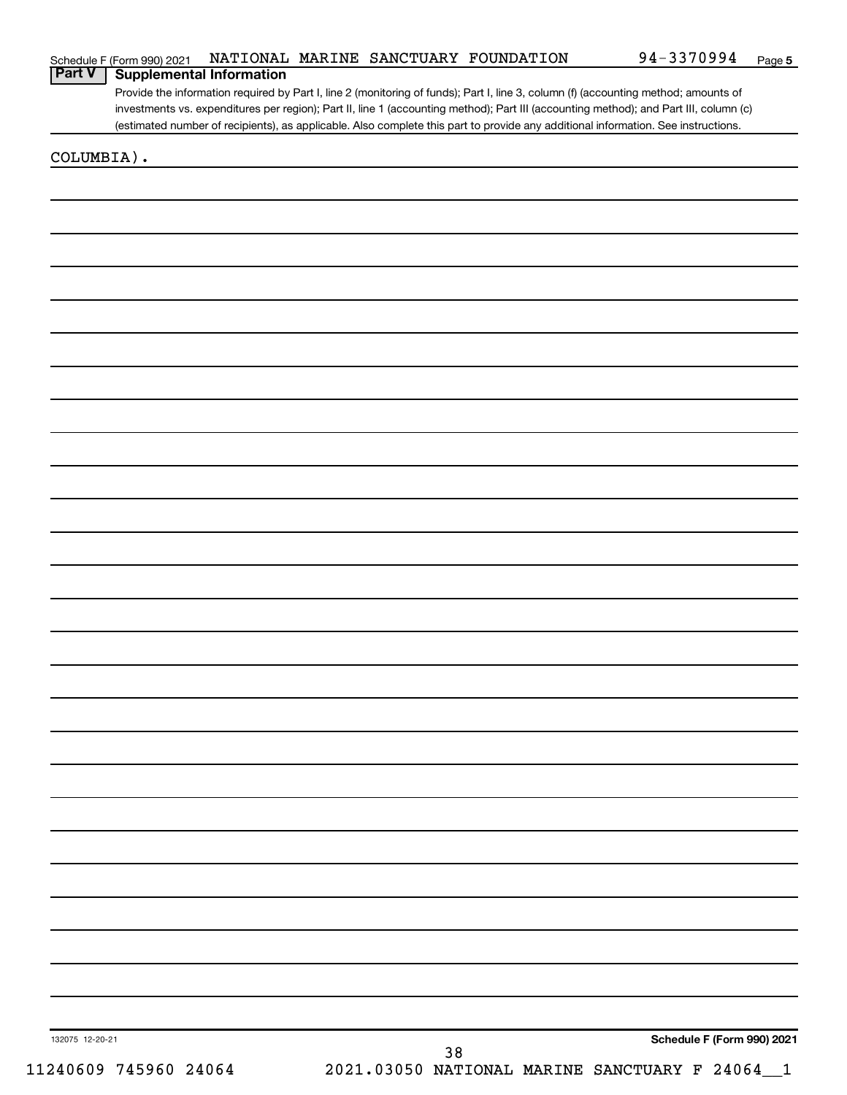| Schedule F (Form 990) 2021 |  |  |  | NATIONAL MARINE SANCTUARY FOUNDATION | 94-3370994 | Page |
|----------------------------|--|--|--|--------------------------------------|------------|------|
|----------------------------|--|--|--|--------------------------------------|------------|------|

#### **Part V Supplemental Information**

Provide the information required by Part I, line 2 (monitoring of funds); Part I, line 3, column (f) (accounting method; amounts of investments vs. expenditures per region); Part II, line 1 (accounting method); Part III (accounting method); and Part III, column (c) (estimated number of recipients), as applicable. Also complete this part to provide any additional information. See instructions.

COLUMBIA).

**Schedule F (Form 990) 2021**

132075 12-20-21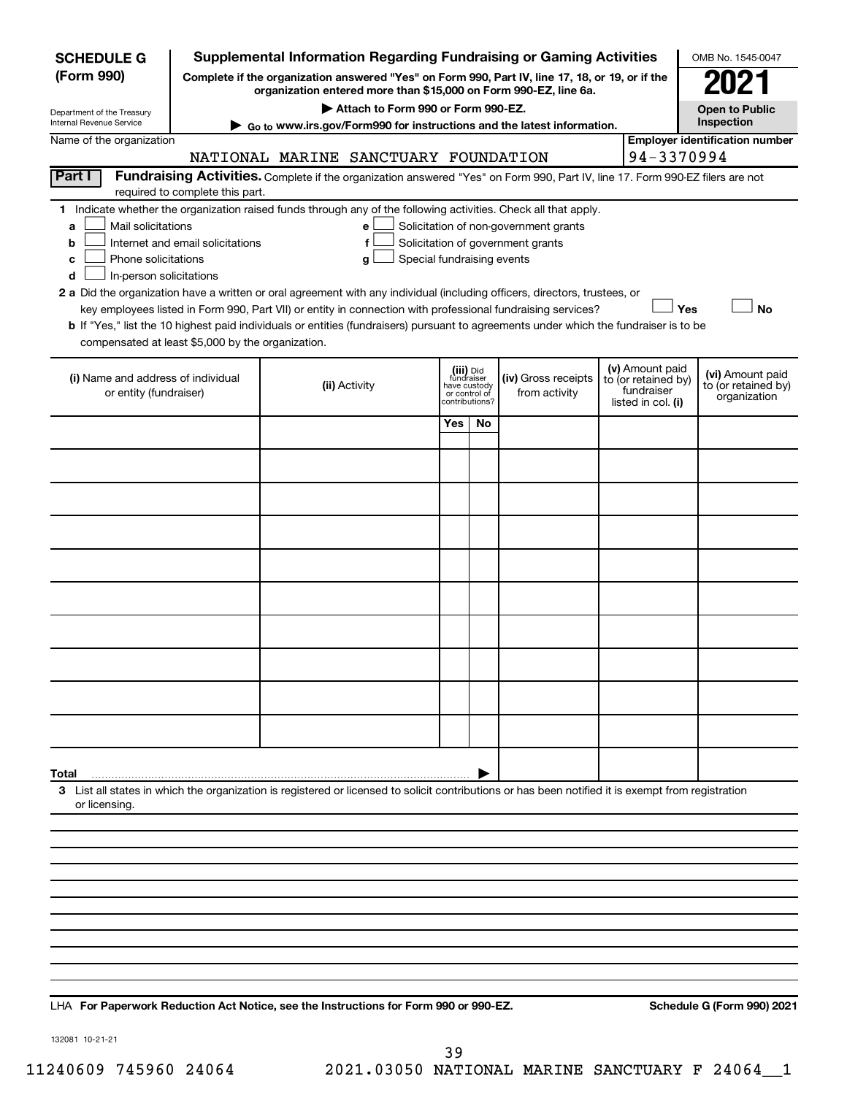| <b>SCHEDULE G</b>                                                                        | <b>Supplemental Information Regarding Fundraising or Gaming Activities</b> |                                                                                                                                                                                                                                                                                            | OMB No. 1545-0047                                                          |    |                                                                            |  |                                                                            |                                                         |
|------------------------------------------------------------------------------------------|----------------------------------------------------------------------------|--------------------------------------------------------------------------------------------------------------------------------------------------------------------------------------------------------------------------------------------------------------------------------------------|----------------------------------------------------------------------------|----|----------------------------------------------------------------------------|--|----------------------------------------------------------------------------|---------------------------------------------------------|
| (Form 990)                                                                               |                                                                            | Complete if the organization answered "Yes" on Form 990, Part IV, line 17, 18, or 19, or if the<br>organization entered more than \$15,000 on Form 990-EZ, line 6a.                                                                                                                        |                                                                            |    |                                                                            |  |                                                                            |                                                         |
| Department of the Treasury                                                               |                                                                            | Attach to Form 990 or Form 990-EZ.                                                                                                                                                                                                                                                         |                                                                            |    |                                                                            |  |                                                                            | <b>Open to Public</b>                                   |
| Internal Revenue Service<br>Name of the organization                                     |                                                                            | Go to www.irs.gov/Form990 for instructions and the latest information.                                                                                                                                                                                                                     |                                                                            |    |                                                                            |  |                                                                            | Inspection<br><b>Employer identification number</b>     |
|                                                                                          |                                                                            | NATIONAL MARINE SANCTUARY FOUNDATION                                                                                                                                                                                                                                                       |                                                                            |    |                                                                            |  | 94-3370994                                                                 |                                                         |
| Part I                                                                                   | required to complete this part.                                            | Fundraising Activities. Complete if the organization answered "Yes" on Form 990, Part IV, line 17. Form 990-EZ filers are not                                                                                                                                                              |                                                                            |    |                                                                            |  |                                                                            |                                                         |
| Mail solicitations<br>a<br>b<br>Phone solicitations<br>с<br>In-person solicitations<br>d | Internet and email solicitations                                           | 1 Indicate whether the organization raised funds through any of the following activities. Check all that apply.<br>e<br>f<br>Special fundraising events<br>g<br>2 a Did the organization have a written or oral agreement with any individual (including officers, directors, trustees, or |                                                                            |    | Solicitation of non-government grants<br>Solicitation of government grants |  |                                                                            |                                                         |
| compensated at least \$5,000 by the organization.                                        |                                                                            | key employees listed in Form 990, Part VII) or entity in connection with professional fundraising services?<br>b If "Yes," list the 10 highest paid individuals or entities (fundraisers) pursuant to agreements under which the fundraiser is to be                                       |                                                                            |    |                                                                            |  | Yes                                                                        | <b>No</b>                                               |
| (i) Name and address of individual<br>or entity (fundraiser)                             |                                                                            | (ii) Activity                                                                                                                                                                                                                                                                              | (iii) Did<br>fundraiser<br>have custody<br>or control of<br>contributions? |    | (iv) Gross receipts<br>from activity                                       |  | (v) Amount paid<br>to (or retained by)<br>fundraiser<br>listed in col. (i) | (vi) Amount paid<br>to (or retained by)<br>organization |
|                                                                                          |                                                                            |                                                                                                                                                                                                                                                                                            | Yes                                                                        | No |                                                                            |  |                                                                            |                                                         |
|                                                                                          |                                                                            |                                                                                                                                                                                                                                                                                            |                                                                            |    |                                                                            |  |                                                                            |                                                         |
|                                                                                          |                                                                            |                                                                                                                                                                                                                                                                                            |                                                                            |    |                                                                            |  |                                                                            |                                                         |
|                                                                                          |                                                                            |                                                                                                                                                                                                                                                                                            |                                                                            |    |                                                                            |  |                                                                            |                                                         |
|                                                                                          |                                                                            |                                                                                                                                                                                                                                                                                            |                                                                            |    |                                                                            |  |                                                                            |                                                         |
|                                                                                          |                                                                            |                                                                                                                                                                                                                                                                                            |                                                                            |    |                                                                            |  |                                                                            |                                                         |
|                                                                                          |                                                                            |                                                                                                                                                                                                                                                                                            |                                                                            |    |                                                                            |  |                                                                            |                                                         |
|                                                                                          |                                                                            |                                                                                                                                                                                                                                                                                            |                                                                            |    |                                                                            |  |                                                                            |                                                         |
|                                                                                          |                                                                            |                                                                                                                                                                                                                                                                                            |                                                                            |    |                                                                            |  |                                                                            |                                                         |
|                                                                                          |                                                                            |                                                                                                                                                                                                                                                                                            |                                                                            |    |                                                                            |  |                                                                            |                                                         |
| Total                                                                                    |                                                                            |                                                                                                                                                                                                                                                                                            |                                                                            |    |                                                                            |  |                                                                            |                                                         |
| or licensing.                                                                            |                                                                            | 3 List all states in which the organization is registered or licensed to solicit contributions or has been notified it is exempt from registration                                                                                                                                         |                                                                            |    |                                                                            |  |                                                                            |                                                         |
|                                                                                          |                                                                            |                                                                                                                                                                                                                                                                                            |                                                                            |    |                                                                            |  |                                                                            |                                                         |
|                                                                                          |                                                                            |                                                                                                                                                                                                                                                                                            |                                                                            |    |                                                                            |  |                                                                            |                                                         |
|                                                                                          |                                                                            |                                                                                                                                                                                                                                                                                            |                                                                            |    |                                                                            |  |                                                                            |                                                         |
|                                                                                          |                                                                            |                                                                                                                                                                                                                                                                                            |                                                                            |    |                                                                            |  |                                                                            |                                                         |
|                                                                                          |                                                                            |                                                                                                                                                                                                                                                                                            |                                                                            |    |                                                                            |  |                                                                            |                                                         |
|                                                                                          |                                                                            |                                                                                                                                                                                                                                                                                            |                                                                            |    |                                                                            |  |                                                                            |                                                         |

LHA For Paperwork Reduction Act Notice, see the Instructions for Form 990 or 990-EZ. Schedule G (Form 990) 2021

132081 10-21-21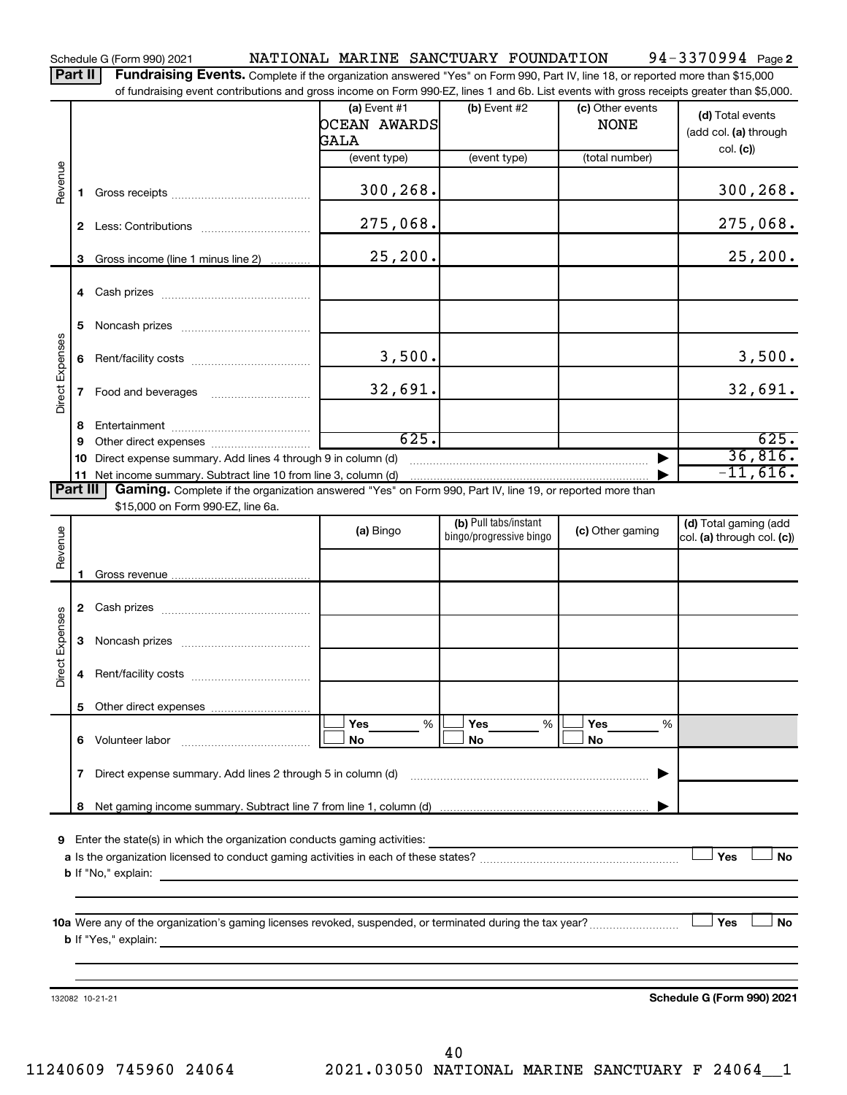Schedule G (Form 990) 2021 Page NATIONAL MARINE SANCTUARY FOUNDATION 94-3370994

94-3370994 Page 2

| Part II   Fundraising Events. Complete if the organization answered "Yes" on Form 990, Part IV, line 18, or reported more than \$15,000   |
|-------------------------------------------------------------------------------------------------------------------------------------------|
| of fundraising event contributions and gross income on Form 990-EZ, lines 1 and 6b. List events with gross receipts greater than \$5,000. |

|                 |          |                                                                                                                                                                                                                                           | or fundraising event contributions and gross income on Form 990-EZ, lines T and 6D. List events with gross receipts greater than \$5,000.<br>(a) Event $#1$<br>OCEAN AWARDS<br>GALA | $(b)$ Event #2                                   | (c) Other events<br><b>NONE</b> | (d) Total events<br>(add col. (a) through<br>col. (c) |
|-----------------|----------|-------------------------------------------------------------------------------------------------------------------------------------------------------------------------------------------------------------------------------------------|-------------------------------------------------------------------------------------------------------------------------------------------------------------------------------------|--------------------------------------------------|---------------------------------|-------------------------------------------------------|
|                 |          |                                                                                                                                                                                                                                           | (event type)                                                                                                                                                                        | (event type)                                     | (total number)                  |                                                       |
| Revenue         | 1.       |                                                                                                                                                                                                                                           | 300,268.                                                                                                                                                                            |                                                  |                                 | 300, 268.                                             |
|                 |          |                                                                                                                                                                                                                                           | 275,068.                                                                                                                                                                            |                                                  |                                 | 275,068.                                              |
|                 | З        | Gross income (line 1 minus line 2)                                                                                                                                                                                                        | 25, 200.                                                                                                                                                                            |                                                  |                                 | 25, 200.                                              |
|                 |          |                                                                                                                                                                                                                                           |                                                                                                                                                                                     |                                                  |                                 |                                                       |
|                 | 5        |                                                                                                                                                                                                                                           |                                                                                                                                                                                     |                                                  |                                 |                                                       |
|                 | 6        |                                                                                                                                                                                                                                           | 3,500.                                                                                                                                                                              |                                                  |                                 | 3,500.                                                |
| Direct Expenses | 7        |                                                                                                                                                                                                                                           | 32,691.                                                                                                                                                                             |                                                  |                                 | 32,691.                                               |
|                 | 8        |                                                                                                                                                                                                                                           |                                                                                                                                                                                     |                                                  |                                 |                                                       |
|                 | 9        |                                                                                                                                                                                                                                           | 625.                                                                                                                                                                                |                                                  |                                 | 625.                                                  |
|                 | 10       | Direct expense summary. Add lines 4 through 9 in column (d)                                                                                                                                                                               |                                                                                                                                                                                     |                                                  |                                 | 36,816.                                               |
|                 |          | 11 Net income summary. Subtract line 10 from line 3, column (d)                                                                                                                                                                           |                                                                                                                                                                                     |                                                  |                                 | $-11,616.$                                            |
|                 | Part III | Gaming. Complete if the organization answered "Yes" on Form 990, Part IV, line 19, or reported more than<br>\$15,000 on Form 990-EZ, line 6a.                                                                                             |                                                                                                                                                                                     |                                                  |                                 |                                                       |
| Revenue         |          |                                                                                                                                                                                                                                           | (a) Bingo                                                                                                                                                                           | (b) Pull tabs/instant<br>bingo/progressive bingo | (c) Other gaming                | (d) Total gaming (add<br>col. (a) through col. (c))   |
|                 |          |                                                                                                                                                                                                                                           |                                                                                                                                                                                     |                                                  |                                 |                                                       |
|                 | 1        |                                                                                                                                                                                                                                           |                                                                                                                                                                                     |                                                  |                                 |                                                       |
|                 | 2        |                                                                                                                                                                                                                                           |                                                                                                                                                                                     |                                                  |                                 |                                                       |
|                 | 3        |                                                                                                                                                                                                                                           |                                                                                                                                                                                     |                                                  |                                 |                                                       |
| Direct Expenses | 4        |                                                                                                                                                                                                                                           |                                                                                                                                                                                     |                                                  |                                 |                                                       |
|                 |          |                                                                                                                                                                                                                                           |                                                                                                                                                                                     |                                                  |                                 |                                                       |
|                 |          |                                                                                                                                                                                                                                           | <b>Yes</b><br>%                                                                                                                                                                     | Yes<br>%                                         | Yes<br>%                        |                                                       |
|                 | 6        | Volunteer labor                                                                                                                                                                                                                           | No                                                                                                                                                                                  | No                                               | No                              |                                                       |
|                 | 7        | Direct expense summary. Add lines 2 through 5 in column (d)                                                                                                                                                                               |                                                                                                                                                                                     |                                                  |                                 |                                                       |
|                 | 8        |                                                                                                                                                                                                                                           |                                                                                                                                                                                     |                                                  |                                 |                                                       |
|                 |          |                                                                                                                                                                                                                                           |                                                                                                                                                                                     |                                                  |                                 |                                                       |
| 9               |          | Enter the state(s) in which the organization conducts gaming activities:                                                                                                                                                                  |                                                                                                                                                                                     |                                                  |                                 |                                                       |
|                 |          | <b>b</b> If "No," explain:                                                                                                                                                                                                                |                                                                                                                                                                                     |                                                  |                                 | Yes<br>No                                             |
|                 |          | <u> 1980 - Andrea Andrew Maria (h. 1980).</u>                                                                                                                                                                                             |                                                                                                                                                                                     |                                                  |                                 |                                                       |
|                 |          |                                                                                                                                                                                                                                           |                                                                                                                                                                                     |                                                  |                                 |                                                       |
|                 |          |                                                                                                                                                                                                                                           |                                                                                                                                                                                     |                                                  |                                 |                                                       |
|                 |          | <b>b</b> If "Yes," explain: <u>All and the set of the set of the set of the set of the set of the set of the set of the set of the set of the set of the set of the set of the set of the set of the set of the set of the set of the</u> |                                                                                                                                                                                     |                                                  |                                 | Yes<br>No                                             |
|                 |          |                                                                                                                                                                                                                                           |                                                                                                                                                                                     |                                                  |                                 |                                                       |
|                 |          |                                                                                                                                                                                                                                           |                                                                                                                                                                                     |                                                  |                                 |                                                       |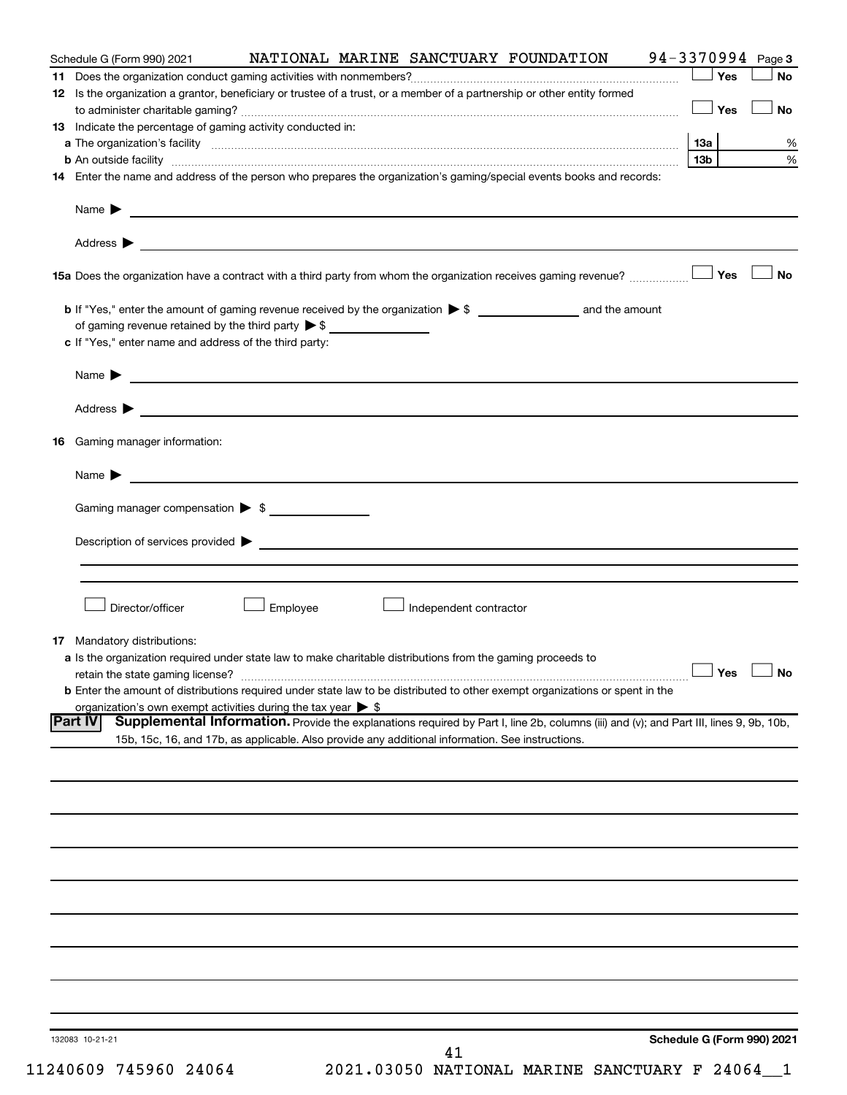| Schedule G (Form 990) 2021                                                                                                                                                                                                     |          |                        | NATIONAL MARINE SANCTUARY FOUNDATION                                                                                                   | 94-3370994 Page 3          |                 |           |
|--------------------------------------------------------------------------------------------------------------------------------------------------------------------------------------------------------------------------------|----------|------------------------|----------------------------------------------------------------------------------------------------------------------------------------|----------------------------|-----------------|-----------|
|                                                                                                                                                                                                                                |          |                        |                                                                                                                                        |                            | Yes             | <b>No</b> |
| 12 Is the organization a grantor, beneficiary or trustee of a trust, or a member of a partnership or other entity formed                                                                                                       |          |                        |                                                                                                                                        |                            |                 |           |
|                                                                                                                                                                                                                                |          |                        |                                                                                                                                        |                            | $\Box$ Yes      | <b>No</b> |
| 13 Indicate the percentage of gaming activity conducted in:                                                                                                                                                                    |          |                        |                                                                                                                                        |                            |                 |           |
| a The organization's facility material content and a content of the content of the content of the content of the content of the content of the content of the content of the content of the content of the content of the cont |          |                        |                                                                                                                                        |                            |                 | %         |
| <b>b</b> An outside facility <i>www.communicality www.communicality.communicality www.communicality www.communicality www.communicality www.communicality www.communicality www.communicality.com</i>                          |          |                        |                                                                                                                                        |                            | 13 <sub>b</sub> | $\%$      |
| 14 Enter the name and address of the person who prepares the organization's gaming/special events books and records:                                                                                                           |          |                        |                                                                                                                                        |                            |                 |           |
|                                                                                                                                                                                                                                |          |                        |                                                                                                                                        |                            |                 |           |
|                                                                                                                                                                                                                                |          |                        |                                                                                                                                        |                            |                 |           |
|                                                                                                                                                                                                                                |          |                        |                                                                                                                                        |                            |                 | 」No       |
|                                                                                                                                                                                                                                |          |                        |                                                                                                                                        |                            |                 |           |
| of gaming revenue retained by the third party $\triangleright$ \$                                                                                                                                                              |          |                        |                                                                                                                                        |                            |                 |           |
| c If "Yes," enter name and address of the third party:                                                                                                                                                                         |          |                        |                                                                                                                                        |                            |                 |           |
| Name $\blacktriangleright$ $\lrcorner$                                                                                                                                                                                         |          |                        |                                                                                                                                        |                            |                 |           |
|                                                                                                                                                                                                                                |          |                        |                                                                                                                                        |                            |                 |           |
|                                                                                                                                                                                                                                |          |                        |                                                                                                                                        |                            |                 |           |
| 16 Gaming manager information:                                                                                                                                                                                                 |          |                        |                                                                                                                                        |                            |                 |           |
| Name $\blacktriangleright$ $\lrcorner$                                                                                                                                                                                         |          |                        |                                                                                                                                        |                            |                 |           |
| Gaming manager compensation > \$                                                                                                                                                                                               |          |                        |                                                                                                                                        |                            |                 |           |
|                                                                                                                                                                                                                                |          |                        |                                                                                                                                        |                            |                 |           |
|                                                                                                                                                                                                                                |          |                        |                                                                                                                                        |                            |                 |           |
|                                                                                                                                                                                                                                |          |                        |                                                                                                                                        |                            |                 |           |
|                                                                                                                                                                                                                                |          |                        |                                                                                                                                        |                            |                 |           |
| Director/officer                                                                                                                                                                                                               | Employee | Independent contractor |                                                                                                                                        |                            |                 |           |
|                                                                                                                                                                                                                                |          |                        |                                                                                                                                        |                            |                 |           |
| <b>17</b> Mandatory distributions:                                                                                                                                                                                             |          |                        |                                                                                                                                        |                            |                 |           |
| a Is the organization required under state law to make charitable distributions from the gaming proceeds to                                                                                                                    |          |                        |                                                                                                                                        |                            |                 |           |
| retain the state gaming license? $\Box$ No                                                                                                                                                                                     |          |                        |                                                                                                                                        |                            |                 |           |
| <b>b</b> Enter the amount of distributions required under state law to be distributed to other exempt organizations or spent in the                                                                                            |          |                        |                                                                                                                                        |                            |                 |           |
| organization's own exempt activities during the tax year $\triangleright$ \$<br><b>Part IV</b>                                                                                                                                 |          |                        | Supplemental Information. Provide the explanations required by Part I, line 2b, columns (iii) and (v); and Part III, lines 9, 9b, 10b, |                            |                 |           |
| 15b, 15c, 16, and 17b, as applicable. Also provide any additional information. See instructions.                                                                                                                               |          |                        |                                                                                                                                        |                            |                 |           |
|                                                                                                                                                                                                                                |          |                        |                                                                                                                                        |                            |                 |           |
|                                                                                                                                                                                                                                |          |                        |                                                                                                                                        |                            |                 |           |
|                                                                                                                                                                                                                                |          |                        |                                                                                                                                        |                            |                 |           |
|                                                                                                                                                                                                                                |          |                        |                                                                                                                                        |                            |                 |           |
|                                                                                                                                                                                                                                |          |                        |                                                                                                                                        |                            |                 |           |
|                                                                                                                                                                                                                                |          |                        |                                                                                                                                        |                            |                 |           |
|                                                                                                                                                                                                                                |          |                        |                                                                                                                                        |                            |                 |           |
|                                                                                                                                                                                                                                |          |                        |                                                                                                                                        |                            |                 |           |
|                                                                                                                                                                                                                                |          |                        |                                                                                                                                        |                            |                 |           |
|                                                                                                                                                                                                                                |          |                        |                                                                                                                                        |                            |                 |           |
|                                                                                                                                                                                                                                |          |                        |                                                                                                                                        |                            |                 |           |
|                                                                                                                                                                                                                                |          |                        |                                                                                                                                        |                            |                 |           |
|                                                                                                                                                                                                                                |          |                        |                                                                                                                                        |                            |                 |           |
| 132083 10-21-21                                                                                                                                                                                                                |          |                        |                                                                                                                                        | Schedule G (Form 990) 2021 |                 |           |
|                                                                                                                                                                                                                                |          | 41                     |                                                                                                                                        |                            |                 |           |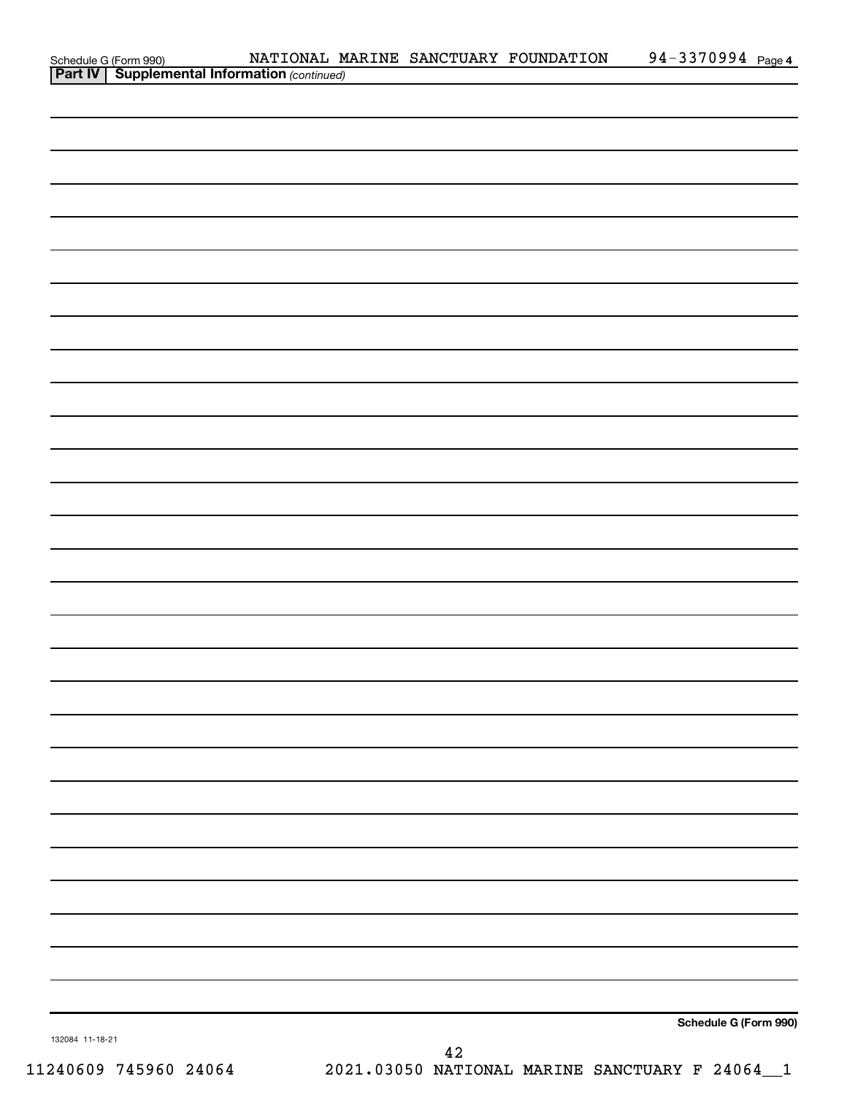|                 | Schedule G (Form 990) NATIONAL M<br>Part IV   Supplemental Information (continued) |  |    | NATIONAL MARINE SANCTUARY FOUNDATION | 94-3370994 Page 4     |
|-----------------|------------------------------------------------------------------------------------|--|----|--------------------------------------|-----------------------|
|                 |                                                                                    |  |    |                                      |                       |
|                 |                                                                                    |  |    |                                      |                       |
|                 |                                                                                    |  |    |                                      |                       |
|                 |                                                                                    |  |    |                                      |                       |
|                 |                                                                                    |  |    |                                      |                       |
|                 |                                                                                    |  |    |                                      |                       |
|                 |                                                                                    |  |    |                                      |                       |
|                 |                                                                                    |  |    |                                      |                       |
|                 |                                                                                    |  |    |                                      |                       |
|                 |                                                                                    |  |    |                                      |                       |
|                 |                                                                                    |  |    |                                      |                       |
|                 |                                                                                    |  |    |                                      |                       |
|                 |                                                                                    |  |    |                                      |                       |
|                 |                                                                                    |  |    |                                      |                       |
|                 |                                                                                    |  |    |                                      |                       |
|                 |                                                                                    |  |    |                                      |                       |
|                 |                                                                                    |  |    |                                      |                       |
|                 |                                                                                    |  |    |                                      |                       |
|                 |                                                                                    |  |    |                                      |                       |
|                 |                                                                                    |  |    |                                      |                       |
|                 |                                                                                    |  |    |                                      |                       |
|                 |                                                                                    |  |    |                                      |                       |
|                 |                                                                                    |  |    |                                      |                       |
|                 |                                                                                    |  |    |                                      |                       |
|                 |                                                                                    |  |    |                                      |                       |
|                 |                                                                                    |  |    |                                      |                       |
|                 |                                                                                    |  |    |                                      |                       |
|                 |                                                                                    |  |    |                                      |                       |
|                 |                                                                                    |  |    |                                      |                       |
|                 |                                                                                    |  |    |                                      |                       |
|                 |                                                                                    |  |    |                                      |                       |
|                 |                                                                                    |  |    |                                      |                       |
|                 |                                                                                    |  |    |                                      |                       |
|                 |                                                                                    |  |    |                                      |                       |
|                 |                                                                                    |  |    |                                      | Schedule G (Form 990) |
| 132084 11-18-21 |                                                                                    |  | 42 |                                      |                       |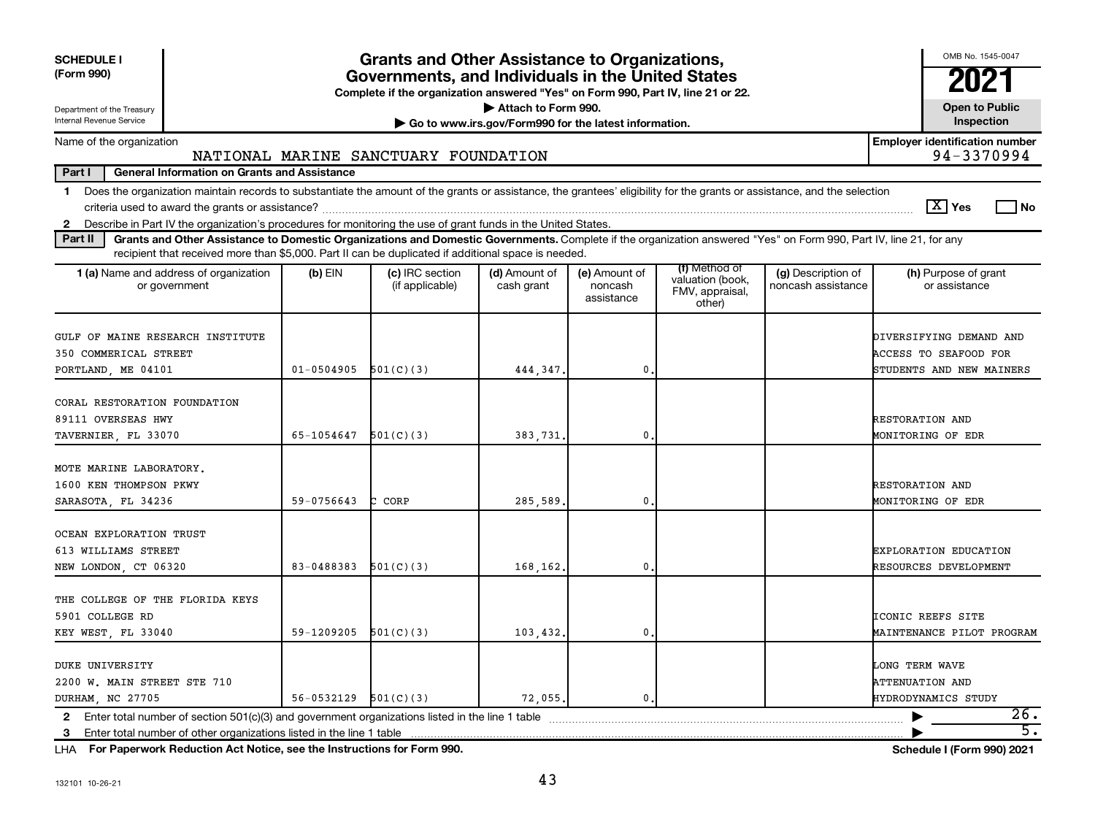| <b>SCHEDULE I</b><br>(Form 990)                                                                                                                                                                                                                                                                  |                          | <b>Grants and Other Assistance to Organizations,</b><br>Governments, and Individuals in the United States<br>Complete if the organization answered "Yes" on Form 990, Part IV, line 21 or 22. |                                                                              |                                        |                                                                |                                          | OMB No. 1545-0047<br>21                                                             |
|--------------------------------------------------------------------------------------------------------------------------------------------------------------------------------------------------------------------------------------------------------------------------------------------------|--------------------------|-----------------------------------------------------------------------------------------------------------------------------------------------------------------------------------------------|------------------------------------------------------------------------------|----------------------------------------|----------------------------------------------------------------|------------------------------------------|-------------------------------------------------------------------------------------|
| Department of the Treasury<br>Internal Revenue Service                                                                                                                                                                                                                                           |                          |                                                                                                                                                                                               | Attach to Form 990.<br>Go to www.irs.gov/Form990 for the latest information. |                                        |                                                                |                                          | <b>Open to Public</b><br>Inspection                                                 |
| Name of the organization                                                                                                                                                                                                                                                                         |                          |                                                                                                                                                                                               |                                                                              |                                        |                                                                |                                          | <b>Employer identification number</b>                                               |
|                                                                                                                                                                                                                                                                                                  |                          | NATIONAL MARINE SANCTUARY FOUNDATION                                                                                                                                                          |                                                                              |                                        |                                                                |                                          | 94-3370994                                                                          |
| Part I<br><b>General Information on Grants and Assistance</b>                                                                                                                                                                                                                                    |                          |                                                                                                                                                                                               |                                                                              |                                        |                                                                |                                          |                                                                                     |
| Does the organization maintain records to substantiate the amount of the grants or assistance, the grantees' eligibility for the grants or assistance, and the selection<br>$\mathbf 1$                                                                                                          |                          |                                                                                                                                                                                               |                                                                              |                                        |                                                                |                                          | $ \mathbf{X} $ Yes<br>l No                                                          |
| 2 Describe in Part IV the organization's procedures for monitoring the use of grant funds in the United States.<br>Grants and Other Assistance to Domestic Organizations and Domestic Governments. Complete if the organization answered "Yes" on Form 990, Part IV, line 21, for any<br>Part II |                          |                                                                                                                                                                                               |                                                                              |                                        |                                                                |                                          |                                                                                     |
| recipient that received more than \$5,000. Part II can be duplicated if additional space is needed.                                                                                                                                                                                              |                          |                                                                                                                                                                                               |                                                                              |                                        |                                                                |                                          |                                                                                     |
| <b>1 (a)</b> Name and address of organization<br>or government                                                                                                                                                                                                                                   | $(b)$ EIN                | (c) IRC section<br>(if applicable)                                                                                                                                                            | (d) Amount of<br>cash grant                                                  | (e) Amount of<br>noncash<br>assistance | (f) Method of<br>valuation (book,<br>FMV, appraisal,<br>other) | (g) Description of<br>noncash assistance | (h) Purpose of grant<br>or assistance                                               |
| GULF OF MAINE RESEARCH INSTITUTE<br>350 COMMERICAL STREET<br>PORTLAND, ME 04101                                                                                                                                                                                                                  | $01 - 0504905$           | 501(C)(3)                                                                                                                                                                                     | 444,347.                                                                     | $\mathbf{0}$                           |                                                                |                                          | DIVERSIFYING DEMAND AND<br><b>ACCESS TO SEAFOOD FOR</b><br>STUDENTS AND NEW MAINERS |
| CORAL RESTORATION FOUNDATION<br>89111 OVERSEAS HWY<br>TAVERNIER, FL 33070                                                                                                                                                                                                                        | 65-1054647               | 501(C)(3)                                                                                                                                                                                     | 383,731.                                                                     | $\mathbf{0}$                           |                                                                |                                          | RESTORATION AND<br>MONITORING OF EDR                                                |
| MOTE MARINE LABORATORY.<br>1600 KEN THOMPSON PKWY<br>SARASOTA, FL 34236                                                                                                                                                                                                                          | 59-0756643               | C CORP                                                                                                                                                                                        | 285,589.                                                                     | $\mathbf 0$                            |                                                                |                                          | <b>RESTORATION AND</b><br>MONITORING OF EDR                                         |
| OCEAN EXPLORATION TRUST<br>613 WILLIAMS STREET<br>NEW LONDON, CT 06320                                                                                                                                                                                                                           | 83-0488383               | 501(C)(3)                                                                                                                                                                                     | 168.162.                                                                     | $\mathbf{0}$                           |                                                                |                                          | EXPLORATION EDUCATION<br>RESOURCES DEVELOPMENT                                      |
| THE COLLEGE OF THE FLORIDA KEYS<br>5901 COLLEGE RD<br>KEY WEST, FL 33040                                                                                                                                                                                                                         | 59-1209205               | 501(C)(3)                                                                                                                                                                                     | 103,432.                                                                     | $\mathbf{0}$                           |                                                                |                                          | ICONIC REEFS SITE<br>MAINTENANCE PILOT PROGRAM                                      |
| <b>DUKE UNIVERSITY</b><br>2200 W. MAIN STREET STE 710<br>DURHAM, NC 27705                                                                                                                                                                                                                        | $56-0532129$ $501(C)(3)$ |                                                                                                                                                                                               | 72,055.                                                                      | $\mathbf{0}$ .                         |                                                                |                                          | LONG TERM WAVE<br><b>ATTENUATION AND</b><br>HYDRODYNAMICS STUDY                     |
| 2 Enter total number of section 501(c)(3) and government organizations listed in the line 1 table                                                                                                                                                                                                |                          |                                                                                                                                                                                               |                                                                              |                                        |                                                                |                                          | 26.<br>▶                                                                            |
|                                                                                                                                                                                                                                                                                                  |                          |                                                                                                                                                                                               |                                                                              |                                        |                                                                |                                          | $\overline{5}$ .                                                                    |

**For Paperwork Reduction Act Notice, see the Instructions for Form 990. Schedule I (Form 990) 2021** LHA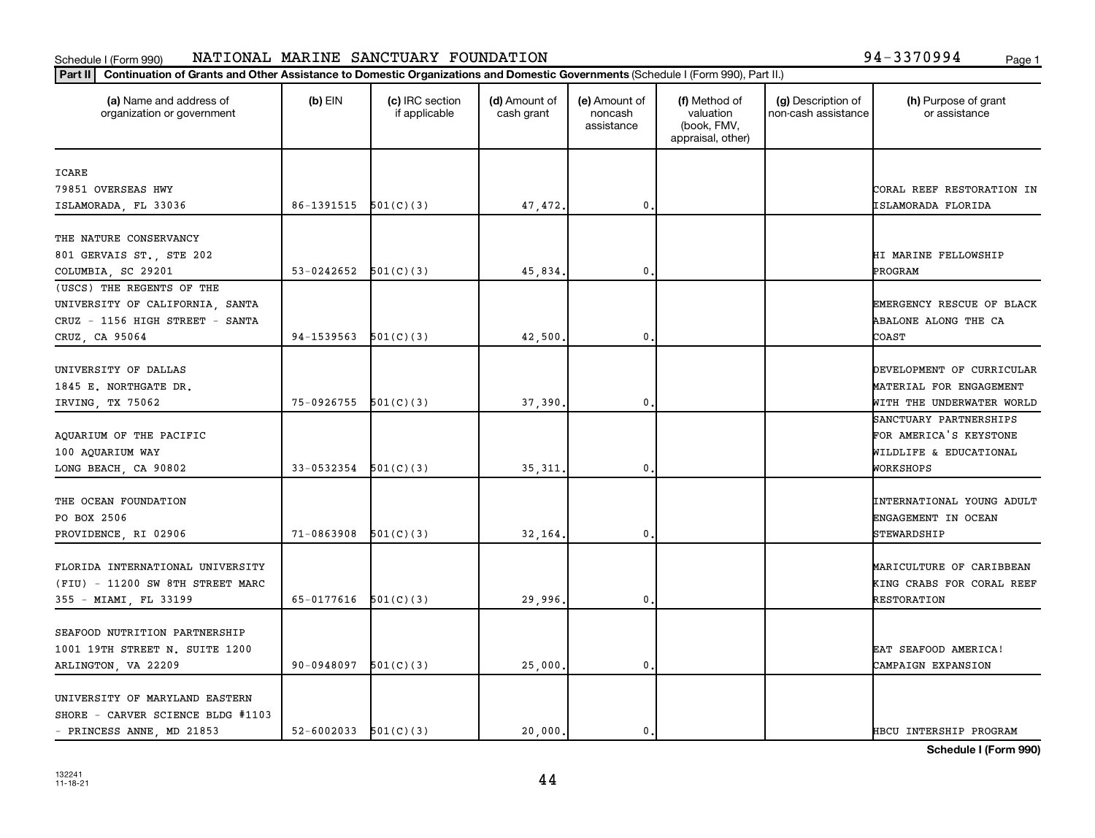#### Schedule I (Form 990) NATIONAL MARINE SANCTUARY FOUNDATION NATURE 2008 1994 - 3370994 Page 1 NATIONAL MARINE SANCTUARY FOUNDATION 94-3370994

|  | 94-3370994 |  |  |  |  |  |  |  |  | Page 1 |
|--|------------|--|--|--|--|--|--|--|--|--------|
|--|------------|--|--|--|--|--|--|--|--|--------|

| (a) Name and address of<br>organization or government | $(b)$ EIN                  | (c) IRC section<br>if applicable | (d) Amount of<br>cash grant | (e) Amount of<br>noncash<br>assistance | (f) Method of<br>valuation<br>(book, FMV,<br>appraisal, other) | (g) Description of<br>non-cash assistance | (h) Purpose of grant<br>or assistance |
|-------------------------------------------------------|----------------------------|----------------------------------|-----------------------------|----------------------------------------|----------------------------------------------------------------|-------------------------------------------|---------------------------------------|
| ICARE                                                 |                            |                                  |                             |                                        |                                                                |                                           |                                       |
| 79851 OVERSEAS HWY                                    |                            |                                  |                             |                                        |                                                                |                                           | CORAL REEF RESTORATION IN             |
| ISLAMORADA, FL 33036                                  | 86-1391515 501(C)(3)       |                                  | 47,472.                     | $\mathbf{0}$                           |                                                                |                                           | ISLAMORADA FLORIDA                    |
| THE NATURE CONSERVANCY                                |                            |                                  |                             |                                        |                                                                |                                           |                                       |
| 801 GERVAIS ST., STE 202                              |                            |                                  |                             |                                        |                                                                |                                           | HI MARINE FELLOWSHIP                  |
| COLUMBIA, SC 29201                                    | 53-0242652                 | 501(C)(3)                        | 45,834                      | 0.                                     |                                                                |                                           | PROGRAM                               |
| (USCS) THE REGENTS OF THE                             |                            |                                  |                             |                                        |                                                                |                                           |                                       |
| UNIVERSITY OF CALIFORNIA, SANTA                       |                            |                                  |                             |                                        |                                                                |                                           | EMERGENCY RESCUE OF BLACK             |
| CRUZ - 1156 HIGH STREET - SANTA                       |                            |                                  |                             |                                        |                                                                |                                           | ABALONE ALONG THE CA                  |
| CRUZ, CA 95064                                        | 94-1539563                 | 501(C)(3)                        | 42,500.                     | 0.                                     |                                                                |                                           | COAST                                 |
| UNIVERSITY OF DALLAS                                  |                            |                                  |                             |                                        |                                                                |                                           | DEVELOPMENT OF CURRICULAR             |
| 1845 E. NORTHGATE DR.                                 |                            |                                  |                             |                                        |                                                                |                                           | MATERIAL FOR ENGAGEMENT               |
| IRVING, TX 75062                                      | $75-0926755$ $501(C)(3)$   |                                  | 37,390                      | 0                                      |                                                                |                                           | WITH THE UNDERWATER WORLD             |
|                                                       |                            |                                  |                             |                                        |                                                                |                                           | SANCTUARY PARTNERSHIPS                |
| AQUARIUM OF THE PACIFIC                               |                            |                                  |                             |                                        |                                                                |                                           | FOR AMERICA'S KEYSTONE                |
| 100 AQUARIUM WAY                                      |                            |                                  |                             |                                        |                                                                |                                           | WILDLIFE & EDUCATIONAL                |
| LONG BEACH, CA 90802                                  | $33-0532354$ $501(C)(3)$   |                                  | 35, 311                     | 0.                                     |                                                                |                                           | WORKSHOPS                             |
|                                                       |                            |                                  |                             |                                        |                                                                |                                           |                                       |
| THE OCEAN FOUNDATION                                  |                            |                                  |                             |                                        |                                                                |                                           | INTERNATIONAL YOUNG ADULT             |
| PO BOX 2506                                           |                            |                                  |                             |                                        |                                                                |                                           | ENGAGEMENT IN OCEAN                   |
| PROVIDENCE, RI 02906                                  | 71-0863908                 | 501(C)(3)                        | 32,164                      | $\mathbf{0}$                           |                                                                |                                           | STEWARDSHIP                           |
| FLORIDA INTERNATIONAL UNIVERSITY                      |                            |                                  |                             |                                        |                                                                |                                           | MARICULTURE OF CARIBBEAN              |
| (FIU) - 11200 SW 8TH STREET MARC                      |                            |                                  |                             |                                        |                                                                |                                           | KING CRABS FOR CORAL REEF             |
| 355 - MIAMI, FL 33199                                 | $65-0177616$ $501(C)(3)$   |                                  | 29,996.                     | 0.                                     |                                                                |                                           | RESTORATION                           |
|                                                       |                            |                                  |                             |                                        |                                                                |                                           |                                       |
| SEAFOOD NUTRITION PARTNERSHIP                         |                            |                                  |                             |                                        |                                                                |                                           |                                       |
| 1001 19TH STREET N. SUITE 1200                        |                            |                                  |                             |                                        |                                                                |                                           | EAT SEAFOOD AMERICA!                  |
| ARLINGTON, VA 22209                                   | 90-0948097                 | 501(C)(3)                        | 25,000.                     | $\mathbf{0}$                           |                                                                |                                           | CAMPAIGN EXPANSION                    |
| UNIVERSITY OF MARYLAND EASTERN                        |                            |                                  |                             |                                        |                                                                |                                           |                                       |
| SHORE - CARVER SCIENCE BLDG #1103                     |                            |                                  |                             |                                        |                                                                |                                           |                                       |
| - PRINCESS ANNE, MD 21853                             | $52 - 6002033$ $501(C)(3)$ |                                  | 20,000.                     | 0.                                     |                                                                |                                           | HBCU INTERSHIP PROGRAM                |

**Schedule I (Form 990)**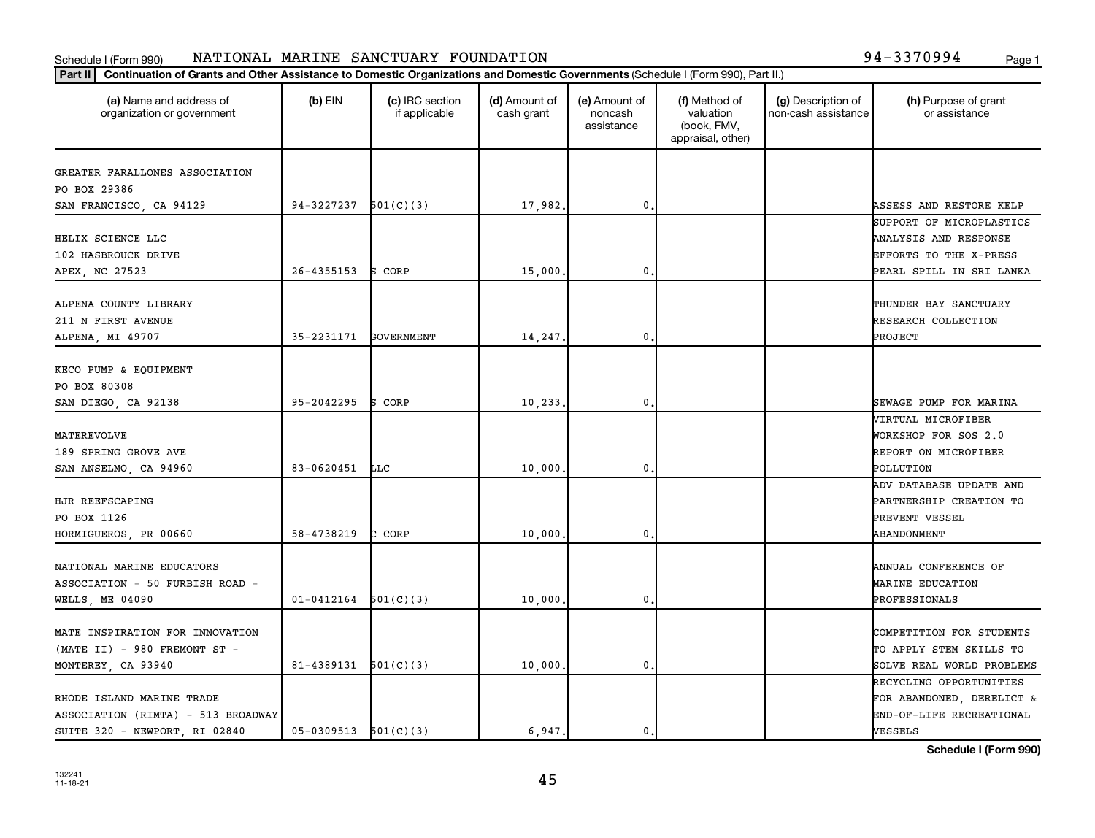#### Schedule I (Form 990) NATIONAL MARINE SANCTUARY FOUNDATION NATURE 2008 1994 - 3370994 Page 1 NATIONAL MARINE SANCTUARY FOUNDATION 94-3370994

|  | 94-3370994 | Page: |
|--|------------|-------|
|--|------------|-------|

| (a) Name and address of<br>organization or government | $(b)$ EIN                  | (c) IRC section<br>if applicable | (d) Amount of<br>cash grant | (e) Amount of<br>noncash<br>assistance | (f) Method of<br>valuation<br>(book, FMV,<br>appraisal, other) | (g) Description of<br>non-cash assistance | (h) Purpose of grant<br>or assistance |
|-------------------------------------------------------|----------------------------|----------------------------------|-----------------------------|----------------------------------------|----------------------------------------------------------------|-------------------------------------------|---------------------------------------|
| GREATER FARALLONES ASSOCIATION                        |                            |                                  |                             |                                        |                                                                |                                           |                                       |
| PO BOX 29386                                          |                            |                                  |                             |                                        |                                                                |                                           |                                       |
| SAN FRANCISCO, CA 94129                               | 94-3227237                 | 501(C)(3)                        | 17,982.                     | 0                                      |                                                                |                                           | ASSESS AND RESTORE KELP               |
|                                                       |                            |                                  |                             |                                        |                                                                |                                           | SUPPORT OF MICROPLASTICS              |
| HELIX SCIENCE LLC                                     |                            |                                  |                             |                                        |                                                                |                                           | ANALYSIS AND RESPONSE                 |
| 102 HASBROUCK DRIVE                                   |                            |                                  |                             |                                        |                                                                |                                           | EFFORTS TO THE X-PRESS                |
| APEX, NC 27523                                        | $26 - 4355153$             | S CORP                           | 15,000                      | 0                                      |                                                                |                                           | PEARL SPILL IN SRI LANKA              |
| ALPENA COUNTY LIBRARY                                 |                            |                                  |                             |                                        |                                                                |                                           | THUNDER BAY SANCTUARY                 |
| 211 N FIRST AVENUE                                    |                            |                                  |                             |                                        |                                                                |                                           | RESEARCH COLLECTION                   |
| ALPENA, MI 49707                                      | 35-2231171                 | GOVERNMENT                       | 14,247.                     | $\mathbf{0}$                           |                                                                |                                           | PROJECT                               |
|                                                       |                            |                                  |                             |                                        |                                                                |                                           |                                       |
| KECO PUMP & EQUIPMENT                                 |                            |                                  |                             |                                        |                                                                |                                           |                                       |
| PO BOX 80308                                          |                            |                                  |                             |                                        |                                                                |                                           |                                       |
| SAN DIEGO, CA 92138                                   | 95-2042295                 | S CORP                           | 10, 233,                    | 0                                      |                                                                |                                           | SEWAGE PUMP FOR MARINA                |
|                                                       |                            |                                  |                             |                                        |                                                                |                                           | VIRTUAL MICROFIBER                    |
| MATEREVOLVE                                           |                            |                                  |                             |                                        |                                                                |                                           | WORKSHOP FOR SOS 2.0                  |
| 189 SPRING GROVE AVE                                  |                            |                                  |                             |                                        |                                                                |                                           | REPORT ON MICROFIBER                  |
| SAN ANSELMO, CA 94960                                 | 83-0620451                 | <b>LLC</b>                       | 10,000                      | 0                                      |                                                                |                                           | POLLUTION                             |
|                                                       |                            |                                  |                             |                                        |                                                                |                                           | ADV DATABASE UPDATE AND               |
| HJR REEFSCAPING                                       |                            |                                  |                             |                                        |                                                                |                                           | PARTNERSHIP CREATION TO               |
| PO BOX 1126                                           |                            |                                  |                             |                                        |                                                                |                                           | PREVENT VESSEL                        |
| HORMIGUEROS, PR 00660                                 | 58-4738219                 | C CORP                           | 10,000                      | $\mathbf{0}$ .                         |                                                                |                                           | ABANDONMENT                           |
| NATIONAL MARINE EDUCATORS                             |                            |                                  |                             |                                        |                                                                |                                           | ANNUAL CONFERENCE OF                  |
| ASSOCIATION - 50 FURBISH ROAD -                       |                            |                                  |                             |                                        |                                                                |                                           | MARINE EDUCATION                      |
| WELLS, ME 04090                                       | $01 - 0412164$             | 501(C)(3)                        | 10,000                      | 0                                      |                                                                |                                           | PROFESSIONALS                         |
|                                                       |                            |                                  |                             |                                        |                                                                |                                           |                                       |
| MATE INSPIRATION FOR INNOVATION                       |                            |                                  |                             |                                        |                                                                |                                           | COMPETITION FOR STUDENTS              |
| $(MATE II) - 980 FREMONT ST -$                        |                            |                                  |                             |                                        |                                                                |                                           | TO APPLY STEM SKILLS TO               |
| MONTEREY, CA 93940                                    | $81 - 4389131$ $501(C)(3)$ |                                  | 10,000                      | 0                                      |                                                                |                                           | SOLVE REAL WORLD PROBLEMS             |
|                                                       |                            |                                  |                             |                                        |                                                                |                                           | RECYCLING OPPORTUNITIES               |
| RHODE ISLAND MARINE TRADE                             |                            |                                  |                             |                                        |                                                                |                                           | FOR ABANDONED, DERELICT &             |
| ASSOCIATION (RIMTA) - 513 BROADWAY                    |                            |                                  |                             |                                        |                                                                |                                           | END-OF-LIFE RECREATIONAL              |
| SUITE 320 - NEWPORT, RI 02840                         | $05-0309513$ $501(C)(3)$   |                                  | 6,947.                      | 0.                                     |                                                                |                                           | VESSELS                               |

**Schedule I (Form 990)**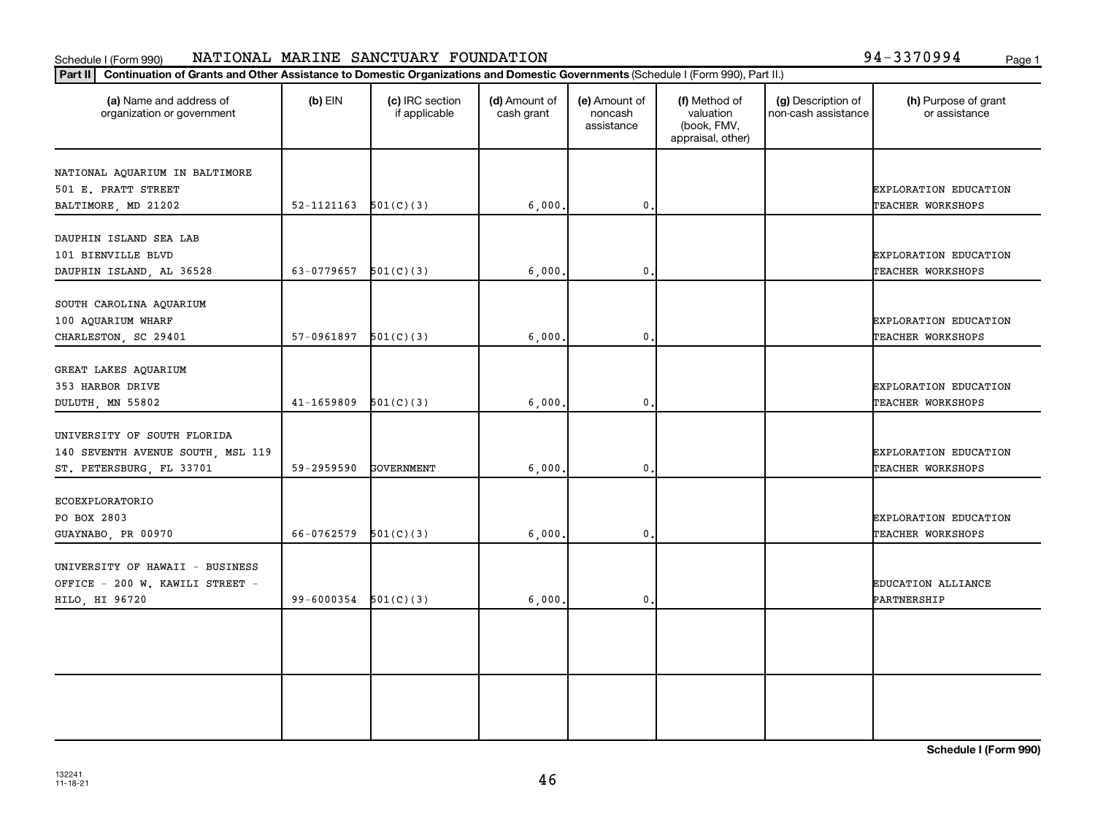#### Schedule I (Form 990) NATIONAL MARINE SANCTUARY FOUNDATION NATURE 2008 1994 - 3370994 Page 1 NATIONAL MARINE SANCTUARY FOUNDATION 94-3370994

| 94-3370994<br>Page: |
|---------------------|
|---------------------|

| (a) Name and address of<br>organization or government                                        | $(b)$ EIN  | (c) IRC section<br>if applicable | (d) Amount of<br>cash grant | (e) Amount of<br>noncash<br>assistance | (f) Method of<br>valuation<br>(book, FMV,<br>appraisal, other) | (g) Description of<br>non-cash assistance | (h) Purpose of grant<br>or assistance      |
|----------------------------------------------------------------------------------------------|------------|----------------------------------|-----------------------------|----------------------------------------|----------------------------------------------------------------|-------------------------------------------|--------------------------------------------|
| NATIONAL AQUARIUM IN BALTIMORE<br>501 E. PRATT STREET                                        |            |                                  |                             |                                        |                                                                |                                           | <b>EXPLORATION EDUCATION</b>               |
| BALTIMORE, MD 21202                                                                          | 52-1121163 | 501(C)(3)                        | 6,000.                      | $\mathbf 0$                            |                                                                |                                           | TEACHER WORKSHOPS                          |
| DAUPHIN ISLAND SEA LAB<br>101 BIENVILLE BLVD<br>DAUPHIN ISLAND, AL 36528                     | 63-0779657 | 501(C)(3)                        | 6,000.                      | $\mathbf 0$                            |                                                                |                                           | EXPLORATION EDUCATION<br>TEACHER WORKSHOPS |
| SOUTH CAROLINA AQUARIUM<br>100 AQUARIUM WHARF<br>CHARLESTON, SC 29401                        | 57-0961897 | 501(C)(3)                        | 6,000,                      | $\mathbf{0}$                           |                                                                |                                           | EXPLORATION EDUCATION<br>TEACHER WORKSHOPS |
| GREAT LAKES AQUARIUM<br>353 HARBOR DRIVE<br>DULUTH MN 55802                                  | 41-1659809 | 501(C)(3)                        | 6,000.                      | 0.                                     |                                                                |                                           | EXPLORATION EDUCATION<br>TEACHER WORKSHOPS |
| UNIVERSITY OF SOUTH FLORIDA<br>140 SEVENTH AVENUE SOUTH, MSL 119<br>ST. PETERSBURG, FL 33701 | 59-2959590 | <b>GOVERNMENT</b>                | 6,000.                      | $\mathbf 0$ .                          |                                                                |                                           | EXPLORATION EDUCATION<br>TEACHER WORKSHOPS |
| ECOEXPLORATORIO<br>PO BOX 2803<br>GUAYNABO, PR 00970                                         | 66-0762579 | 501(C)(3)                        | 6,000.                      | 0                                      |                                                                |                                           | EXPLORATION EDUCATION<br>TEACHER WORKSHOPS |
| UNIVERSITY OF HAWAII - BUSINESS<br>OFFICE - 200 W. KAWILI STREET -<br>HILO, HI 96720         | 99-6000354 | 501(C)(3)                        | 6,000.                      | $\mathbf 0$ .                          |                                                                |                                           | <b>EDUCATION ALLIANCE</b><br>PARTNERSHIP   |
|                                                                                              |            |                                  |                             |                                        |                                                                |                                           |                                            |
|                                                                                              |            |                                  |                             |                                        |                                                                |                                           |                                            |

**Schedule I (Form 990)**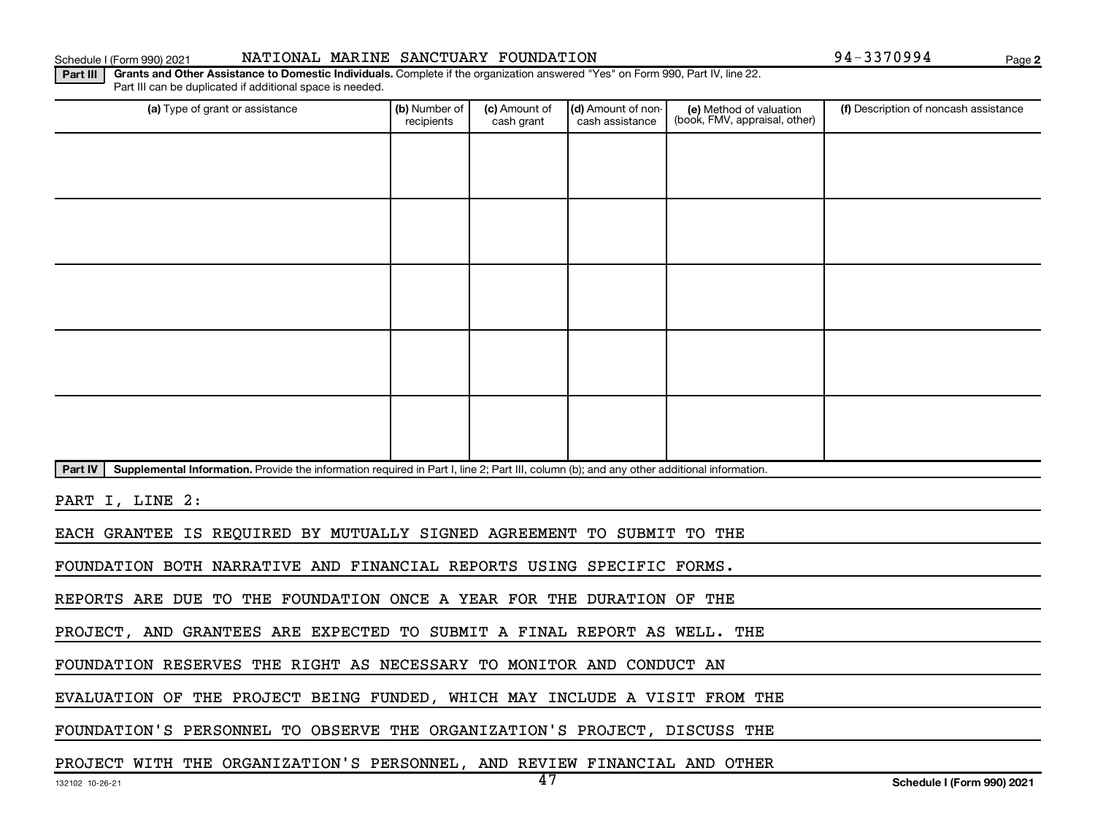#### Schedule I (Form 990) 2021 NATIONAL MARINE SANCTUARY FOUNDATION 94-3370994 Page

**2**

**Part III | Grants and Other Assistance to Domestic Individuals.** Complete if the organization answered "Yes" on Form 990, Part IV, line 22. Part III can be duplicated if additional space is needed.

| (a) Type of grant or assistance                                                                                                                      | (b) Number of<br>recipients | (c) Amount of<br>cash grant | (d) Amount of non-<br>cash assistance | (e) Method of valuation<br>(book, FMV, appraisal, other) | (f) Description of noncash assistance |  |  |  |  |  |
|------------------------------------------------------------------------------------------------------------------------------------------------------|-----------------------------|-----------------------------|---------------------------------------|----------------------------------------------------------|---------------------------------------|--|--|--|--|--|
|                                                                                                                                                      |                             |                             |                                       |                                                          |                                       |  |  |  |  |  |
|                                                                                                                                                      |                             |                             |                                       |                                                          |                                       |  |  |  |  |  |
|                                                                                                                                                      |                             |                             |                                       |                                                          |                                       |  |  |  |  |  |
|                                                                                                                                                      |                             |                             |                                       |                                                          |                                       |  |  |  |  |  |
|                                                                                                                                                      |                             |                             |                                       |                                                          |                                       |  |  |  |  |  |
|                                                                                                                                                      |                             |                             |                                       |                                                          |                                       |  |  |  |  |  |
|                                                                                                                                                      |                             |                             |                                       |                                                          |                                       |  |  |  |  |  |
|                                                                                                                                                      |                             |                             |                                       |                                                          |                                       |  |  |  |  |  |
|                                                                                                                                                      |                             |                             |                                       |                                                          |                                       |  |  |  |  |  |
|                                                                                                                                                      |                             |                             |                                       |                                                          |                                       |  |  |  |  |  |
| Part IV<br>Supplemental Information. Provide the information required in Part I, line 2; Part III, column (b); and any other additional information. |                             |                             |                                       |                                                          |                                       |  |  |  |  |  |
| PART I, LINE 2:                                                                                                                                      |                             |                             |                                       |                                                          |                                       |  |  |  |  |  |
| EACH GRANTEE IS REQUIRED BY MUTUALLY SIGNED AGREEMENT TO SUBMIT TO THE                                                                               |                             |                             |                                       |                                                          |                                       |  |  |  |  |  |

FOUNDATION BOTH NARRATIVE AND FINANCIAL REPORTS USING SPECIFIC FORMS.

REPORTS ARE DUE TO THE FOUNDATION ONCE A YEAR FOR THE DURATION OF THE

PROJECT, AND GRANTEES ARE EXPECTED TO SUBMIT A FINAL REPORT AS WELL. THE

FOUNDATION RESERVES THE RIGHT AS NECESSARY TO MONITOR AND CONDUCT AN

EVALUATION OF THE PROJECT BEING FUNDED, WHICH MAY INCLUDE A VISIT FROM THE

FOUNDATION'S PERSONNEL TO OBSERVE THE ORGANIZATION'S PROJECT, DISCUSS THE

PROJECT WITH THE ORGANIZATION'S PERSONNEL, AND REVIEW FINANCIAL AND OTHER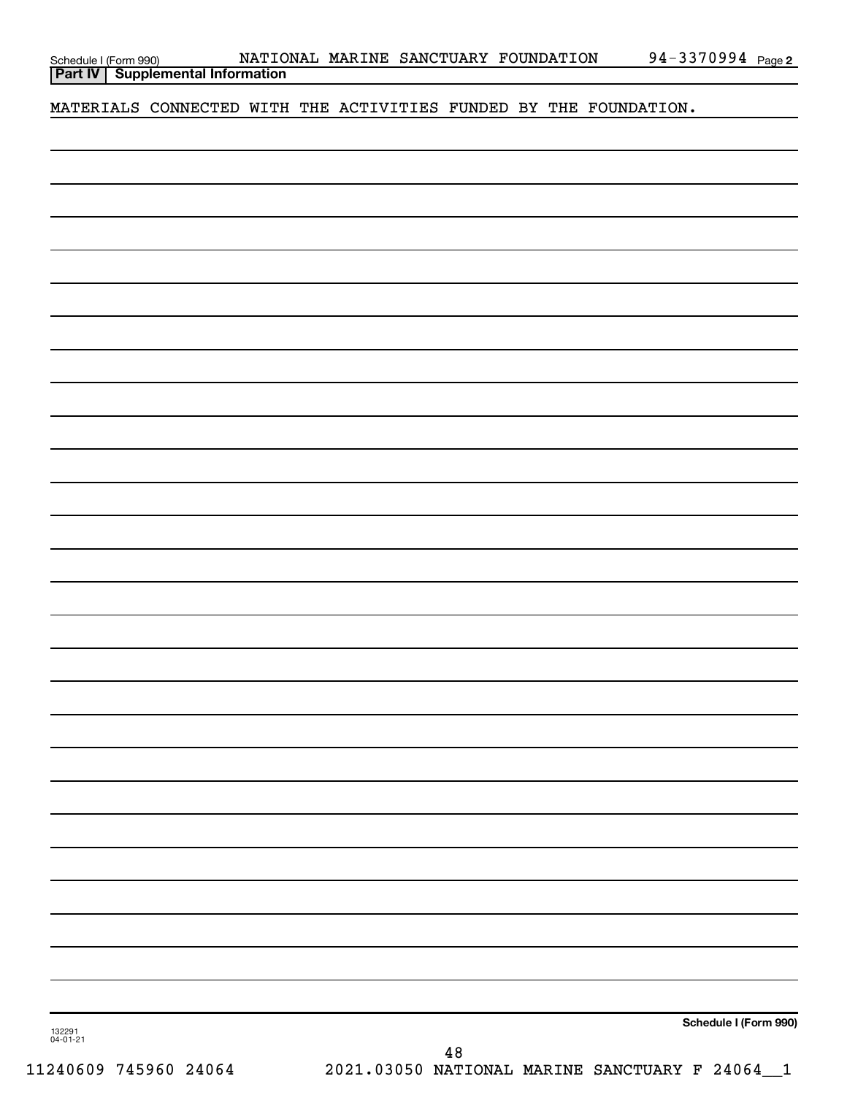| Schedule I (Form 990) |  |
|-----------------------|--|
|                       |  |

**Part IV Supplemental Information**

MATERIALS CONNECTED WITH THE ACTIVITIES FUNDED BY THE FOUNDATION.

**Schedule I (Form 990)**

132291 04-01-21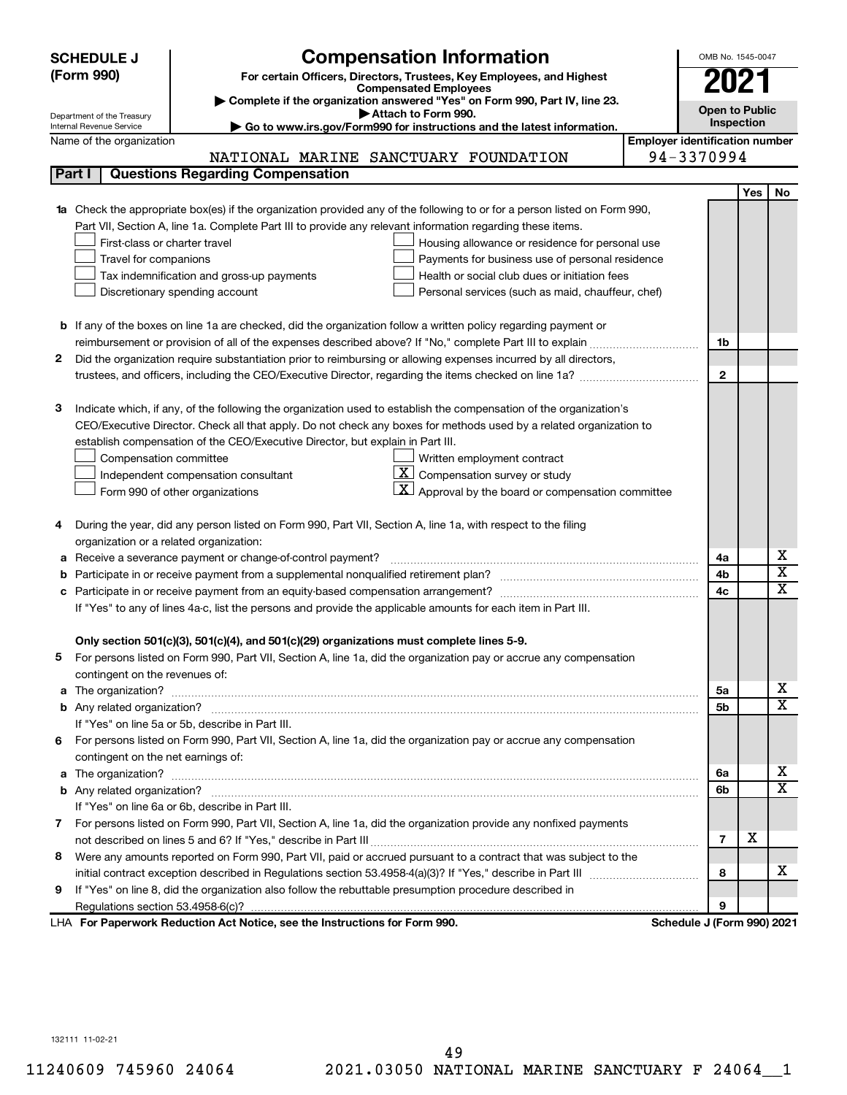|        | <b>SCHEDULE J</b>                                      | <b>Compensation Information</b>                                                                                        |                                       | OMB No. 1545-0047          |            |                              |
|--------|--------------------------------------------------------|------------------------------------------------------------------------------------------------------------------------|---------------------------------------|----------------------------|------------|------------------------------|
|        | (Form 990)                                             | For certain Officers, Directors, Trustees, Key Employees, and Highest                                                  |                                       | 2021                       |            |                              |
|        |                                                        | <b>Compensated Employees</b>                                                                                           |                                       |                            |            |                              |
|        |                                                        | Complete if the organization answered "Yes" on Form 990, Part IV, line 23.<br>Attach to Form 990.                      |                                       | <b>Open to Public</b>      |            |                              |
|        | Department of the Treasury<br>Internal Revenue Service | Go to www.irs.gov/Form990 for instructions and the latest information.                                                 |                                       | Inspection                 |            |                              |
|        | Name of the organization                               |                                                                                                                        | <b>Employer identification number</b> |                            |            |                              |
|        |                                                        | NATIONAL MARINE SANCTUARY FOUNDATION                                                                                   |                                       | 94-3370994                 |            |                              |
| Part I |                                                        | <b>Questions Regarding Compensation</b>                                                                                |                                       |                            |            |                              |
|        |                                                        |                                                                                                                        |                                       |                            | <b>Yes</b> | No                           |
| 1a     |                                                        | Check the appropriate box(es) if the organization provided any of the following to or for a person listed on Form 990, |                                       |                            |            |                              |
|        |                                                        | Part VII, Section A, line 1a. Complete Part III to provide any relevant information regarding these items.             |                                       |                            |            |                              |
|        | First-class or charter travel                          | Housing allowance or residence for personal use                                                                        |                                       |                            |            |                              |
|        | Travel for companions                                  | Payments for business use of personal residence                                                                        |                                       |                            |            |                              |
|        |                                                        | Health or social club dues or initiation fees<br>Tax indemnification and gross-up payments                             |                                       |                            |            |                              |
|        |                                                        | Discretionary spending account<br>Personal services (such as maid, chauffeur, chef)                                    |                                       |                            |            |                              |
|        |                                                        |                                                                                                                        |                                       |                            |            |                              |
|        |                                                        | <b>b</b> If any of the boxes on line 1a are checked, did the organization follow a written policy regarding payment or |                                       |                            |            |                              |
|        |                                                        |                                                                                                                        |                                       | 1b                         |            |                              |
| 2      |                                                        | Did the organization require substantiation prior to reimbursing or allowing expenses incurred by all directors,       |                                       |                            |            |                              |
|        |                                                        |                                                                                                                        |                                       | $\mathbf{2}$               |            |                              |
|        |                                                        |                                                                                                                        |                                       |                            |            |                              |
| З      |                                                        | Indicate which, if any, of the following the organization used to establish the compensation of the organization's     |                                       |                            |            |                              |
|        |                                                        | CEO/Executive Director. Check all that apply. Do not check any boxes for methods used by a related organization to     |                                       |                            |            |                              |
|        |                                                        | establish compensation of the CEO/Executive Director, but explain in Part III.                                         |                                       |                            |            |                              |
|        | Compensation committee                                 | Written employment contract                                                                                            |                                       |                            |            |                              |
|        |                                                        | <u>x  </u><br>Compensation survey or study<br>Independent compensation consultant                                      |                                       |                            |            |                              |
|        |                                                        | $ \mathbf{X} $ Approval by the board or compensation committee<br>Form 990 of other organizations                      |                                       |                            |            |                              |
|        |                                                        |                                                                                                                        |                                       |                            |            |                              |
| 4      |                                                        | During the year, did any person listed on Form 990, Part VII, Section A, line 1a, with respect to the filing           |                                       |                            |            |                              |
|        | organization or a related organization:                |                                                                                                                        |                                       |                            |            |                              |
| а      |                                                        | Receive a severance payment or change-of-control payment?                                                              |                                       | 4a                         |            | х                            |
| b      |                                                        |                                                                                                                        |                                       | 4b                         |            | $\overline{\textbf{x}}$<br>X |
| c      |                                                        |                                                                                                                        |                                       | 4c                         |            |                              |
|        |                                                        | If "Yes" to any of lines 4a-c, list the persons and provide the applicable amounts for each item in Part III.          |                                       |                            |            |                              |
|        |                                                        |                                                                                                                        |                                       |                            |            |                              |
|        |                                                        | Only section 501(c)(3), 501(c)(4), and 501(c)(29) organizations must complete lines 5-9.                               |                                       |                            |            |                              |
|        |                                                        | For persons listed on Form 990, Part VII, Section A, line 1a, did the organization pay or accrue any compensation      |                                       |                            |            |                              |
|        | contingent on the revenues of:                         |                                                                                                                        |                                       | 5а                         |            | х                            |
|        |                                                        |                                                                                                                        |                                       |                            |            | X                            |
|        |                                                        | If "Yes" on line 5a or 5b, describe in Part III.                                                                       |                                       | 5b                         |            |                              |
|        |                                                        |                                                                                                                        |                                       |                            |            |                              |
| 6.     | contingent on the net earnings of:                     | For persons listed on Form 990, Part VII, Section A, line 1a, did the organization pay or accrue any compensation      |                                       |                            |            |                              |
|        |                                                        |                                                                                                                        |                                       | 6a                         |            | х                            |
|        |                                                        |                                                                                                                        |                                       | 6b                         |            | $\overline{\mathbf{X}}$      |
|        |                                                        | If "Yes" on line 6a or 6b, describe in Part III.                                                                       |                                       |                            |            |                              |
|        |                                                        | 7 For persons listed on Form 990, Part VII, Section A, line 1a, did the organization provide any nonfixed payments     |                                       |                            |            |                              |
|        |                                                        |                                                                                                                        |                                       | $\overline{7}$             | X          |                              |
| 8      |                                                        | Were any amounts reported on Form 990, Part VII, paid or accrued pursuant to a contract that was subject to the        |                                       |                            |            |                              |
|        |                                                        |                                                                                                                        |                                       | 8                          |            | x                            |
| 9      |                                                        | If "Yes" on line 8, did the organization also follow the rebuttable presumption procedure described in                 |                                       |                            |            |                              |
|        |                                                        |                                                                                                                        |                                       | 9                          |            |                              |
|        |                                                        | LHA For Paperwork Reduction Act Notice, see the Instructions for Form 990.                                             |                                       | Schedule J (Form 990) 2021 |            |                              |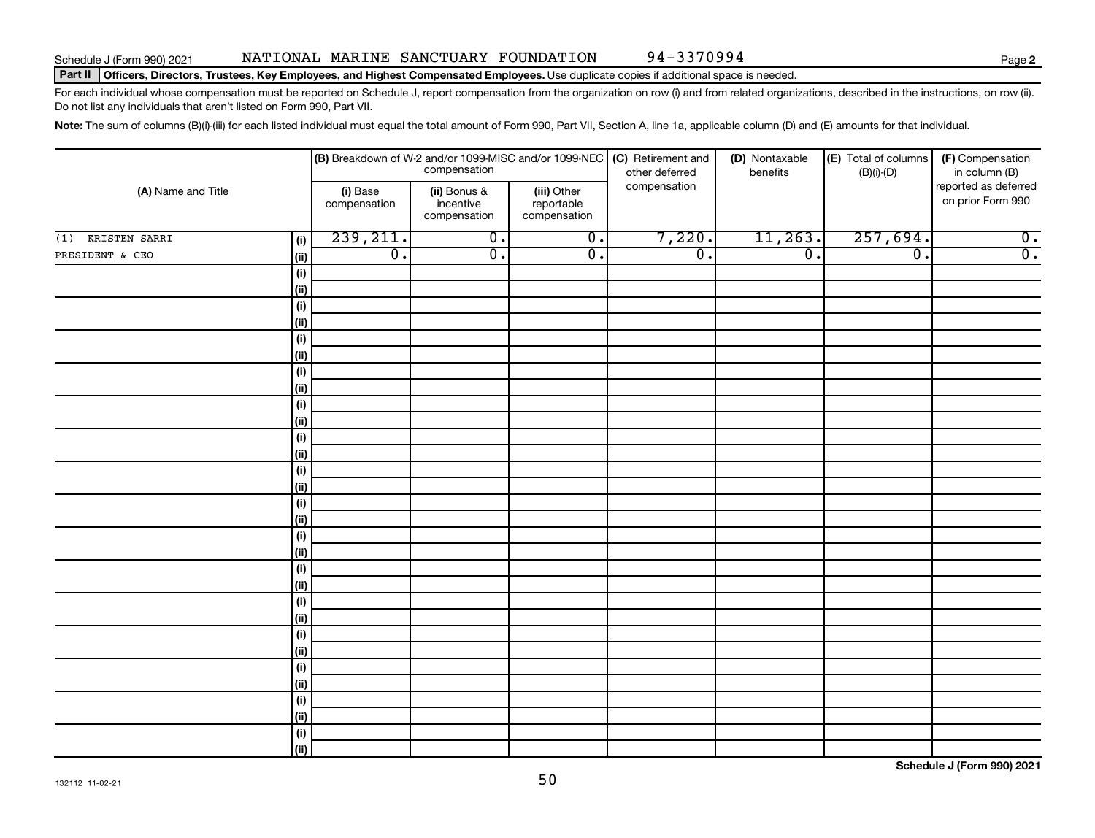#### Part II | Officers, Directors, Trustees, Key Employees, and Highest Compensated Employees. Use duplicate copies if additional space is needed.

For each individual whose compensation must be reported on Schedule J, report compensation from the organization on row (i) and from related organizations, described in the instructions, on row (ii). Do not list any individuals that aren't listed on Form 990, Part VII.

Note: The sum of columns (B)(i)-(iii) for each listed individual must equal the total amount of Form 990, Part VII, Section A, line 1a, applicable column (D) and (E) amounts for that individual.

|                     |             |                          |                                           |                                           | <b>(B)</b> Breakdown of W-2 and/or 1099-MISC and/or 1099-NEC <b>(C)</b> Retirement and compensation<br>other deferred | (D) Nontaxable<br>benefits | (E) Total of columns<br>$(B)(i)$ - $(D)$ | (F) Compensation<br>in column (B)         |  |
|---------------------|-------------|--------------------------|-------------------------------------------|-------------------------------------------|-----------------------------------------------------------------------------------------------------------------------|----------------------------|------------------------------------------|-------------------------------------------|--|
| (A) Name and Title  |             | (i) Base<br>compensation | (ii) Bonus &<br>incentive<br>compensation | (iii) Other<br>reportable<br>compensation | compensation                                                                                                          |                            |                                          | reported as deferred<br>on prior Form 990 |  |
| $(1)$ KRISTEN SARRI | (i)         | 239, 211.                | $\overline{0}$ .                          | $\overline{0}$ .                          | 7,220.                                                                                                                | 11,263.                    | 257,694.                                 | $\overline{0}$ .                          |  |
| PRESIDENT & CEO     | (ii)        | $\overline{0}$ .         | $\overline{0}$ .                          | $\overline{0}$ .                          | $\overline{\mathfrak{o}}$ .                                                                                           | $\overline{0}$ .           | $\overline{0}$ .                         | $\overline{0}$ .                          |  |
|                     | (i)         |                          |                                           |                                           |                                                                                                                       |                            |                                          |                                           |  |
|                     | (ii)        |                          |                                           |                                           |                                                                                                                       |                            |                                          |                                           |  |
|                     | (i)         |                          |                                           |                                           |                                                                                                                       |                            |                                          |                                           |  |
|                     | (ii)        |                          |                                           |                                           |                                                                                                                       |                            |                                          |                                           |  |
|                     | (i)         |                          |                                           |                                           |                                                                                                                       |                            |                                          |                                           |  |
|                     | (ii)        |                          |                                           |                                           |                                                                                                                       |                            |                                          |                                           |  |
|                     | (i)         |                          |                                           |                                           |                                                                                                                       |                            |                                          |                                           |  |
|                     | (ii)        |                          |                                           |                                           |                                                                                                                       |                            |                                          |                                           |  |
|                     | (i)         |                          |                                           |                                           |                                                                                                                       |                            |                                          |                                           |  |
|                     | (ii)        |                          |                                           |                                           |                                                                                                                       |                            |                                          |                                           |  |
|                     | (i)         |                          |                                           |                                           |                                                                                                                       |                            |                                          |                                           |  |
|                     | (ii)        |                          |                                           |                                           |                                                                                                                       |                            |                                          |                                           |  |
|                     | (i)<br>(ii) |                          |                                           |                                           |                                                                                                                       |                            |                                          |                                           |  |
|                     | (i)         |                          |                                           |                                           |                                                                                                                       |                            |                                          |                                           |  |
|                     | (ii)        |                          |                                           |                                           |                                                                                                                       |                            |                                          |                                           |  |
|                     | (i)         |                          |                                           |                                           |                                                                                                                       |                            |                                          |                                           |  |
|                     | (ii)        |                          |                                           |                                           |                                                                                                                       |                            |                                          |                                           |  |
|                     | (i)         |                          |                                           |                                           |                                                                                                                       |                            |                                          |                                           |  |
|                     | (ii)        |                          |                                           |                                           |                                                                                                                       |                            |                                          |                                           |  |
|                     | (i)         |                          |                                           |                                           |                                                                                                                       |                            |                                          |                                           |  |
|                     | (ii)        |                          |                                           |                                           |                                                                                                                       |                            |                                          |                                           |  |
|                     | (i)         |                          |                                           |                                           |                                                                                                                       |                            |                                          |                                           |  |
|                     | (ii)        |                          |                                           |                                           |                                                                                                                       |                            |                                          |                                           |  |
|                     | (i)         |                          |                                           |                                           |                                                                                                                       |                            |                                          |                                           |  |
|                     | (ii)        |                          |                                           |                                           |                                                                                                                       |                            |                                          |                                           |  |
|                     | (i)         |                          |                                           |                                           |                                                                                                                       |                            |                                          |                                           |  |
|                     | (ii)        |                          |                                           |                                           |                                                                                                                       |                            |                                          |                                           |  |
|                     | (i)         |                          |                                           |                                           |                                                                                                                       |                            |                                          |                                           |  |
|                     | (ii)        |                          |                                           |                                           |                                                                                                                       |                            |                                          |                                           |  |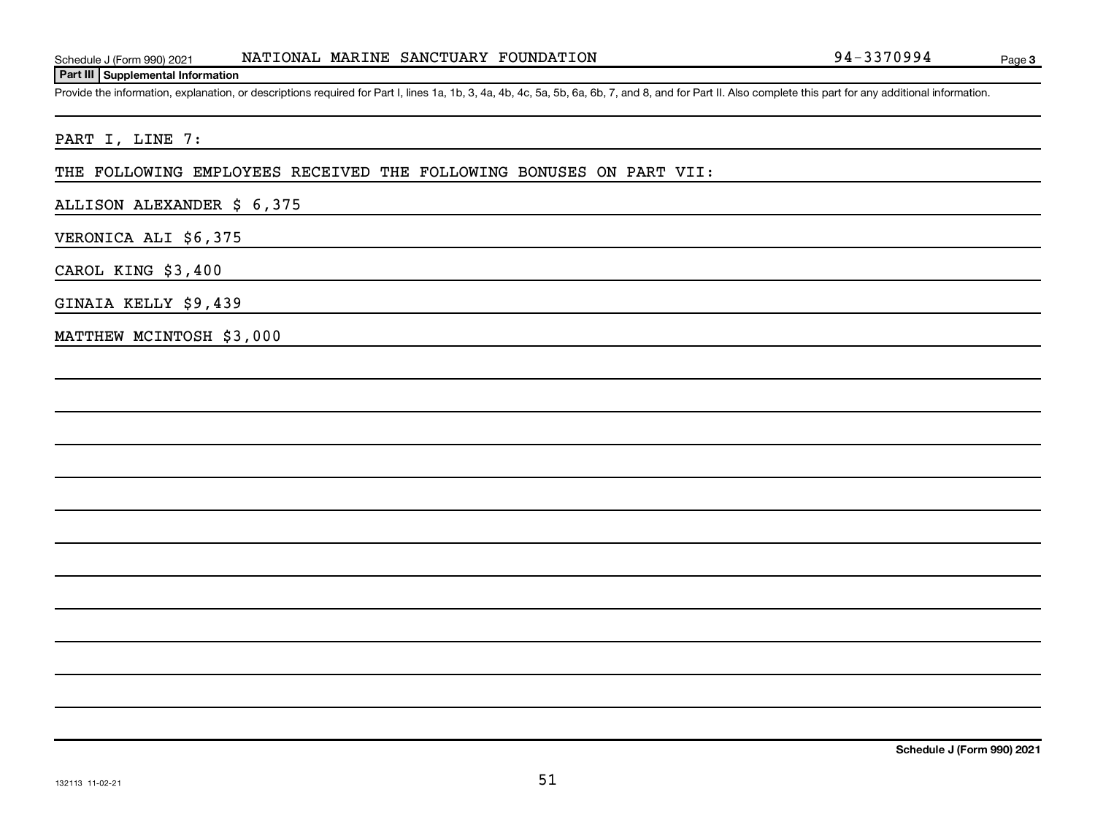#### **Part III Supplemental Information**

Provide the information, explanation, or descriptions required for Part I, lines 1a, 1b, 3, 4a, 4b, 4c, 5a, 5b, 6a, 6b, 7, and 8, and for Part II. Also complete this part for any additional information.

## PART I, LINE 7:

#### THE FOLLOWING EMPLOYEES RECEIVED THE FOLLOWING BONUSES ON PART VII:

## ALLISON ALEXANDER \$ 6,375

## VERONICA ALI \$6,375

CAROL KING \$3,400

#### GINAIA KELLY \$9,439

MATTHEW MCINTOSH \$3,000

**Schedule J (Form 990) 2021**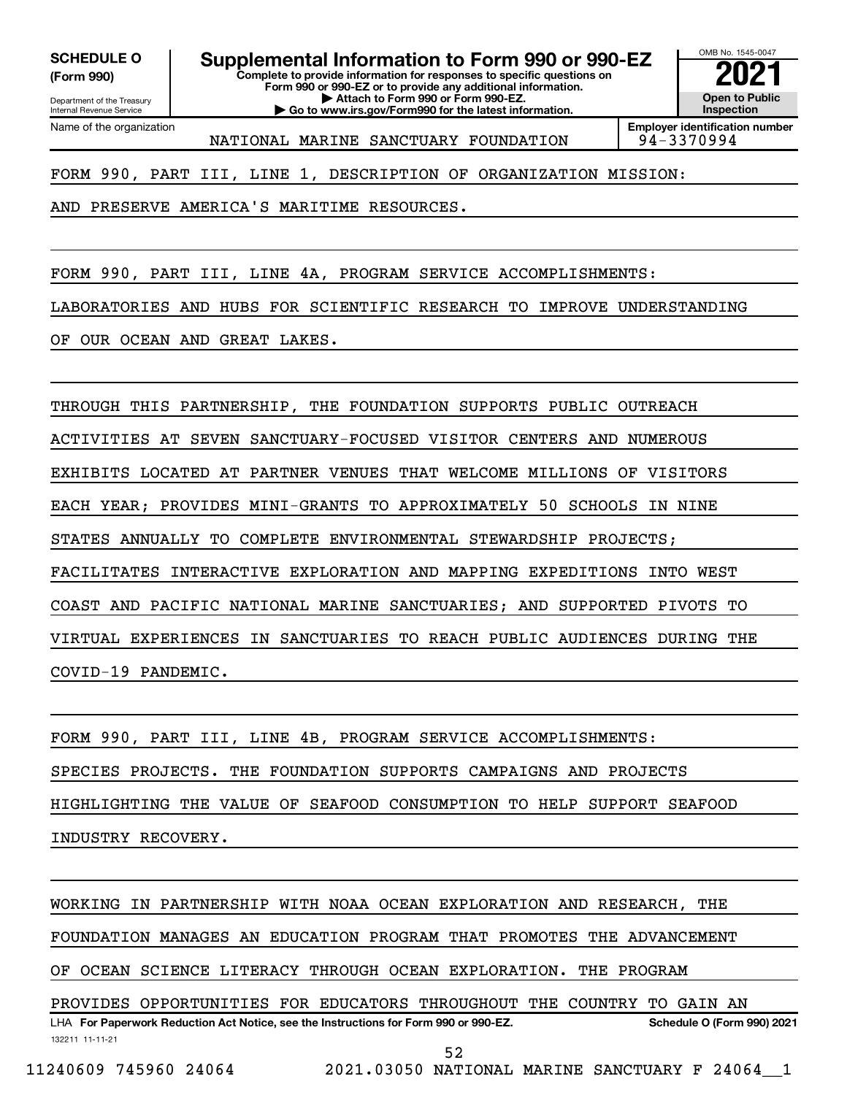**(Form 990)**

# **SCHEDULE O Supplemental Information to Form 990 or 990-EZ 2021**<br>(Form 990) Complete to provide information for responses to specific questions on

Department of the Treasury Internal Revenue Service Name of the organization **Complete to provide information for responses to specific questions on Form 990 or 990-EZ or to provide any additional information. | Attach to Form 990 or Form 990-EZ. | Go to www.irs.gov/Form990 for the latest information.**

OMB No. 1545-0047 **Open to Public Inspection**

**Employer identification number** NATIONAL MARINE SANCTUARY FOUNDATION 94-3370994

FORM 990, PART III, LINE 1, DESCRIPTION OF ORGANIZATION MISSION:

AND PRESERVE AMERICA'S MARITIME RESOURCES.

FORM 990, PART III, LINE 4A, PROGRAM SERVICE ACCOMPLISHMENTS: LABORATORIES AND HUBS FOR SCIENTIFIC RESEARCH TO IMPROVE UNDERSTANDING OF OUR OCEAN AND GREAT LAKES.

THROUGH THIS PARTNERSHIP, THE FOUNDATION SUPPORTS PUBLIC OUTREACH ACTIVITIES AT SEVEN SANCTUARY-FOCUSED VISITOR CENTERS AND NUMEROUS EXHIBITS LOCATED AT PARTNER VENUES THAT WELCOME MILLIONS OF VISITORS EACH YEAR; PROVIDES MINI-GRANTS TO APPROXIMATELY 50 SCHOOLS IN NINE STATES ANNUALLY TO COMPLETE ENVIRONMENTAL STEWARDSHIP PROJECTS; FACILITATES INTERACTIVE EXPLORATION AND MAPPING EXPEDITIONS INTO WEST COAST AND PACIFIC NATIONAL MARINE SANCTUARIES; AND SUPPORTED PIVOTS TO VIRTUAL EXPERIENCES IN SANCTUARIES TO REACH PUBLIC AUDIENCES DURING THE COVID-19 PANDEMIC.

FORM 990, PART III, LINE 4B, PROGRAM SERVICE ACCOMPLISHMENTS: SPECIES PROJECTS. THE FOUNDATION SUPPORTS CAMPAIGNS AND PROJECTS HIGHLIGHTING THE VALUE OF SEAFOOD CONSUMPTION TO HELP SUPPORT SEAFOOD INDUSTRY RECOVERY.

WORKING IN PARTNERSHIP WITH NOAA OCEAN EXPLORATION AND RESEARCH, THE

FOUNDATION MANAGES AN EDUCATION PROGRAM THAT PROMOTES THE ADVANCEMENT

OF OCEAN SCIENCE LITERACY THROUGH OCEAN EXPLORATION. THE PROGRAM

132211 11-11-21 LHA For Paperwork Reduction Act Notice, see the Instructions for Form 990 or 990-EZ. Schedule O (Form 990) 2021 PROVIDES OPPORTUNITIES FOR EDUCATORS THROUGHOUT THE COUNTRY TO GAIN AN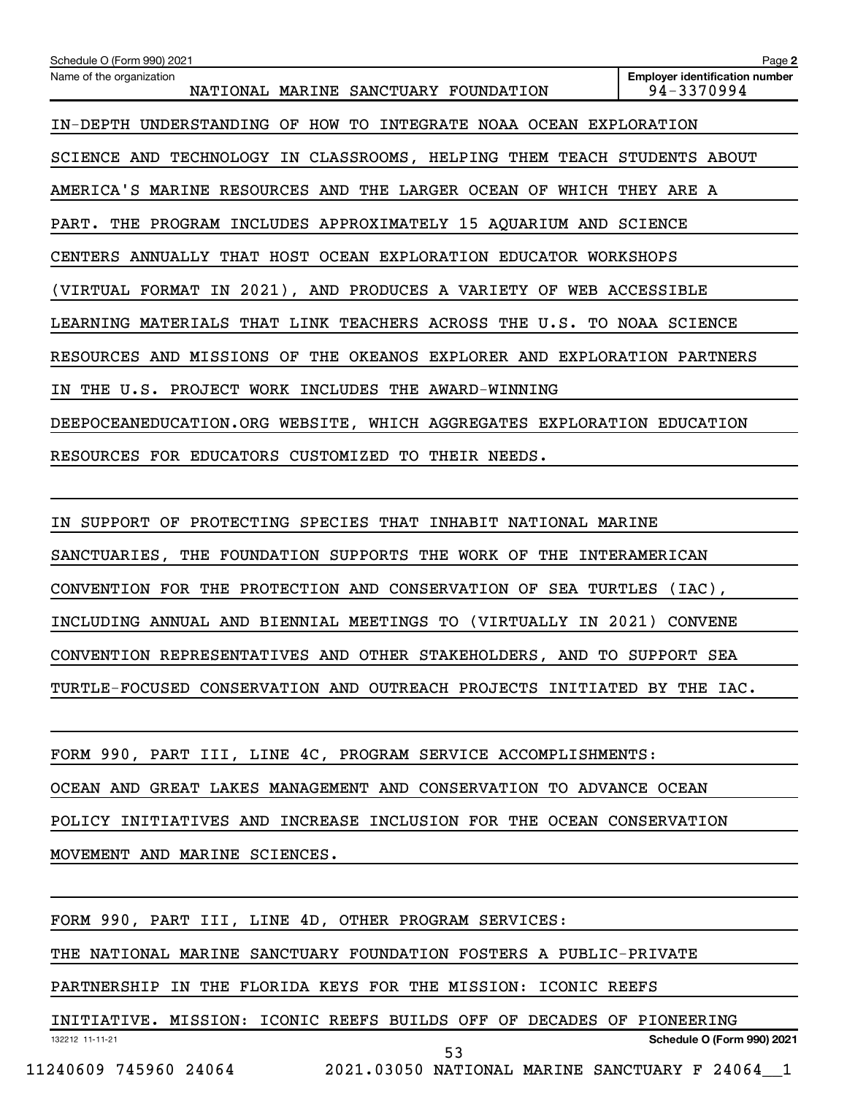| Schedule O (Form 990) 2021                                              | Page 2                                              |  |
|-------------------------------------------------------------------------|-----------------------------------------------------|--|
| Name of the organization<br>NATIONAL MARINE SANCTUARY FOUNDATION        | <b>Employer identification number</b><br>94-3370994 |  |
| IN-DEPTH UNDERSTANDING OF HOW TO INTEGRATE NOAA OCEAN EXPLORATION       |                                                     |  |
| SCIENCE AND TECHNOLOGY IN CLASSROOMS, HELPING THEM TEACH STUDENTS ABOUT |                                                     |  |
| AMERICA'S MARINE RESOURCES AND THE LARGER OCEAN OF WHICH THEY ARE A     |                                                     |  |
| THE PROGRAM INCLUDES APPROXIMATELY 15 AQUARIUM AND SCIENCE<br>PART.     |                                                     |  |
| CENTERS ANNUALLY THAT HOST OCEAN EXPLORATION EDUCATOR WORKSHOPS         |                                                     |  |
| (VIRTUAL FORMAT IN 2021), AND PRODUCES A VARIETY OF WEB ACCESSIBLE      |                                                     |  |
| LEARNING MATERIALS THAT LINK TEACHERS ACROSS THE U.S. TO NOAA SCIENCE   |                                                     |  |
| RESOURCES AND MISSIONS OF THE OKEANOS EXPLORER AND EXPLORATION PARTNERS |                                                     |  |
| IN THE U.S. PROJECT WORK INCLUDES THE AWARD-WINNING                     |                                                     |  |
| DEEPOCEANEDUCATION.ORG WEBSITE, WHICH AGGREGATES EXPLORATION EDUCATION  |                                                     |  |
| RESOURCES FOR EDUCATORS CUSTOMIZED TO<br>THEIR NEEDS.                   |                                                     |  |

IN SUPPORT OF PROTECTING SPECIES THAT INHABIT NATIONAL MARINE SANCTUARIES, THE FOUNDATION SUPPORTS THE WORK OF THE INTERAMERICAN CONVENTION FOR THE PROTECTION AND CONSERVATION OF SEA TURTLES (IAC), INCLUDING ANNUAL AND BIENNIAL MEETINGS TO (VIRTUALLY IN 2021) CONVENE CONVENTION REPRESENTATIVES AND OTHER STAKEHOLDERS, AND TO SUPPORT SEA TURTLE-FOCUSED CONSERVATION AND OUTREACH PROJECTS INITIATED BY THE IAC.

FORM 990, PART III, LINE 4C, PROGRAM SERVICE ACCOMPLISHMENTS: OCEAN AND GREAT LAKES MANAGEMENT AND CONSERVATION TO ADVANCE OCEAN POLICY INITIATIVES AND INCREASE INCLUSION FOR THE OCEAN CONSERVATION MOVEMENT AND MARINE SCIENCES.

FORM 990, PART III, LINE 4D, OTHER PROGRAM SERVICES:

THE NATIONAL MARINE SANCTUARY FOUNDATION FOSTERS A PUBLIC-PRIVATE

PARTNERSHIP IN THE FLORIDA KEYS FOR THE MISSION: ICONIC REEFS

132212 11-11-21 **Schedule O (Form 990) 2021** INITIATIVE. MISSION: ICONIC REEFS BUILDS OFF OF DECADES OF PIONEERING 11240609 745960 24064 2021.03050 NATIONAL MARINE SANCTUARY F 24064\_\_1 53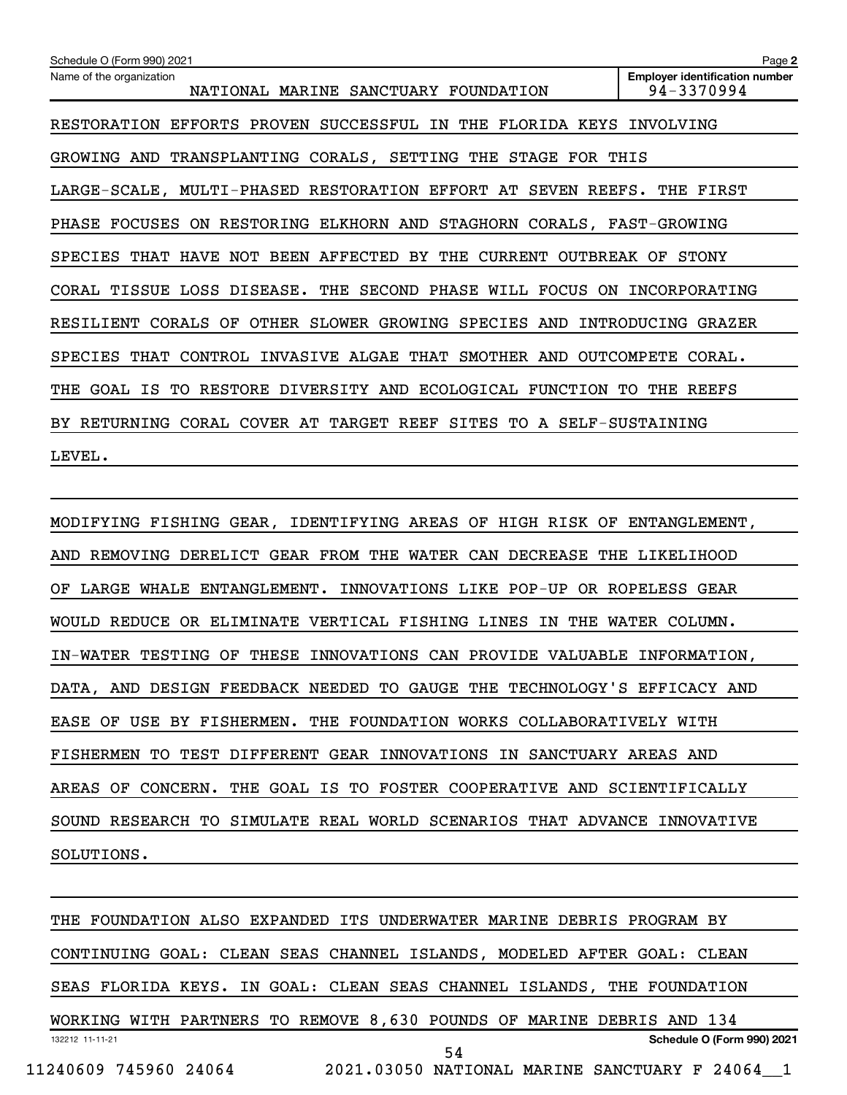| Schedule O (Form 990) 2021                                                       | Page 2                                              |  |
|----------------------------------------------------------------------------------|-----------------------------------------------------|--|
| Name of the organization<br>NATIONAL MARINE SANCTUARY FOUNDATION                 | <b>Employer identification number</b><br>94-3370994 |  |
| RESTORATION EFFORTS PROVEN SUCCESSFUL IN<br>FLORIDA KEYS<br>THE                  | INVOLVING                                           |  |
| GROWING AND TRANSPLANTING CORALS, SETTING THE STAGE FOR THIS                     |                                                     |  |
| LARGE-SCALE, MULTI-PHASED RESTORATION EFFORT AT<br>SEVEN REEFS.                  | THE FIRST                                           |  |
| PHASE FOCUSES ON RESTORING ELKHORN AND STAGHORN CORALS, FAST-GROWING             |                                                     |  |
| THAT HAVE NOT BEEN AFFECTED BY THE CURRENT<br>OUTBREAK<br>SPECIES<br>STONY<br>OF |                                                     |  |
| CORAL TISSUE LOSS DISEASE. THE SECOND PHASE WILL FOCUS<br><b>ON</b>              | INCORPORATING                                       |  |
| RESILIENT CORALS OF<br>OTHER SLOWER GROWING SPECIES AND                          | INTRODUCING GRAZER                                  |  |
| THAT CONTROL INVASIVE ALGAE THAT SMOTHER AND<br>OUTCOMPETE<br>CORAL.<br>SPECIES  |                                                     |  |
| GOAL IS TO RESTORE DIVERSITY AND ECOLOGICAL FUNCTION<br>TO.<br>THE REEFS<br>THE  |                                                     |  |
| BY RETURNING CORAL COVER AT TARGET REEF<br>SITES TO A SELF-SUSTAINING            |                                                     |  |
| LEVEL.                                                                           |                                                     |  |

MODIFYING FISHING GEAR, IDENTIFYING AREAS OF HIGH RISK OF ENTANGLEMENT, AND REMOVING DERELICT GEAR FROM THE WATER CAN DECREASE THE LIKELIHOOD OF LARGE WHALE ENTANGLEMENT. INNOVATIONS LIKE POP-UP OR ROPELESS GEAR WOULD REDUCE OR ELIMINATE VERTICAL FISHING LINES IN THE WATER COLUMN. IN-WATER TESTING OF THESE INNOVATIONS CAN PROVIDE VALUABLE INFORMATION, DATA, AND DESIGN FEEDBACK NEEDED TO GAUGE THE TECHNOLOGY'S EFFICACY AND EASE OF USE BY FISHERMEN. THE FOUNDATION WORKS COLLABORATIVELY WITH FISHERMEN TO TEST DIFFERENT GEAR INNOVATIONS IN SANCTUARY AREAS AND AREAS OF CONCERN. THE GOAL IS TO FOSTER COOPERATIVE AND SCIENTIFICALLY SOUND RESEARCH TO SIMULATE REAL WORLD SCENARIOS THAT ADVANCE INNOVATIVE SOLUTIONS.

132212 11-11-21 **Schedule O (Form 990) 2021** THE FOUNDATION ALSO EXPANDED ITS UNDERWATER MARINE DEBRIS PROGRAM BY CONTINUING GOAL: CLEAN SEAS CHANNEL ISLANDS, MODELED AFTER GOAL: CLEAN SEAS FLORIDA KEYS. IN GOAL: CLEAN SEAS CHANNEL ISLANDS, THE FOUNDATION WORKING WITH PARTNERS TO REMOVE 8,630 POUNDS OF MARINE DEBRIS AND 134 11240609 745960 24064 2021.03050 NATIONAL MARINE SANCTUARY F 24064\_\_1 54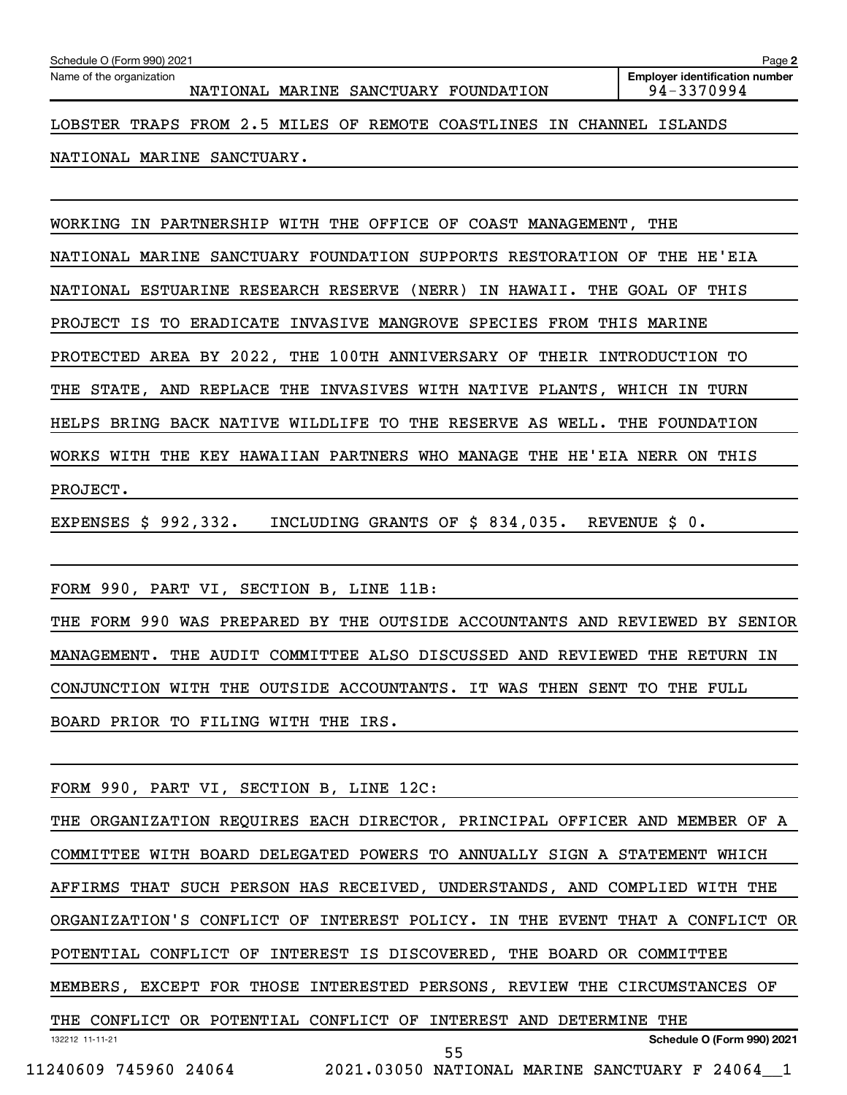NATIONAL MARINE SANCTUARY.

WORKING IN PARTNERSHIP WITH THE OFFICE OF COAST MANAGEMENT, THE

NATIONAL MARINE SANCTUARY FOUNDATION SUPPORTS RESTORATION OF THE HE'EIA NATIONAL ESTUARINE RESEARCH RESERVE (NERR) IN HAWAII. THE GOAL OF THIS PROJECT IS TO ERADICATE INVASIVE MANGROVE SPECIES FROM THIS MARINE PROTECTED AREA BY 2022, THE 100TH ANNIVERSARY OF THEIR INTRODUCTION TO THE STATE, AND REPLACE THE INVASIVES WITH NATIVE PLANTS, WHICH IN TURN HELPS BRING BACK NATIVE WILDLIFE TO THE RESERVE AS WELL. THE FOUNDATION WORKS WITH THE KEY HAWAIIAN PARTNERS WHO MANAGE THE HE'EIA NERR ON THIS PROJECT.

EXPENSES \$ 992,332. INCLUDING GRANTS OF \$ 834,035. REVENUE \$ 0.

FORM 990, PART VI, SECTION B, LINE 11B:

THE FORM 990 WAS PREPARED BY THE OUTSIDE ACCOUNTANTS AND REVIEWED BY SENIOR MANAGEMENT. THE AUDIT COMMITTEE ALSO DISCUSSED AND REVIEWED THE RETURN IN CONJUNCTION WITH THE OUTSIDE ACCOUNTANTS. IT WAS THEN SENT TO THE FULL BOARD PRIOR TO FILING WITH THE IRS.

FORM 990, PART VI, SECTION B, LINE 12C:

132212 11-11-21 **Schedule O (Form 990) 2021** THE ORGANIZATION REQUIRES EACH DIRECTOR, PRINCIPAL OFFICER AND MEMBER OF A COMMITTEE WITH BOARD DELEGATED POWERS TO ANNUALLY SIGN A STATEMENT WHICH AFFIRMS THAT SUCH PERSON HAS RECEIVED, UNDERSTANDS, AND COMPLIED WITH THE ORGANIZATION'S CONFLICT OF INTEREST POLICY. IN THE EVENT THAT A CONFLICT OR POTENTIAL CONFLICT OF INTEREST IS DISCOVERED, THE BOARD OR COMMITTEE MEMBERS, EXCEPT FOR THOSE INTERESTED PERSONS, REVIEW THE CIRCUMSTANCES OF THE CONFLICT OR POTENTIAL CONFLICT OF INTEREST AND DETERMINE THE 55

11240609 745960 24064 2021.03050 NATIONAL MARINE SANCTUARY F 24064\_\_1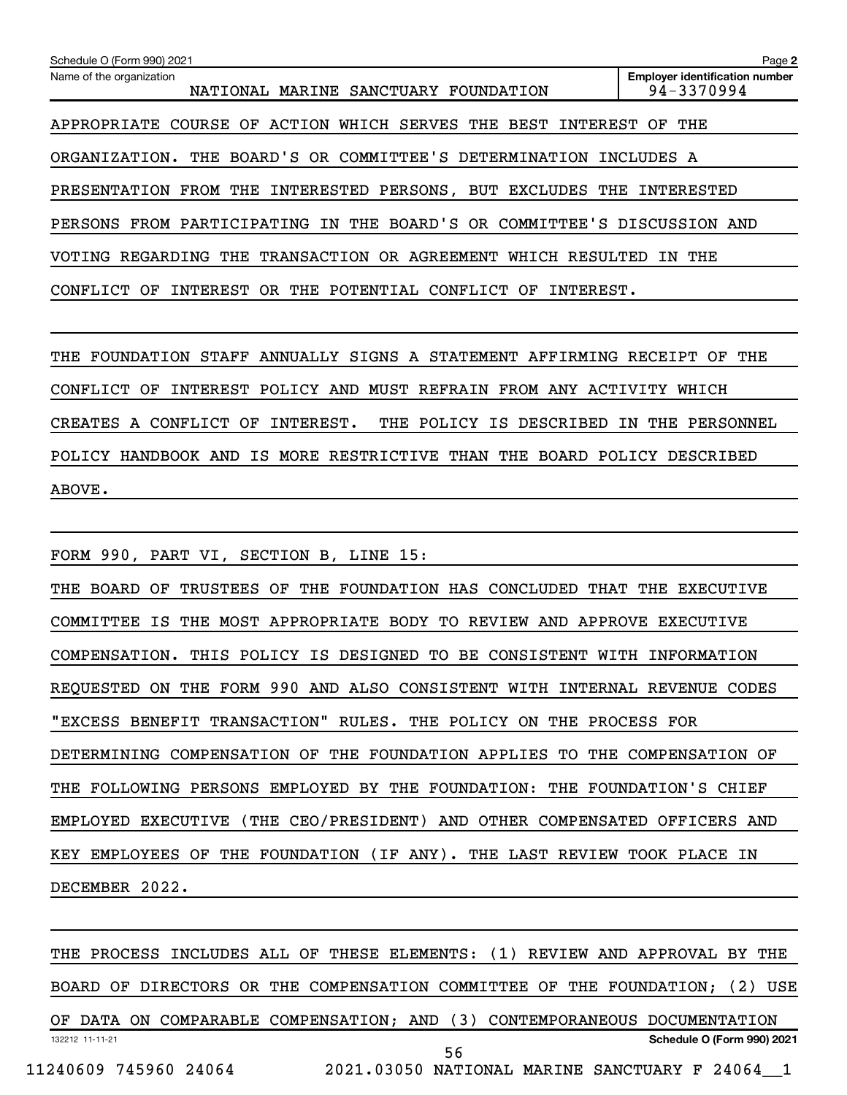| Schedule O (Form 990) 2021                                                 | Page 2                                              |
|----------------------------------------------------------------------------|-----------------------------------------------------|
| Name of the organization<br>NATIONAL MARINE SANCTUARY FOUNDATION           | <b>Employer identification number</b><br>94-3370994 |
| APPROPRIATE COURSE OF ACTION WHICH SERVES THE BEST INTEREST OF THE         |                                                     |
| ORGANIZATION. THE BOARD'S OR COMMITTEE'S DETERMINATION INCLUDES A          |                                                     |
| PRESENTATION FROM THE INTERESTED PERSONS, BUT EXCLUDES THE                 | INTERESTED                                          |
| FROM PARTICIPATING IN THE BOARD'S OR COMMITTEE'S DISCUSSION AND<br>PERSONS |                                                     |
| VOTING REGARDING THE TRANSACTION OR AGREEMENT WHICH RESULTED               | IN THE                                              |
| INTEREST OR THE POTENTIAL CONFLICT<br>INTEREST.<br>CONFLICT OF<br>OF       |                                                     |

THE FOUNDATION STAFF ANNUALLY SIGNS A STATEMENT AFFIRMING RECEIPT OF THE CONFLICT OF INTEREST POLICY AND MUST REFRAIN FROM ANY ACTIVITY WHICH CREATES A CONFLICT OF INTEREST. THE POLICY IS DESCRIBED IN THE PERSONNEL POLICY HANDBOOK AND IS MORE RESTRICTIVE THAN THE BOARD POLICY DESCRIBED ABOVE.

FORM 990, PART VI, SECTION B, LINE 15: THE BOARD OF TRUSTEES OF THE FOUNDATION HAS CONCLUDED THAT THE EXECUTIVE COMMITTEE IS THE MOST APPROPRIATE BODY TO REVIEW AND APPROVE EXECUTIVE COMPENSATION. THIS POLICY IS DESIGNED TO BE CONSISTENT WITH INFORMATION REQUESTED ON THE FORM 990 AND ALSO CONSISTENT WITH INTERNAL REVENUE CODES "EXCESS BENEFIT TRANSACTION" RULES. THE POLICY ON THE PROCESS FOR DETERMINING COMPENSATION OF THE FOUNDATION APPLIES TO THE COMPENSATION OF THE FOLLOWING PERSONS EMPLOYED BY THE FOUNDATION: THE FOUNDATION'S CHIEF EMPLOYED EXECUTIVE (THE CEO/PRESIDENT) AND OTHER COMPENSATED OFFICERS AND KEY EMPLOYEES OF THE FOUNDATION (IF ANY). THE LAST REVIEW TOOK PLACE IN DECEMBER 2022.

132212 11-11-21 **Schedule O (Form 990) 2021** THE PROCESS INCLUDES ALL OF THESE ELEMENTS: (1) REVIEW AND APPROVAL BY THE BOARD OF DIRECTORS OR THE COMPENSATION COMMITTEE OF THE FOUNDATION; (2) USE OF DATA ON COMPARABLE COMPENSATION; AND (3) CONTEMPORANEOUS DOCUMENTATION 11240609 745960 24064 2021.03050 NATIONAL MARINE SANCTUARY F 24064\_\_1 56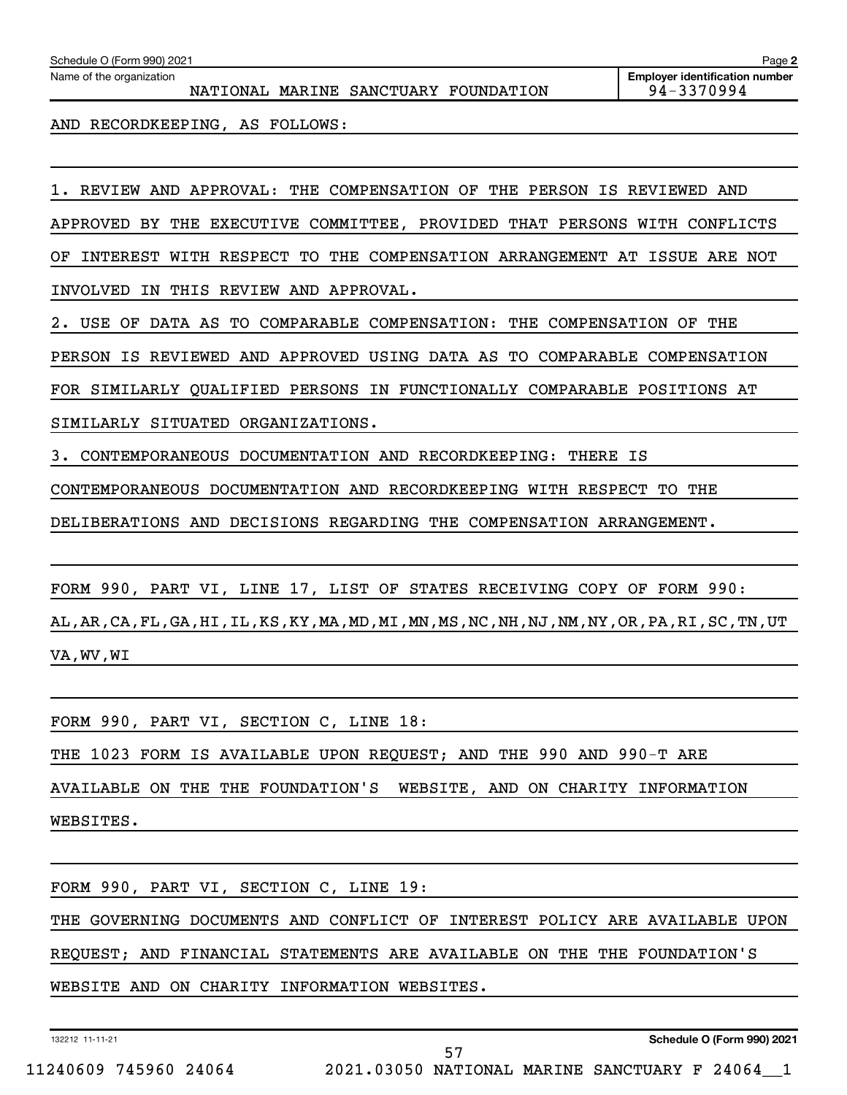| Schedule O (Form 990) 2021<br>Name of the organization                             | Page 2<br><b>Employer identification number</b> |
|------------------------------------------------------------------------------------|-------------------------------------------------|
| NATIONAL MARINE SANCTUARY FOUNDATION                                               | 94-3370994                                      |
| RECORDKEEPING, AS FOLLOWS:<br>AND                                                  |                                                 |
|                                                                                    |                                                 |
|                                                                                    |                                                 |
| AND APPROVAL: THE COMPENSATION OF<br>THE PERSON<br>REVIEW<br>ΙS                    | REVIEWED AND                                    |
| EXECUTIVE COMMITTEE, PROVIDED THAT PERSONS WITH CONFLICTS<br>APPROVED<br>BY<br>THE |                                                 |
| INTEREST<br>WITH RESPECT TO<br><b>THE</b><br>COMPENSATION ARRANGEMENT<br>ΟF        | AT<br>ISSUE<br>ARE NOT                          |
| THIS<br>REVIEW AND<br>APPROVAL.<br>TNVOLVED<br>TN                                  |                                                 |
| DATA AS TO<br>COMPARABLE COMPENSATION: THE<br>USE OF<br>2.                         | COMPENSATION OF<br>THE                          |
| APPROVED<br>COMPARABLE<br>PERSON<br>ΙS<br>REVIEWED AND<br>USING DATA AS<br>TO      | COMPENSATION                                    |
| FOR SIMILARLY QUALIFIED PERSONS IN FUNCTIONALLY COMPARABLE                         | POSITIONS AT                                    |
| SITUATED<br>ORGANIZATIONS.<br>SIMILARLY                                            |                                                 |
| CONTEMPORANEOUS DOCUMENTATION AND RECORDKEEPING:<br>THERE<br>з.                    | ΙS                                              |

CONTEMPORANEOUS DOCUMENTATION AND RECORDKEEPING WITH RESPECT TO THE

DELIBERATIONS AND DECISIONS REGARDING THE COMPENSATION ARRANGEMENT.

FORM 990, PART VI, LINE 17, LIST OF STATES RECEIVING COPY OF FORM 990:

AL,AR,CA,FL,GA,HI,IL,KS,KY,MA,MD,MI,MN,MS,NC,NH,NJ,NM,NY,OR,PA,RI,SC,TN,UT VA,WV,WI

FORM 990, PART VI, SECTION C, LINE 18: THE 1023 FORM IS AVAILABLE UPON REQUEST; AND THE 990 AND 990-T ARE AVAILABLE ON THE THE FOUNDATION'S WEBSITE, AND ON CHARITY INFORMATION WEBSITES.

FORM 990, PART VI, SECTION C, LINE 19: THE GOVERNING DOCUMENTS AND CONFLICT OF INTEREST POLICY ARE AVAILABLE UPON REQUEST; AND FINANCIAL STATEMENTS ARE AVAILABLE ON THE THE FOUNDATION'S WEBSITE AND ON CHARITY INFORMATION WEBSITES.

132212 11-11-21